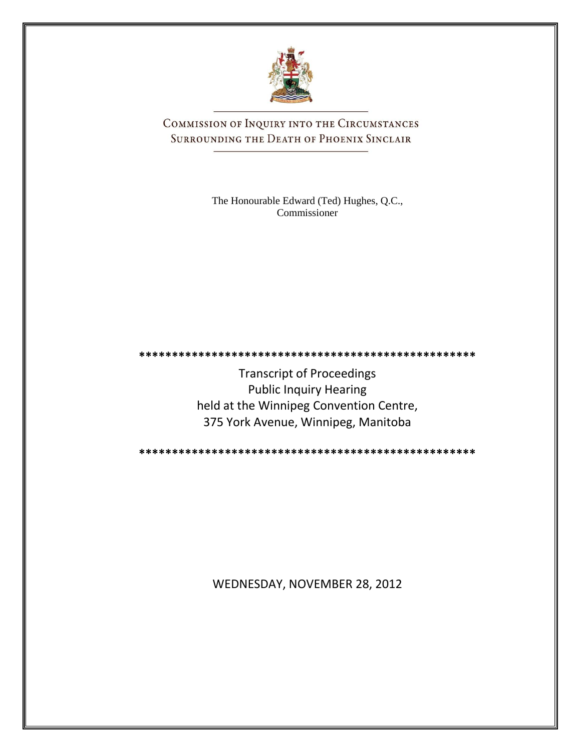

COMMISSION OF INQUIRY INTO THE CIRCUMSTANCES SURROUNDING THE DEATH OF PHOENIX SINCLAIR

> The Honourable Edward (Ted) Hughes, Q.C., Commissioner

**\*\*\*\*\*\*\*\*\*\*\*\*\*\*\*\*\*\*\*\*\*\*\*\*\*\*\*\*\*\*\*\*\*\*\*\*\*\*\*\*\*\*\*\*\*\*\*\*\*\*\***

Transcript of Proceedings Public Inquiry Hearing held at the Winnipeg Convention Centre, 375 York Avenue, Winnipeg, Manitoba

**\*\*\*\*\*\*\*\*\*\*\*\*\*\*\*\*\*\*\*\*\*\*\*\*\*\*\*\*\*\*\*\*\*\*\*\*\*\*\*\*\*\*\*\*\*\*\*\*\*\*\***

WEDNESDAY, NOVEMBER 28, 2012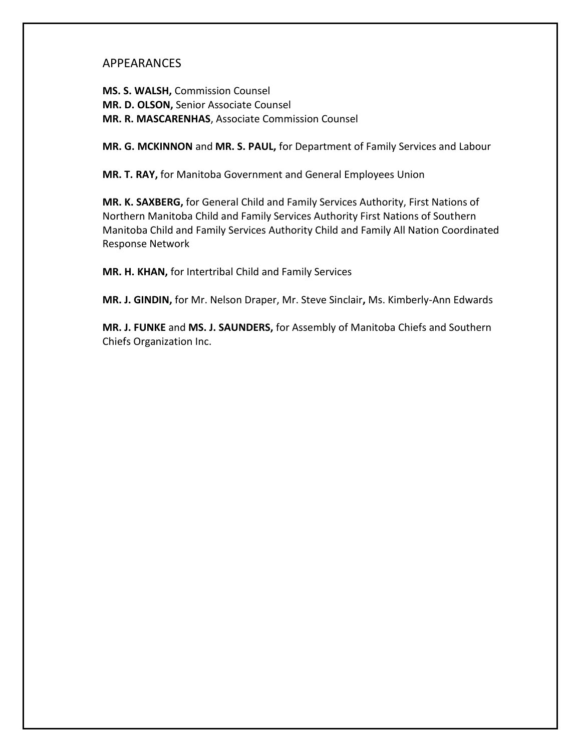## APPEARANCES

**MS. S. WALSH,** Commission Counsel **MR. D. OLSON,** Senior Associate Counsel **MR. R. MASCARENHAS**, Associate Commission Counsel

**MR. G. MCKINNON** and **MR. S. PAUL,** for Department of Family Services and Labour

**MR. T. RAY,** for Manitoba Government and General Employees Union

**MR. K. SAXBERG,** for General Child and Family Services Authority, First Nations of Northern Manitoba Child and Family Services Authority First Nations of Southern Manitoba Child and Family Services Authority Child and Family All Nation Coordinated Response Network

**MR. H. KHAN,** for Intertribal Child and Family Services

**MR. J. GINDIN,** for Mr. Nelson Draper, Mr. Steve Sinclair**,** Ms. Kimberly-Ann Edwards

**MR. J. FUNKE** and **MS. J. SAUNDERS,** for Assembly of Manitoba Chiefs and Southern Chiefs Organization Inc.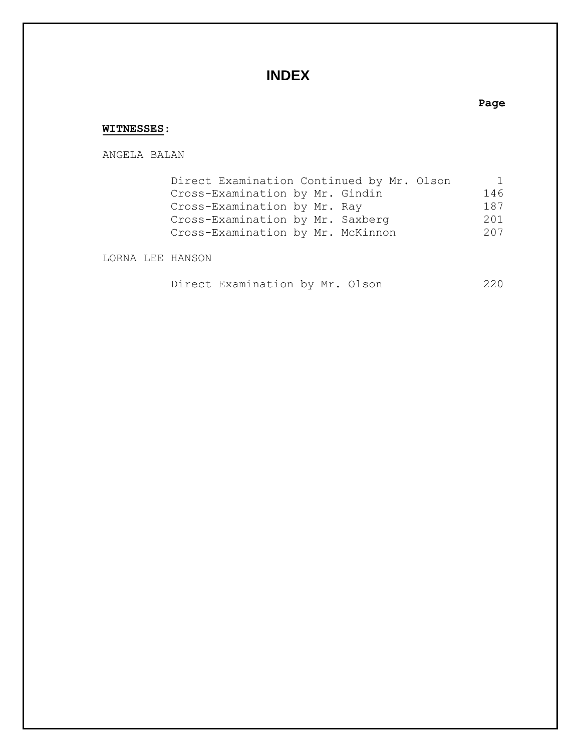# **INDEX**

### **Page**

### **WITNESSES**:

ANGELA BALAN

| Direct Examination Continued by Mr. Olson | 1   |
|-------------------------------------------|-----|
| Cross-Examination by Mr. Gindin           | 146 |
| Cross-Examination by Mr. Ray              | 187 |
| Cross-Examination by Mr. Saxberg          | 201 |
| Cross-Examination by Mr. McKinnon         | 207 |
|                                           |     |

LORNA LEE HANSON

|  | Direct Examination by Mr. Olson |  |  |  |  | 220 |  |
|--|---------------------------------|--|--|--|--|-----|--|
|--|---------------------------------|--|--|--|--|-----|--|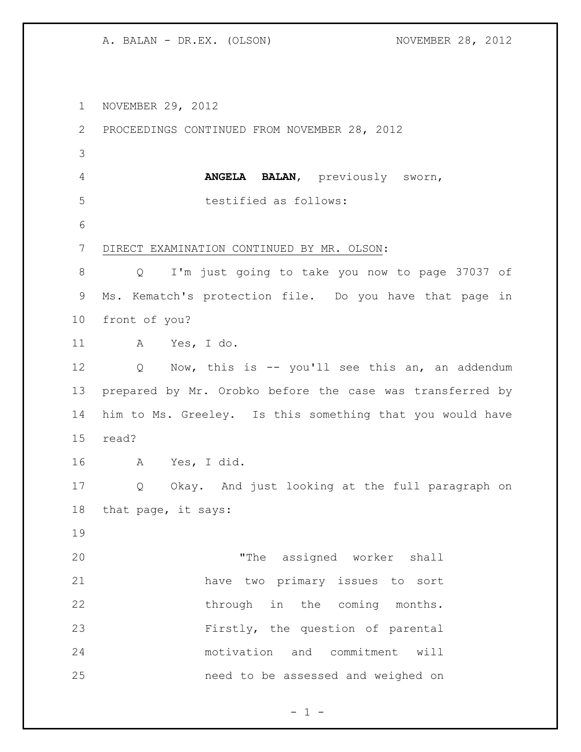NOVEMBER 29, 2012

 PROCEEDINGS CONTINUED FROM NOVEMBER 28, 2012 **ANGELA BALAN**, previously sworn, testified as follows: DIRECT EXAMINATION CONTINUED BY MR. OLSON: Q I'm just going to take you now to page 37037 of Ms. Kematch's protection file. Do you have that page in front of you? A Yes, I do. Q Now, this is -- you'll see this an, an addendum prepared by Mr. Orobko before the case was transferred by him to Ms. Greeley. Is this something that you would have read? A Yes, I did. Q Okay. And just looking at the full paragraph on that page, it says: "The assigned worker shall have two primary issues to sort 22 through in the coming months. Firstly, the question of parental motivation and commitment will need to be assessed and weighed on

 $- 1 -$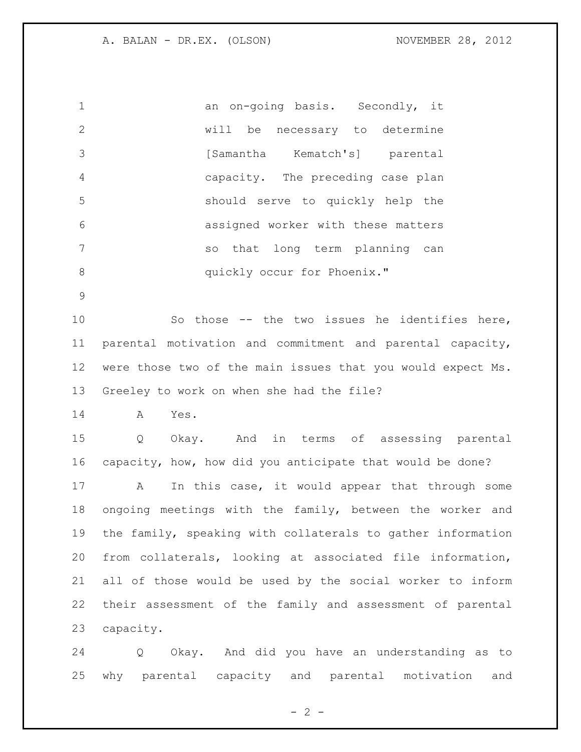| $\mathbf{1}$  | an on-going basis. Secondly, it    |
|---------------|------------------------------------|
| $\mathcal{P}$ | will be necessary to determine     |
| 3             | [Samantha Kematch's] parental      |
| 4             | capacity. The preceding case plan  |
| 5             | should serve to quickly help the   |
| 6             | assigned worker with these matters |
|               | so that long term planning can     |
| 8             | quickly occur for Phoenix."        |

 So those -- the two issues he identifies here, parental motivation and commitment and parental capacity, were those two of the main issues that you would expect Ms. Greeley to work on when she had the file?

A Yes.

 Q Okay. And in terms of assessing parental capacity, how, how did you anticipate that would be done? A In this case, it would appear that through some ongoing meetings with the family, between the worker and the family, speaking with collaterals to gather information from collaterals, looking at associated file information,

 all of those would be used by the social worker to inform their assessment of the family and assessment of parental capacity.

 Q Okay. And did you have an understanding as to why parental capacity and parental motivation and

 $- 2 -$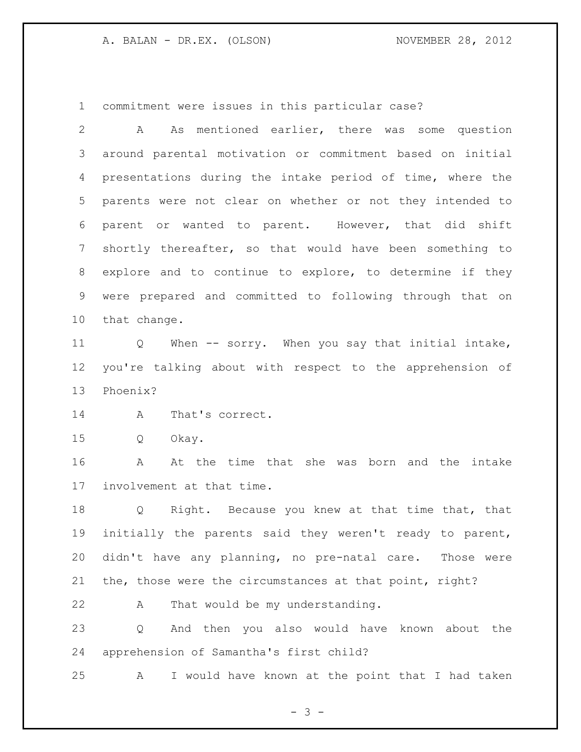commitment were issues in this particular case?

 A As mentioned earlier, there was some question around parental motivation or commitment based on initial presentations during the intake period of time, where the parents were not clear on whether or not they intended to parent or wanted to parent. However, that did shift shortly thereafter, so that would have been something to explore and to continue to explore, to determine if they were prepared and committed to following through that on that change.

 Q When -- sorry. When you say that initial intake, you're talking about with respect to the apprehension of Phoenix?

A That's correct.

Q Okay.

 A At the time that she was born and the intake involvement at that time.

 Q Right. Because you knew at that time that, that initially the parents said they weren't ready to parent, didn't have any planning, no pre-natal care. Those were the, those were the circumstances at that point, right?

A That would be my understanding.

 Q And then you also would have known about the apprehension of Samantha's first child?

A I would have known at the point that I had taken

- 3 -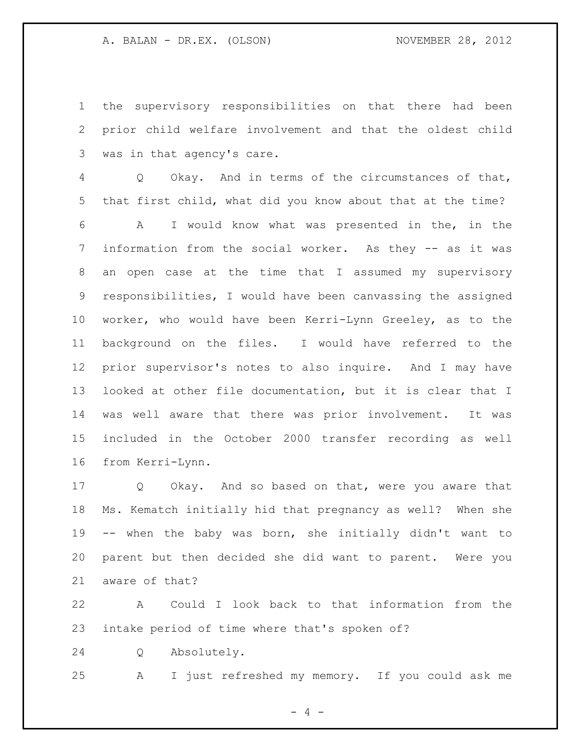the supervisory responsibilities on that there had been prior child welfare involvement and that the oldest child was in that agency's care.

 Q Okay. And in terms of the circumstances of that, that first child, what did you know about that at the time?

 A I would know what was presented in the, in the information from the social worker. As they -- as it was an open case at the time that I assumed my supervisory responsibilities, I would have been canvassing the assigned worker, who would have been Kerri-Lynn Greeley, as to the background on the files. I would have referred to the prior supervisor's notes to also inquire. And I may have looked at other file documentation, but it is clear that I was well aware that there was prior involvement. It was included in the October 2000 transfer recording as well from Kerri-Lynn.

 Q Okay. And so based on that, were you aware that Ms. Kematch initially hid that pregnancy as well? When she -- when the baby was born, she initially didn't want to parent but then decided she did want to parent. Were you aware of that?

 A Could I look back to that information from the intake period of time where that's spoken of?

Q Absolutely.

A I just refreshed my memory. If you could ask me

 $- 4 -$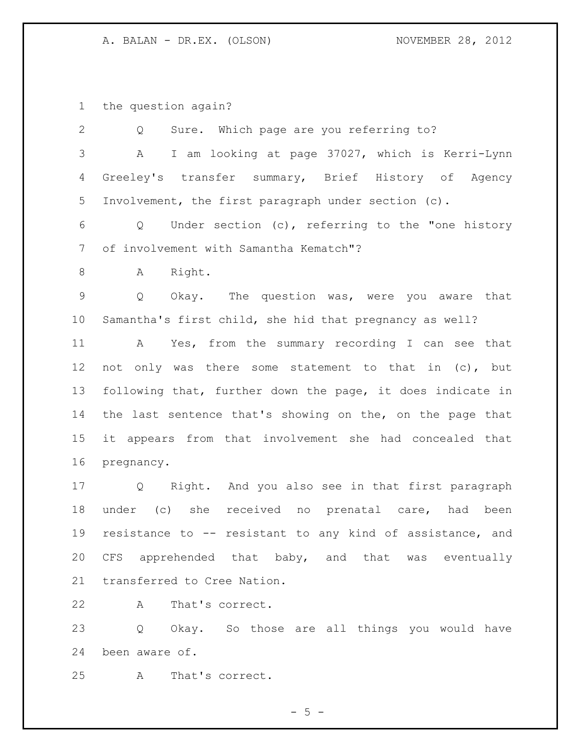the question again?

| 2              | Sure. Which page are you referring to?<br>Q                |
|----------------|------------------------------------------------------------|
| 3              | I am looking at page 37027, which is Kerri-Lynn<br>A       |
| $\overline{4}$ | Greeley's transfer summary, Brief History of Agency        |
| 5              | Involvement, the first paragraph under section (c).        |
| 6              | Q Under section (c), referring to the "one history         |
| 7              | of involvement with Samantha Kematch"?                     |
| 8              | Right.<br>A                                                |
| $\overline{9}$ | Okay. The question was, were you aware that<br>Q           |
| $10 \,$        | Samantha's first child, she hid that pregnancy as well?    |
| 11             | A Yes, from the summary recording I can see that           |
| 12             | not only was there some statement to that in (c), but      |
| 13             | following that, further down the page, it does indicate in |
| 14             | the last sentence that's showing on the, on the page that  |
| 15             | it appears from that involvement she had concealed that    |
| 16             | pregnancy.                                                 |
| 17             | Q Right. And you also see in that first paragraph          |
| 18             | under (c) she received no prenatal care, had been          |
| 19             | resistance to -- resistant to any kind of assistance, and  |
| 20             | CFS apprehended that baby, and that was eventually         |
| 21             | transferred to Cree Nation.                                |
| 22             | That's correct.<br>A                                       |

 Q Okay. So those are all things you would have been aware of.

A That's correct.

 $- 5 -$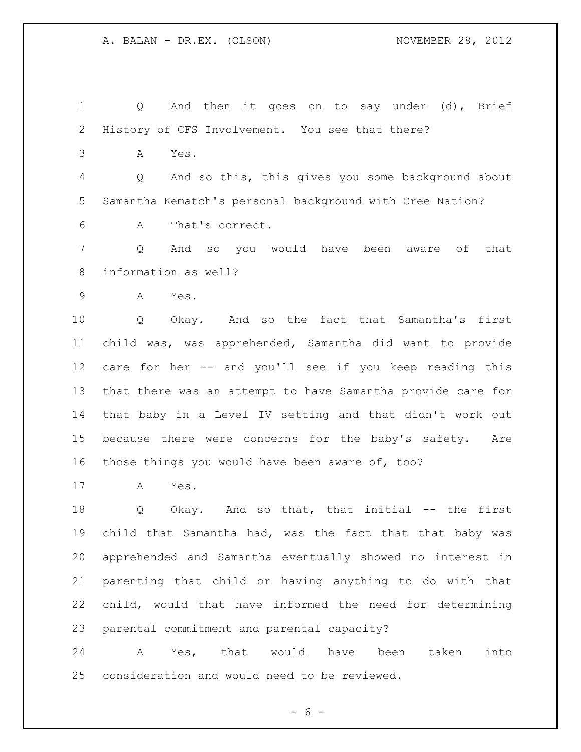Q And then it goes on to say under (d), Brief History of CFS Involvement. You see that there? A Yes. Q And so this, this gives you some background about Samantha Kematch's personal background with Cree Nation? A That's correct. Q And so you would have been aware of that information as well? A Yes. Q Okay. And so the fact that Samantha's first child was, was apprehended, Samantha did want to provide care for her -- and you'll see if you keep reading this that there was an attempt to have Samantha provide care for that baby in a Level IV setting and that didn't work out because there were concerns for the baby's safety. Are those things you would have been aware of, too? A Yes.

18 Q Okay. And so that, that initial -- the first child that Samantha had, was the fact that that baby was apprehended and Samantha eventually showed no interest in parenting that child or having anything to do with that child, would that have informed the need for determining parental commitment and parental capacity?

 A Yes, that would have been taken into consideration and would need to be reviewed.

 $- 6 -$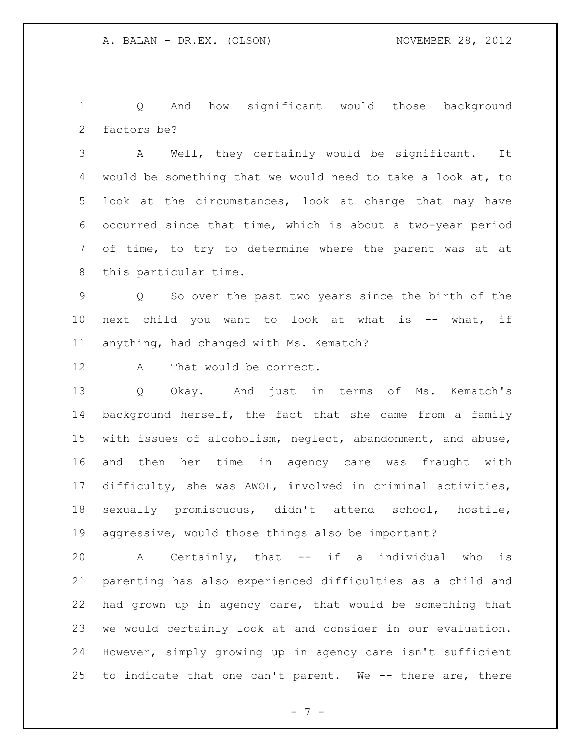Q And how significant would those background factors be?

 A Well, they certainly would be significant. It would be something that we would need to take a look at, to look at the circumstances, look at change that may have occurred since that time, which is about a two-year period of time, to try to determine where the parent was at at this particular time.

 Q So over the past two years since the birth of the next child you want to look at what is -- what, if anything, had changed with Ms. Kematch?

A That would be correct.

 Q Okay. And just in terms of Ms. Kematch's background herself, the fact that she came from a family with issues of alcoholism, neglect, abandonment, and abuse, and then her time in agency care was fraught with difficulty, she was AWOL, involved in criminal activities, sexually promiscuous, didn't attend school, hostile, aggressive, would those things also be important?

 A Certainly, that -- if a individual who is parenting has also experienced difficulties as a child and had grown up in agency care, that would be something that we would certainly look at and consider in our evaluation. However, simply growing up in agency care isn't sufficient to indicate that one can't parent. We -- there are, there

- 7 -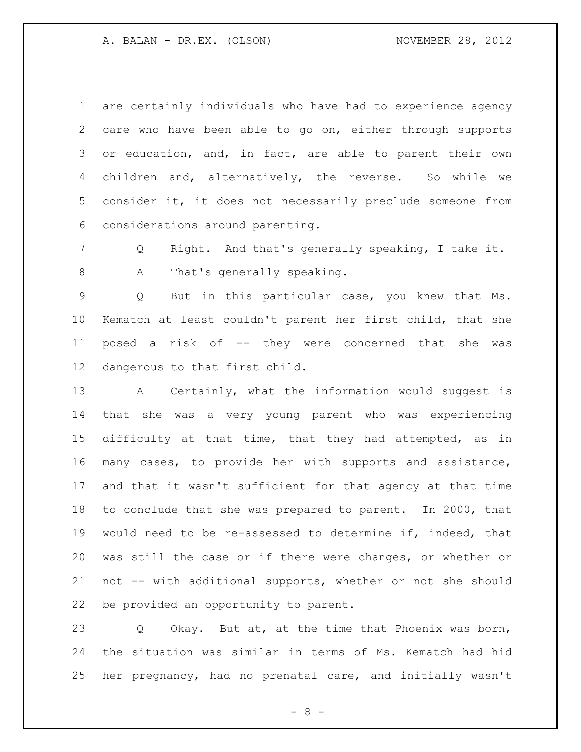are certainly individuals who have had to experience agency care who have been able to go on, either through supports or education, and, in fact, are able to parent their own children and, alternatively, the reverse. So while we consider it, it does not necessarily preclude someone from considerations around parenting.

 Q Right. And that's generally speaking, I take it. 8 A That's generally speaking.

 Q But in this particular case, you knew that Ms. Kematch at least couldn't parent her first child, that she posed a risk of -- they were concerned that she was dangerous to that first child.

 A Certainly, what the information would suggest is that she was a very young parent who was experiencing difficulty at that time, that they had attempted, as in many cases, to provide her with supports and assistance, and that it wasn't sufficient for that agency at that time to conclude that she was prepared to parent. In 2000, that would need to be re-assessed to determine if, indeed, that was still the case or if there were changes, or whether or not -- with additional supports, whether or not she should be provided an opportunity to parent.

 Q Okay. But at, at the time that Phoenix was born, the situation was similar in terms of Ms. Kematch had hid her pregnancy, had no prenatal care, and initially wasn't

- 8 -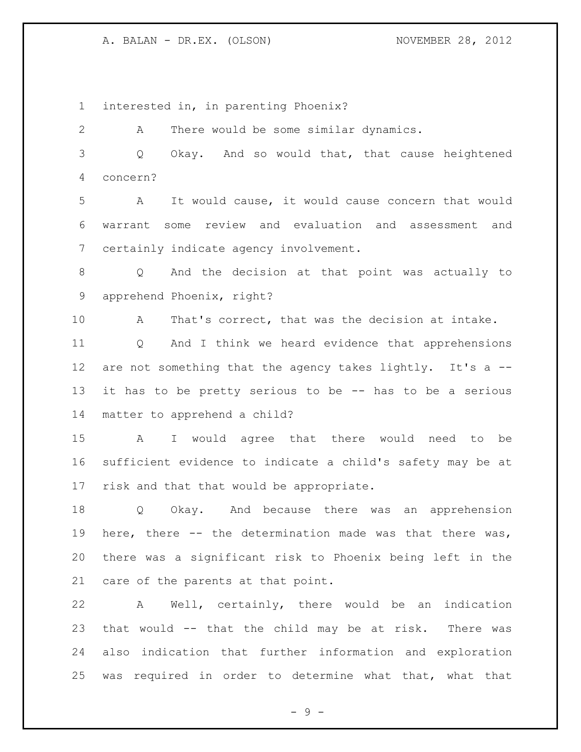interested in, in parenting Phoenix?

 A There would be some similar dynamics. Q Okay. And so would that, that cause heightened

concern?

 A It would cause, it would cause concern that would warrant some review and evaluation and assessment and certainly indicate agency involvement.

 Q And the decision at that point was actually to apprehend Phoenix, right?

 A That's correct, that was the decision at intake. Q And I think we heard evidence that apprehensions 12 are not something that the agency takes lightly. It's a -- it has to be pretty serious to be -- has to be a serious matter to apprehend a child?

 A I would agree that there would need to be sufficient evidence to indicate a child's safety may be at risk and that that would be appropriate.

 Q Okay. And because there was an apprehension here, there -- the determination made was that there was, there was a significant risk to Phoenix being left in the care of the parents at that point.

 A Well, certainly, there would be an indication that would -- that the child may be at risk. There was also indication that further information and exploration was required in order to determine what that, what that

- 9 -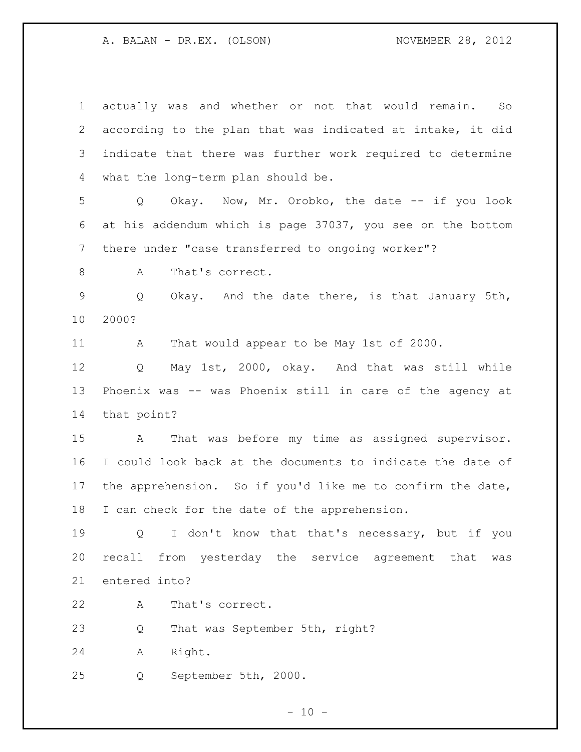| $\mathbf 1$ | actually was and whether or not that would remain.<br>So     |
|-------------|--------------------------------------------------------------|
| 2           | according to the plan that was indicated at intake, it did   |
| 3           | indicate that there was further work required to determine   |
| 4           | what the long-term plan should be.                           |
| 5           | Okay. Now, Mr. Orobko, the date -- if you look<br>$Q \qquad$ |
| 6           | at his addendum which is page 37037, you see on the bottom   |
| 7           | there under "case transferred to ongoing worker"?            |
| $\,8\,$     | That's correct.<br>А                                         |
| $\mathsf 9$ | Okay. And the date there, is that January 5th,<br>Q          |
| 10          | 2000?                                                        |
| 11          | That would appear to be May 1st of 2000.<br>A                |
| 12          | May 1st, 2000, okay. And that was still while<br>Q           |
| 13          | Phoenix was -- was Phoenix still in care of the agency at    |
| 14          | that point?                                                  |
| 15          | That was before my time as assigned supervisor.<br>A         |
| 16          | I could look back at the documents to indicate the date of   |
| 17          | the apprehension. So if you'd like me to confirm the date,   |
| 18          | I can check for the date of the apprehension.                |
| 19          | I don't know that that's necessary, but if you<br>Q          |
| 20          | recall from yesterday the service agreement that<br>was      |
| 21          | entered into?                                                |
| 22          | That's correct.<br>A                                         |
| 23          | That was September 5th, right?<br>Q                          |
| 24          | Right.<br>Α                                                  |
| 25          | September 5th, 2000.<br>Q                                    |
|             | $-10 -$                                                      |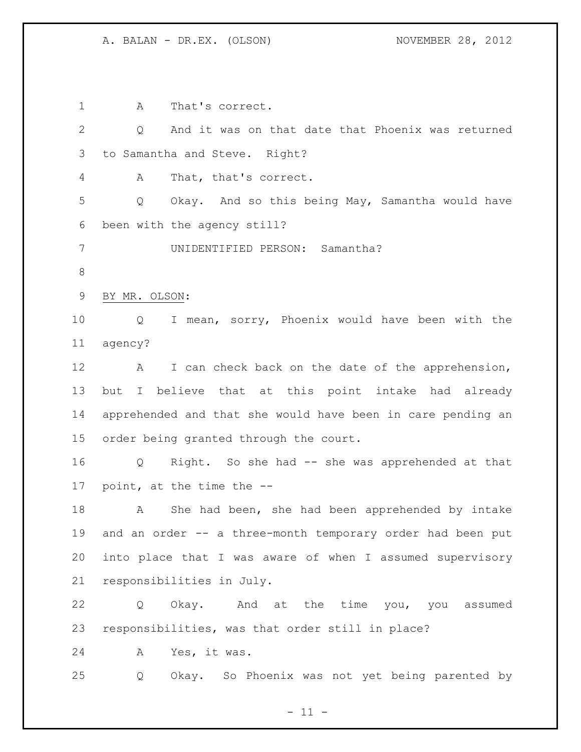1 A That's correct. Q And it was on that date that Phoenix was returned to Samantha and Steve. Right? A That, that's correct. Q Okay. And so this being May, Samantha would have been with the agency still? UNIDENTIFIED PERSON: Samantha? BY MR. OLSON: Q I mean, sorry, Phoenix would have been with the agency? 12 A I can check back on the date of the apprehension, but I believe that at this point intake had already apprehended and that she would have been in care pending an order being granted through the court. Q Right. So she had -- she was apprehended at that point, at the time the -- A She had been, she had been apprehended by intake and an order -- a three-month temporary order had been put into place that I was aware of when I assumed supervisory responsibilities in July. Q Okay. And at the time you, you assumed responsibilities, was that order still in place? A Yes, it was. Q Okay. So Phoenix was not yet being parented by

 $- 11 -$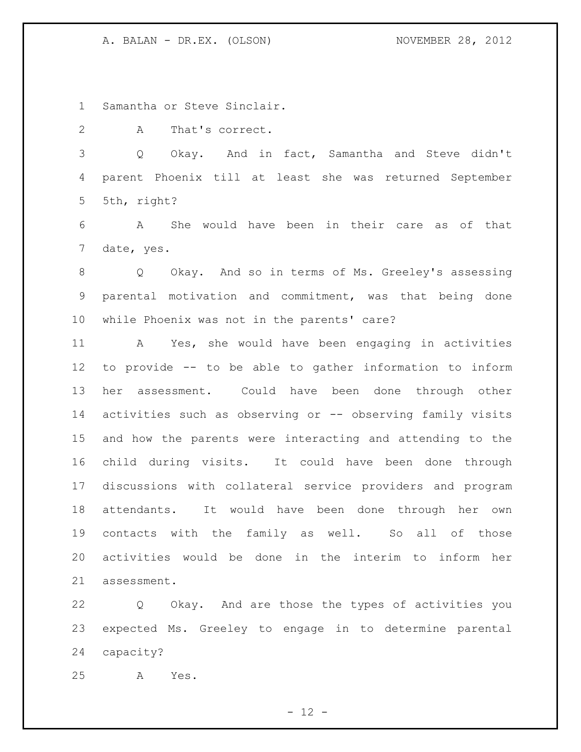Samantha or Steve Sinclair.

A That's correct.

 Q Okay. And in fact, Samantha and Steve didn't parent Phoenix till at least she was returned September 5th, right?

 A She would have been in their care as of that date, yes.

 Q Okay. And so in terms of Ms. Greeley's assessing parental motivation and commitment, was that being done while Phoenix was not in the parents' care?

 A Yes, she would have been engaging in activities to provide -- to be able to gather information to inform her assessment. Could have been done through other activities such as observing or -- observing family visits and how the parents were interacting and attending to the child during visits. It could have been done through discussions with collateral service providers and program attendants. It would have been done through her own contacts with the family as well. So all of those activities would be done in the interim to inform her assessment.

 Q Okay. And are those the types of activities you expected Ms. Greeley to engage in to determine parental capacity?

A Yes.

 $- 12 -$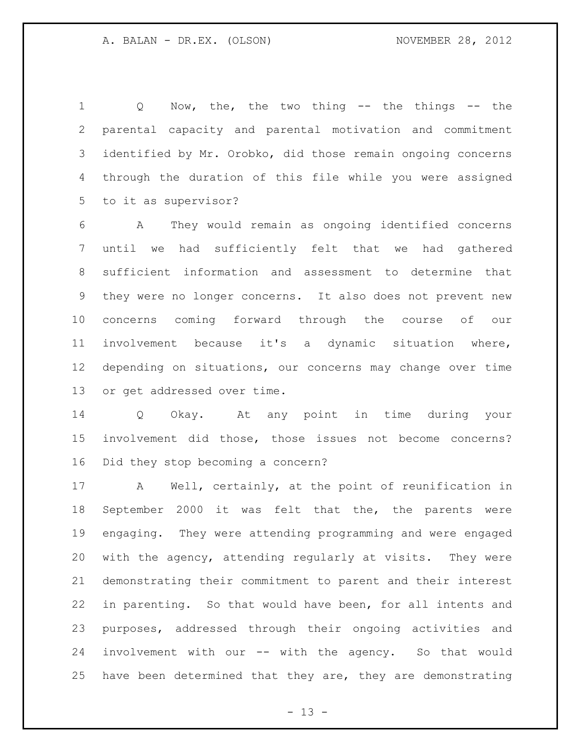Q Now, the, the two thing -- the things -- the parental capacity and parental motivation and commitment identified by Mr. Orobko, did those remain ongoing concerns through the duration of this file while you were assigned to it as supervisor?

 A They would remain as ongoing identified concerns until we had sufficiently felt that we had gathered sufficient information and assessment to determine that they were no longer concerns. It also does not prevent new concerns coming forward through the course of our involvement because it's a dynamic situation where, depending on situations, our concerns may change over time or get addressed over time.

 Q Okay. At any point in time during your involvement did those, those issues not become concerns? Did they stop becoming a concern?

 A Well, certainly, at the point of reunification in September 2000 it was felt that the, the parents were engaging. They were attending programming and were engaged with the agency, attending regularly at visits. They were demonstrating their commitment to parent and their interest in parenting. So that would have been, for all intents and purposes, addressed through their ongoing activities and involvement with our -- with the agency. So that would have been determined that they are, they are demonstrating

 $- 13 -$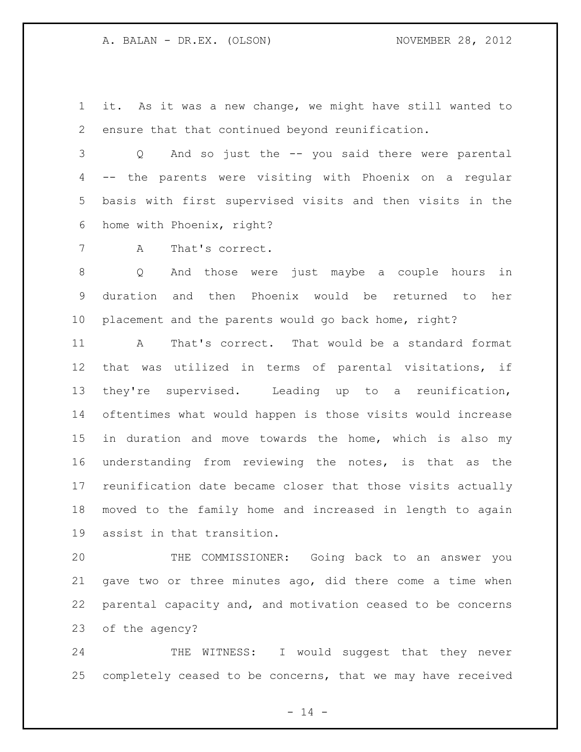it. As it was a new change, we might have still wanted to ensure that that continued beyond reunification.

 Q And so just the -- you said there were parental -- the parents were visiting with Phoenix on a regular basis with first supervised visits and then visits in the home with Phoenix, right?

A That's correct.

 Q And those were just maybe a couple hours in duration and then Phoenix would be returned to her placement and the parents would go back home, right?

 A That's correct. That would be a standard format that was utilized in terms of parental visitations, if they're supervised. Leading up to a reunification, oftentimes what would happen is those visits would increase in duration and move towards the home, which is also my understanding from reviewing the notes, is that as the reunification date became closer that those visits actually moved to the family home and increased in length to again assist in that transition.

 THE COMMISSIONER: Going back to an answer you gave two or three minutes ago, did there come a time when parental capacity and, and motivation ceased to be concerns of the agency?

24 THE WITNESS: I would suggest that they never completely ceased to be concerns, that we may have received

 $- 14 -$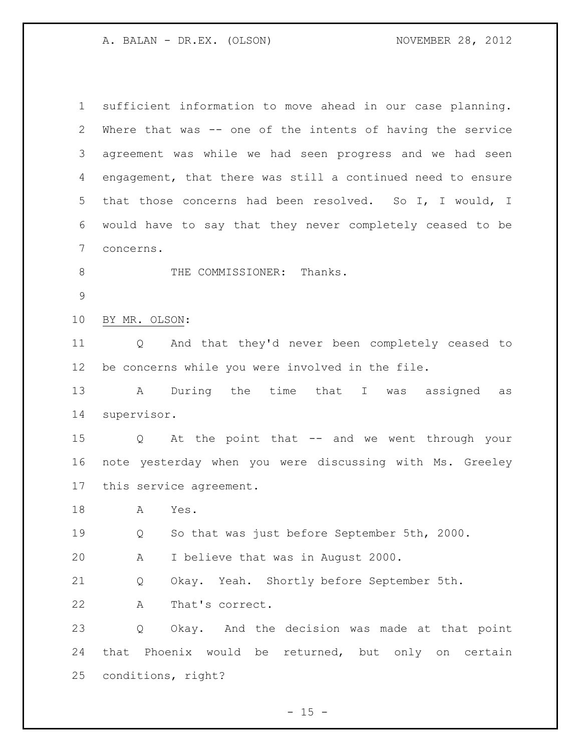| $\mathbf{1}$   | sufficient information to move ahead in our case planning.  |
|----------------|-------------------------------------------------------------|
| $\overline{2}$ | Where that was -- one of the intents of having the service  |
| 3              | agreement was while we had seen progress and we had seen    |
| 4              | engagement, that there was still a continued need to ensure |
| 5              | that those concerns had been resolved. So I, I would, I     |
| 6              | would have to say that they never completely ceased to be   |
| 7              | concerns.                                                   |
| $\,8\,$        | THE COMMISSIONER: Thanks.                                   |
| $\mathsf 9$    |                                                             |
| 10             | BY MR. OLSON:                                               |
| 11             | And that they'd never been completely ceased to<br>Q        |
| 12             | be concerns while you were involved in the file.            |
| 13             | A During the time that I was assigned as                    |
| 14             | supervisor.                                                 |
| 15             | Q At the point that -- and we went through your             |
| 16             | note yesterday when you were discussing with Ms. Greeley    |
| 17             | this service agreement.                                     |
| 18             | A<br>Yes.                                                   |
| 19             | So that was just before September 5th, 2000.<br>Q           |
| 20             | I believe that was in August 2000.<br>A                     |
| 21             | Okay. Yeah. Shortly before September 5th.<br>Q              |
| 22             | That's correct.<br>Α                                        |
| 23             | Okay. And the decision was made at that point<br>Q          |
| 24             | that Phoenix would be returned, but only on certain         |
| 25             | conditions, right?                                          |

- 15 -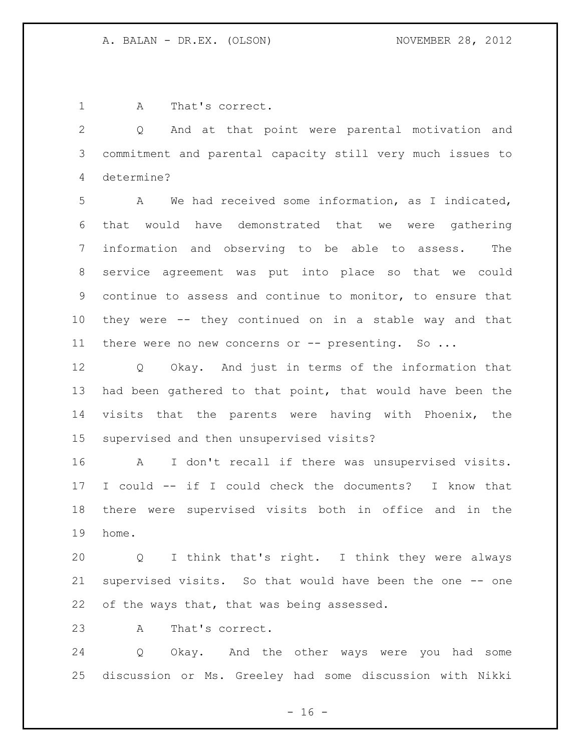A That's correct.

 Q And at that point were parental motivation and commitment and parental capacity still very much issues to determine?

 A We had received some information, as I indicated, that would have demonstrated that we were gathering information and observing to be able to assess. The service agreement was put into place so that we could continue to assess and continue to monitor, to ensure that they were -- they continued on in a stable way and that 11 there were no new concerns or -- presenting. So ...

 Q Okay. And just in terms of the information that had been gathered to that point, that would have been the visits that the parents were having with Phoenix, the supervised and then unsupervised visits?

 A I don't recall if there was unsupervised visits. I could -- if I could check the documents? I know that there were supervised visits both in office and in the home.

 Q I think that's right. I think they were always supervised visits. So that would have been the one -- one 22 of the ways that, that was being assessed.

A That's correct.

 Q Okay. And the other ways were you had some discussion or Ms. Greeley had some discussion with Nikki

 $- 16 -$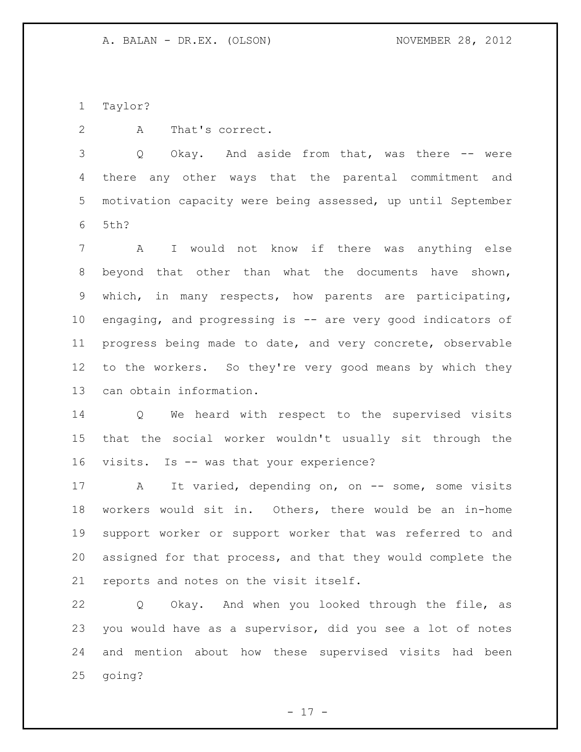Taylor?

A That's correct.

3 Q Okay. And aside from that, was there -- were there any other ways that the parental commitment and motivation capacity were being assessed, up until September 5th?

 A I would not know if there was anything else beyond that other than what the documents have shown, which, in many respects, how parents are participating, engaging, and progressing is -- are very good indicators of progress being made to date, and very concrete, observable to the workers. So they're very good means by which they can obtain information.

 Q We heard with respect to the supervised visits that the social worker wouldn't usually sit through the visits. Is -- was that your experience?

17 A It varied, depending on, on -- some, some visits workers would sit in. Others, there would be an in-home support worker or support worker that was referred to and assigned for that process, and that they would complete the reports and notes on the visit itself.

 Q Okay. And when you looked through the file, as you would have as a supervisor, did you see a lot of notes and mention about how these supervised visits had been going?

- 17 -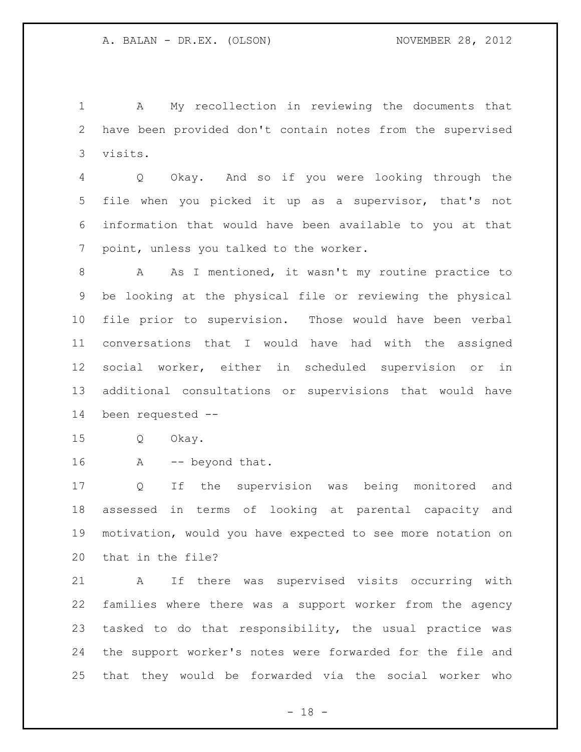A My recollection in reviewing the documents that have been provided don't contain notes from the supervised visits.

 Q Okay. And so if you were looking through the file when you picked it up as a supervisor, that's not information that would have been available to you at that point, unless you talked to the worker.

 A As I mentioned, it wasn't my routine practice to be looking at the physical file or reviewing the physical file prior to supervision. Those would have been verbal conversations that I would have had with the assigned social worker, either in scheduled supervision or in additional consultations or supervisions that would have been requested --

Q Okay.

16 A -- beyond that.

 Q If the supervision was being monitored and assessed in terms of looking at parental capacity and motivation, would you have expected to see more notation on that in the file?

 A If there was supervised visits occurring with families where there was a support worker from the agency tasked to do that responsibility, the usual practice was the support worker's notes were forwarded for the file and that they would be forwarded via the social worker who

 $- 18 -$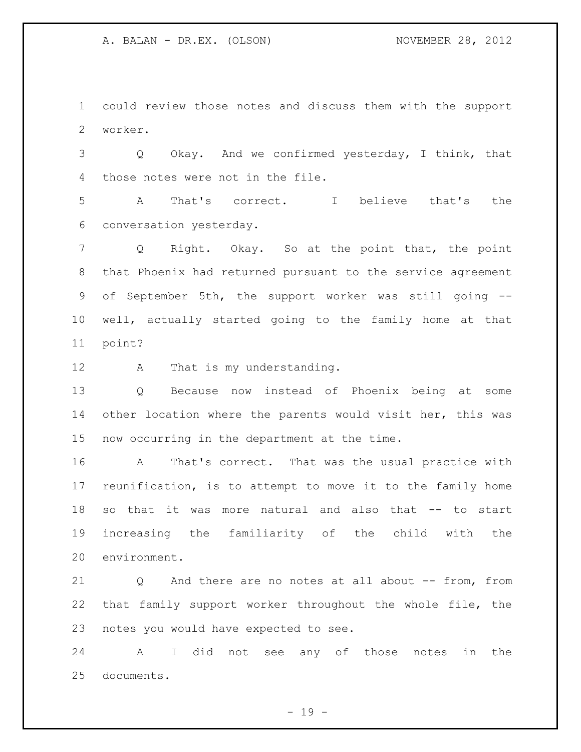could review those notes and discuss them with the support worker.

 Q Okay. And we confirmed yesterday, I think, that those notes were not in the file.

 A That's correct. I believe that's the conversation yesterday.

 Q Right. Okay. So at the point that, the point that Phoenix had returned pursuant to the service agreement of September 5th, the support worker was still going -- well, actually started going to the family home at that point?

12 A That is my understanding.

 Q Because now instead of Phoenix being at some other location where the parents would visit her, this was now occurring in the department at the time.

 A That's correct. That was the usual practice with reunification, is to attempt to move it to the family home so that it was more natural and also that -- to start increasing the familiarity of the child with the environment.

 Q And there are no notes at all about -- from, from that family support worker throughout the whole file, the notes you would have expected to see.

 A I did not see any of those notes in the documents.

 $- 19 -$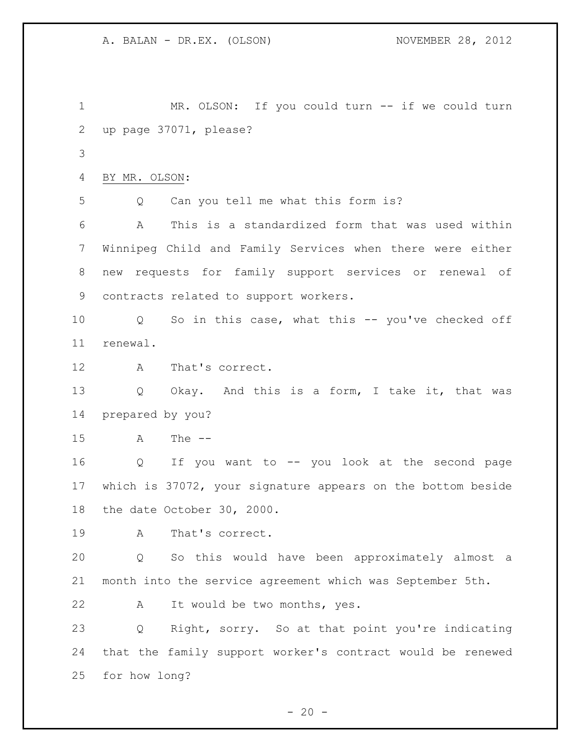1 MR. OLSON: If you could turn -- if we could turn up page 37071, please? BY MR. OLSON: Q Can you tell me what this form is? A This is a standardized form that was used within Winnipeg Child and Family Services when there were either new requests for family support services or renewal of contracts related to support workers. Q So in this case, what this -- you've checked off renewal. A That's correct. Q Okay. And this is a form, I take it, that was prepared by you? A The -- Q If you want to -- you look at the second page which is 37072, your signature appears on the bottom beside the date October 30, 2000. A That's correct. Q So this would have been approximately almost a month into the service agreement which was September 5th. A It would be two months, yes. Q Right, sorry. So at that point you're indicating that the family support worker's contract would be renewed for how long?

 $- 20 -$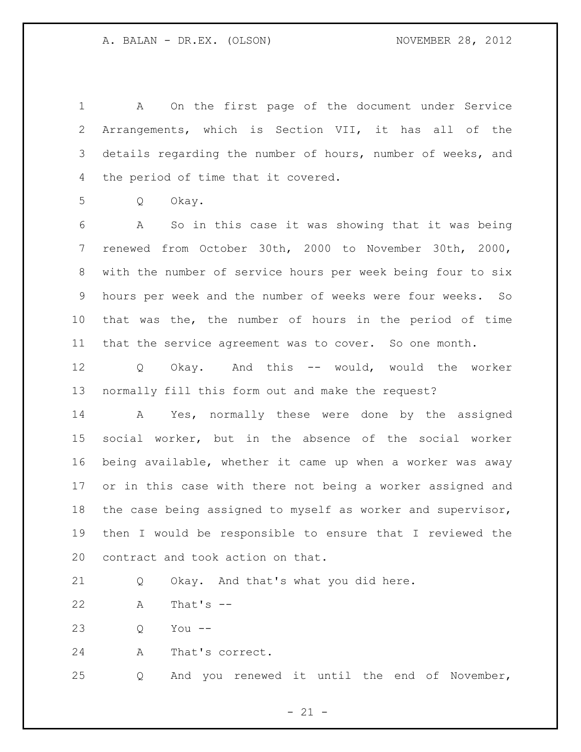A On the first page of the document under Service Arrangements, which is Section VII, it has all of the details regarding the number of hours, number of weeks, and the period of time that it covered.

Q Okay.

 A So in this case it was showing that it was being renewed from October 30th, 2000 to November 30th, 2000, with the number of service hours per week being four to six hours per week and the number of weeks were four weeks. So that was the, the number of hours in the period of time that the service agreement was to cover. So one month.

 Q Okay. And this -- would, would the worker normally fill this form out and make the request?

 A Yes, normally these were done by the assigned social worker, but in the absence of the social worker being available, whether it came up when a worker was away or in this case with there not being a worker assigned and the case being assigned to myself as worker and supervisor, then I would be responsible to ensure that I reviewed the contract and took action on that.

Q Okay. And that's what you did here.

A That's --

Q You --

A That's correct.

Q And you renewed it until the end of November,

 $- 21 -$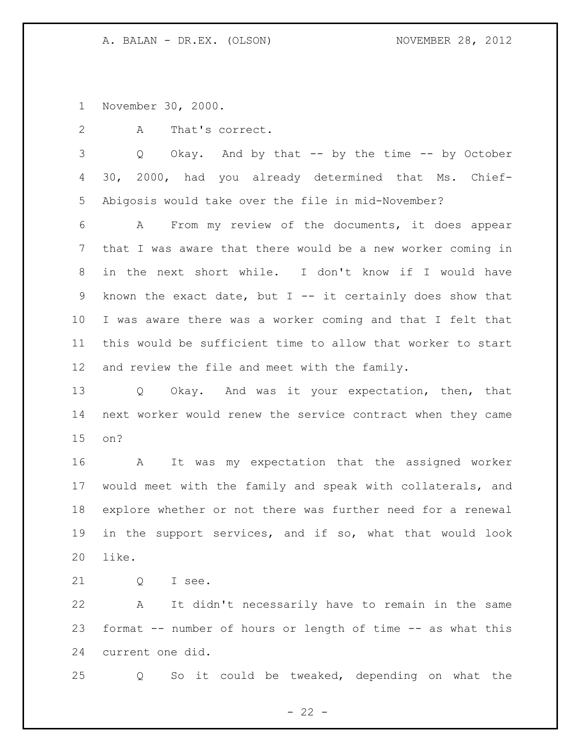November 30, 2000.

A That's correct.

 Q Okay. And by that -- by the time -- by October 30, 2000, had you already determined that Ms. Chief-Abigosis would take over the file in mid-November?

 A From my review of the documents, it does appear that I was aware that there would be a new worker coming in in the next short while. I don't know if I would have known the exact date, but I -- it certainly does show that I was aware there was a worker coming and that I felt that this would be sufficient time to allow that worker to start and review the file and meet with the family.

 Q Okay. And was it your expectation, then, that next worker would renew the service contract when they came on?

 A It was my expectation that the assigned worker would meet with the family and speak with collaterals, and explore whether or not there was further need for a renewal in the support services, and if so, what that would look like.

21 0 I see.

 A It didn't necessarily have to remain in the same format -- number of hours or length of time -- as what this current one did.

Q So it could be tweaked, depending on what the

 $- 22 -$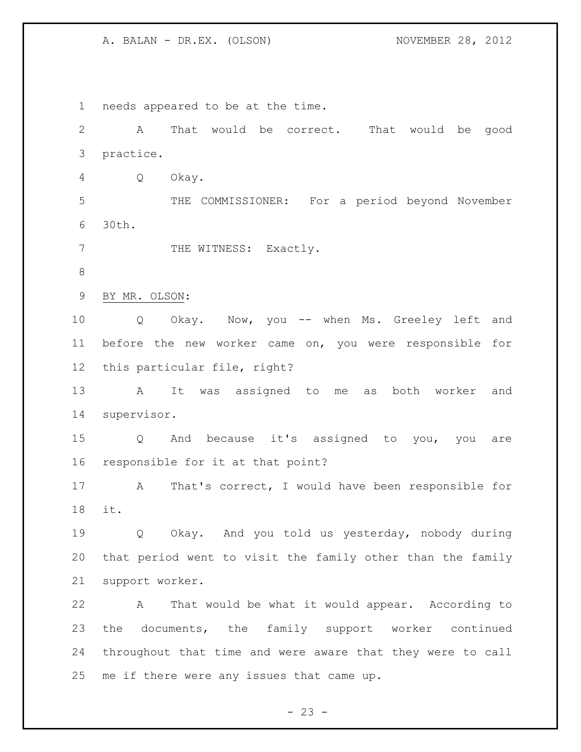needs appeared to be at the time. A That would be correct. That would be good practice. Q Okay. THE COMMISSIONER: For a period beyond November 30th. 7 THE WITNESS: Exactly. BY MR. OLSON: Q Okay. Now, you -- when Ms. Greeley left and before the new worker came on, you were responsible for this particular file, right? A It was assigned to me as both worker and supervisor. Q And because it's assigned to you, you are responsible for it at that point? A That's correct, I would have been responsible for it. Q Okay. And you told us yesterday, nobody during that period went to visit the family other than the family support worker. A That would be what it would appear. According to the documents, the family support worker continued throughout that time and were aware that they were to call me if there were any issues that came up.

 $- 23 -$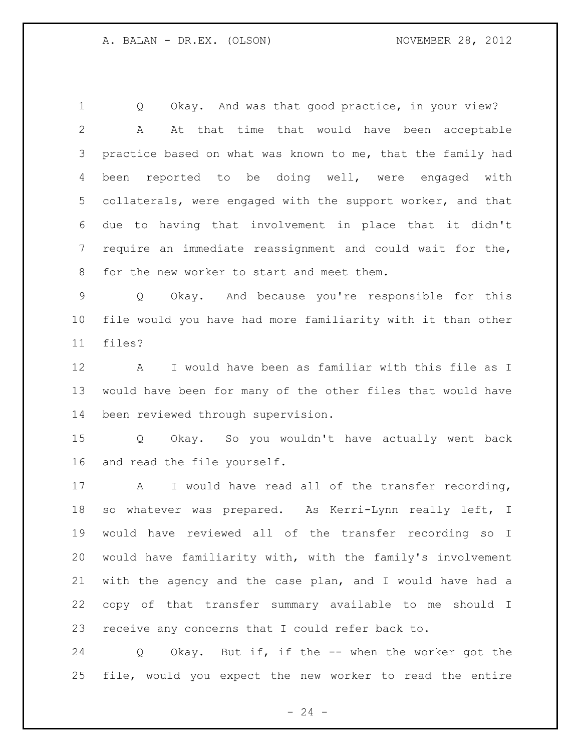Q Okay. And was that good practice, in your view? A At that time that would have been acceptable 3 practice based on what was known to me, that the family had been reported to be doing well, were engaged with collaterals, were engaged with the support worker, and that due to having that involvement in place that it didn't require an immediate reassignment and could wait for the, for the new worker to start and meet them.

 Q Okay. And because you're responsible for this file would you have had more familiarity with it than other files?

 A I would have been as familiar with this file as I would have been for many of the other files that would have been reviewed through supervision.

 Q Okay. So you wouldn't have actually went back and read the file yourself.

 A I would have read all of the transfer recording, so whatever was prepared. As Kerri-Lynn really left, I would have reviewed all of the transfer recording so I would have familiarity with, with the family's involvement with the agency and the case plan, and I would have had a copy of that transfer summary available to me should I receive any concerns that I could refer back to.

 Q Okay. But if, if the -- when the worker got the file, would you expect the new worker to read the entire

 $- 24 -$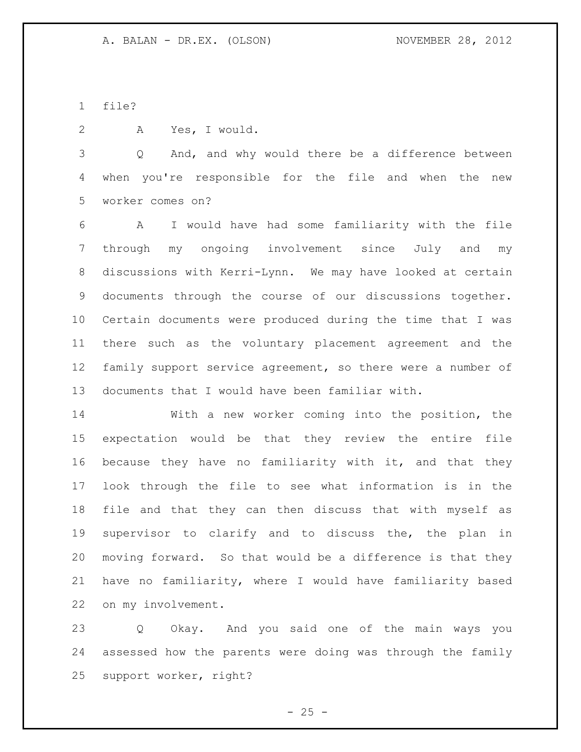file?

A Yes, I would.

 Q And, and why would there be a difference between when you're responsible for the file and when the new worker comes on?

 A I would have had some familiarity with the file through my ongoing involvement since July and my discussions with Kerri-Lynn. We may have looked at certain documents through the course of our discussions together. Certain documents were produced during the time that I was there such as the voluntary placement agreement and the family support service agreement, so there were a number of documents that I would have been familiar with.

 With a new worker coming into the position, the expectation would be that they review the entire file because they have no familiarity with it, and that they look through the file to see what information is in the file and that they can then discuss that with myself as supervisor to clarify and to discuss the, the plan in moving forward. So that would be a difference is that they have no familiarity, where I would have familiarity based on my involvement.

 Q Okay. And you said one of the main ways you assessed how the parents were doing was through the family support worker, right?

 $- 25 -$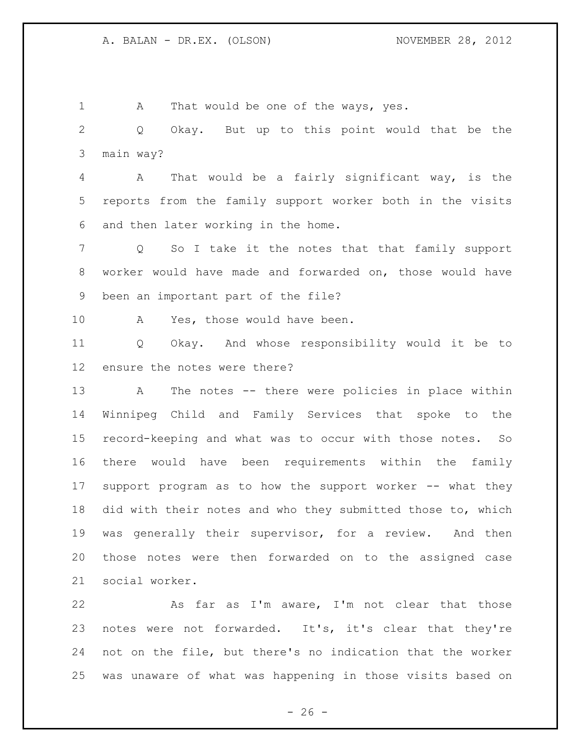1 A That would be one of the ways, yes. Q Okay. But up to this point would that be the main way? A That would be a fairly significant way, is the reports from the family support worker both in the visits and then later working in the home. Q So I take it the notes that that family support worker would have made and forwarded on, those would have been an important part of the file? 10 A Yes, those would have been. Q Okay. And whose responsibility would it be to ensure the notes were there? A The notes -- there were policies in place within Winnipeg Child and Family Services that spoke to the record-keeping and what was to occur with those notes. So there would have been requirements within the family support program as to how the support worker -- what they did with their notes and who they submitted those to, which was generally their supervisor, for a review. And then those notes were then forwarded on to the assigned case social worker.

 As far as I'm aware, I'm not clear that those 23 notes were not forwarded. It's, it's clear that they're not on the file, but there's no indication that the worker was unaware of what was happening in those visits based on

 $- 26 -$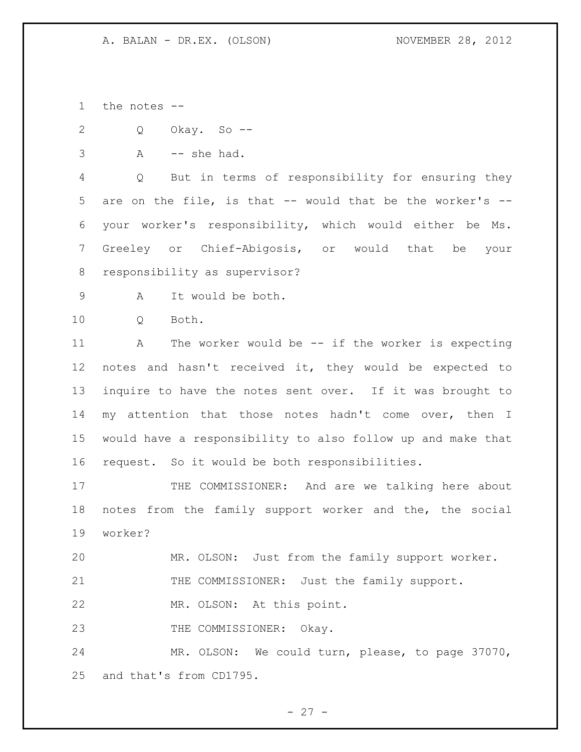the notes --

Q Okay. So --

A  $-$  she had.

 Q But in terms of responsibility for ensuring they are on the file, is that -- would that be the worker's -- your worker's responsibility, which would either be Ms. Greeley or Chief-Abigosis, or would that be your responsibility as supervisor?

A It would be both.

10 0 Both.

 A The worker would be -- if the worker is expecting notes and hasn't received it, they would be expected to inquire to have the notes sent over. If it was brought to my attention that those notes hadn't come over, then I would have a responsibility to also follow up and make that request. So it would be both responsibilities.

17 THE COMMISSIONER: And are we talking here about notes from the family support worker and the, the social worker?

MR. OLSON: Just from the family support worker.

21 THE COMMISSIONER: Just the family support.

MR. OLSON: At this point.

23 THE COMMISSIONER: Okay.

 MR. OLSON: We could turn, please, to page 37070, and that's from CD1795.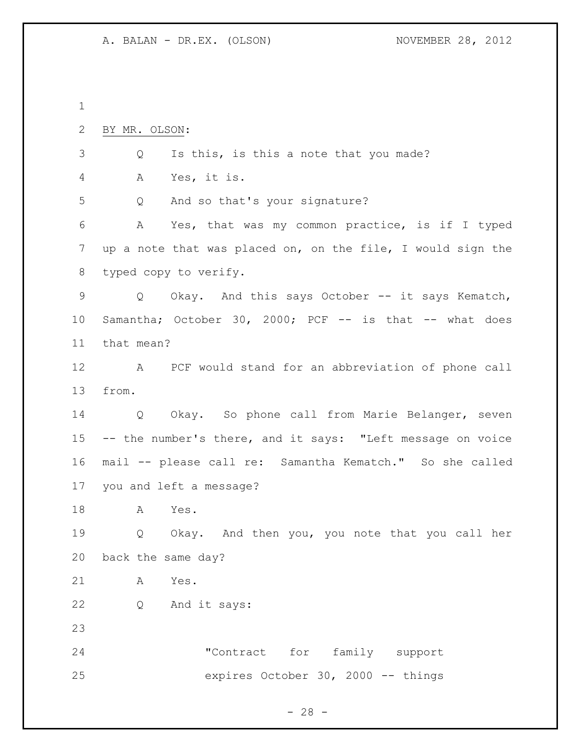| BY MR. OLSON:                                               |
|-------------------------------------------------------------|
| Is this, is this a note that you made?<br>Q                 |
| Yes, it is.<br>A                                            |
| And so that's your signature?<br>Q                          |
| Yes, that was my common practice, is if I typed<br>A        |
| up a note that was placed on, on the file, I would sign the |
| typed copy to verify.                                       |
| Okay. And this says October -- it says Kematch,<br>Q        |
| Samantha; October 30, 2000; PCF -- is that -- what does     |
| that mean?                                                  |
| A PCF would stand for an abbreviation of phone call         |
| from.                                                       |
| Q Okay. So phone call from Marie Belanger, seven            |
| -- the number's there, and it says: "Left message on voice  |
| mail -- please call re: Samantha Kematch." So she called    |
| you and left a message?                                     |
| Α<br>Yes.                                                   |
| Q Okay. And then you, you note that you call her            |
| back the same day?                                          |
| Yes.<br>A                                                   |
| Q And it says:                                              |
|                                                             |
| "Contract for family support                                |
| expires October 30, 2000 -- things                          |
|                                                             |

- 28 -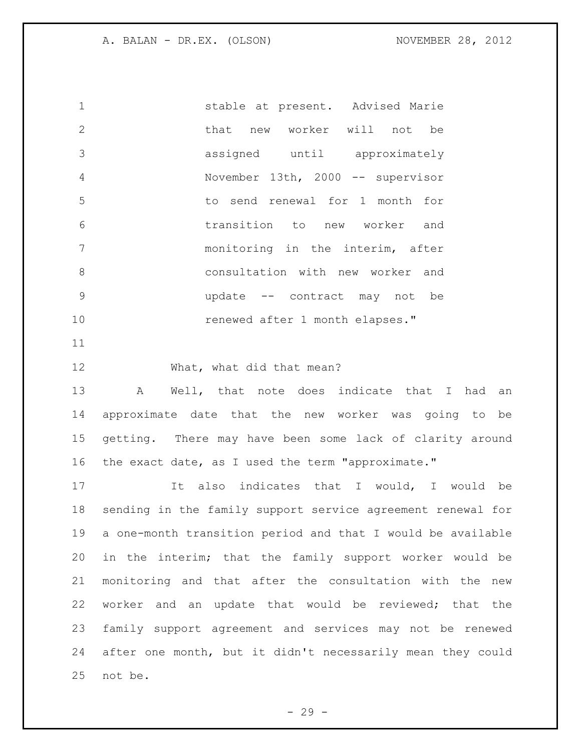stable at present. Advised Marie that new worker will not be assigned until approximately November 13th, 2000 -- supervisor to send renewal for 1 month for transition to new worker and monitoring in the interim, after consultation with new worker and update -- contract may not be renewed after 1 month elapses."

What, what did that mean?

 A Well, that note does indicate that I had an approximate date that the new worker was going to be getting. There may have been some lack of clarity around the exact date, as I used the term "approximate."

17 11 It also indicates that I would, I would be sending in the family support service agreement renewal for a one-month transition period and that I would be available in the interim; that the family support worker would be monitoring and that after the consultation with the new worker and an update that would be reviewed; that the family support agreement and services may not be renewed after one month, but it didn't necessarily mean they could not be.

- 29 -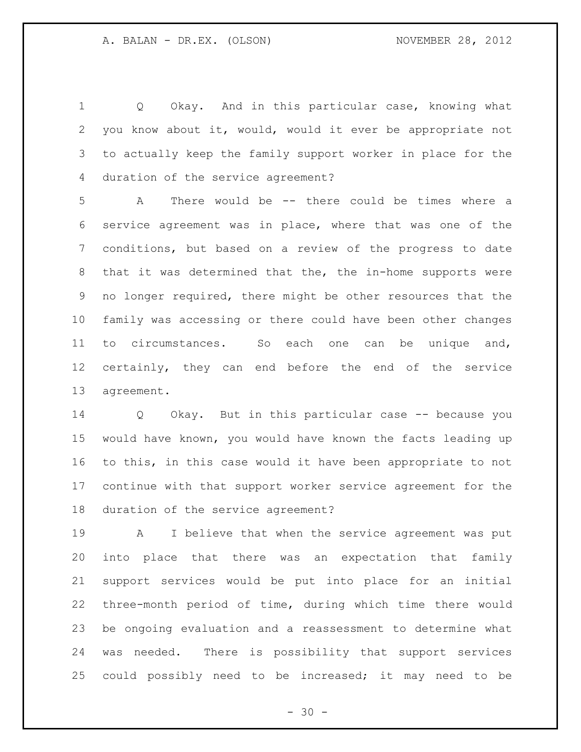Q Okay. And in this particular case, knowing what you know about it, would, would it ever be appropriate not to actually keep the family support worker in place for the duration of the service agreement?

 A There would be -- there could be times where a service agreement was in place, where that was one of the conditions, but based on a review of the progress to date that it was determined that the, the in-home supports were no longer required, there might be other resources that the family was accessing or there could have been other changes to circumstances. So each one can be unique and, certainly, they can end before the end of the service agreement.

 Q Okay. But in this particular case -- because you would have known, you would have known the facts leading up to this, in this case would it have been appropriate to not continue with that support worker service agreement for the duration of the service agreement?

 A I believe that when the service agreement was put into place that there was an expectation that family support services would be put into place for an initial three-month period of time, during which time there would be ongoing evaluation and a reassessment to determine what was needed. There is possibility that support services could possibly need to be increased; it may need to be

 $- 30 -$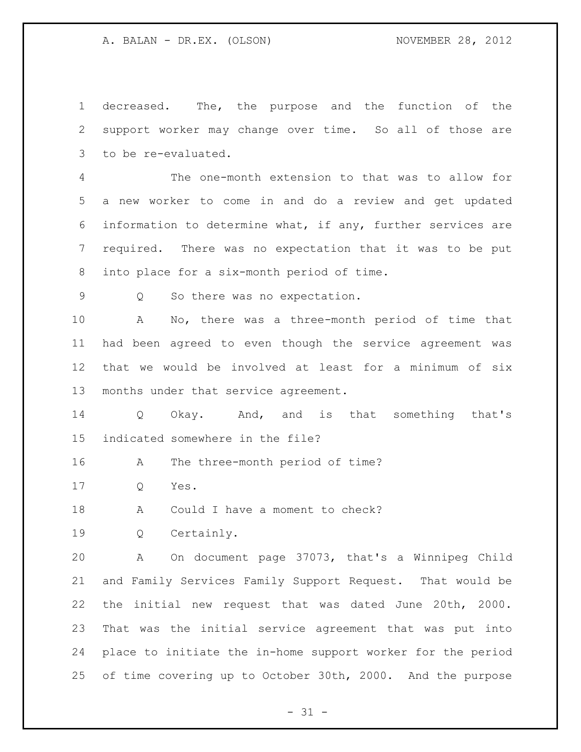decreased. The, the purpose and the function of the support worker may change over time. So all of those are to be re-evaluated.

 The one-month extension to that was to allow for a new worker to come in and do a review and get updated information to determine what, if any, further services are required. There was no expectation that it was to be put into place for a six-month period of time.

Q So there was no expectation.

 A No, there was a three-month period of time that had been agreed to even though the service agreement was that we would be involved at least for a minimum of six months under that service agreement.

 Q Okay. And, and is that something that's indicated somewhere in the file?

A The three-month period of time?

Q Yes.

18 A Could I have a moment to check?

Q Certainly.

 A On document page 37073, that's a Winnipeg Child and Family Services Family Support Request. That would be the initial new request that was dated June 20th, 2000. That was the initial service agreement that was put into place to initiate the in-home support worker for the period of time covering up to October 30th, 2000. And the purpose

 $- 31 -$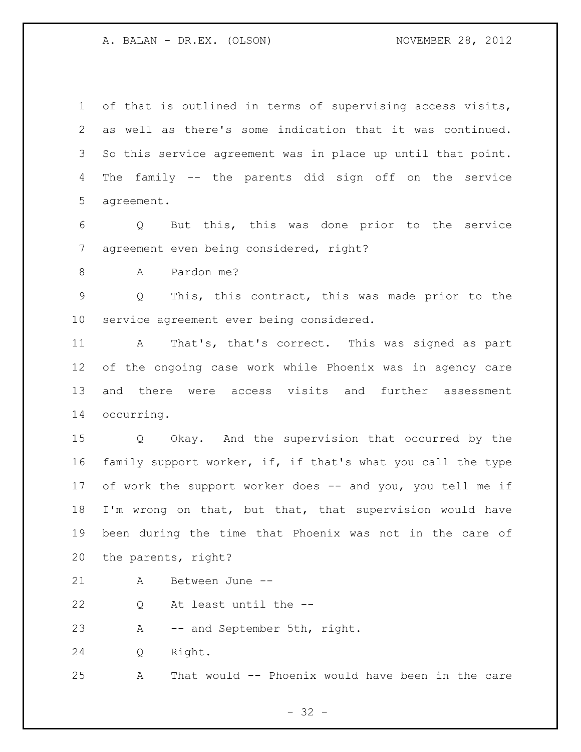of that is outlined in terms of supervising access visits, as well as there's some indication that it was continued. So this service agreement was in place up until that point. The family -- the parents did sign off on the service agreement.

 Q But this, this was done prior to the service agreement even being considered, right?

A Pardon me?

 Q This, this contract, this was made prior to the service agreement ever being considered.

 A That's, that's correct. This was signed as part of the ongoing case work while Phoenix was in agency care and there were access visits and further assessment occurring.

 Q Okay. And the supervision that occurred by the family support worker, if, if that's what you call the type 17 of work the support worker does -- and you, you tell me if I'm wrong on that, but that, that supervision would have been during the time that Phoenix was not in the care of the parents, right?

- A Between June --
- Q At least until the --
- A -- and September 5th, right.

Q Right.

A That would -- Phoenix would have been in the care

- 32 -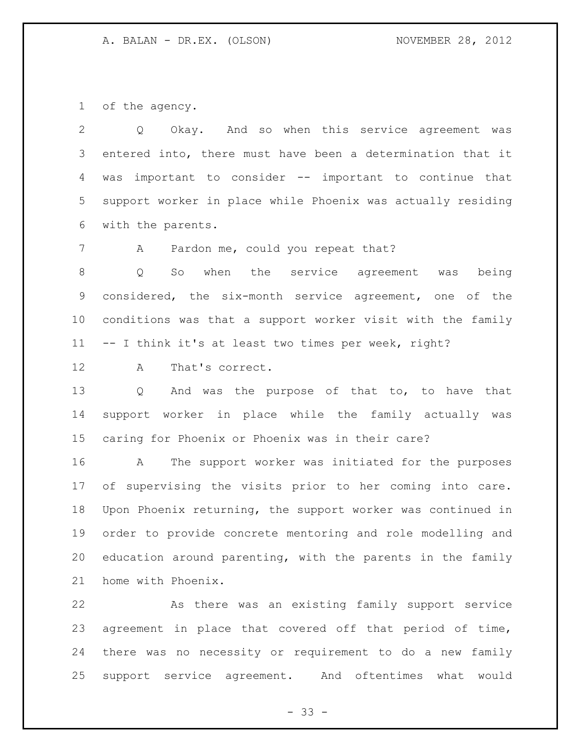of the agency.

 Q Okay. And so when this service agreement was entered into, there must have been a determination that it was important to consider -- important to continue that support worker in place while Phoenix was actually residing with the parents.

7 A Pardon me, could you repeat that?

 Q So when the service agreement was being considered, the six-month service agreement, one of the conditions was that a support worker visit with the family -- I think it's at least two times per week, right?

A That's correct.

 Q And was the purpose of that to, to have that support worker in place while the family actually was caring for Phoenix or Phoenix was in their care?

 A The support worker was initiated for the purposes of supervising the visits prior to her coming into care. Upon Phoenix returning, the support worker was continued in order to provide concrete mentoring and role modelling and education around parenting, with the parents in the family home with Phoenix.

 As there was an existing family support service agreement in place that covered off that period of time, there was no necessity or requirement to do a new family support service agreement. And oftentimes what would

 $- 33 -$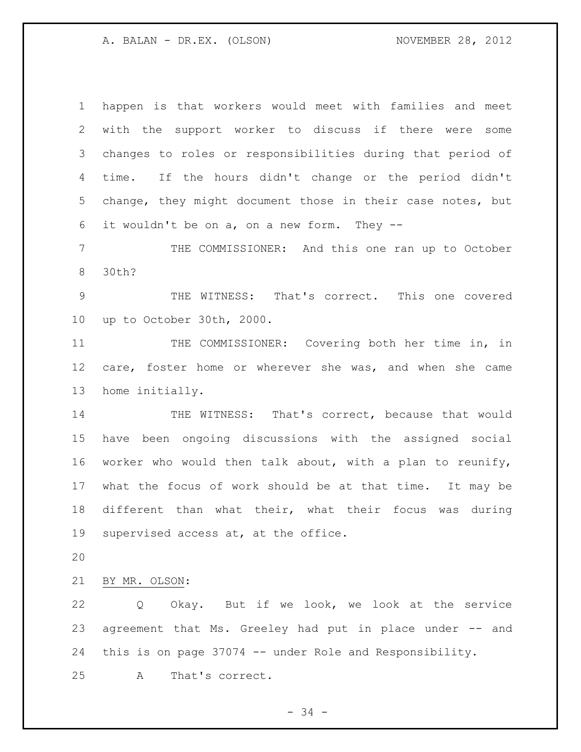happen is that workers would meet with families and meet with the support worker to discuss if there were some changes to roles or responsibilities during that period of time. If the hours didn't change or the period didn't change, they might document those in their case notes, but it wouldn't be on a, on a new form. They --

 THE COMMISSIONER: And this one ran up to October 30th?

 THE WITNESS: That's correct. This one covered up to October 30th, 2000.

 THE COMMISSIONER: Covering both her time in, in care, foster home or wherever she was, and when she came home initially.

14 THE WITNESS: That's correct, because that would have been ongoing discussions with the assigned social worker who would then talk about, with a plan to reunify, what the focus of work should be at that time. It may be different than what their, what their focus was during supervised access at, at the office.

BY MR. OLSON:

 Q Okay. But if we look, we look at the service agreement that Ms. Greeley had put in place under -- and this is on page 37074 -- under Role and Responsibility. A That's correct.

- 34 -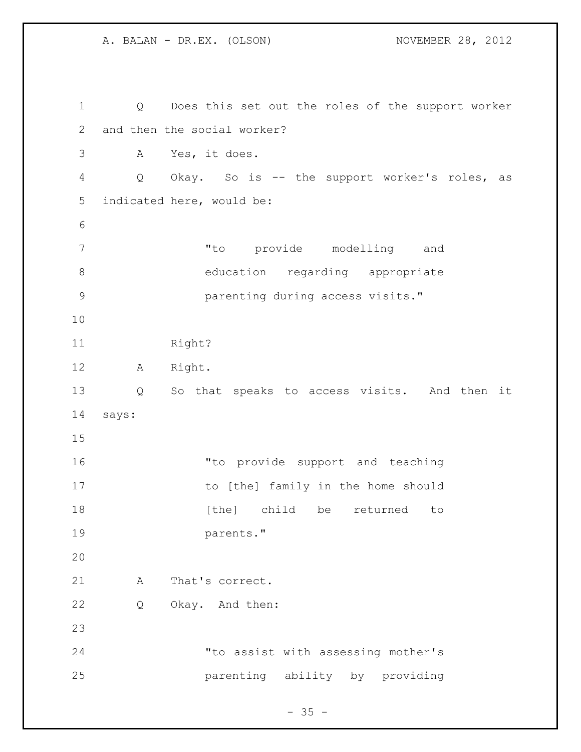A. BALAN - DR.EX. (OLSON) NOVEMBER 28, 2012 Q Does this set out the roles of the support worker and then the social worker? A Yes, it does. Q Okay. So is -- the support worker's roles, as indicated here, would be: "to provide modelling and education regarding appropriate parenting during access visits." 11 Right? A Right. Q So that speaks to access visits. And then it says: "to provide support and teaching to [the] family in the home should **18** [the] child be returned to parents." 21 A That's correct. Q Okay. And then: "to assist with assessing mother's parenting ability by providing

 $- 35 -$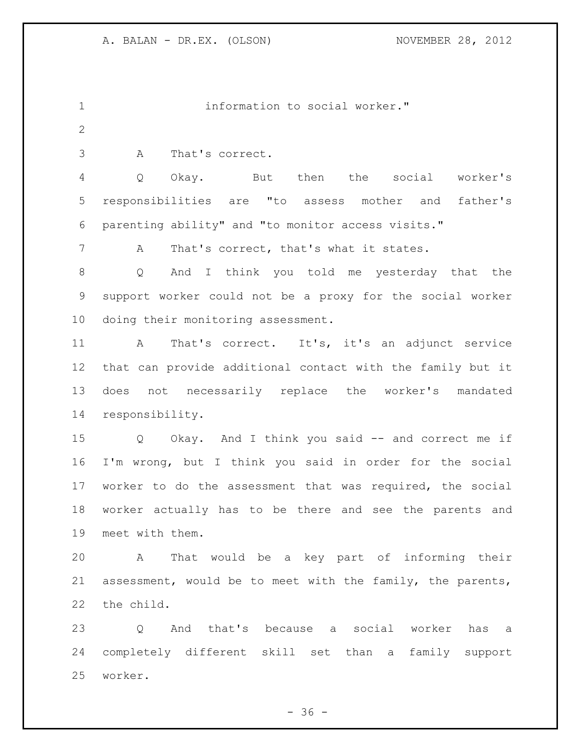information to social worker."

A That's correct.

 Q Okay. But then the social worker's responsibilities are "to assess mother and father's parenting ability" and "to monitor access visits."

A That's correct, that's what it states.

 Q And I think you told me yesterday that the support worker could not be a proxy for the social worker doing their monitoring assessment.

 A That's correct. It's, it's an adjunct service that can provide additional contact with the family but it does not necessarily replace the worker's mandated responsibility.

 Q Okay. And I think you said -- and correct me if I'm wrong, but I think you said in order for the social worker to do the assessment that was required, the social worker actually has to be there and see the parents and meet with them.

 A That would be a key part of informing their assessment, would be to meet with the family, the parents, the child.

 Q And that's because a social worker has a completely different skill set than a family support worker.

 $- 36 -$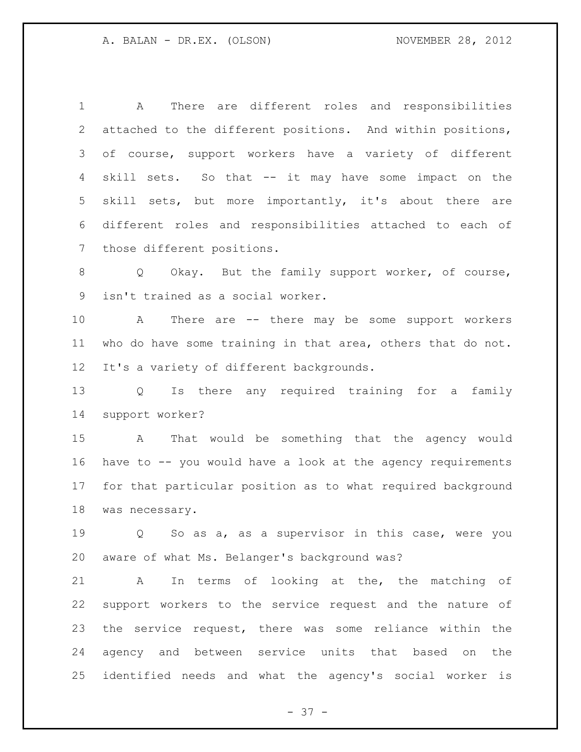A There are different roles and responsibilities attached to the different positions. And within positions, of course, support workers have a variety of different skill sets. So that -- it may have some impact on the skill sets, but more importantly, it's about there are different roles and responsibilities attached to each of those different positions.

8 Q Okay. But the family support worker, of course, isn't trained as a social worker.

 A There are -- there may be some support workers who do have some training in that area, others that do not. It's a variety of different backgrounds.

 Q Is there any required training for a family support worker?

 A That would be something that the agency would have to -- you would have a look at the agency requirements for that particular position as to what required background was necessary.

 Q So as a, as a supervisor in this case, were you aware of what Ms. Belanger's background was?

 A In terms of looking at the, the matching of support workers to the service request and the nature of the service request, there was some reliance within the agency and between service units that based on the identified needs and what the agency's social worker is

- 37 -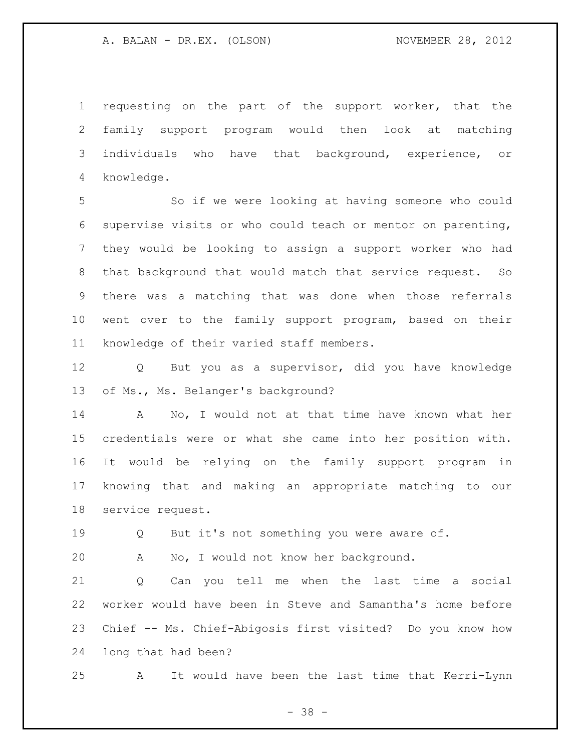requesting on the part of the support worker, that the family support program would then look at matching individuals who have that background, experience, or knowledge.

 So if we were looking at having someone who could supervise visits or who could teach or mentor on parenting, they would be looking to assign a support worker who had that background that would match that service request. So there was a matching that was done when those referrals went over to the family support program, based on their knowledge of their varied staff members.

 Q But you as a supervisor, did you have knowledge of Ms., Ms. Belanger's background?

 A No, I would not at that time have known what her credentials were or what she came into her position with. It would be relying on the family support program in knowing that and making an appropriate matching to our service request.

19 O But it's not something you were aware of.

A No, I would not know her background.

 Q Can you tell me when the last time a social worker would have been in Steve and Samantha's home before Chief -- Ms. Chief-Abigosis first visited? Do you know how long that had been?

A It would have been the last time that Kerri-Lynn

- 38 -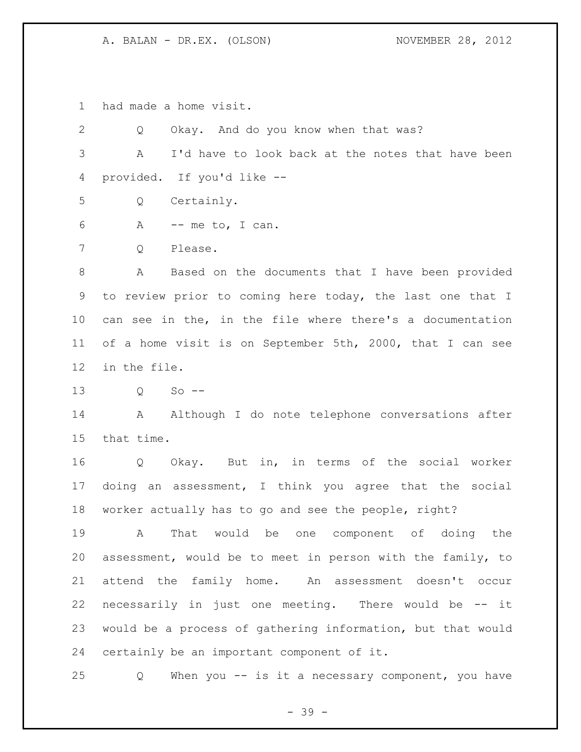had made a home visit.

 Q Okay. And do you know when that was? A I'd have to look back at the notes that have been provided. If you'd like -- Q Certainly. A -- me to, I can. Q Please. A Based on the documents that I have been provided to review prior to coming here today, the last one that I can see in the, in the file where there's a documentation of a home visit is on September 5th, 2000, that I can see in the file. Q So -- 14 A Although I do note telephone conversations after that time. Q Okay. But in, in terms of the social worker doing an assessment, I think you agree that the social worker actually has to go and see the people, right? A That would be one component of doing the assessment, would be to meet in person with the family, to attend the family home. An assessment doesn't occur necessarily in just one meeting. There would be -- it would be a process of gathering information, but that would certainly be an important component of it.

Q When you -- is it a necessary component, you have

- 39 -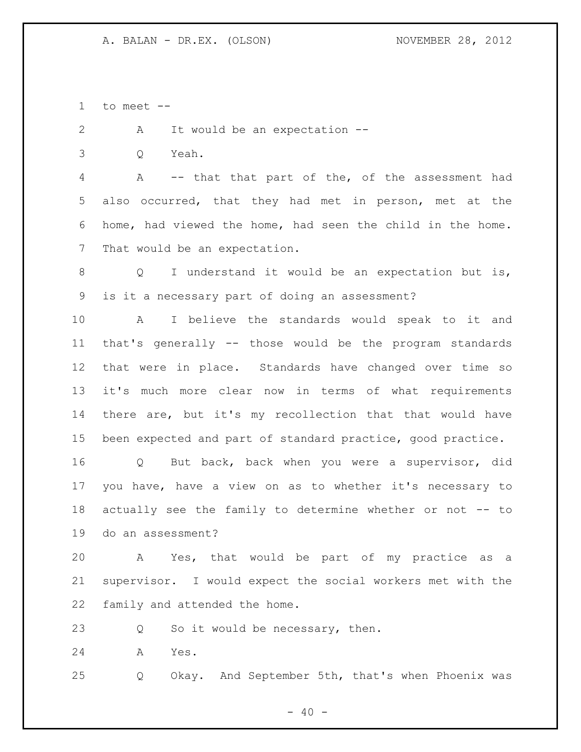to meet --

2 A It would be an expectation --

Q Yeah.

 A -- that that part of the, of the assessment had also occurred, that they had met in person, met at the home, had viewed the home, had seen the child in the home. That would be an expectation.

8 O I understand it would be an expectation but is, is it a necessary part of doing an assessment?

 A I believe the standards would speak to it and that's generally -- those would be the program standards that were in place. Standards have changed over time so it's much more clear now in terms of what requirements there are, but it's my recollection that that would have been expected and part of standard practice, good practice.

 Q But back, back when you were a supervisor, did you have, have a view on as to whether it's necessary to actually see the family to determine whether or not -- to do an assessment?

 A Yes, that would be part of my practice as a supervisor. I would expect the social workers met with the family and attended the home.

23 Q So it would be necessary, then.

A Yes.

Q Okay. And September 5th, that's when Phoenix was

 $- 40 -$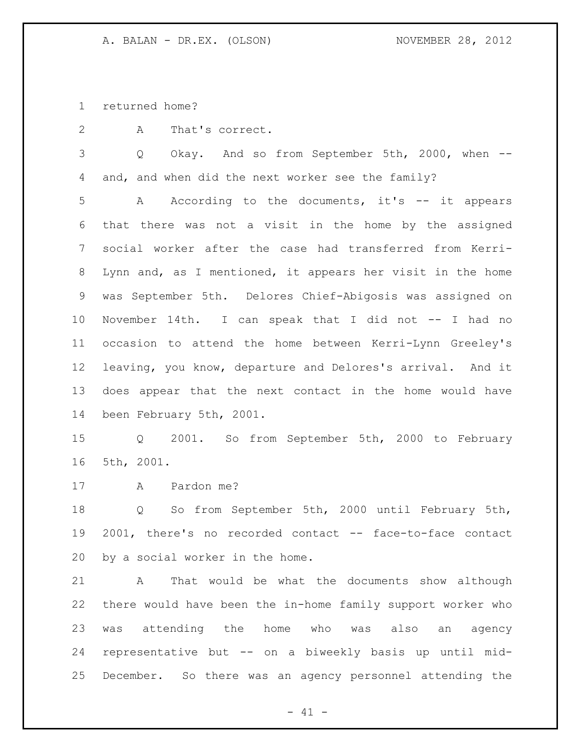returned home?

A That's correct.

 Q Okay. And so from September 5th, 2000, when -- and, and when did the next worker see the family?

 A According to the documents, it's -- it appears that there was not a visit in the home by the assigned social worker after the case had transferred from Kerri- Lynn and, as I mentioned, it appears her visit in the home was September 5th. Delores Chief-Abigosis was assigned on November 14th. I can speak that I did not -- I had no occasion to attend the home between Kerri-Lynn Greeley's leaving, you know, departure and Delores's arrival. And it does appear that the next contact in the home would have been February 5th, 2001.

 Q 2001. So from September 5th, 2000 to February 5th, 2001.

A Pardon me?

 Q So from September 5th, 2000 until February 5th, 2001, there's no recorded contact -- face-to-face contact by a social worker in the home.

 A That would be what the documents show although there would have been the in-home family support worker who was attending the home who was also an agency representative but -- on a biweekly basis up until mid-December. So there was an agency personnel attending the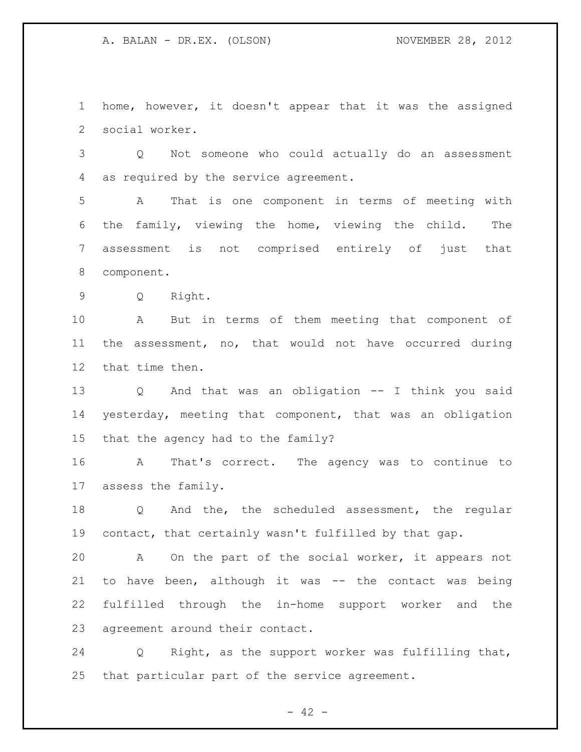home, however, it doesn't appear that it was the assigned social worker.

 Q Not someone who could actually do an assessment as required by the service agreement.

 A That is one component in terms of meeting with the family, viewing the home, viewing the child. The assessment is not comprised entirely of just that component.

Q Right.

 A But in terms of them meeting that component of the assessment, no, that would not have occurred during that time then.

 Q And that was an obligation -- I think you said yesterday, meeting that component, that was an obligation that the agency had to the family?

 A That's correct. The agency was to continue to assess the family.

 Q And the, the scheduled assessment, the regular contact, that certainly wasn't fulfilled by that gap.

 A On the part of the social worker, it appears not to have been, although it was -- the contact was being fulfilled through the in-home support worker and the agreement around their contact.

 Q Right, as the support worker was fulfilling that, that particular part of the service agreement.

 $- 42 -$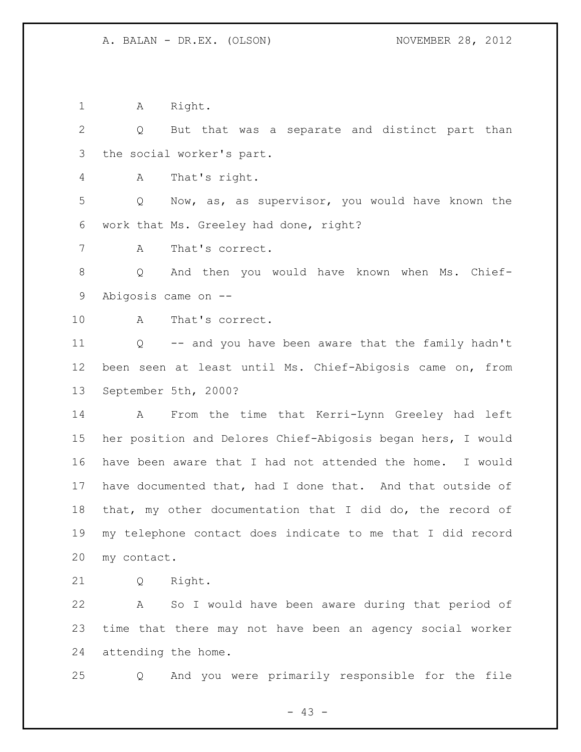1 A Right.

 Q But that was a separate and distinct part than the social worker's part.

A That's right.

 Q Now, as, as supervisor, you would have known the work that Ms. Greeley had done, right?

A That's correct.

 Q And then you would have known when Ms. Chief-Abigosis came on --

A That's correct.

 Q -- and you have been aware that the family hadn't been seen at least until Ms. Chief-Abigosis came on, from September 5th, 2000?

 A From the time that Kerri-Lynn Greeley had left her position and Delores Chief-Abigosis began hers, I would have been aware that I had not attended the home. I would have documented that, had I done that. And that outside of that, my other documentation that I did do, the record of my telephone contact does indicate to me that I did record my contact.

Q Right.

 A So I would have been aware during that period of time that there may not have been an agency social worker attending the home.

Q And you were primarily responsible for the file

- 43 -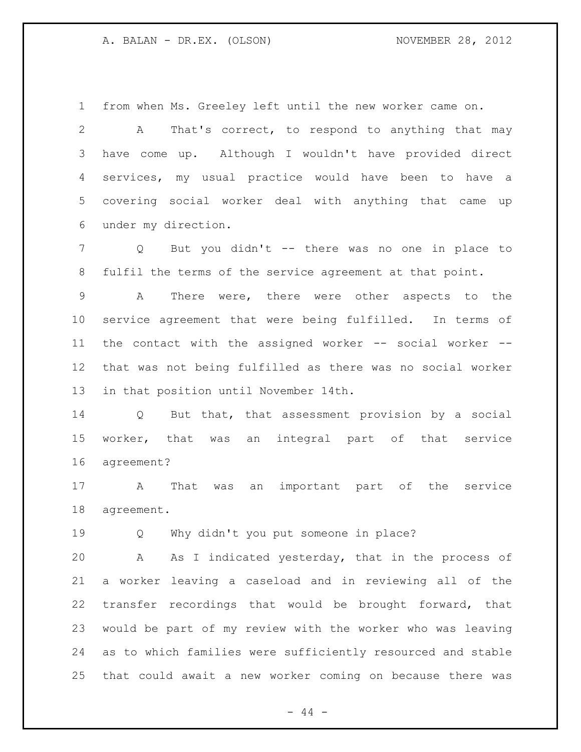from when Ms. Greeley left until the new worker came on.

 A That's correct, to respond to anything that may have come up. Although I wouldn't have provided direct services, my usual practice would have been to have a covering social worker deal with anything that came up under my direction.

 Q But you didn't -- there was no one in place to fulfil the terms of the service agreement at that point.

 A There were, there were other aspects to the service agreement that were being fulfilled. In terms of the contact with the assigned worker -- social worker -- that was not being fulfilled as there was no social worker in that position until November 14th.

 Q But that, that assessment provision by a social worker, that was an integral part of that service agreement?

 A That was an important part of the service agreement.

Q Why didn't you put someone in place?

 A As I indicated yesterday, that in the process of a worker leaving a caseload and in reviewing all of the transfer recordings that would be brought forward, that would be part of my review with the worker who was leaving as to which families were sufficiently resourced and stable that could await a new worker coming on because there was

 $-44 -$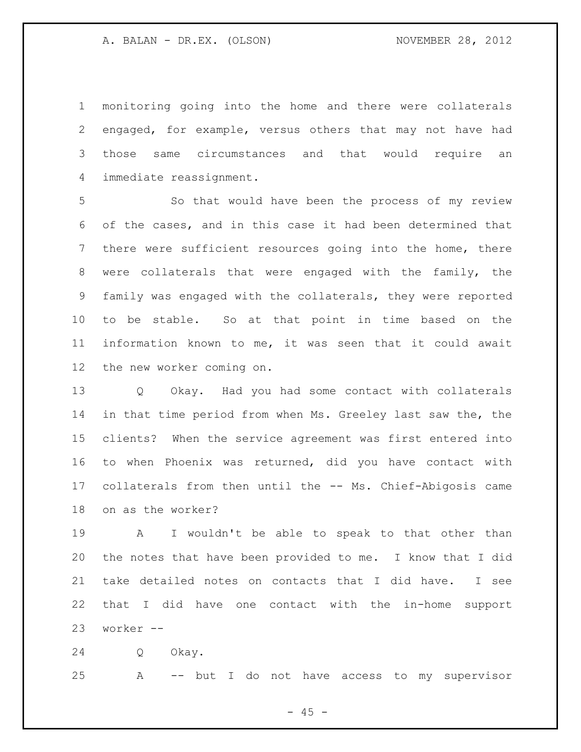monitoring going into the home and there were collaterals engaged, for example, versus others that may not have had those same circumstances and that would require an immediate reassignment.

 So that would have been the process of my review of the cases, and in this case it had been determined that there were sufficient resources going into the home, there were collaterals that were engaged with the family, the family was engaged with the collaterals, they were reported to be stable. So at that point in time based on the information known to me, it was seen that it could await the new worker coming on.

 Q Okay. Had you had some contact with collaterals in that time period from when Ms. Greeley last saw the, the clients? When the service agreement was first entered into to when Phoenix was returned, did you have contact with collaterals from then until the -- Ms. Chief-Abigosis came on as the worker?

 A I wouldn't be able to speak to that other than the notes that have been provided to me. I know that I did take detailed notes on contacts that I did have. I see that I did have one contact with the in-home support worker --

Q Okay.

A -- but I do not have access to my supervisor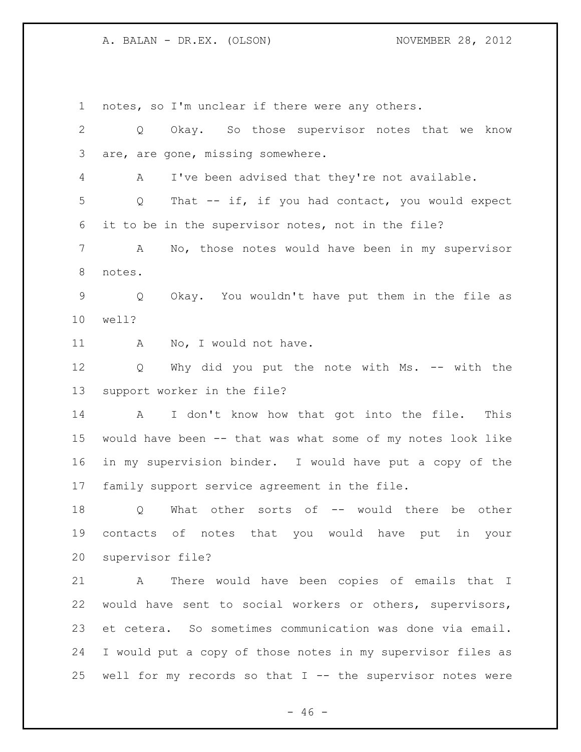notes, so I'm unclear if there were any others.

 Q Okay. So those supervisor notes that we know are, are gone, missing somewhere. A I've been advised that they're not available. Q That -- if, if you had contact, you would expect it to be in the supervisor notes, not in the file? A No, those notes would have been in my supervisor notes. Q Okay. You wouldn't have put them in the file as well? 11 A No, I would not have. 12 Q Why did you put the note with Ms. -- with the support worker in the file? A I don't know how that got into the file. This would have been -- that was what some of my notes look like in my supervision binder. I would have put a copy of the family support service agreement in the file. 18 Q What other sorts of -- would there be other contacts of notes that you would have put in your supervisor file? A There would have been copies of emails that I would have sent to social workers or others, supervisors, et cetera. So sometimes communication was done via email. I would put a copy of those notes in my supervisor files as well for my records so that I -- the supervisor notes were

 $- 46 -$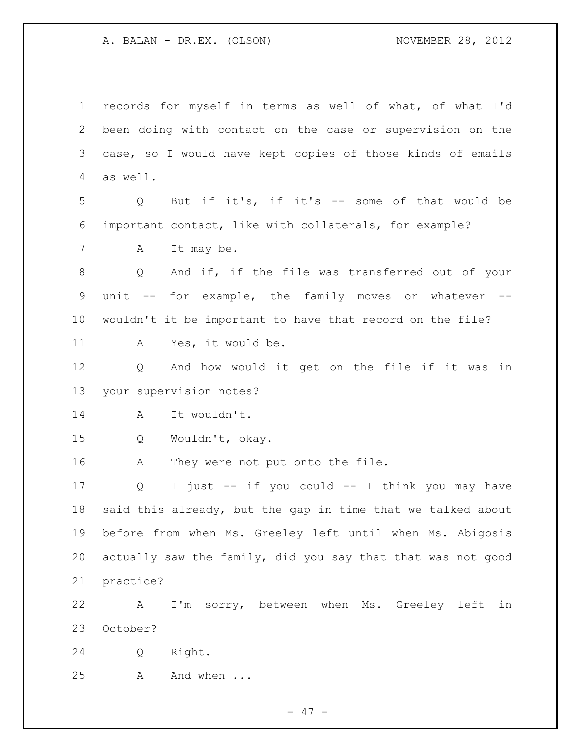records for myself in terms as well of what, of what I'd been doing with contact on the case or supervision on the case, so I would have kept copies of those kinds of emails as well. Q But if it's, if it's -- some of that would be important contact, like with collaterals, for example? A It may be. Q And if, if the file was transferred out of your unit -- for example, the family moves or whatever -- wouldn't it be important to have that record on the file? A Yes, it would be. Q And how would it get on the file if it was in your supervision notes? A It wouldn't. Q Wouldn't, okay. 16 A They were not put onto the file. Q I just -- if you could -- I think you may have said this already, but the gap in time that we talked about before from when Ms. Greeley left until when Ms. Abigosis actually saw the family, did you say that that was not good practice? A I'm sorry, between when Ms. Greeley left in October? Q Right. 25 A And when ...

- 47 -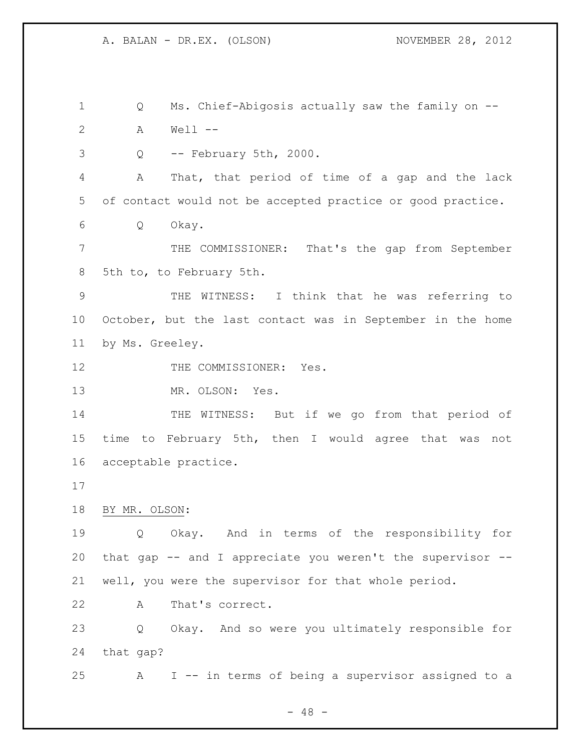Q Ms. Chief-Abigosis actually saw the family on -- A Well --

Q -- February 5th, 2000.

 A That, that period of time of a gap and the lack of contact would not be accepted practice or good practice.

Q Okay.

 THE COMMISSIONER: That's the gap from September 5th to, to February 5th.

 THE WITNESS: I think that he was referring to October, but the last contact was in September in the home by Ms. Greeley.

12 THE COMMISSIONER: Yes.

13 MR. OLSON: Yes.

14 THE WITNESS: But if we go from that period of time to February 5th, then I would agree that was not acceptable practice.

BY MR. OLSON:

 Q Okay. And in terms of the responsibility for that gap -- and I appreciate you weren't the supervisor -- well, you were the supervisor for that whole period.

A That's correct.

 Q Okay. And so were you ultimately responsible for that gap?

A I -- in terms of being a supervisor assigned to a

 $- 48 -$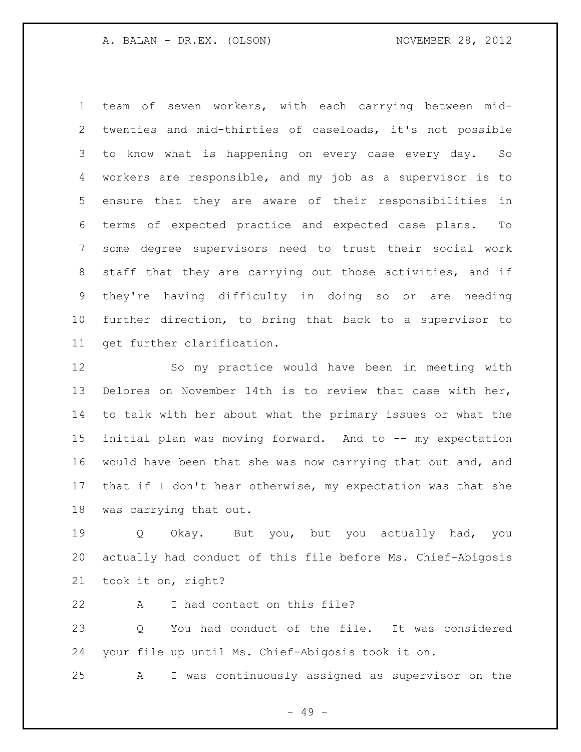team of seven workers, with each carrying between mid- twenties and mid-thirties of caseloads, it's not possible to know what is happening on every case every day. So workers are responsible, and my job as a supervisor is to ensure that they are aware of their responsibilities in terms of expected practice and expected case plans. To some degree supervisors need to trust their social work staff that they are carrying out those activities, and if they're having difficulty in doing so or are needing further direction, to bring that back to a supervisor to get further clarification.

 So my practice would have been in meeting with Delores on November 14th is to review that case with her, to talk with her about what the primary issues or what the initial plan was moving forward. And to -- my expectation would have been that she was now carrying that out and, and that if I don't hear otherwise, my expectation was that she was carrying that out.

 Q Okay. But you, but you actually had, you actually had conduct of this file before Ms. Chief-Abigosis took it on, right?

A I had contact on this file?

 Q You had conduct of the file. It was considered your file up until Ms. Chief-Abigosis took it on.

A I was continuously assigned as supervisor on the

- 49 -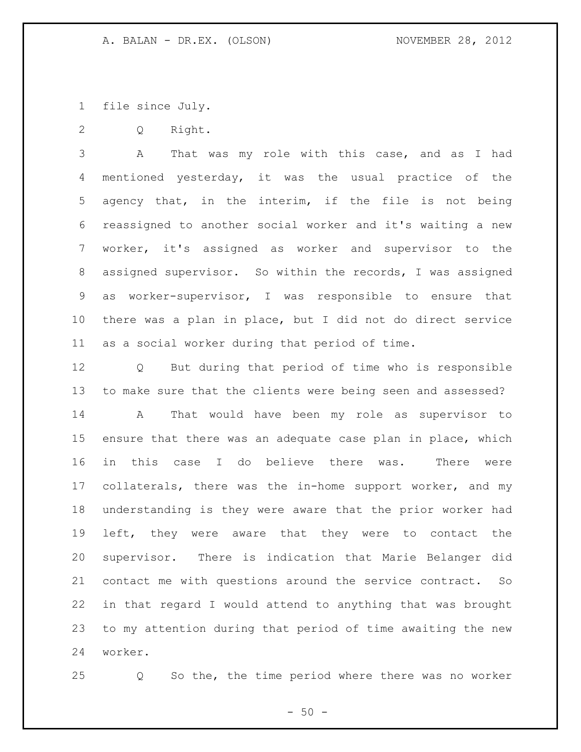file since July.

Q Right.

 A That was my role with this case, and as I had mentioned yesterday, it was the usual practice of the agency that, in the interim, if the file is not being reassigned to another social worker and it's waiting a new worker, it's assigned as worker and supervisor to the assigned supervisor. So within the records, I was assigned as worker-supervisor, I was responsible to ensure that there was a plan in place, but I did not do direct service as a social worker during that period of time.

 Q But during that period of time who is responsible to make sure that the clients were being seen and assessed? A That would have been my role as supervisor to ensure that there was an adequate case plan in place, which in this case I do believe there was. There were collaterals, there was the in-home support worker, and my understanding is they were aware that the prior worker had left, they were aware that they were to contact the supervisor. There is indication that Marie Belanger did contact me with questions around the service contract. So in that regard I would attend to anything that was brought to my attention during that period of time awaiting the new worker.

Q So the, the time period where there was no worker

 $-50 -$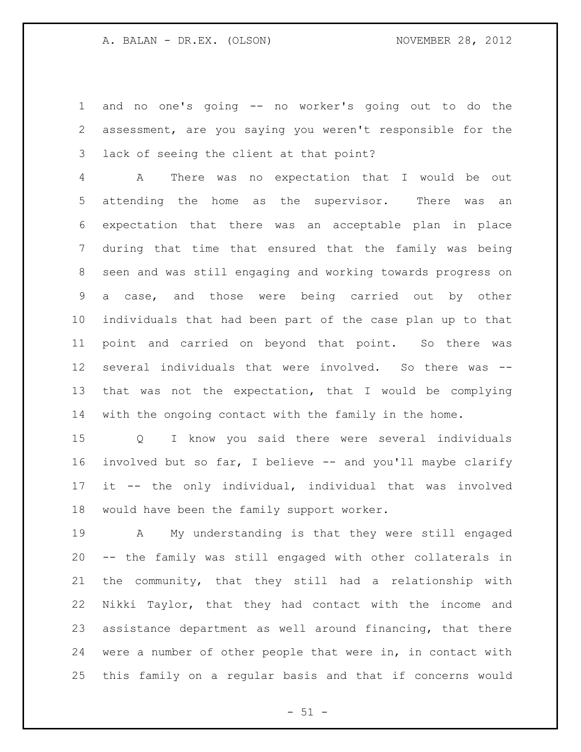and no one's going -- no worker's going out to do the assessment, are you saying you weren't responsible for the lack of seeing the client at that point?

 A There was no expectation that I would be out attending the home as the supervisor. There was an expectation that there was an acceptable plan in place during that time that ensured that the family was being seen and was still engaging and working towards progress on a case, and those were being carried out by other individuals that had been part of the case plan up to that point and carried on beyond that point. So there was several individuals that were involved. So there was -- that was not the expectation, that I would be complying with the ongoing contact with the family in the home.

 Q I know you said there were several individuals involved but so far, I believe -- and you'll maybe clarify it -- the only individual, individual that was involved would have been the family support worker.

 A My understanding is that they were still engaged -- the family was still engaged with other collaterals in the community, that they still had a relationship with Nikki Taylor, that they had contact with the income and assistance department as well around financing, that there were a number of other people that were in, in contact with this family on a regular basis and that if concerns would

 $- 51 -$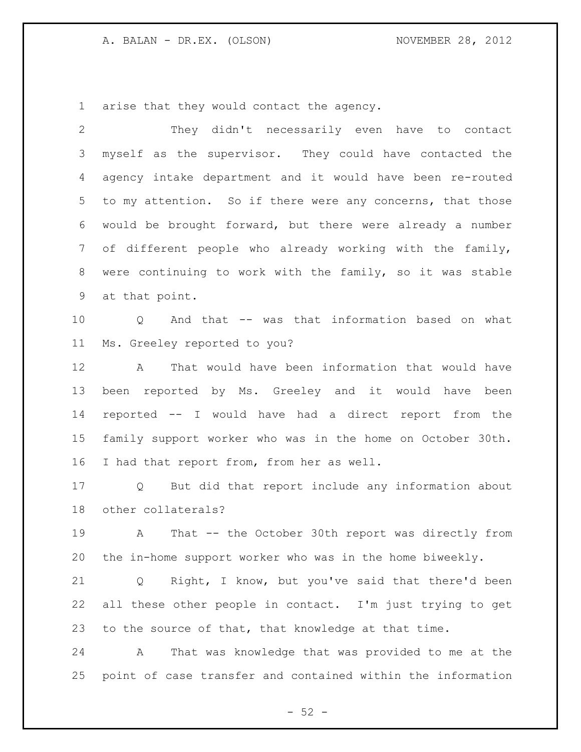arise that they would contact the agency.

 They didn't necessarily even have to contact myself as the supervisor. They could have contacted the agency intake department and it would have been re-routed 5 to my attention. So if there were any concerns, that those would be brought forward, but there were already a number of different people who already working with the family, were continuing to work with the family, so it was stable at that point. Q And that -- was that information based on what Ms. Greeley reported to you? A That would have been information that would have been reported by Ms. Greeley and it would have been reported -- I would have had a direct report from the family support worker who was in the home on October 30th. 16 I had that report from, from her as well. Q But did that report include any information about other collaterals? A That -- the October 30th report was directly from the in-home support worker who was in the home biweekly. Q Right, I know, but you've said that there'd been all these other people in contact. I'm just trying to get to the source of that, that knowledge at that time. A That was knowledge that was provided to me at the point of case transfer and contained within the information

 $-52 -$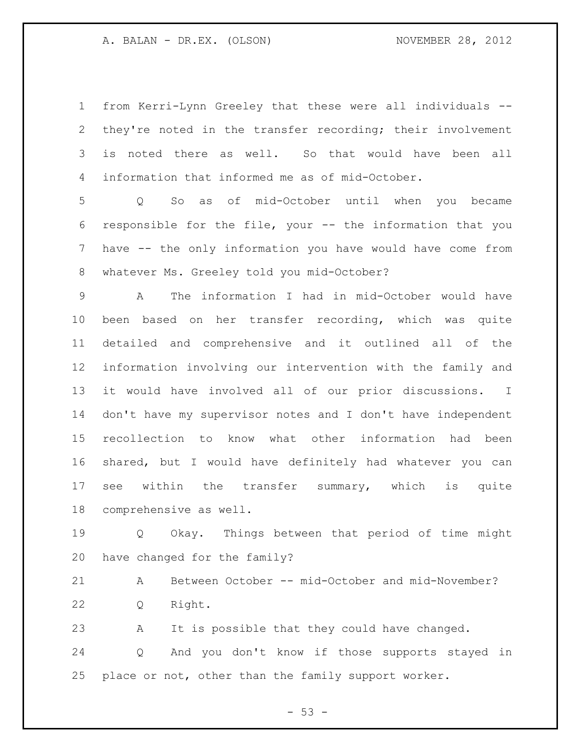from Kerri-Lynn Greeley that these were all individuals -- they're noted in the transfer recording; their involvement is noted there as well. So that would have been all information that informed me as of mid-October.

 Q So as of mid-October until when you became responsible for the file, your -- the information that you have -- the only information you have would have come from whatever Ms. Greeley told you mid-October?

 A The information I had in mid-October would have been based on her transfer recording, which was quite detailed and comprehensive and it outlined all of the information involving our intervention with the family and it would have involved all of our prior discussions. I don't have my supervisor notes and I don't have independent recollection to know what other information had been shared, but I would have definitely had whatever you can see within the transfer summary, which is quite comprehensive as well.

 Q Okay. Things between that period of time might have changed for the family?

 A Between October -- mid-October and mid-November? Q Right.

 A It is possible that they could have changed. Q And you don't know if those supports stayed in place or not, other than the family support worker.

 $- 53 -$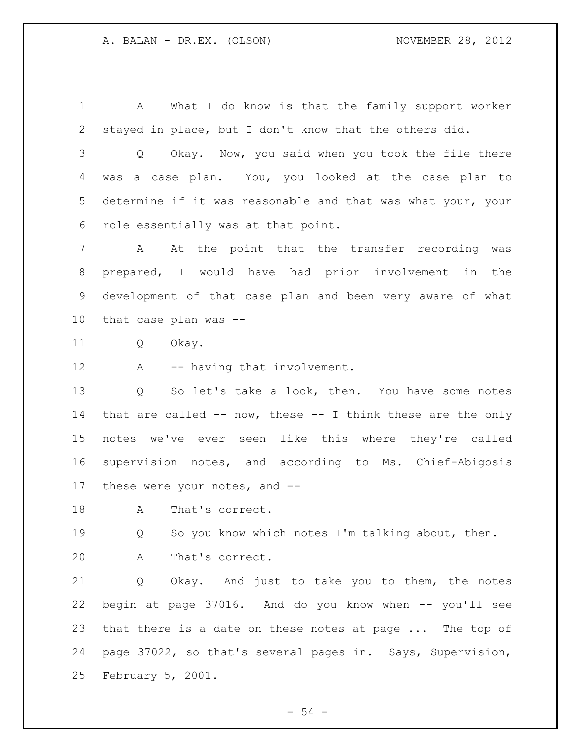A What I do know is that the family support worker stayed in place, but I don't know that the others did.

 Q Okay. Now, you said when you took the file there was a case plan. You, you looked at the case plan to determine if it was reasonable and that was what your, your role essentially was at that point.

 A At the point that the transfer recording was prepared, I would have had prior involvement in the development of that case plan and been very aware of what that case plan was --

Q Okay.

12 A -- having that involvement.

 Q So let's take a look, then. You have some notes 14 that are called  $--$  now, these  $--$  I think these are the only notes we've ever seen like this where they're called supervision notes, and according to Ms. Chief-Abigosis these were your notes, and --

18 A That's correct.

 Q So you know which notes I'm talking about, then. A That's correct.

 Q Okay. And just to take you to them, the notes begin at page 37016. And do you know when -- you'll see that there is a date on these notes at page ... The top of page 37022, so that's several pages in. Says, Supervision, February 5, 2001.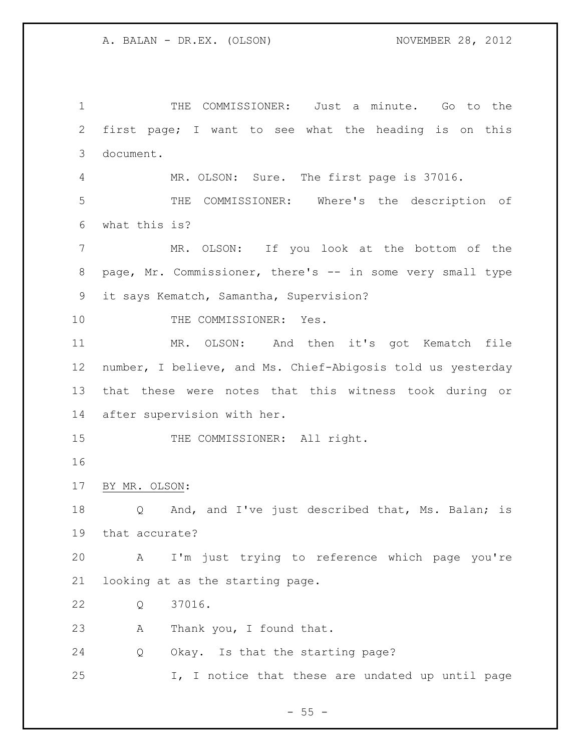THE COMMISSIONER: Just a minute. Go to the first page; I want to see what the heading is on this document. MR. OLSON: Sure. The first page is 37016. THE COMMISSIONER: Where's the description of what this is? MR. OLSON: If you look at the bottom of the page, Mr. Commissioner, there's -- in some very small type it says Kematch, Samantha, Supervision? 10 THE COMMISSIONER: Yes. MR. OLSON: And then it's got Kematch file number, I believe, and Ms. Chief-Abigosis told us yesterday that these were notes that this witness took during or after supervision with her. 15 THE COMMISSIONER: All right. BY MR. OLSON: Q And, and I've just described that, Ms. Balan; is that accurate? A I'm just trying to reference which page you're looking at as the starting page. Q 37016. A Thank you, I found that. Q Okay. Is that the starting page? I, I notice that these are undated up until page

 $- 55 -$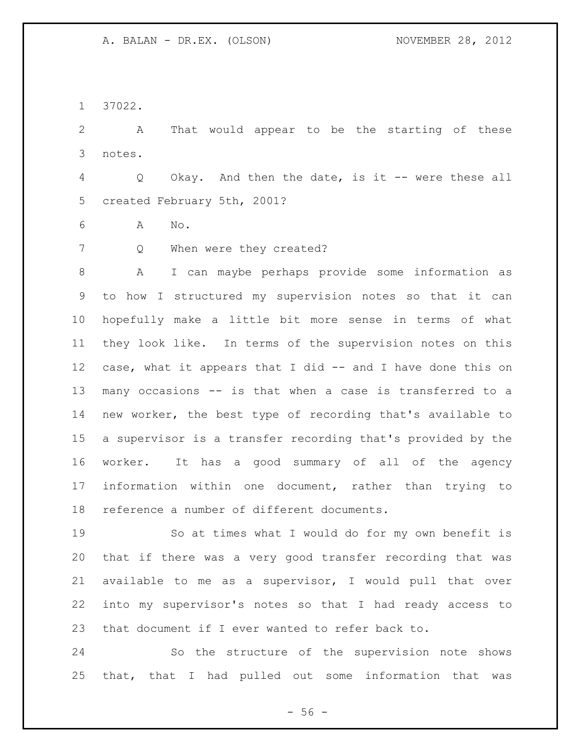37022.

 A That would appear to be the starting of these notes.

 Q Okay. And then the date, is it -- were these all created February 5th, 2001?

A No.

7 Q When were they created?

 A I can maybe perhaps provide some information as to how I structured my supervision notes so that it can hopefully make a little bit more sense in terms of what they look like. In terms of the supervision notes on this case, what it appears that I did -- and I have done this on many occasions -- is that when a case is transferred to a new worker, the best type of recording that's available to a supervisor is a transfer recording that's provided by the worker. It has a good summary of all of the agency information within one document, rather than trying to reference a number of different documents.

 So at times what I would do for my own benefit is that if there was a very good transfer recording that was available to me as a supervisor, I would pull that over into my supervisor's notes so that I had ready access to that document if I ever wanted to refer back to.

 So the structure of the supervision note shows that, that I had pulled out some information that was

 $-56 -$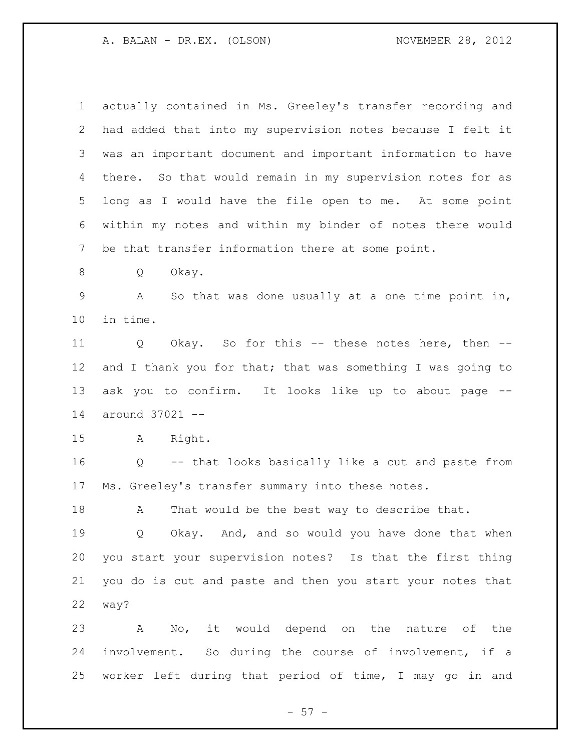| 1           | actually contained in Ms. Greeley's transfer recording and  |
|-------------|-------------------------------------------------------------|
|             |                                                             |
| 2           | had added that into my supervision notes because I felt it  |
| 3           | was an important document and important information to have |
| 4           | there. So that would remain in my supervision notes for as  |
| 5           | long as I would have the file open to me. At some point     |
| 6           | within my notes and within my binder of notes there would   |
| 7           | be that transfer information there at some point.           |
| 8           | Okay.<br>Q                                                  |
| $\mathsf 9$ | Α<br>So that was done usually at a one time point in,       |
| 10          | in time.                                                    |
| 11          | Okay. So for this -- these notes here, then --<br>Q         |
| 12          | and I thank you for that; that was something I was going to |
| 13          | ask you to confirm. It looks like up to about page --       |
| 14          | around 37021 --                                             |
| 15          | Right.<br>A                                                 |
| 16          | -- that looks basically like a cut and paste from<br>Q      |
| 17          | Ms. Greeley's transfer summary into these notes.            |
| 18          | That would be the best way to describe that.<br>Α           |
| 19          | Q Okay. And, and so would you have done that when           |
| 20          | you start your supervision notes? Is that the first thing   |
| 21          | you do is cut and paste and then you start your notes that  |
| 22          | way?                                                        |
| 23          | A No, it would depend on the nature of the                  |
| 24          | involvement. So during the course of involvement, if a      |
| 25          | worker left during that period of time, I may go in and     |

- 57 -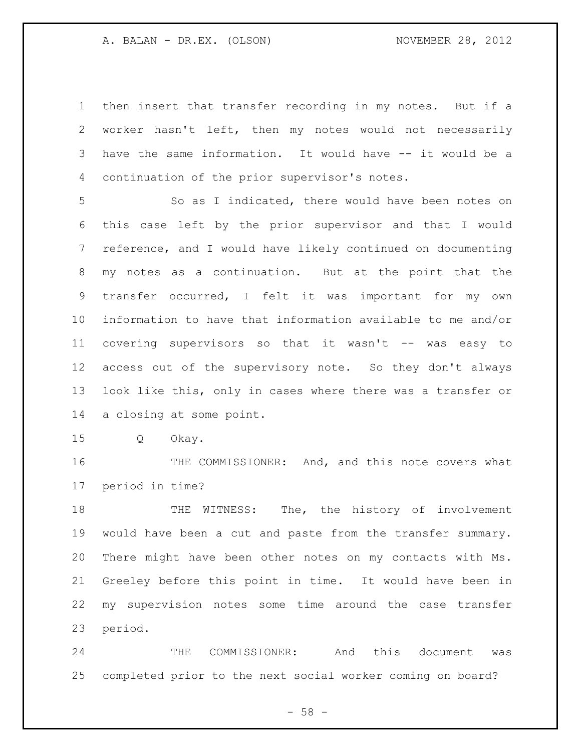then insert that transfer recording in my notes. But if a worker hasn't left, then my notes would not necessarily have the same information. It would have -- it would be a continuation of the prior supervisor's notes.

 So as I indicated, there would have been notes on this case left by the prior supervisor and that I would reference, and I would have likely continued on documenting my notes as a continuation. But at the point that the transfer occurred, I felt it was important for my own information to have that information available to me and/or covering supervisors so that it wasn't -- was easy to access out of the supervisory note. So they don't always look like this, only in cases where there was a transfer or a closing at some point.

Q Okay.

16 THE COMMISSIONER: And, and this note covers what period in time?

 THE WITNESS: The, the history of involvement would have been a cut and paste from the transfer summary. There might have been other notes on my contacts with Ms. Greeley before this point in time. It would have been in my supervision notes some time around the case transfer period.

 THE COMMISSIONER: And this document was completed prior to the next social worker coming on board?

 $- 58 -$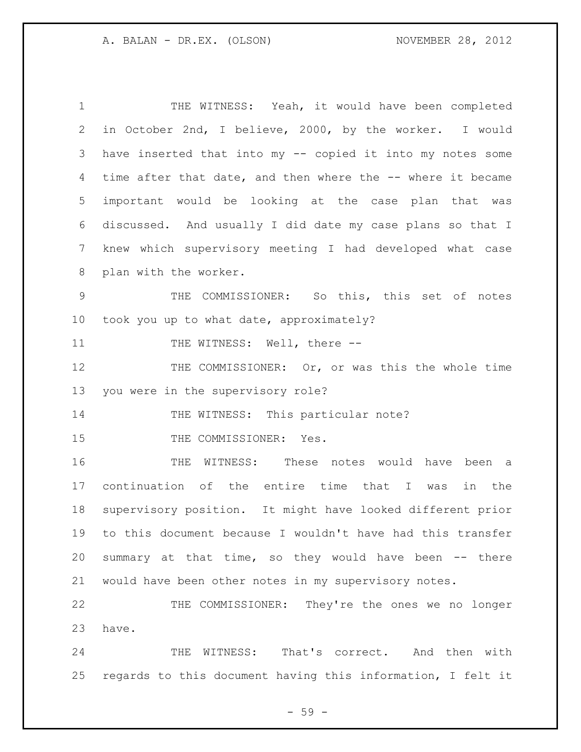THE WITNESS: Yeah, it would have been completed in October 2nd, I believe, 2000, by the worker. I would have inserted that into my -- copied it into my notes some time after that date, and then where the -- where it became important would be looking at the case plan that was discussed. And usually I did date my case plans so that I knew which supervisory meeting I had developed what case plan with the worker. THE COMMISSIONER: So this, this set of notes took you up to what date, approximately? 11 THE WITNESS: Well, there --12 THE COMMISSIONER: Or, or was this the whole time you were in the supervisory role? 14 THE WITNESS: This particular note? 15 THE COMMISSIONER: Yes. THE WITNESS: These notes would have been a continuation of the entire time that I was in the supervisory position. It might have looked different prior to this document because I wouldn't have had this transfer summary at that time, so they would have been -- there would have been other notes in my supervisory notes. THE COMMISSIONER: They're the ones we no longer

have.

 THE WITNESS: That's correct. And then with regards to this document having this information, I felt it

- 59 -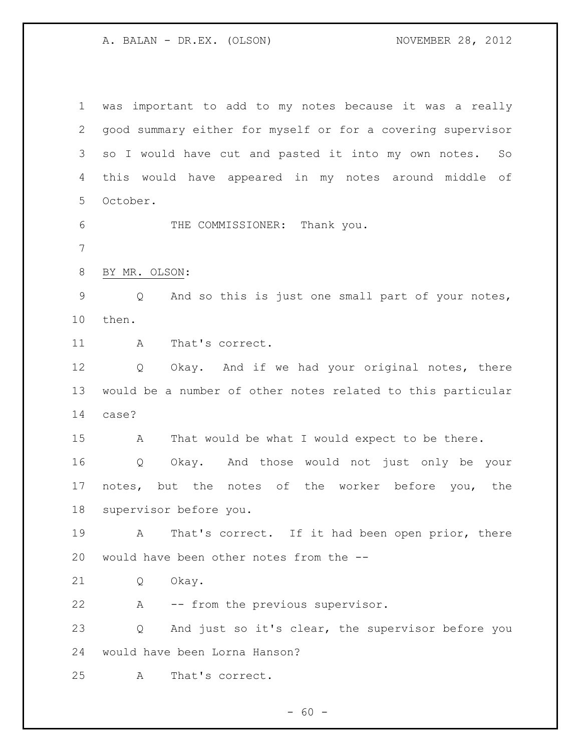was important to add to my notes because it was a really good summary either for myself or for a covering supervisor so I would have cut and pasted it into my own notes. So this would have appeared in my notes around middle of October. THE COMMISSIONER: Thank you. BY MR. OLSON: Q And so this is just one small part of your notes, then. 11 A That's correct. Q Okay. And if we had your original notes, there would be a number of other notes related to this particular case? A That would be what I would expect to be there. Q Okay. And those would not just only be your 17 notes, but the notes of the worker before you, the supervisor before you. A That's correct. If it had been open prior, there would have been other notes from the -- Q Okay. A -- from the previous supervisor. Q And just so it's clear, the supervisor before you would have been Lorna Hanson? A That's correct.

 $- 60 -$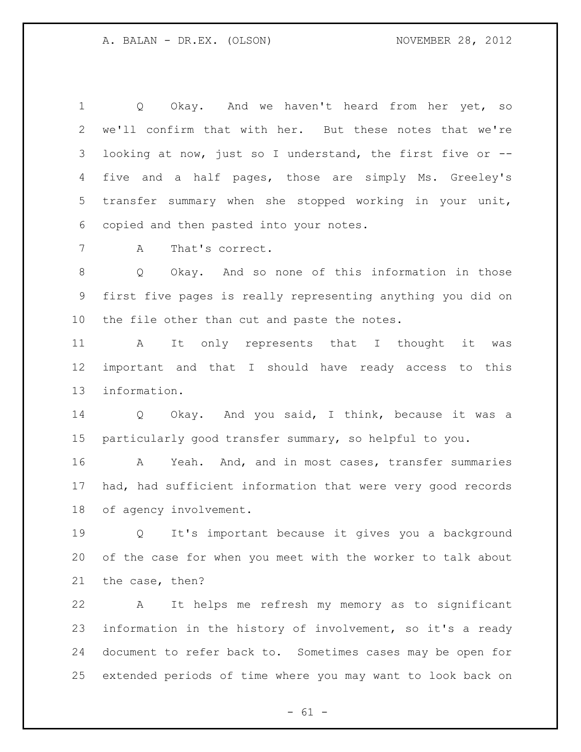Q Okay. And we haven't heard from her yet, so we'll confirm that with her. But these notes that we're looking at now, just so I understand, the first five or -- five and a half pages, those are simply Ms. Greeley's transfer summary when she stopped working in your unit, copied and then pasted into your notes.

A That's correct.

 Q Okay. And so none of this information in those first five pages is really representing anything you did on the file other than cut and paste the notes.

 A It only represents that I thought it was important and that I should have ready access to this information.

 Q Okay. And you said, I think, because it was a particularly good transfer summary, so helpful to you.

 A Yeah. And, and in most cases, transfer summaries had, had sufficient information that were very good records of agency involvement.

 Q It's important because it gives you a background of the case for when you meet with the worker to talk about the case, then?

 A It helps me refresh my memory as to significant information in the history of involvement, so it's a ready document to refer back to. Sometimes cases may be open for extended periods of time where you may want to look back on

 $- 61 -$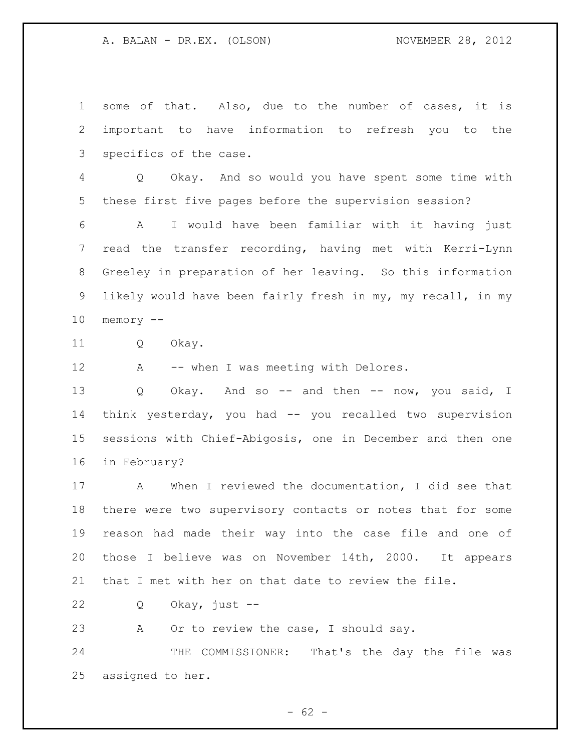some of that. Also, due to the number of cases, it is important to have information to refresh you to the specifics of the case. Q Okay. And so would you have spent some time with these first five pages before the supervision session? A I would have been familiar with it having just read the transfer recording, having met with Kerri-Lynn Greeley in preparation of her leaving. So this information likely would have been fairly fresh in my, my recall, in my memory -- Q Okay. 12 A -- when I was meeting with Delores. 13 Q Okay. And so -- and then -- now, you said, I think yesterday, you had -- you recalled two supervision sessions with Chief-Abigosis, one in December and then one

in February?

 A When I reviewed the documentation, I did see that there were two supervisory contacts or notes that for some reason had made their way into the case file and one of those I believe was on November 14th, 2000. It appears that I met with her on that date to review the file.

Q Okay, just --

23 A Or to review the case, I should say.

24 THE COMMISSIONER: That's the day the file was assigned to her.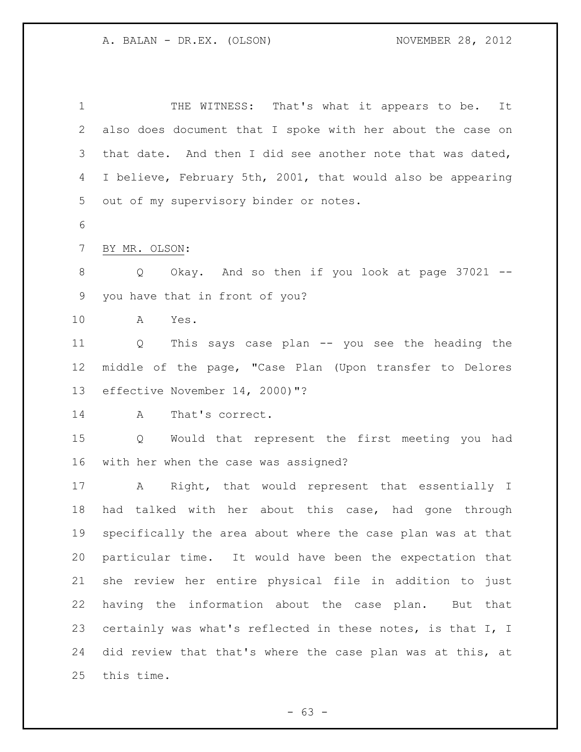1 THE WITNESS: That's what it appears to be. It also does document that I spoke with her about the case on that date. And then I did see another note that was dated, I believe, February 5th, 2001, that would also be appearing out of my supervisory binder or notes. BY MR. OLSON: Q Okay. And so then if you look at page 37021 -- you have that in front of you? A Yes. Q This says case plan -- you see the heading the middle of the page, "Case Plan (Upon transfer to Delores effective November 14, 2000)"? A That's correct. Q Would that represent the first meeting you had with her when the case was assigned? A Right, that would represent that essentially I had talked with her about this case, had gone through specifically the area about where the case plan was at that particular time. It would have been the expectation that she review her entire physical file in addition to just having the information about the case plan. But that certainly was what's reflected in these notes, is that I, I did review that that's where the case plan was at this, at this time.

 $- 63 -$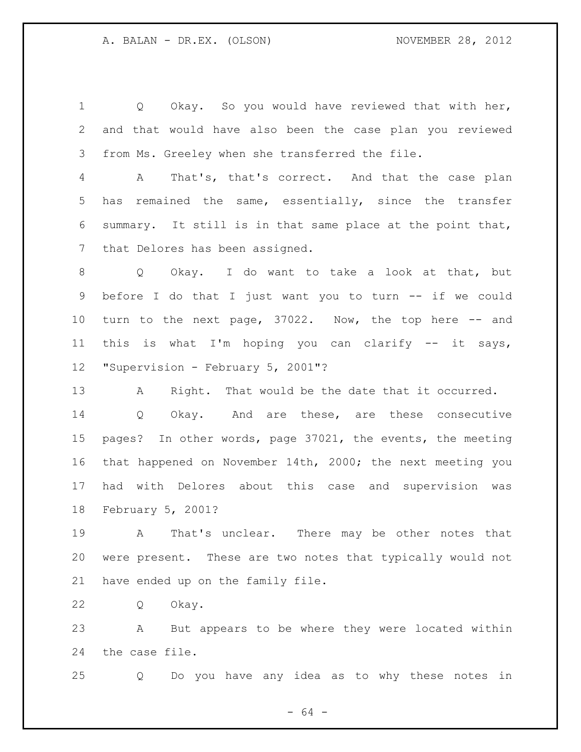Q Okay. So you would have reviewed that with her, and that would have also been the case plan you reviewed from Ms. Greeley when she transferred the file.

 A That's, that's correct. And that the case plan has remained the same, essentially, since the transfer summary. It still is in that same place at the point that, that Delores has been assigned.

 Q Okay. I do want to take a look at that, but before I do that I just want you to turn -- if we could turn to the next page, 37022. Now, the top here -- and this is what I'm hoping you can clarify -- it says, "Supervision - February 5, 2001"?

 A Right. That would be the date that it occurred. Q Okay. And are these, are these consecutive pages? In other words, page 37021, the events, the meeting that happened on November 14th, 2000; the next meeting you had with Delores about this case and supervision was February 5, 2001?

 A That's unclear. There may be other notes that were present. These are two notes that typically would not have ended up on the family file.

Q Okay.

 A But appears to be where they were located within the case file.

Q Do you have any idea as to why these notes in

- 64 -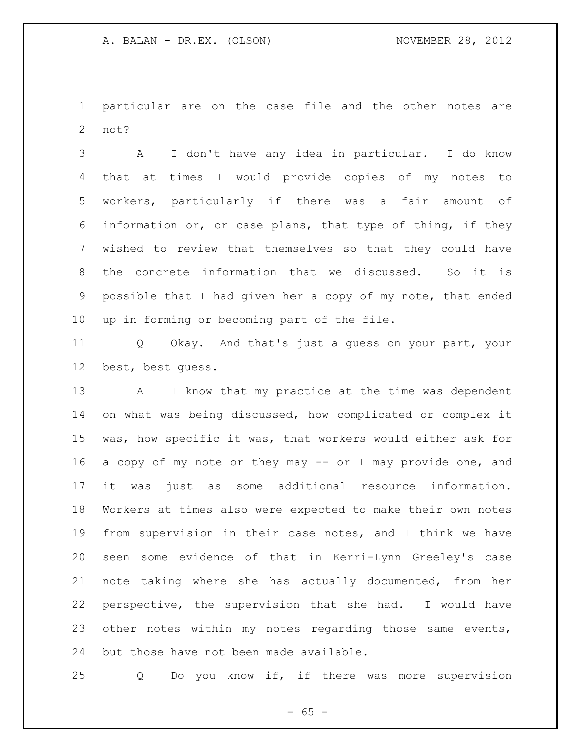particular are on the case file and the other notes are not?

 A I don't have any idea in particular. I do know that at times I would provide copies of my notes to workers, particularly if there was a fair amount of information or, or case plans, that type of thing, if they wished to review that themselves so that they could have the concrete information that we discussed. So it is possible that I had given her a copy of my note, that ended up in forming or becoming part of the file.

 Q Okay. And that's just a guess on your part, your best, best guess.

13 A I know that my practice at the time was dependent on what was being discussed, how complicated or complex it was, how specific it was, that workers would either ask for 16 a copy of my note or they may -- or I may provide one, and it was just as some additional resource information. Workers at times also were expected to make their own notes from supervision in their case notes, and I think we have seen some evidence of that in Kerri-Lynn Greeley's case note taking where she has actually documented, from her perspective, the supervision that she had. I would have 23 other notes within my notes regarding those same events, but those have not been made available.

Q Do you know if, if there was more supervision

 $- 65 -$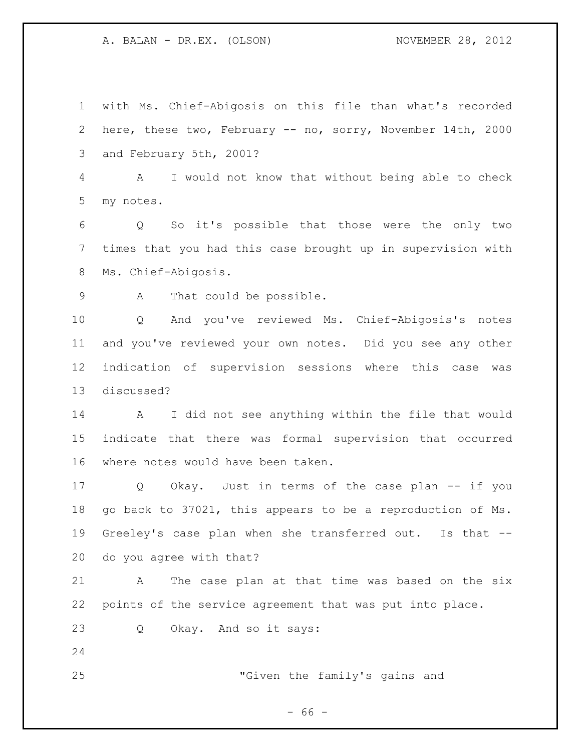with Ms. Chief-Abigosis on this file than what's recorded here, these two, February -- no, sorry, November 14th, 2000 and February 5th, 2001?

 A I would not know that without being able to check my notes.

 Q So it's possible that those were the only two times that you had this case brought up in supervision with Ms. Chief-Abigosis.

9 A That could be possible.

 Q And you've reviewed Ms. Chief-Abigosis's notes and you've reviewed your own notes. Did you see any other indication of supervision sessions where this case was discussed?

 A I did not see anything within the file that would indicate that there was formal supervision that occurred where notes would have been taken.

 Q Okay. Just in terms of the case plan -- if you go back to 37021, this appears to be a reproduction of Ms. Greeley's case plan when she transferred out. Is that -- do you agree with that?

 A The case plan at that time was based on the six points of the service agreement that was put into place.

Q Okay. And so it says:

"Given the family's gains and

 $- 66 -$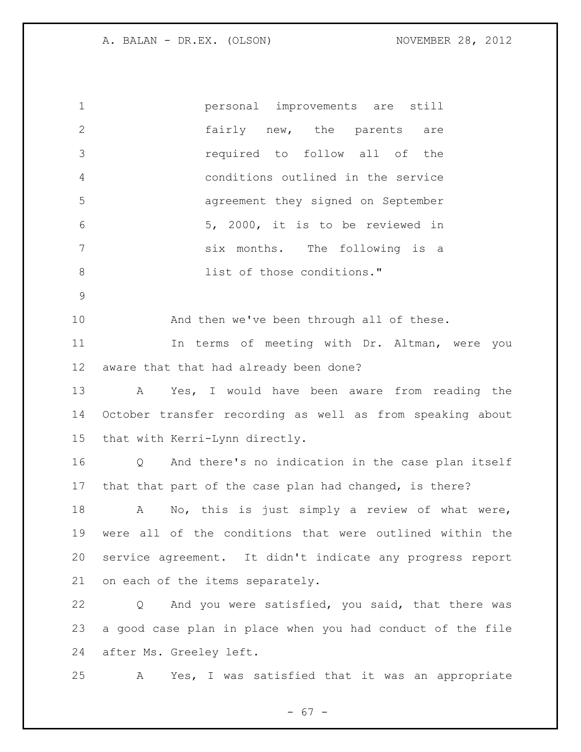| $\mathbf 1$   | personal improvements are still                            |
|---------------|------------------------------------------------------------|
| 2             | fairly new, the parents are                                |
| 3             | required to follow all of the                              |
| 4             | conditions outlined in the service                         |
| 5             | agreement they signed on September                         |
| 6             | 5, 2000, it is to be reviewed in                           |
| 7             | six months. The following is a                             |
| 8             | list of those conditions."                                 |
| $\mathcal{G}$ |                                                            |
| 10            | And then we've been through all of these.                  |
| 11            | In terms of meeting with Dr. Altman, were you              |
| 12            | aware that that had already been done?                     |
| 13            | Yes, I would have been aware from reading the<br>A         |
| 14            | October transfer recording as well as from speaking about  |
| 15            | that with Kerri-Lynn directly.                             |
| 16            | And there's no indication in the case plan itself<br>Q     |
| 17            | that that part of the case plan had changed, is there?     |
| 18            | No, this is just simply a review of what were,<br>A        |
| 19            | were all of the conditions that were outlined within the   |
| 20            | service agreement. It didn't indicate any progress report  |
| 21            | on each of the items separately.                           |
| 22            | And you were satisfied, you said, that there was<br>Q      |
| 23            | a good case plan in place when you had conduct of the file |
| 24            | after Ms. Greeley left.                                    |
| 25            | Yes, I was satisfied that it was an appropriate<br>A       |
|               |                                                            |

- 67 -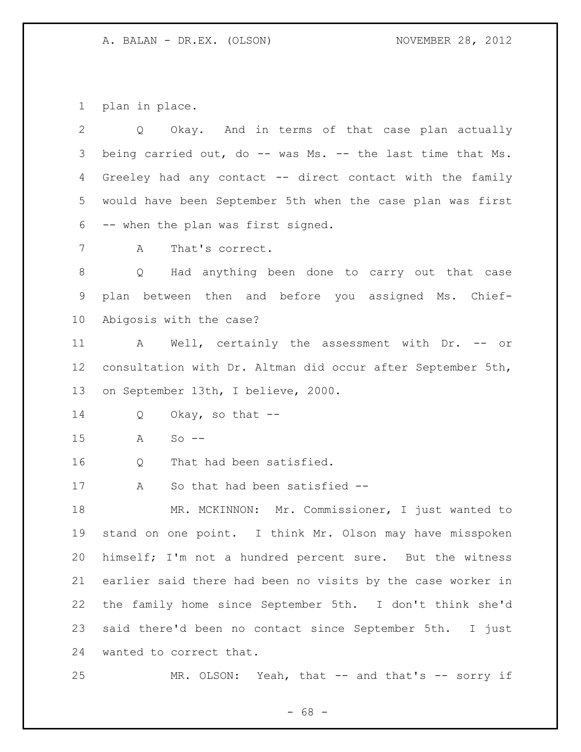plan in place.

| $\mathbf{2}$ | Okay. And in terms of that case plan actually<br>Q          |
|--------------|-------------------------------------------------------------|
| 3            | being carried out, do -- was Ms. -- the last time that Ms.  |
| 4            | Greeley had any contact -- direct contact with the family   |
| 5            | would have been September 5th when the case plan was first  |
| 6            | -- when the plan was first signed.                          |
| 7            | That's correct.<br>A                                        |
| 8            | Q Had anything been done to carry out that case             |
| $\mathsf 9$  | plan between then and before you assigned Ms. Chief-        |
| 10           | Abigosis with the case?                                     |
| 11           | A Well, certainly the assessment with Dr. -- or             |
| 12           | consultation with Dr. Altman did occur after September 5th, |
| 13           | on September 13th, I believe, 2000.                         |
| 14           | Okay, so that --<br>Q                                       |
| 15           | $So$ --<br>A                                                |
| 16           | That had been satisfied.<br>Q                               |
| 17           | So that had been satisfied --<br>A                          |
| 18           | MR. MCKINNON: Mr. Commissioner, I just wanted to            |
| 19           | stand on one point. I think Mr. Olson may have misspoken    |
| 20           | himself; I'm not a hundred percent sure. But the witness    |
| 21           | earlier said there had been no visits by the case worker in |
| 22           | the family home since September 5th. I don't think she'd    |
| 23           | said there'd been no contact since September 5th. I just    |
| 24           | wanted to correct that.                                     |
| 25           | MR. OLSON: Yeah, that -- and that's -- sorry if             |

- 68 -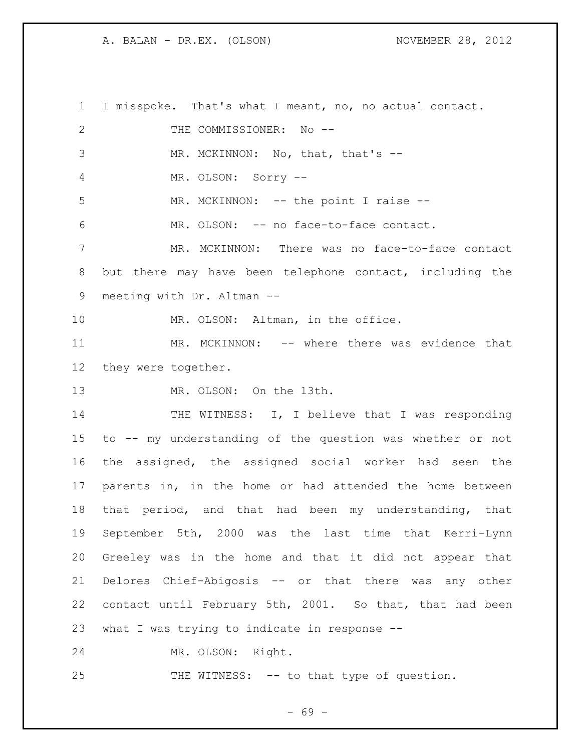I misspoke. That's what I meant, no, no actual contact. 2 THE COMMISSIONER: No --3 MR. MCKINNON: No, that, that's -- MR. OLSON: Sorry -- 5 MR. MCKINNON: -- the point I raise -- MR. OLSON: -- no face-to-face contact. MR. MCKINNON: There was no face-to-face contact but there may have been telephone contact, including the meeting with Dr. Altman -- 10 MR. OLSON: Altman, in the office. MR. MCKINNON: -- where there was evidence that they were together. 13 MR. OLSON: On the 13th. 14 THE WITNESS: I, I believe that I was responding to -- my understanding of the question was whether or not the assigned, the assigned social worker had seen the parents in, in the home or had attended the home between that period, and that had been my understanding, that September 5th, 2000 was the last time that Kerri-Lynn Greeley was in the home and that it did not appear that Delores Chief-Abigosis -- or that there was any other contact until February 5th, 2001. So that, that had been what I was trying to indicate in response -- MR. OLSON: Right.

25 THE WITNESS: -- to that type of question.

- 69 -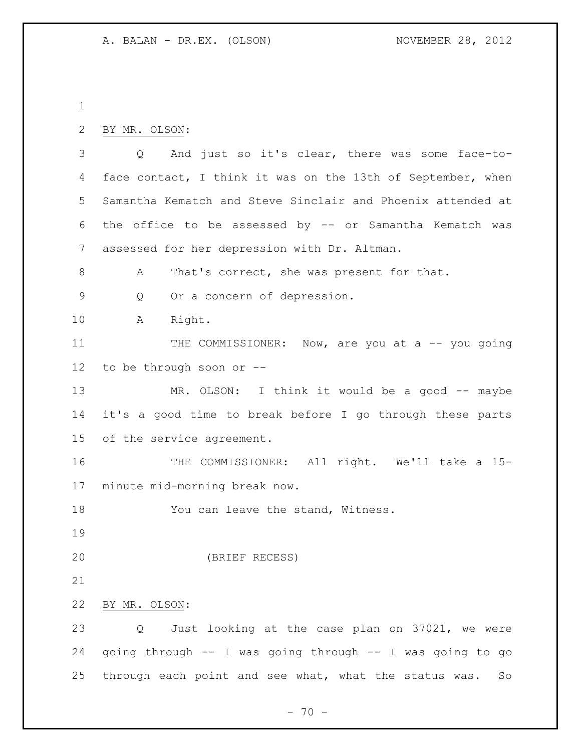```
2 BY MR. OLSON:
```
 Q And just so it's clear, there was some face-to-4 face contact, I think it was on the 13th of September, when Samantha Kematch and Steve Sinclair and Phoenix attended at the office to be assessed by -- or Samantha Kematch was assessed for her depression with Dr. Altman. 8 A That's correct, she was present for that. Q Or a concern of depression. A Right. 11 THE COMMISSIONER: Now, are you at a -- you going to be through soon or -- 13 MR. OLSON: I think it would be a good -- maybe it's a good time to break before I go through these parts of the service agreement. 16 THE COMMISSIONER: All right. We'll take a 15- minute mid-morning break now. 18 You can leave the stand, Witness. (BRIEF RECESS) BY MR. OLSON: Q Just looking at the case plan on 37021, we were going through -- I was going through -- I was going to go through each point and see what, what the status was. So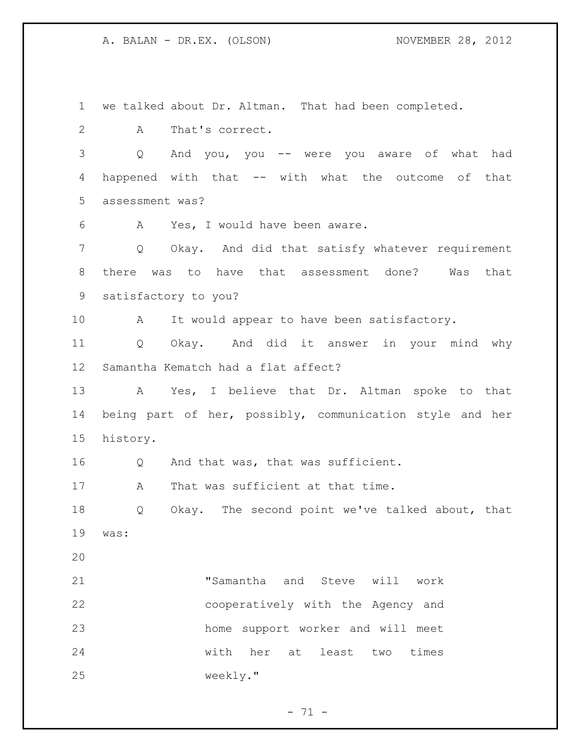we talked about Dr. Altman. That had been completed.

A That's correct.

 Q And you, you -- were you aware of what had happened with that -- with what the outcome of that assessment was?

A Yes, I would have been aware.

 Q Okay. And did that satisfy whatever requirement there was to have that assessment done? Was that satisfactory to you?

10 A It would appear to have been satisfactory.

 Q Okay. And did it answer in your mind why Samantha Kematch had a flat affect?

 A Yes, I believe that Dr. Altman spoke to that being part of her, possibly, communication style and her history.

Q And that was, that was sufficient.

17 A That was sufficient at that time.

 Q Okay. The second point we've talked about, that was:

 "Samantha and Steve will work cooperatively with the Agency and home support worker and will meet with her at least two times weekly."

 $- 71 -$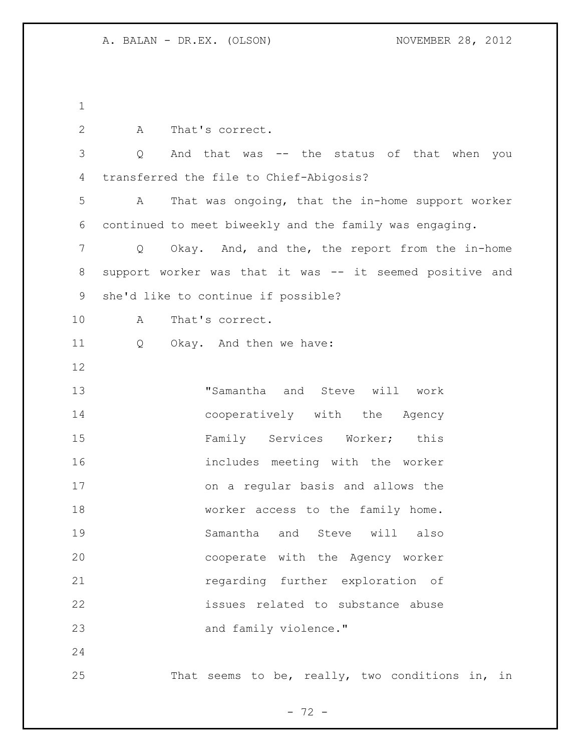A That's correct. Q And that was -- the status of that when you transferred the file to Chief-Abigosis? A That was ongoing, that the in-home support worker continued to meet biweekly and the family was engaging. Q Okay. And, and the, the report from the in-home support worker was that it was -- it seemed positive and she'd like to continue if possible? A That's correct. Q Okay. And then we have: "Samantha and Steve will work cooperatively with the Agency 15 Family Services Worker; this includes meeting with the worker on a regular basis and allows the 18 worker access to the family home. Samantha and Steve will also cooperate with the Agency worker regarding further exploration of issues related to substance abuse and family violence." That seems to be, really, two conditions in, in

 $- 72 -$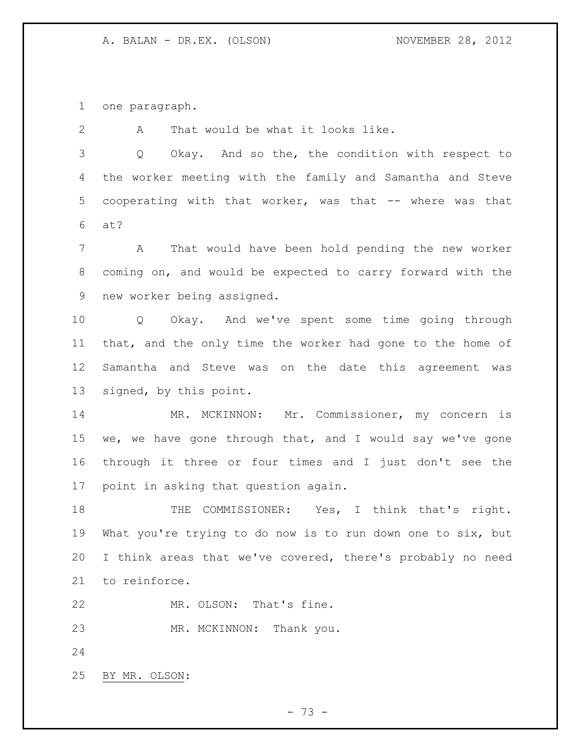one paragraph.

 A That would be what it looks like. Q Okay. And so the, the condition with respect to the worker meeting with the family and Samantha and Steve cooperating with that worker, was that -- where was that at? A That would have been hold pending the new worker coming on, and would be expected to carry forward with the new worker being assigned. Q Okay. And we've spent some time going through that, and the only time the worker had gone to the home of Samantha and Steve was on the date this agreement was signed, by this point. MR. MCKINNON: Mr. Commissioner, my concern is we, we have gone through that, and I would say we've gone through it three or four times and I just don't see the point in asking that question again. 18 THE COMMISSIONER: Yes, I think that's right. What you're trying to do now is to run down one to six, but I think areas that we've covered, there's probably no need to reinforce. MR. OLSON: That's fine. MR. MCKINNON: Thank you. BY MR. OLSON:

- 73 -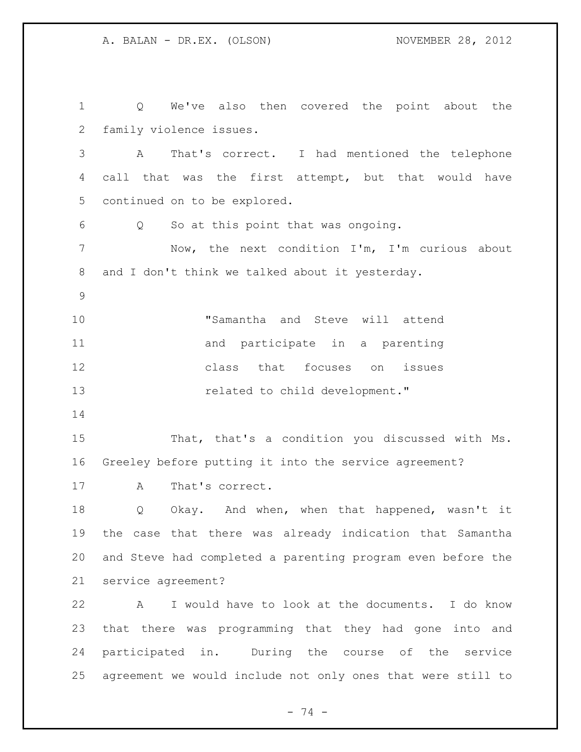Q We've also then covered the point about the family violence issues. A That's correct. I had mentioned the telephone call that was the first attempt, but that would have continued on to be explored. Q So at this point that was ongoing. Now, the next condition I'm, I'm curious about and I don't think we talked about it yesterday. "Samantha and Steve will attend 11 and participate in a parenting class that focuses on issues **related** to child development." That, that's a condition you discussed with Ms. Greeley before putting it into the service agreement? 17 A That's correct. Q Okay. And when, when that happened, wasn't it the case that there was already indication that Samantha and Steve had completed a parenting program even before the service agreement? A I would have to look at the documents. I do know that there was programming that they had gone into and participated in. During the course of the service agreement we would include not only ones that were still to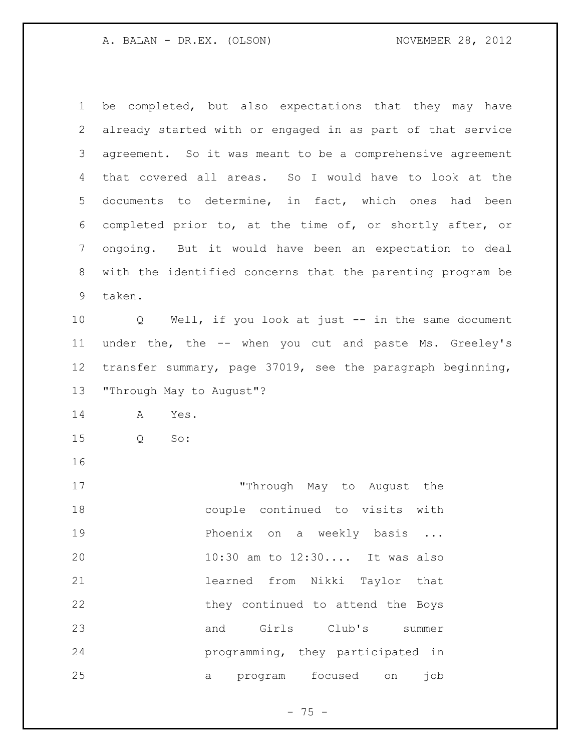| $\mathbf 1$     | be completed, but also expectations that they may have            |
|-----------------|-------------------------------------------------------------------|
| $\mathbf{2}$    | already started with or engaged in as part of that service        |
| 3               | agreement. So it was meant to be a comprehensive agreement        |
| 4               | that covered all areas. So I would have to look at the            |
| 5               | documents to determine, in fact, which ones had been              |
| 6               | completed prior to, at the time of, or shortly after, or          |
| $7\phantom{.0}$ | ongoing. But it would have been an expectation to deal            |
| 8               | with the identified concerns that the parenting program be        |
| 9               | taken.                                                            |
| 10              | Well, if you look at just -- in the same document<br>$\mathsf{Q}$ |
| 11              | under the, the -- when you cut and paste Ms. Greeley's            |
| 12              | transfer summary, page 37019, see the paragraph beginning,        |
| 13              | "Through May to August"?                                          |
| 14              | A<br>Yes.                                                         |
| 15              | $S_{\circ}$ :<br>Q                                                |
| 16              |                                                                   |
| 17              | "Through May to August the                                        |
| 18              | couple continued to visits with                                   |
| 19              | Phoenix on a weekly basis                                         |
| 20              | 10:30 am to 12:30 It was also                                     |
| 21              | learned from Nikki Taylor that                                    |
| 22              | they continued to attend the Boys                                 |
| 23              | Girls Club's<br>and<br>summer                                     |
| 24              | programming, they participated in                                 |
| 25              | focused<br>program<br>job<br>on<br>a                              |

- 75 -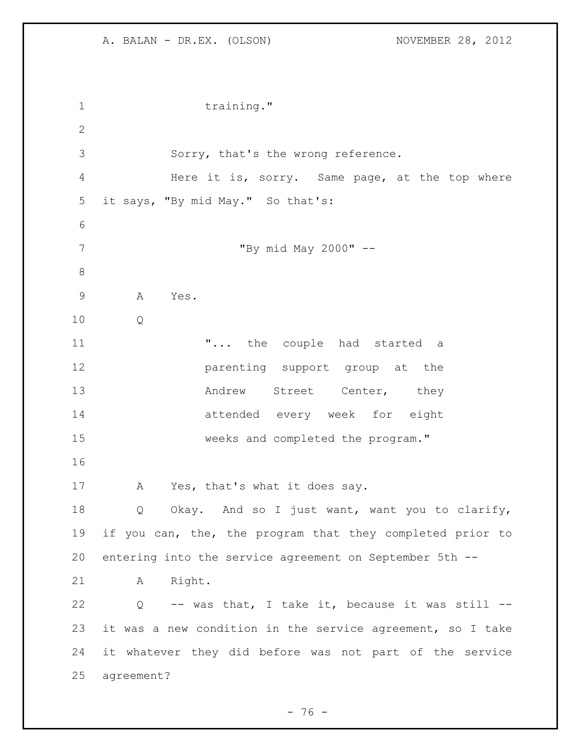1 training." Sorry, that's the wrong reference. Here it is, sorry. Same page, at the top where it says, "By mid May." So that's: "By mid May 2000" -- A Yes. Q **...** the couple had started a **parenting** support group at the 13 Andrew Street Center, they attended every week for eight weeks and completed the program." A Yes, that's what it does say. Q Okay. And so I just want, want you to clarify, if you can, the, the program that they completed prior to entering into the service agreement on September 5th -- A Right. Q -- was that, I take it, because it was still -- it was a new condition in the service agreement, so I take it whatever they did before was not part of the service agreement?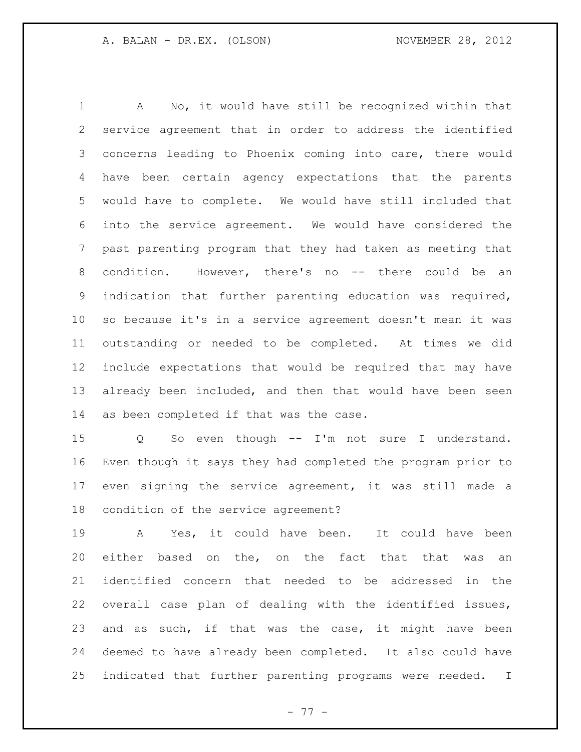A No, it would have still be recognized within that service agreement that in order to address the identified concerns leading to Phoenix coming into care, there would have been certain agency expectations that the parents would have to complete. We would have still included that into the service agreement. We would have considered the past parenting program that they had taken as meeting that condition. However, there's no -- there could be an indication that further parenting education was required, so because it's in a service agreement doesn't mean it was outstanding or needed to be completed. At times we did include expectations that would be required that may have already been included, and then that would have been seen as been completed if that was the case.

 Q So even though -- I'm not sure I understand. Even though it says they had completed the program prior to even signing the service agreement, it was still made a condition of the service agreement?

 A Yes, it could have been. It could have been either based on the, on the fact that that was an identified concern that needed to be addressed in the overall case plan of dealing with the identified issues, and as such, if that was the case, it might have been deemed to have already been completed. It also could have indicated that further parenting programs were needed. I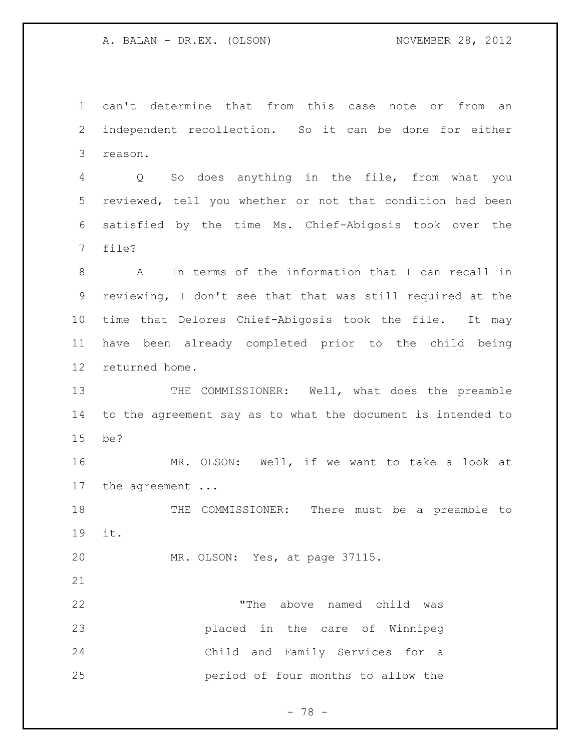can't determine that from this case note or from an independent recollection. So it can be done for either reason.

 Q So does anything in the file, from what you reviewed, tell you whether or not that condition had been satisfied by the time Ms. Chief-Abigosis took over the file?

 A In terms of the information that I can recall in reviewing, I don't see that that was still required at the time that Delores Chief-Abigosis took the file. It may have been already completed prior to the child being returned home.

 THE COMMISSIONER: Well, what does the preamble to the agreement say as to what the document is intended to be?

 MR. OLSON: Well, if we want to take a look at the agreement ...

 THE COMMISSIONER: There must be a preamble to it.

MR. OLSON: Yes, at page 37115.

 "The above named child was placed in the care of Winnipeg Child and Family Services for a period of four months to allow the

- 78 -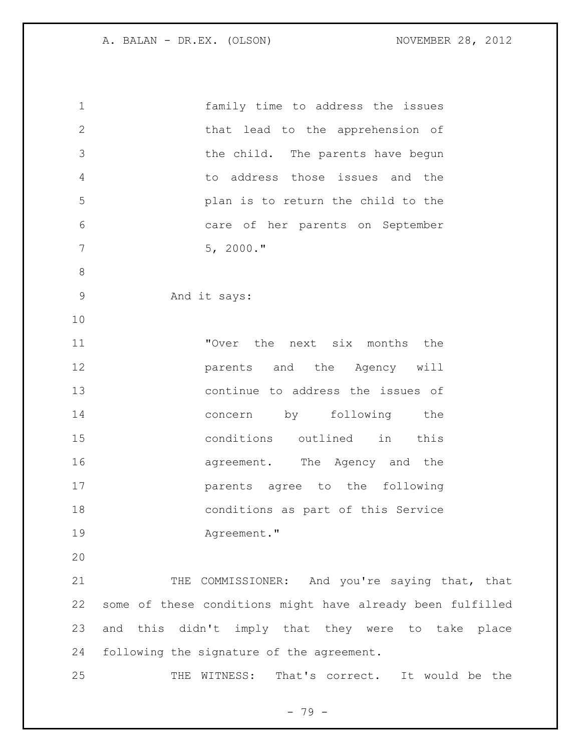| $\mathbf{1}$ | family time to address the issues                          |
|--------------|------------------------------------------------------------|
| $\mathbf{2}$ | that lead to the apprehension of                           |
| 3            | the child. The parents have begun                          |
| 4            | to address those issues and the                            |
| 5            | plan is to return the child to the                         |
| 6            | care of her parents on September                           |
| 7            | $5, 2000.$ "                                               |
| 8            |                                                            |
| 9            | And it says:                                               |
| 10           |                                                            |
| 11           | "Over the next six months the                              |
| 12           | parents and the Agency will                                |
| 13           | continue to address the issues of                          |
| 14           | concern by following the                                   |
| 15           | conditions outlined in this                                |
| 16           | agreement. The Agency and the                              |
| 17           | parents agree to the following                             |
| 18           | conditions as part of this Service                         |
| 19           | Agreement."                                                |
| 20           |                                                            |
| 21           | COMMISSIONER: And you're saying that, that<br>THE          |
| 22           | some of these conditions might have already been fulfilled |
| 23           | and this didn't imply that they were to take place         |
| 24           | following the signature of the agreement.                  |
|              |                                                            |

THE WITNESS: That's correct. It would be the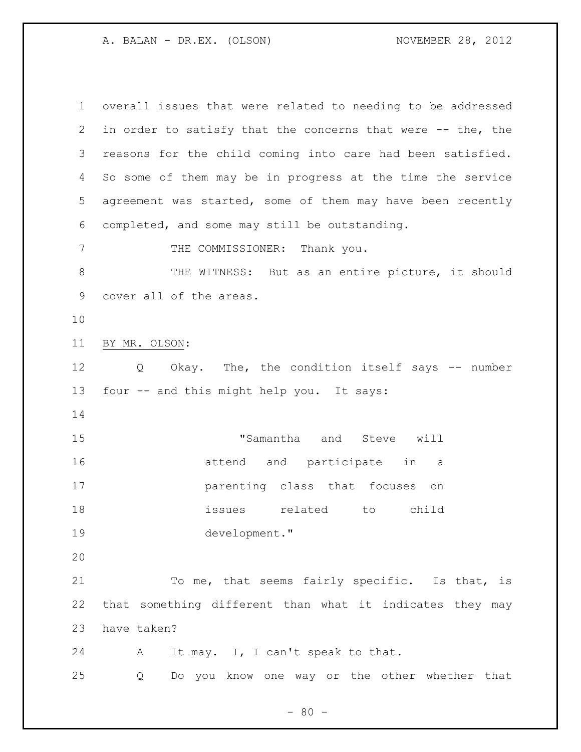overall issues that were related to needing to be addressed in order to satisfy that the concerns that were -- the, the reasons for the child coming into care had been satisfied. So some of them may be in progress at the time the service agreement was started, some of them may have been recently completed, and some may still be outstanding. 7 THE COMMISSIONER: Thank you. 8 THE WITNESS: But as an entire picture, it should cover all of the areas. BY MR. OLSON: Q Okay. The, the condition itself says -- number four -- and this might help you. It says: "Samantha and Steve will attend and participate in a parenting class that focuses on issues related to child development." To me, that seems fairly specific. Is that, is that something different than what it indicates they may have taken? A It may. I, I can't speak to that. Q Do you know one way or the other whether that

 $- 80 -$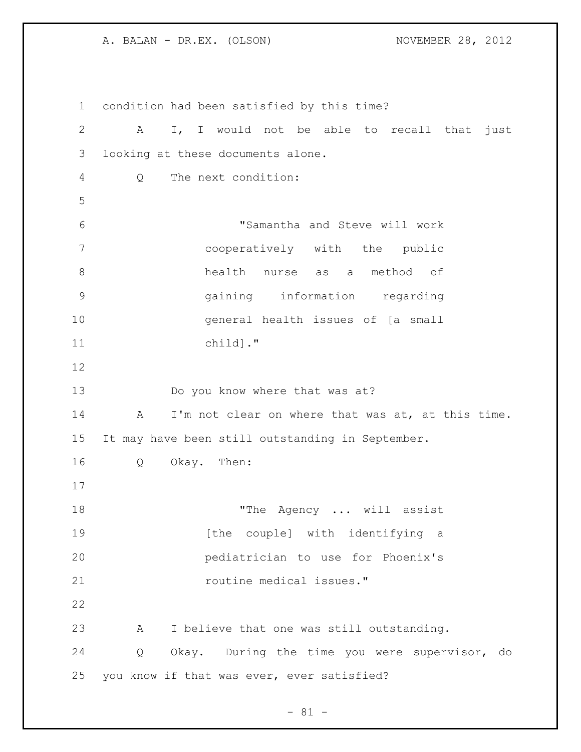condition had been satisfied by this time? A I, I would not be able to recall that just looking at these documents alone. Q The next condition: "Samantha and Steve will work cooperatively with the public health nurse as a method of gaining information regarding general health issues of [a small child]." Do you know where that was at? 14 A I'm not clear on where that was at, at this time. It may have been still outstanding in September. Q Okay. Then: 18 The Agency ... will assist **19** [the couple] with identifying a pediatrician to use for Phoenix's *routine medical issues.*" A I believe that one was still outstanding. Q Okay. During the time you were supervisor, do you know if that was ever, ever satisfied?

 $- 81 -$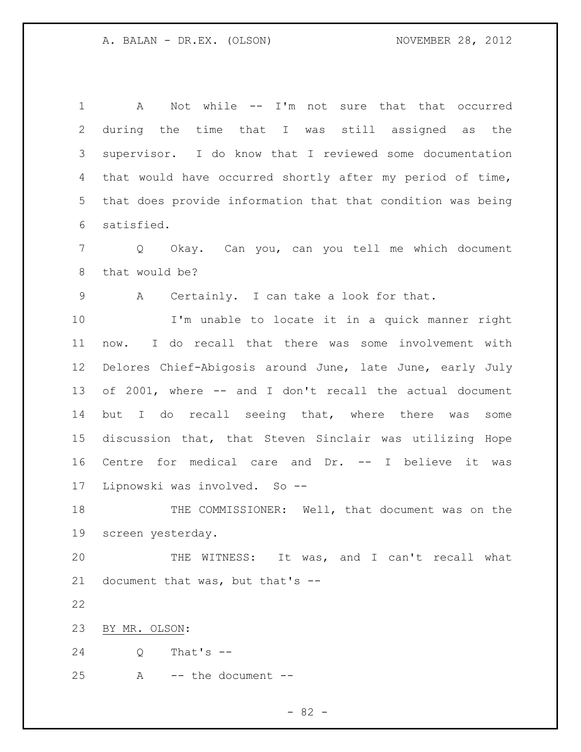1 A Not while -- I'm not sure that that occurred during the time that I was still assigned as the supervisor. I do know that I reviewed some documentation that would have occurred shortly after my period of time, that does provide information that that condition was being satisfied. Q Okay. Can you, can you tell me which document that would be? A Certainly. I can take a look for that. I'm unable to locate it in a quick manner right now. I do recall that there was some involvement with Delores Chief-Abigosis around June, late June, early July of 2001, where -- and I don't recall the actual document but I do recall seeing that, where there was some discussion that, that Steven Sinclair was utilizing Hope Centre for medical care and Dr. -- I believe it was Lipnowski was involved. So -- THE COMMISSIONER: Well, that document was on the screen yesterday. THE WITNESS: It was, and I can't recall what document that was, but that's -- BY MR. OLSON: Q That's -- A -- the document --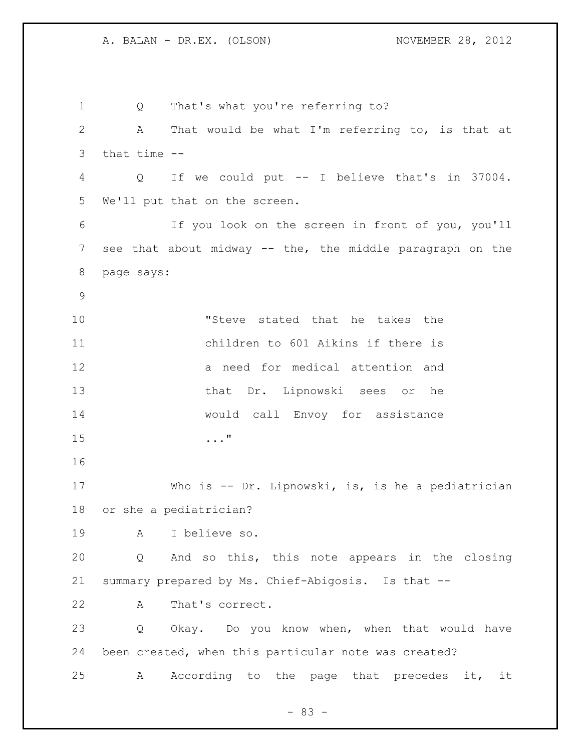Q That's what you're referring to? A That would be what I'm referring to, is that at that time -- Q If we could put -- I believe that's in 37004. We'll put that on the screen. If you look on the screen in front of you, you'll see that about midway -- the, the middle paragraph on the page says: "Steve stated that he takes the children to 601 Aikins if there is a need for medical attention and that Dr. Lipnowski sees or he would call Envoy for assistance ..." Who is -- Dr. Lipnowski, is, is he a pediatrician or she a pediatrician? A I believe so. Q And so this, this note appears in the closing summary prepared by Ms. Chief-Abigosis. Is that -- A That's correct. Q Okay. Do you know when, when that would have been created, when this particular note was created? A According to the page that precedes it, it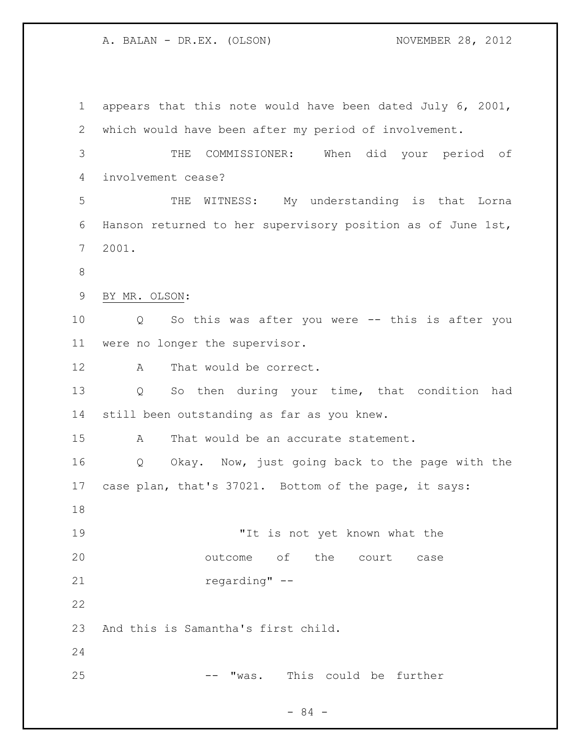appears that this note would have been dated July 6, 2001, which would have been after my period of involvement. THE COMMISSIONER: When did your period of involvement cease? THE WITNESS: My understanding is that Lorna Hanson returned to her supervisory position as of June 1st, 2001. BY MR. OLSON: Q So this was after you were -- this is after you were no longer the supervisor. 12 A That would be correct. Q So then during your time, that condition had still been outstanding as far as you knew. A That would be an accurate statement. Q Okay. Now, just going back to the page with the case plan, that's 37021. Bottom of the page, it says: 19 The state of the "It is not yet known what the outcome of the court case regarding" -- And this is Samantha's first child. -- "was. This could be further

- 84 -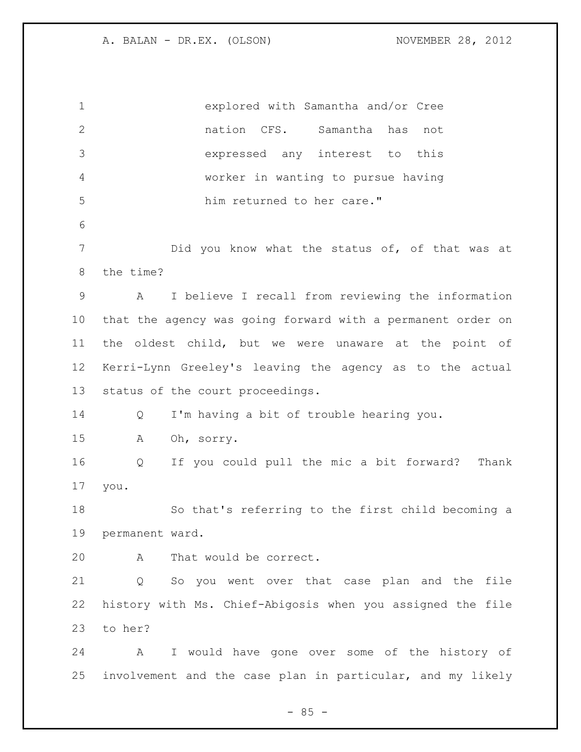explored with Samantha and/or Cree nation CFS. Samantha has not expressed any interest to this worker in wanting to pursue having him returned to her care." Did you know what the status of, of that was at the time? A I believe I recall from reviewing the information that the agency was going forward with a permanent order on the oldest child, but we were unaware at the point of Kerri-Lynn Greeley's leaving the agency as to the actual status of the court proceedings. Q I'm having a bit of trouble hearing you. A Oh, sorry. Q If you could pull the mic a bit forward? Thank you. So that's referring to the first child becoming a permanent ward. A That would be correct. Q So you went over that case plan and the file history with Ms. Chief-Abigosis when you assigned the file to her? A I would have gone over some of the history of involvement and the case plan in particular, and my likely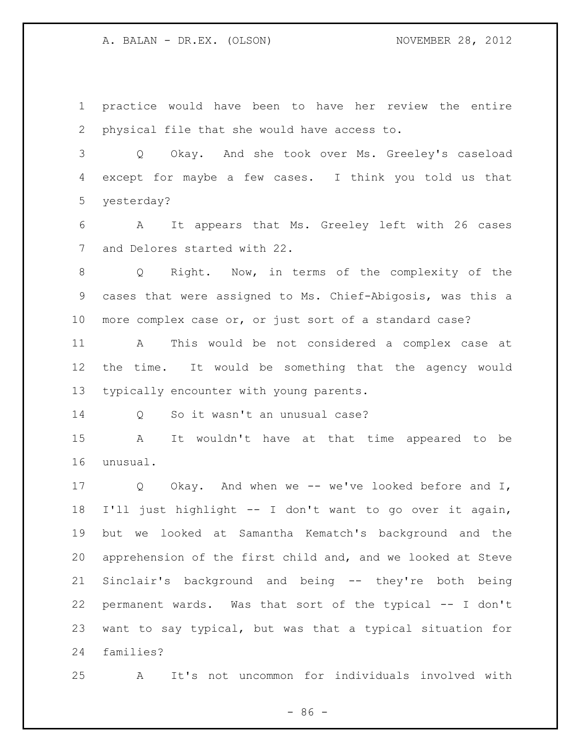practice would have been to have her review the entire physical file that she would have access to.

 Q Okay. And she took over Ms. Greeley's caseload except for maybe a few cases. I think you told us that yesterday?

 A It appears that Ms. Greeley left with 26 cases and Delores started with 22.

 Q Right. Now, in terms of the complexity of the cases that were assigned to Ms. Chief-Abigosis, was this a more complex case or, or just sort of a standard case?

 A This would be not considered a complex case at the time. It would be something that the agency would typically encounter with young parents.

Q So it wasn't an unusual case?

 A It wouldn't have at that time appeared to be unusual.

 Q Okay. And when we -- we've looked before and I, I'll just highlight -- I don't want to go over it again, but we looked at Samantha Kematch's background and the apprehension of the first child and, and we looked at Steve Sinclair's background and being -- they're both being permanent wards. Was that sort of the typical -- I don't want to say typical, but was that a typical situation for families?

A It's not uncommon for individuals involved with

- 86 -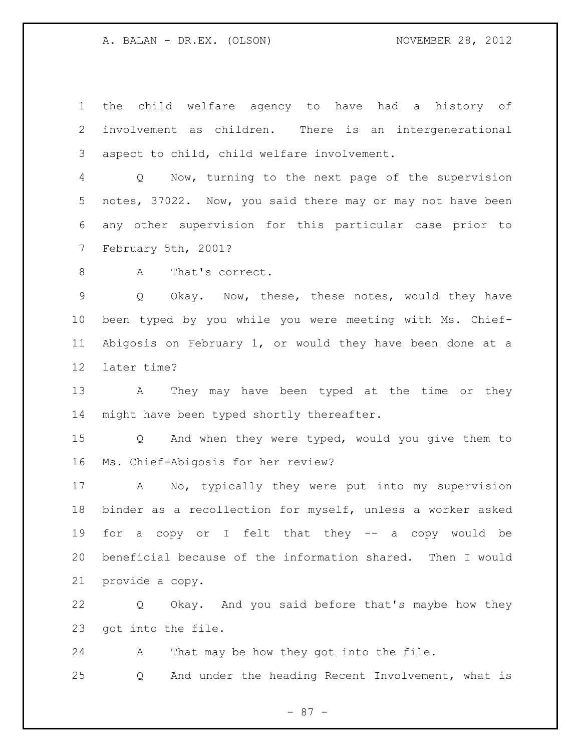the child welfare agency to have had a history of involvement as children. There is an intergenerational aspect to child, child welfare involvement.

 Q Now, turning to the next page of the supervision notes, 37022. Now, you said there may or may not have been any other supervision for this particular case prior to February 5th, 2001?

8 A That's correct.

 Q Okay. Now, these, these notes, would they have been typed by you while you were meeting with Ms. Chief- Abigosis on February 1, or would they have been done at a later time?

 A They may have been typed at the time or they 14 might have been typed shortly thereafter.

 Q And when they were typed, would you give them to Ms. Chief-Abigosis for her review?

 A No, typically they were put into my supervision binder as a recollection for myself, unless a worker asked for a copy or I felt that they -- a copy would be beneficial because of the information shared. Then I would provide a copy.

 Q Okay. And you said before that's maybe how they got into the file.

 A That may be how they got into the file. Q And under the heading Recent Involvement, what is

- 87 -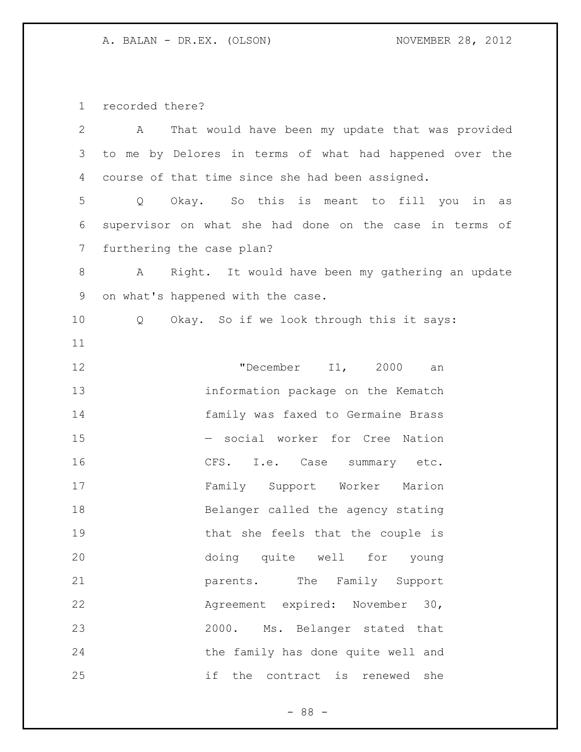recorded there?

| $\mathbf{2}$   | That would have been my update that was provided<br>A   |
|----------------|---------------------------------------------------------|
| 3              | to me by Delores in terms of what had happened over the |
| 4              | course of that time since she had been assigned.        |
| 5              | Okay. So this is meant to fill you in<br>Q<br>as        |
| 6              | supervisor on what she had done on the case in terms of |
| $7\phantom{.}$ | furthering the case plan?                               |
| $8\,$          | Right. It would have been my gathering an update<br>Α   |
| $\mathsf 9$    | on what's happened with the case.                       |
| 10             | Okay. So if we look through this it says:<br>Q          |
| 11             |                                                         |
| 12             | "December I1, 2000<br>an                                |
| 13             | information package on the Kematch                      |
| 14             | family was faxed to Germaine Brass                      |
| 15             | - social worker for Cree Nation                         |
| 16             | CFS. I.e. Case summary etc.                             |
| 17             | Family Support Worker Marion                            |
| 18             | Belanger called the agency stating                      |
| 19             | that she feels that the couple is                       |
| 20             | doing quite well for young                              |
| 21             | parents. The Family Support                             |
| 22             | Agreement expired: November 30,                         |
| 23             | 2000. Ms. Belanger stated that                          |
| 24             | the family has done quite well and                      |
| 25             | if<br>the contract is renewed<br>she                    |

- 88 -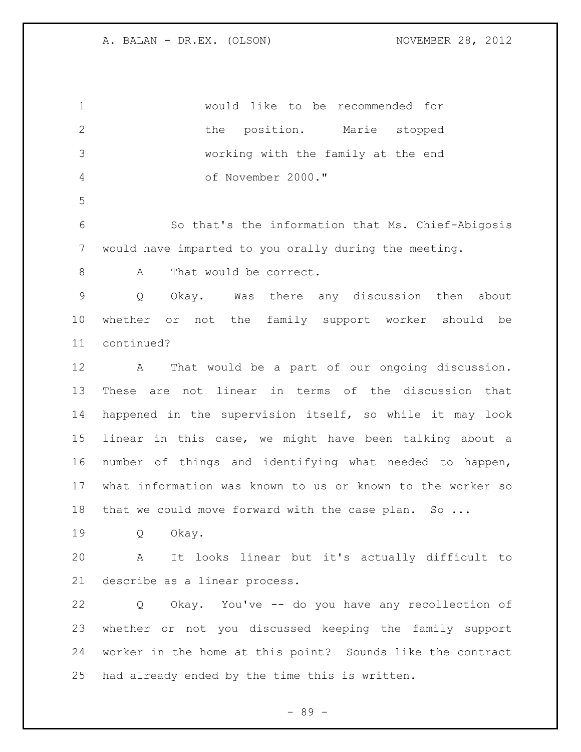would like to be recommended for 2 the position. Marie stopped working with the family at the end of November 2000." So that's the information that Ms. Chief-Abigosis would have imparted to you orally during the meeting. 8 A That would be correct. Q Okay. Was there any discussion then about whether or not the family support worker should be continued? A That would be a part of our ongoing discussion. These are not linear in terms of the discussion that happened in the supervision itself, so while it may look linear in this case, we might have been talking about a number of things and identifying what needed to happen, what information was known to us or known to the worker so 18 that we could move forward with the case plan. So ... Q Okay. A It looks linear but it's actually difficult to describe as a linear process. Q Okay. You've -- do you have any recollection of whether or not you discussed keeping the family support worker in the home at this point? Sounds like the contract had already ended by the time this is written.

- 89 -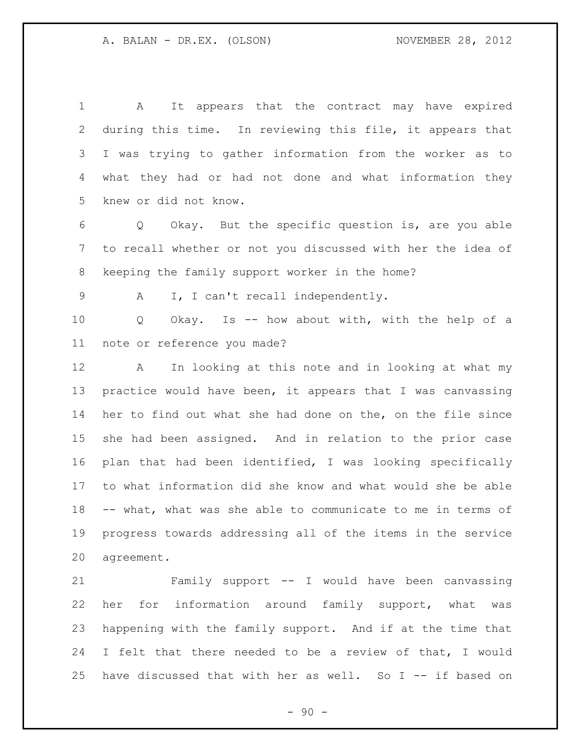A It appears that the contract may have expired during this time. In reviewing this file, it appears that I was trying to gather information from the worker as to what they had or had not done and what information they knew or did not know.

 Q Okay. But the specific question is, are you able to recall whether or not you discussed with her the idea of keeping the family support worker in the home?

A I, I can't recall independently.

 Q Okay. Is -- how about with, with the help of a note or reference you made?

 A In looking at this note and in looking at what my practice would have been, it appears that I was canvassing her to find out what she had done on the, on the file since she had been assigned. And in relation to the prior case plan that had been identified, I was looking specifically to what information did she know and what would she be able -- what, what was she able to communicate to me in terms of progress towards addressing all of the items in the service agreement.

 Family support -- I would have been canvassing her for information around family support, what was happening with the family support. And if at the time that I felt that there needed to be a review of that, I would have discussed that with her as well. So I -- if based on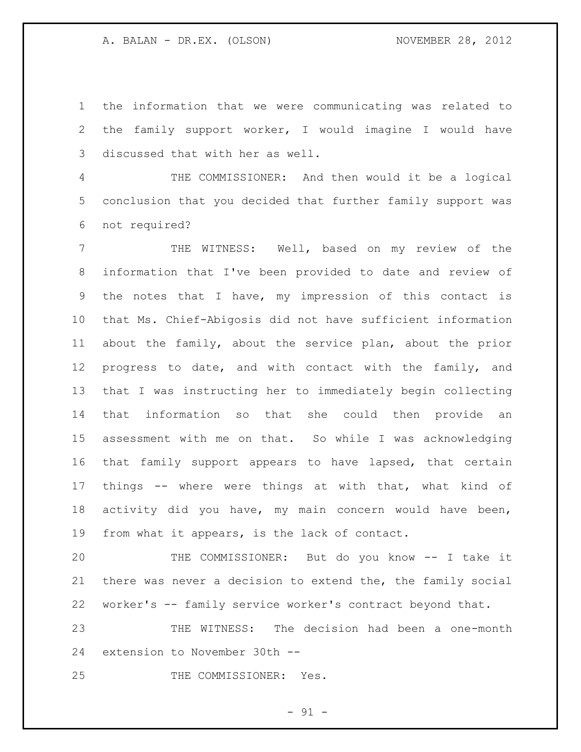the information that we were communicating was related to the family support worker, I would imagine I would have discussed that with her as well.

 THE COMMISSIONER: And then would it be a logical conclusion that you decided that further family support was not required?

 THE WITNESS: Well, based on my review of the information that I've been provided to date and review of the notes that I have, my impression of this contact is that Ms. Chief-Abigosis did not have sufficient information about the family, about the service plan, about the prior progress to date, and with contact with the family, and that I was instructing her to immediately begin collecting that information so that she could then provide an assessment with me on that. So while I was acknowledging that family support appears to have lapsed, that certain things -- where were things at with that, what kind of activity did you have, my main concern would have been, from what it appears, is the lack of contact.

 THE COMMISSIONER: But do you know -- I take it there was never a decision to extend the, the family social worker's -- family service worker's contract beyond that.

 THE WITNESS: The decision had been a one-month extension to November 30th --

THE COMMISSIONER: Yes.

 $-91 -$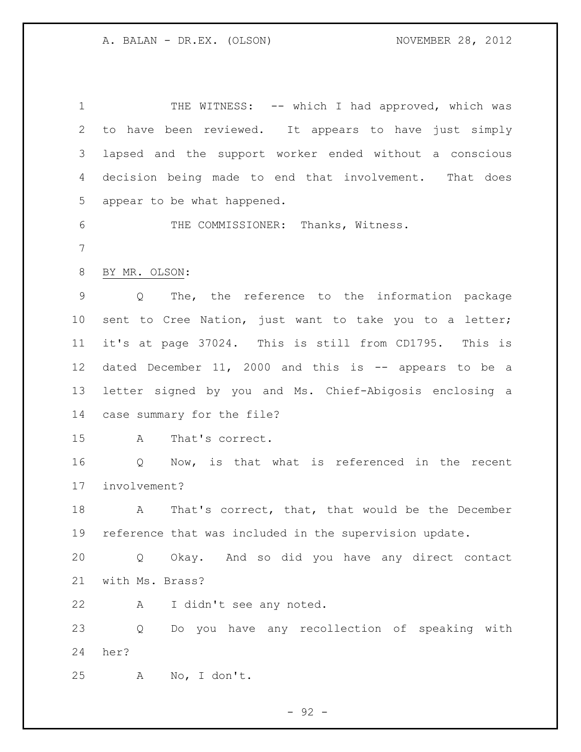1 THE WITNESS: -- which I had approved, which was to have been reviewed. It appears to have just simply lapsed and the support worker ended without a conscious decision being made to end that involvement. That does appear to be what happened. THE COMMISSIONER: Thanks, Witness. BY MR. OLSON: Q The, the reference to the information package sent to Cree Nation, just want to take you to a letter; it's at page 37024. This is still from CD1795. This is dated December 11, 2000 and this is -- appears to be a letter signed by you and Ms. Chief-Abigosis enclosing a case summary for the file? A That's correct. Q Now, is that what is referenced in the recent involvement? 18 A That's correct, that, that would be the December reference that was included in the supervision update. Q Okay. And so did you have any direct contact with Ms. Brass? A I didn't see any noted. Q Do you have any recollection of speaking with her? A No, I don't.

 $-92 -$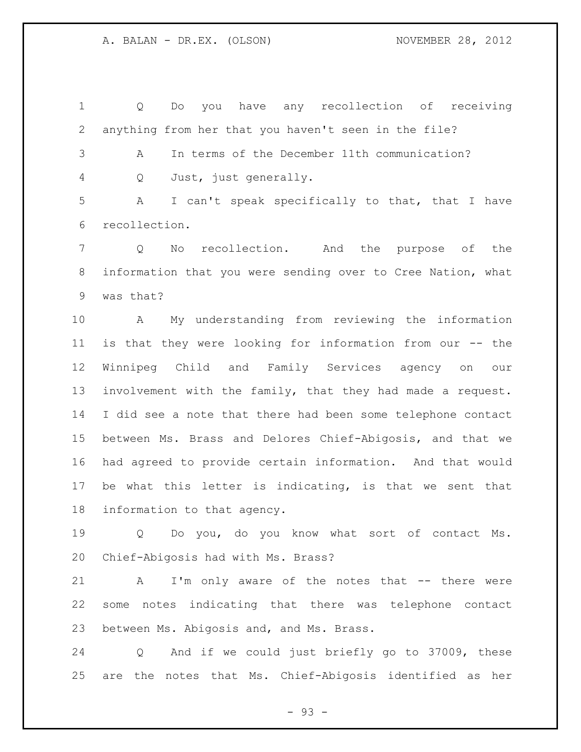Q Do you have any recollection of receiving anything from her that you haven't seen in the file?

 A In terms of the December 11th communication? Q Just, just generally.

 A I can't speak specifically to that, that I have recollection.

 Q No recollection. And the purpose of the information that you were sending over to Cree Nation, what was that?

 A My understanding from reviewing the information is that they were looking for information from our -- the Winnipeg Child and Family Services agency on our involvement with the family, that they had made a request. I did see a note that there had been some telephone contact between Ms. Brass and Delores Chief-Abigosis, and that we had agreed to provide certain information. And that would be what this letter is indicating, is that we sent that information to that agency.

 Q Do you, do you know what sort of contact Ms. Chief-Abigosis had with Ms. Brass?

 A I'm only aware of the notes that -- there were some notes indicating that there was telephone contact between Ms. Abigosis and, and Ms. Brass.

 Q And if we could just briefly go to 37009, these are the notes that Ms. Chief-Abigosis identified as her

- 93 -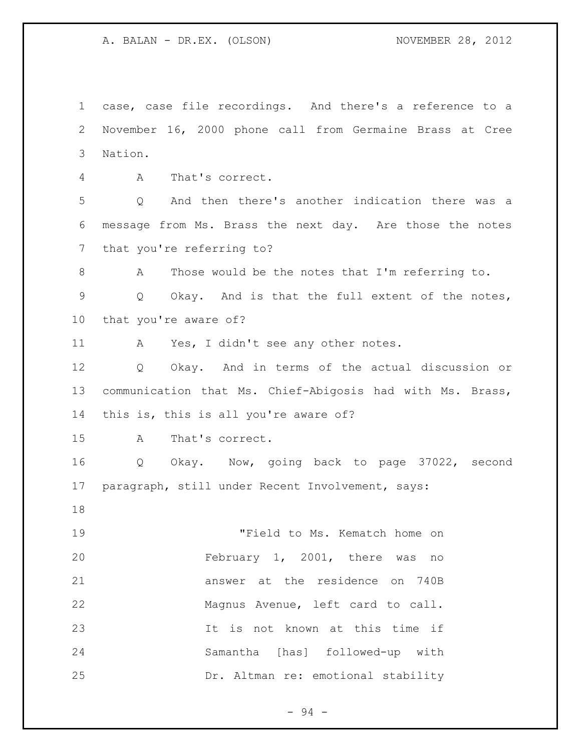case, case file recordings. And there's a reference to a November 16, 2000 phone call from Germaine Brass at Cree Nation.

A That's correct.

 Q And then there's another indication there was a message from Ms. Brass the next day. Are those the notes that you're referring to?

 A Those would be the notes that I'm referring to. Q Okay. And is that the full extent of the notes, that you're aware of?

A Yes, I didn't see any other notes.

 Q Okay. And in terms of the actual discussion or communication that Ms. Chief-Abigosis had with Ms. Brass, this is, this is all you're aware of?

A That's correct.

 Q Okay. Now, going back to page 37022, second paragraph, still under Recent Involvement, says:

 "Field to Ms. Kematch home on February 1, 2001, there was no answer at the residence on 740B Magnus Avenue, left card to call. It is not known at this time if Samantha [has] followed-up with Dr. Altman re: emotional stability

- 94 -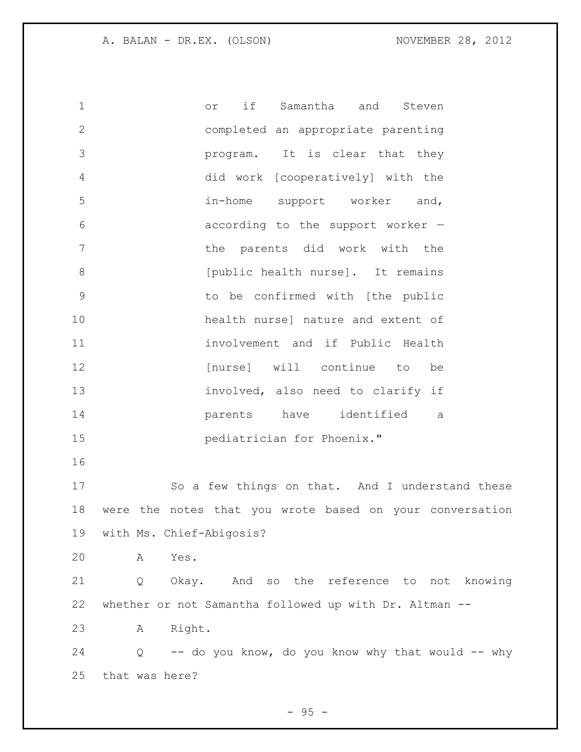or if Samantha and Steven completed an appropriate parenting program. It is clear that they did work [cooperatively] with the in-home support worker and, according to the support worker — **the parents did work with the b** [public health nurse]. It remains to be confirmed with [the public health nurse] nature and extent of involvement and if Public Health **[nurse]** will continue to be involved, also need to clarify if parents have identified a pediatrician for Phoenix." So a few things on that. And I understand these were the notes that you wrote based on your conversation with Ms. Chief-Abigosis? A Yes. Q Okay. And so the reference to not knowing whether or not Samantha followed up with Dr. Altman -- A Right. 24 Q -- do you know, do you know why that would -- why that was here?

 $- 95 -$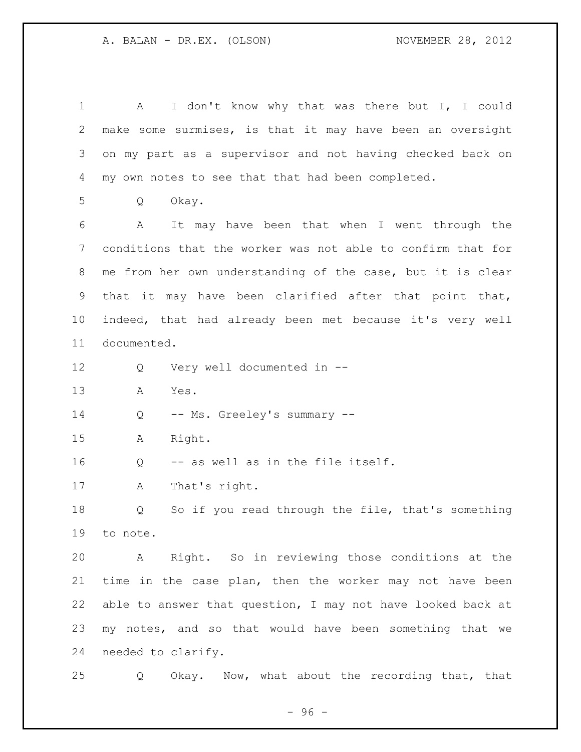1 A I don't know why that was there but I, I could make some surmises, is that it may have been an oversight on my part as a supervisor and not having checked back on my own notes to see that that had been completed. Q Okay. A It may have been that when I went through the conditions that the worker was not able to confirm that for me from her own understanding of the case, but it is clear 9 that it may have been clarified after that point that, indeed, that had already been met because it's very well documented. Q Very well documented in -- A Yes. 14 Q -- Ms. Greeley's summary -- A Right. Q -- as well as in the file itself. A That's right. Q So if you read through the file, that's something to note. A Right. So in reviewing those conditions at the time in the case plan, then the worker may not have been able to answer that question, I may not have looked back at my notes, and so that would have been something that we needed to clarify. Q Okay. Now, what about the recording that, that

- 96 -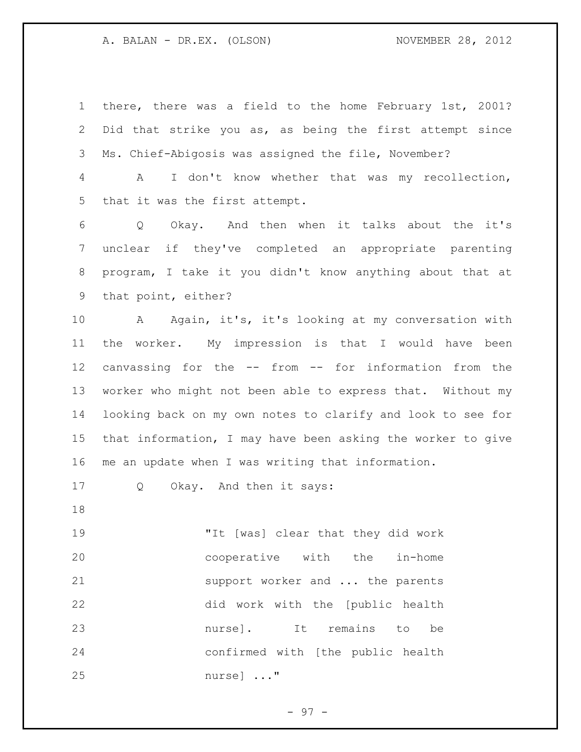there, there was a field to the home February 1st, 2001? Did that strike you as, as being the first attempt since Ms. Chief-Abigosis was assigned the file, November?

 A I don't know whether that was my recollection, that it was the first attempt.

 Q Okay. And then when it talks about the it's unclear if they've completed an appropriate parenting program, I take it you didn't know anything about that at that point, either?

 A Again, it's, it's looking at my conversation with the worker. My impression is that I would have been canvassing for the -- from -- for information from the worker who might not been able to express that. Without my looking back on my own notes to clarify and look to see for that information, I may have been asking the worker to give me an update when I was writing that information.

Q Okay. And then it says:

 "It [was] clear that they did work cooperative with the in-home 21 support worker and ... the parents did work with the [public health nurse]. It remains to be confirmed with [the public health nurse] ..."

 $-97 -$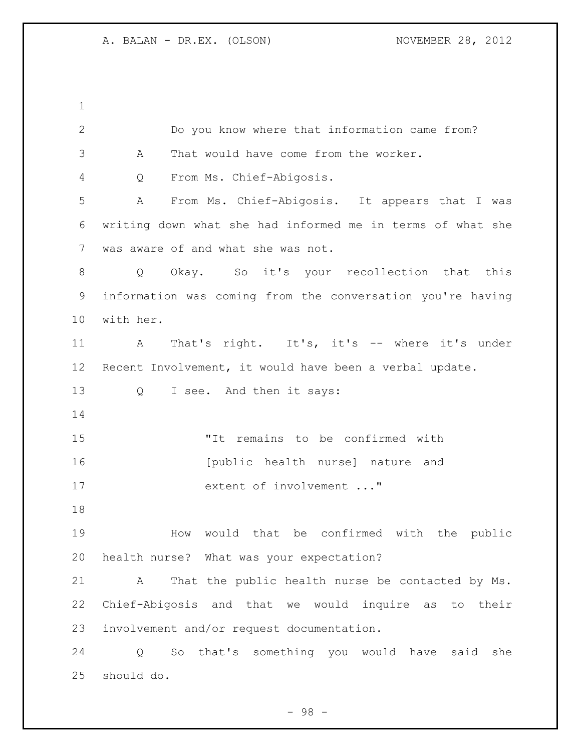| $\mathbf{2}$   | Do you know where that information came from?              |
|----------------|------------------------------------------------------------|
| $\mathcal{S}$  | That would have come from the worker.<br>A                 |
| 4              | From Ms. Chief-Abigosis.<br>Q                              |
| 5              | From Ms. Chief-Abigosis. It appears that I was<br>Α        |
| 6              | writing down what she had informed me in terms of what she |
| $\overline{7}$ | was aware of and what she was not.                         |
| 8              | Okay. So it's your recollection that this<br>Q             |
| 9              | information was coming from the conversation you're having |
| 10             | with her.                                                  |
| 11             | That's right. It's, it's -- where it's under<br>A          |
| 12             | Recent Involvement, it would have been a verbal update.    |
| 13             | $Q \qquad \qquad$<br>I see. And then it says:              |
| 14             |                                                            |
| 15             | "It remains to be confirmed with                           |
| 16             | [public health nurse] nature and                           |
| 17             | extent of involvement "                                    |
| 18             |                                                            |
| 19             | would that be confirmed with the<br>How<br>public          |
| 20             | health nurse? What was your expectation?                   |
| 21             | That the public health nurse be contacted by Ms.<br>A      |
| 22             | Chief-Abigosis and that we would inquire as to their       |
| 23             | involvement and/or request documentation.                  |
| 24             | So that's something you would have<br>she<br>said<br>Q     |
| 25             | should do.                                                 |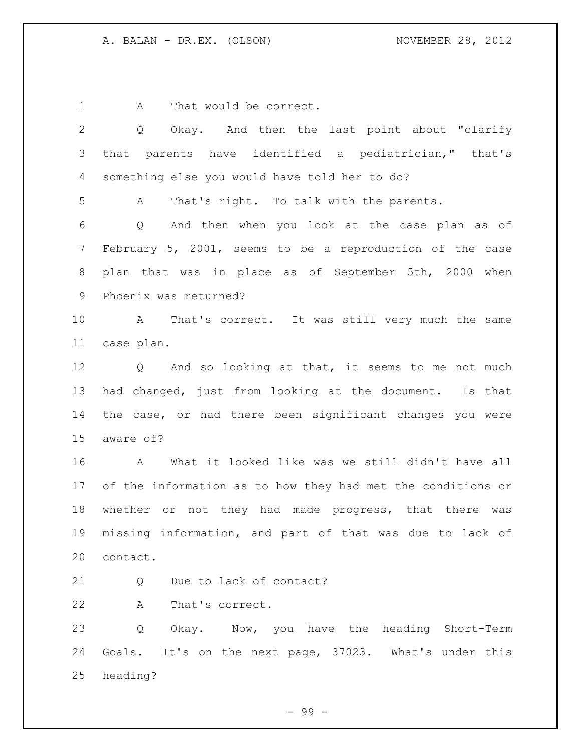1 A That would be correct.

| Okay. And then the last point about "clarify<br>Q               |
|-----------------------------------------------------------------|
| that parents have identified a pediatrician," that's            |
| something else you would have told her to do?                   |
| That's right. To talk with the parents.<br>Α                    |
| And then when you look at the case plan as of<br>Q              |
| February 5, 2001, seems to be a reproduction of the case        |
| plan that was in place as of September 5th, 2000 when           |
| Phoenix was returned?                                           |
| That's correct. It was still very much the same<br>$\mathbf{A}$ |
| case plan.                                                      |
| Q And so looking at that, it seems to me not much               |
| had changed, just from looking at the document. Is that         |
| the case, or had there been significant changes you were        |
| aware of?                                                       |
| A<br>What it looked like was we still didn't have all           |
| of the information as to how they had met the conditions or     |
| whether or not they had made progress, that there was           |
| missing information, and part of that was due to lack of        |
| contact.                                                        |
| Due to lack of contact?<br>Q                                    |
| Α<br>That's correct.                                            |
| Q<br>Okay. Now, you have the heading Short-Term                 |
| Goals. It's on the next page, 37023. What's under this          |
| heading?                                                        |
|                                                                 |

- 99 -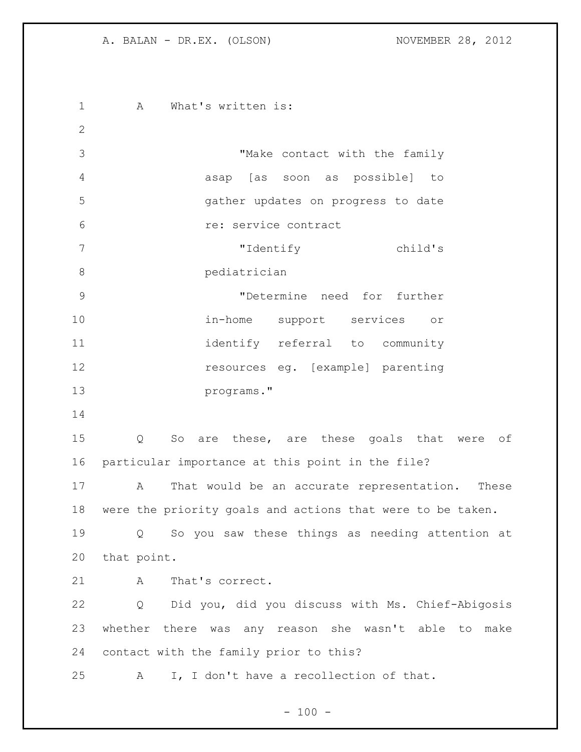1 A What's written is: "Make contact with the family asap [as soon as possible] to gather updates on progress to date re: service contract "Identify child's pediatrician "Determine need for further in-home support services or 11 identify referral to community resources eg. [example] parenting programs." Q So are these, are these goals that were of particular importance at this point in the file? A That would be an accurate representation. These were the priority goals and actions that were to be taken. Q So you saw these things as needing attention at that point. 21 A That's correct. Q Did you, did you discuss with Ms. Chief-Abigosis whether there was any reason she wasn't able to make contact with the family prior to this? A I, I don't have a recollection of that.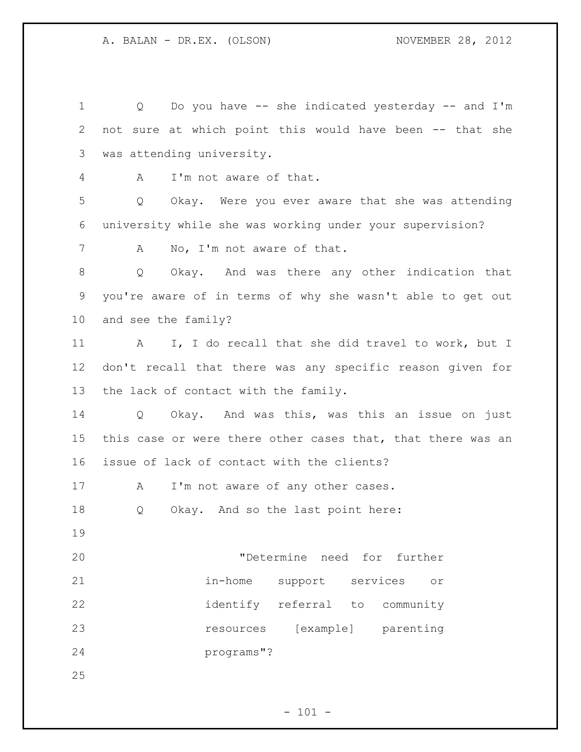Q Do you have -- she indicated yesterday -- and I'm not sure at which point this would have been -- that she was attending university. A I'm not aware of that. Q Okay. Were you ever aware that she was attending university while she was working under your supervision? 7 A No, I'm not aware of that. Q Okay. And was there any other indication that you're aware of in terms of why she wasn't able to get out and see the family? 11 A I, I do recall that she did travel to work, but I don't recall that there was any specific reason given for the lack of contact with the family. Q Okay. And was this, was this an issue on just this case or were there other cases that, that there was an issue of lack of contact with the clients? 17 A I'm not aware of any other cases. Q Okay. And so the last point here: "Determine need for further in-home support services or identify referral to community resources [example] parenting programs"? 

 $- 101 -$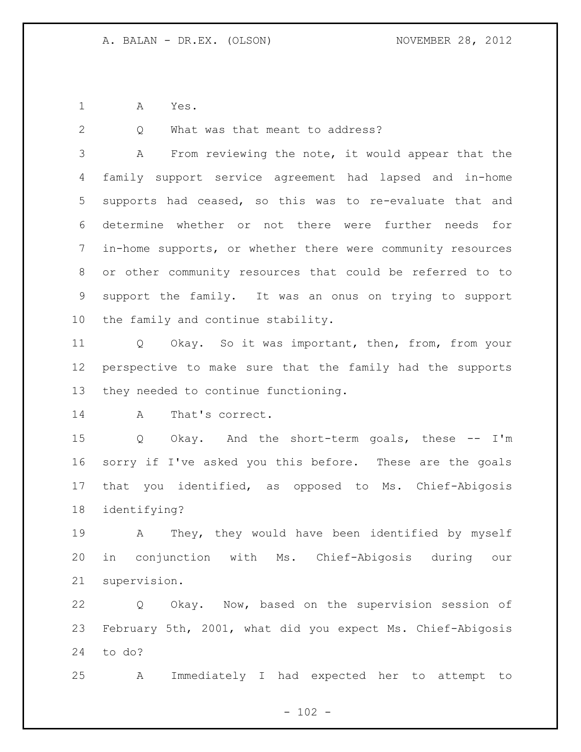A Yes.

2 Q What was that meant to address?

 A From reviewing the note, it would appear that the family support service agreement had lapsed and in-home supports had ceased, so this was to re-evaluate that and determine whether or not there were further needs for in-home supports, or whether there were community resources or other community resources that could be referred to to support the family. It was an onus on trying to support the family and continue stability.

 Q Okay. So it was important, then, from, from your perspective to make sure that the family had the supports they needed to continue functioning.

14 A That's correct.

 Q Okay. And the short-term goals, these -- I'm sorry if I've asked you this before. These are the goals that you identified, as opposed to Ms. Chief-Abigosis identifying?

 A They, they would have been identified by myself in conjunction with Ms. Chief-Abigosis during our supervision.

 Q Okay. Now, based on the supervision session of February 5th, 2001, what did you expect Ms. Chief-Abigosis to do?

A Immediately I had expected her to attempt to

 $- 102 -$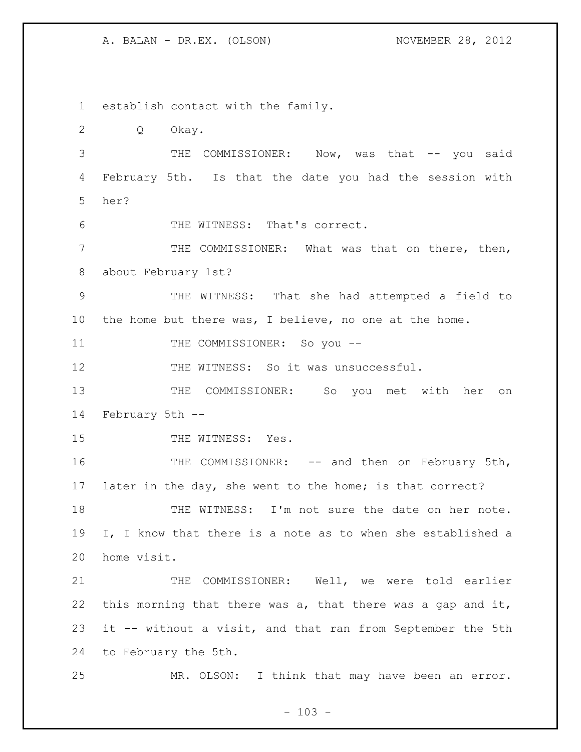establish contact with the family. Q Okay. 3 THE COMMISSIONER: Now, was that -- you said February 5th. Is that the date you had the session with her? THE WITNESS: That's correct. THE COMMISSIONER: What was that on there, then, about February 1st? THE WITNESS: That she had attempted a field to the home but there was, I believe, no one at the home. 11 THE COMMISSIONER: So you --12 THE WITNESS: So it was unsuccessful. THE COMMISSIONER: So you met with her on February 5th -- 15 THE WITNESS: Yes. 16 THE COMMISSIONER: -- and then on February 5th, later in the day, she went to the home; is that correct? 18 THE WITNESS: I'm not sure the date on her note. I, I know that there is a note as to when she established a home visit. THE COMMISSIONER: Well, we were told earlier 22 this morning that there was a, that there was a gap and it, it -- without a visit, and that ran from September the 5th to February the 5th. MR. OLSON: I think that may have been an error.

 $- 103 -$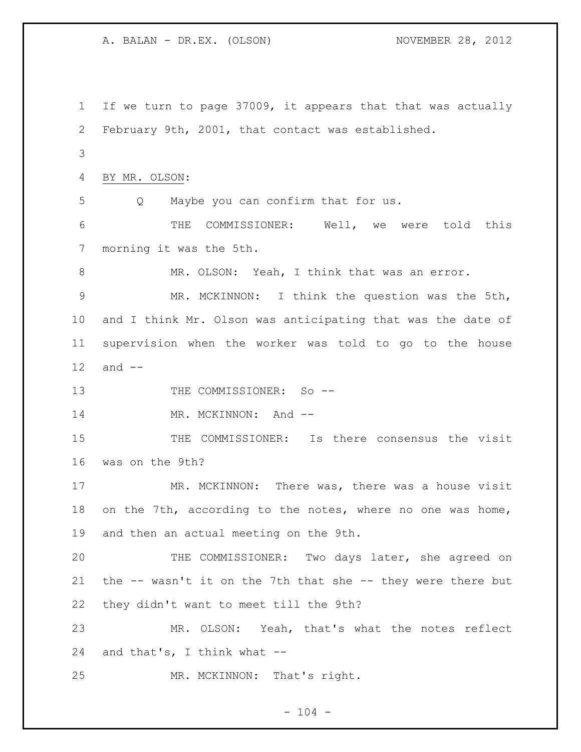A. BALAN - DR.EX. (OLSON) NOVEMBER 28, 2012 If we turn to page 37009, it appears that that was actually February 9th, 2001, that contact was established. BY MR. OLSON: Q Maybe you can confirm that for us. THE COMMISSIONER: Well, we were told this morning it was the 5th. 8 MR. OLSON: Yeah, I think that was an error. MR. MCKINNON: I think the question was the 5th, and I think Mr. Olson was anticipating that was the date of supervision when the worker was told to go to the house and -- 13 THE COMMISSIONER: So --14 MR. MCKINNON: And -- THE COMMISSIONER: Is there consensus the visit was on the 9th? 17 MR. MCKINNON: There was, there was a house visit on the 7th, according to the notes, where no one was home, and then an actual meeting on the 9th. THE COMMISSIONER: Two days later, she agreed on the -- wasn't it on the 7th that she -- they were there but they didn't want to meet till the 9th? MR. OLSON: Yeah, that's what the notes reflect and that's, I think what -- MR. MCKINNON: That's right.

## $- 104 -$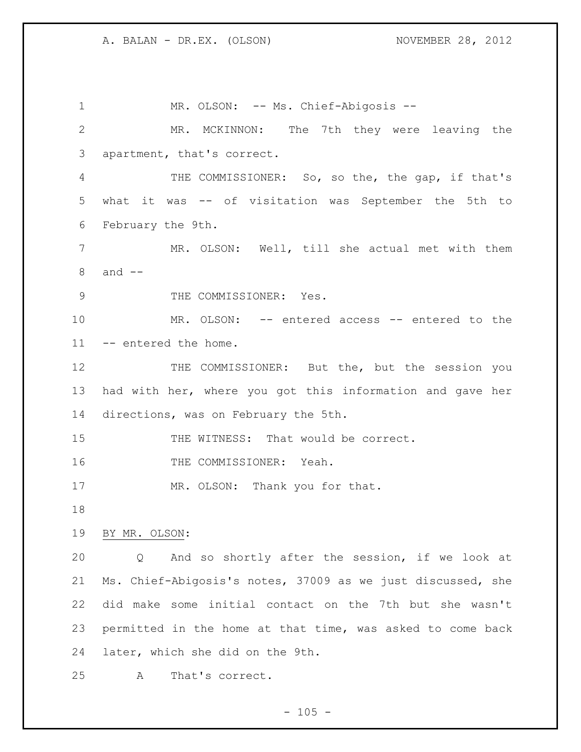1 MR. OLSON: -- Ms. Chief-Abigosis -- MR. MCKINNON: The 7th they were leaving the apartment, that's correct. THE COMMISSIONER: So, so the, the gap, if that's what it was -- of visitation was September the 5th to February the 9th. MR. OLSON: Well, till she actual met with them and -- 9 THE COMMISSIONER: Yes. MR. OLSON: -- entered access -- entered to the -- entered the home. 12 THE COMMISSIONER: But the, but the session you had with her, where you got this information and gave her directions, was on February the 5th. 15 THE WITNESS: That would be correct. 16 THE COMMISSIONER: Yeah. 17 MR. OLSON: Thank you for that. BY MR. OLSON: Q And so shortly after the session, if we look at Ms. Chief-Abigosis's notes, 37009 as we just discussed, she did make some initial contact on the 7th but she wasn't permitted in the home at that time, was asked to come back later, which she did on the 9th. A That's correct.

 $- 105 -$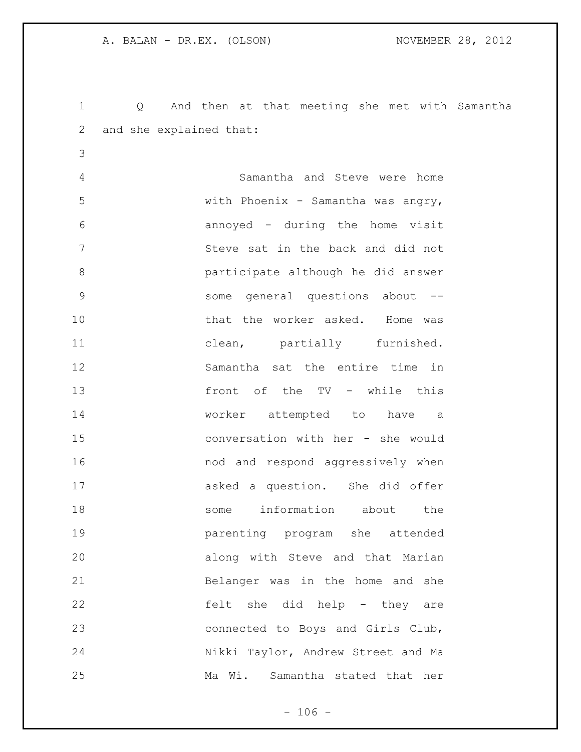and she explained that: Samantha and Steve were home with Phoenix - Samantha was angry, annoyed - during the home visit Steve sat in the back and did not participate although he did answer some general questions about -- 10 that the worker asked. Home was 11 clean, partially furnished. Samantha sat the entire time in front of the TV - while this worker attempted to have a conversation with her - she would 16 16 and and respond aggressively when asked a question. She did offer some information about the parenting program she attended along with Steve and that Marian Belanger was in the home and she felt she did help - they are connected to Boys and Girls Club, Nikki Taylor, Andrew Street and Ma Ma Wi. Samantha stated that her

Q And then at that meeting she met with Samantha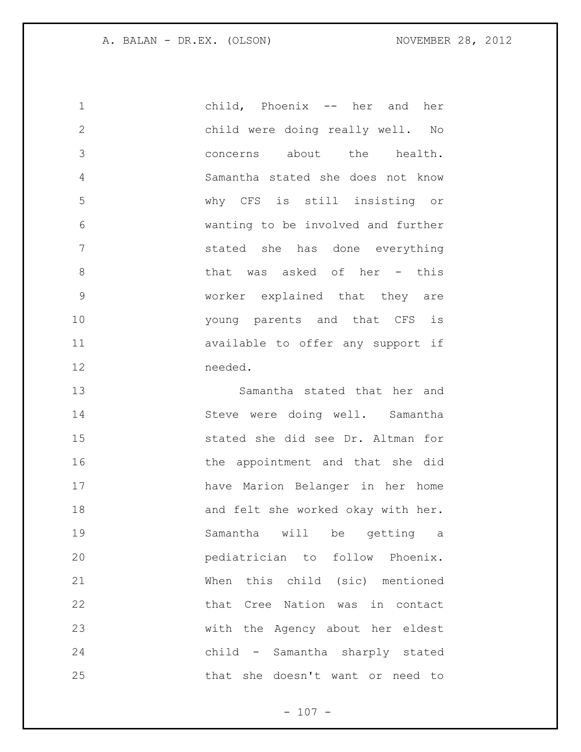child, Phoenix -- her and her child were doing really well. No concerns about the health. Samantha stated she does not know why CFS is still insisting or wanting to be involved and further stated she has done everything 8 that was asked of her - this worker explained that they are **b** young parents and that CFS is available to offer any support if needed.

 Samantha stated that her and 14 Steve were doing well. Samantha stated she did see Dr. Altman for 16 the appointment and that she did have Marion Belanger in her home 18 and felt she worked okay with her. Samantha will be getting a pediatrician to follow Phoenix. When this child (sic) mentioned that Cree Nation was in contact with the Agency about her eldest child - Samantha sharply stated that she doesn't want or need to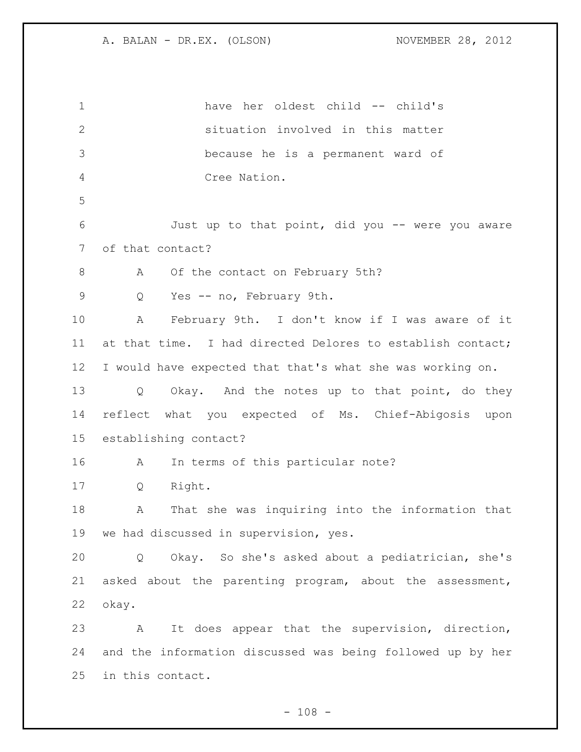have her oldest child -- child's situation involved in this matter because he is a permanent ward of Cree Nation. Just up to that point, did you -- were you aware of that contact? 8 A Of the contact on February 5th? Q Yes -- no, February 9th. A February 9th. I don't know if I was aware of it at that time. I had directed Delores to establish contact; I would have expected that that's what she was working on. 13 Q Okay. And the notes up to that point, do they reflect what you expected of Ms. Chief-Abigosis upon establishing contact? A In terms of this particular note? Q Right. A That she was inquiring into the information that we had discussed in supervision, yes. Q Okay. So she's asked about a pediatrician, she's asked about the parenting program, about the assessment, okay. A It does appear that the supervision, direction, and the information discussed was being followed up by her in this contact.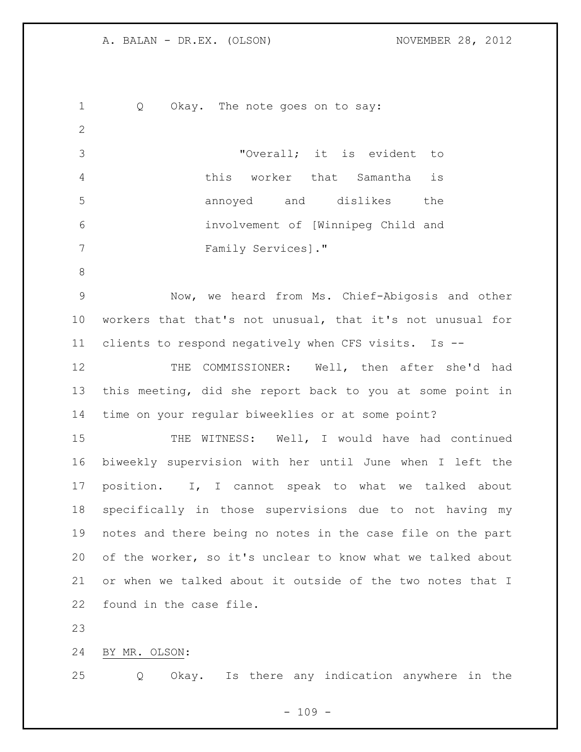1 Q Okay. The note goes on to say: "Overall; it is evident to this worker that Samantha is annoyed and dislikes the involvement of [Winnipeg Child and Family Services]." Now, we heard from Ms. Chief-Abigosis and other workers that that's not unusual, that it's not unusual for clients to respond negatively when CFS visits. Is -- THE COMMISSIONER: Well, then after she'd had this meeting, did she report back to you at some point in time on your regular biweeklies or at some point? 15 THE WITNESS: Well, I would have had continued biweekly supervision with her until June when I left the position. I, I cannot speak to what we talked about specifically in those supervisions due to not having my notes and there being no notes in the case file on the part of the worker, so it's unclear to know what we talked about or when we talked about it outside of the two notes that I found in the case file. BY MR. OLSON: Q Okay. Is there any indication anywhere in the

 $- 109 -$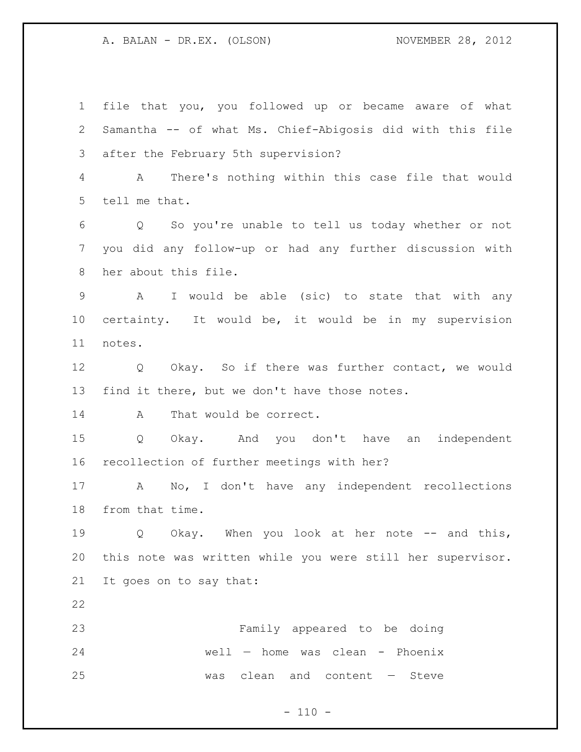file that you, you followed up or became aware of what Samantha -- of what Ms. Chief-Abigosis did with this file after the February 5th supervision? A There's nothing within this case file that would tell me that. Q So you're unable to tell us today whether or not you did any follow-up or had any further discussion with her about this file. A I would be able (sic) to state that with any certainty. It would be, it would be in my supervision notes. Q Okay. So if there was further contact, we would find it there, but we don't have those notes. 14 A That would be correct. Q Okay. And you don't have an independent recollection of further meetings with her? A No, I don't have any independent recollections from that time. 19 0 Okay. When you look at her note -- and this, this note was written while you were still her supervisor. It goes on to say that: Family appeared to be doing well — home was clean - Phoenix was clean and content — Steve

 $- 110 -$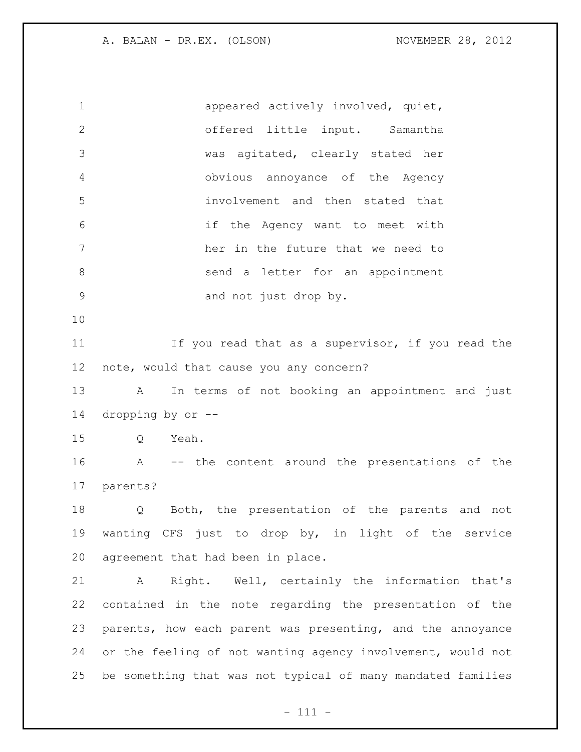1 appeared actively involved, quiet, offered little input. Samantha was agitated, clearly stated her obvious annoyance of the Agency involvement and then stated that if the Agency want to meet with her in the future that we need to 8 send a letter for an appointment and not just drop by. 11 11 If you read that as a supervisor, if you read the note, would that cause you any concern? A In terms of not booking an appointment and just dropping by or -- Q Yeah. A -- the content around the presentations of the parents? Q Both, the presentation of the parents and not wanting CFS just to drop by, in light of the service agreement that had been in place. A Right. Well, certainly the information that's contained in the note regarding the presentation of the parents, how each parent was presenting, and the annoyance or the feeling of not wanting agency involvement, would not be something that was not typical of many mandated families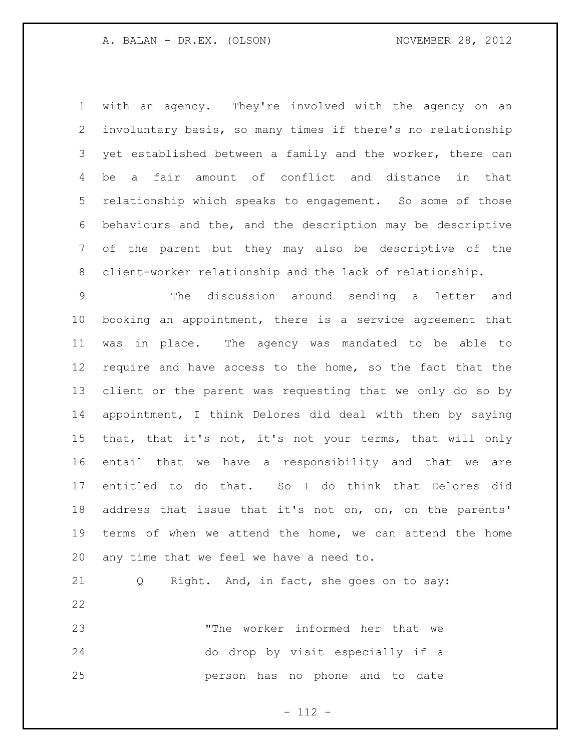with an agency. They're involved with the agency on an involuntary basis, so many times if there's no relationship yet established between a family and the worker, there can be a fair amount of conflict and distance in that relationship which speaks to engagement. So some of those behaviours and the, and the description may be descriptive of the parent but they may also be descriptive of the client-worker relationship and the lack of relationship.

 The discussion around sending a letter and booking an appointment, there is a service agreement that was in place. The agency was mandated to be able to require and have access to the home, so the fact that the client or the parent was requesting that we only do so by appointment, I think Delores did deal with them by saying that, that it's not, it's not your terms, that will only entail that we have a responsibility and that we are entitled to do that. So I do think that Delores did address that issue that it's not on, on, on the parents' terms of when we attend the home, we can attend the home any time that we feel we have a need to.

 Q Right. And, in fact, she goes on to say: "The worker informed her that we do drop by visit especially if a person has no phone and to date

- 112 -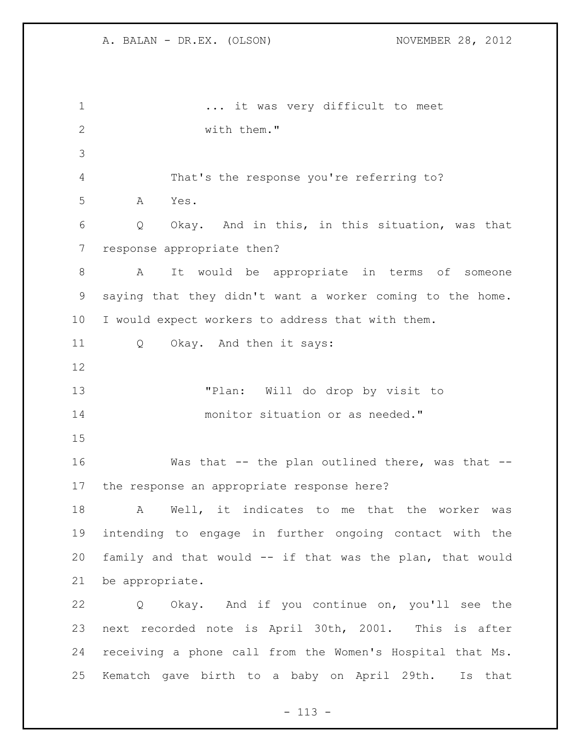... it was very difficult to meet with them." That's the response you're referring to? A Yes. Q Okay. And in this, in this situation, was that response appropriate then? A It would be appropriate in terms of someone saying that they didn't want a worker coming to the home. I would expect workers to address that with them. Q Okay. And then it says: "Plan: Will do drop by visit to monitor situation or as needed." 16 Was that -- the plan outlined there, was that -- the response an appropriate response here? A Well, it indicates to me that the worker was intending to engage in further ongoing contact with the family and that would -- if that was the plan, that would be appropriate. Q Okay. And if you continue on, you'll see the next recorded note is April 30th, 2001. This is after receiving a phone call from the Women's Hospital that Ms. Kematch gave birth to a baby on April 29th. Is that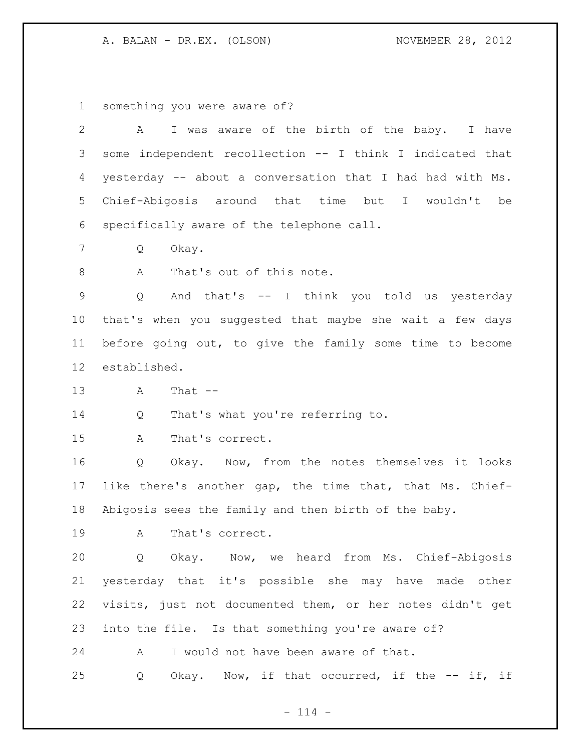something you were aware of?

| $\overline{2}$ | I was aware of the birth of the baby. I have<br>Α         |
|----------------|-----------------------------------------------------------|
| 3              | some independent recollection -- I think I indicated that |
| 4              | yesterday -- about a conversation that I had had with Ms. |
| 5              | Chief-Abigosis around that time but I wouldn't be         |
| 6              | specifically aware of the telephone call.                 |
| 7              | Okay.<br>Q                                                |
| 8              | That's out of this note.<br>Α                             |
| 9              | And that's -- I think you told us yesterday<br>Q          |
| $10 \,$        | that's when you suggested that maybe she wait a few days  |
| 11             | before going out, to give the family some time to become  |
| 12             | established.                                              |
| 13             | That $--$<br>A                                            |
| 14             | That's what you're referring to.<br>Q                     |
| 15             | That's correct.<br>Α                                      |
| 16             | Okay. Now, from the notes themselves it looks<br>Q        |
| 17             | like there's another gap, the time that, that Ms. Chief-  |
| 18             | Abigosis sees the family and then birth of the baby.      |
| 19             | That's correct.<br>Α                                      |
| 20             | Q Okay. Now, we heard from Ms. Chief-Abigosis             |
| 21             | yesterday that it's possible she may have made other      |
| 22             | visits, just not documented them, or her notes didn't get |
| 23             | into the file. Is that something you're aware of?         |
| 24             | I would not have been aware of that.<br>A                 |
| 25             | Okay. Now, if that occurred, if the -- if, if<br>Q        |

- 114 -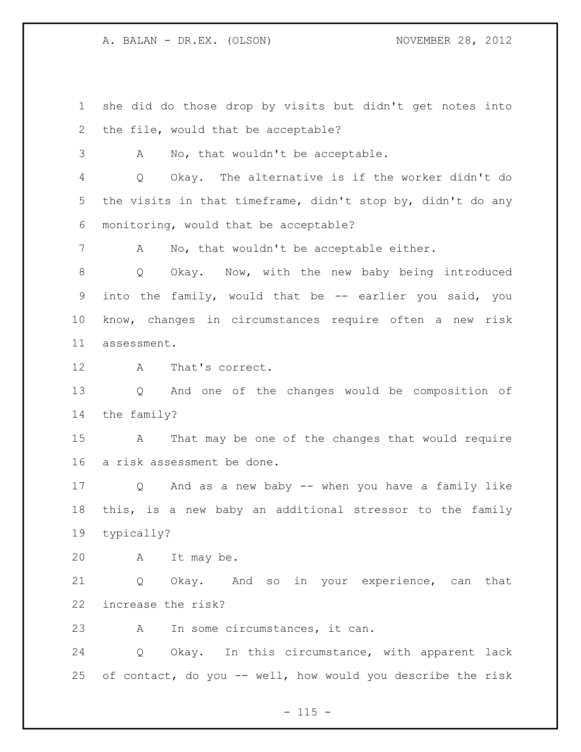she did do those drop by visits but didn't get notes into the file, would that be acceptable?

A No, that wouldn't be acceptable.

 Q Okay. The alternative is if the worker didn't do the visits in that timeframe, didn't stop by, didn't do any monitoring, would that be acceptable?

A No, that wouldn't be acceptable either.

 Q Okay. Now, with the new baby being introduced into the family, would that be -- earlier you said, you know, changes in circumstances require often a new risk assessment.

A That's correct.

 Q And one of the changes would be composition of the family?

 A That may be one of the changes that would require a risk assessment be done.

 Q And as a new baby -- when you have a family like this, is a new baby an additional stressor to the family typically?

A It may be.

 Q Okay. And so in your experience, can that increase the risk?

A In some circumstances, it can.

 Q Okay. In this circumstance, with apparent lack of contact, do you -- well, how would you describe the risk

 $- 115 -$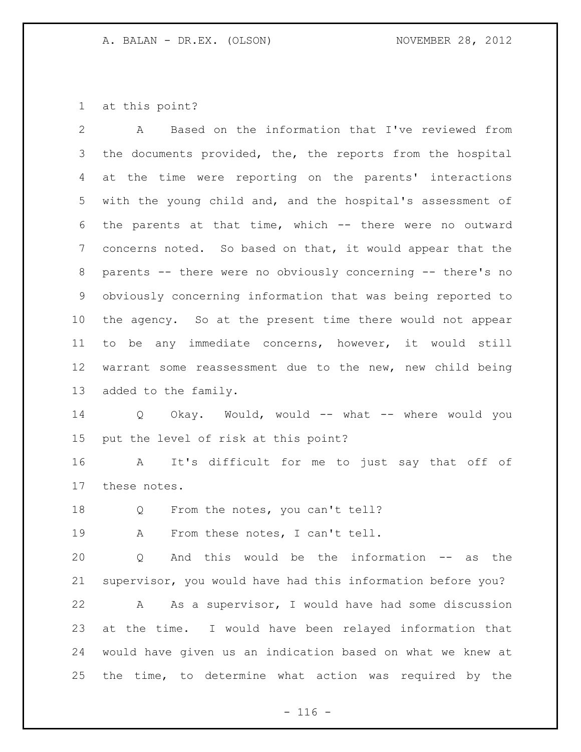at this point?

 A Based on the information that I've reviewed from the documents provided, the, the reports from the hospital at the time were reporting on the parents' interactions with the young child and, and the hospital's assessment of the parents at that time, which -- there were no outward concerns noted. So based on that, it would appear that the parents -- there were no obviously concerning -- there's no obviously concerning information that was being reported to the agency. So at the present time there would not appear to be any immediate concerns, however, it would still warrant some reassessment due to the new, new child being added to the family.

 Q Okay. Would, would -- what -- where would you put the level of risk at this point?

 A It's difficult for me to just say that off of these notes.

18 Q From the notes, you can't tell?

19 A From these notes, I can't tell.

 Q And this would be the information -- as the supervisor, you would have had this information before you?

 A As a supervisor, I would have had some discussion at the time. I would have been relayed information that would have given us an indication based on what we knew at the time, to determine what action was required by the

 $- 116 -$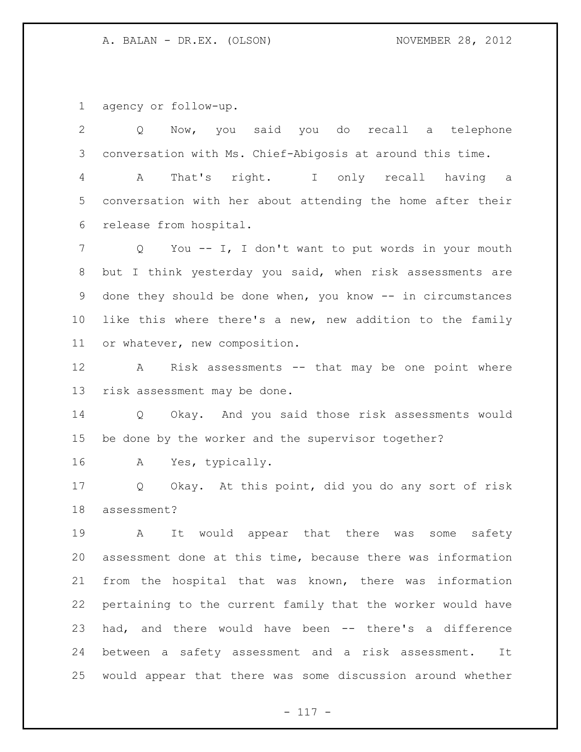agency or follow-up.

 Q Now, you said you do recall a telephone conversation with Ms. Chief-Abigosis at around this time. A That's right. I only recall having a conversation with her about attending the home after their release from hospital. Q You -- I, I don't want to put words in your mouth but I think yesterday you said, when risk assessments are 9 done they should be done when, you know -- in circumstances like this where there's a new, new addition to the family or whatever, new composition. A Risk assessments -- that may be one point where risk assessment may be done. Q Okay. And you said those risk assessments would be done by the worker and the supervisor together? A Yes, typically. Q Okay. At this point, did you do any sort of risk assessment? A It would appear that there was some safety assessment done at this time, because there was information from the hospital that was known, there was information pertaining to the current family that the worker would have had, and there would have been -- there's a difference between a safety assessment and a risk assessment. It would appear that there was some discussion around whether

- 117 -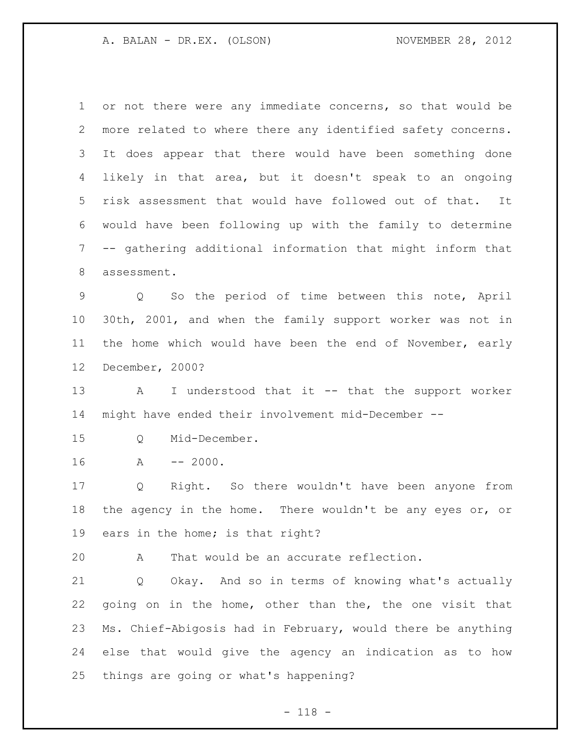or not there were any immediate concerns, so that would be more related to where there any identified safety concerns. It does appear that there would have been something done likely in that area, but it doesn't speak to an ongoing risk assessment that would have followed out of that. It would have been following up with the family to determine -- gathering additional information that might inform that assessment. Q So the period of time between this note, April 30th, 2001, and when the family support worker was not in the home which would have been the end of November, early December, 2000? A I understood that it -- that the support worker might have ended their involvement mid-December -- Q Mid-December. A -- 2000. Q Right. So there wouldn't have been anyone from 18 the agency in the home. There wouldn't be any eyes or, or ears in the home; is that right? A That would be an accurate reflection. Q Okay. And so in terms of knowing what's actually going on in the home, other than the, the one visit that Ms. Chief-Abigosis had in February, would there be anything else that would give the agency an indication as to how things are going or what's happening?

- 118 -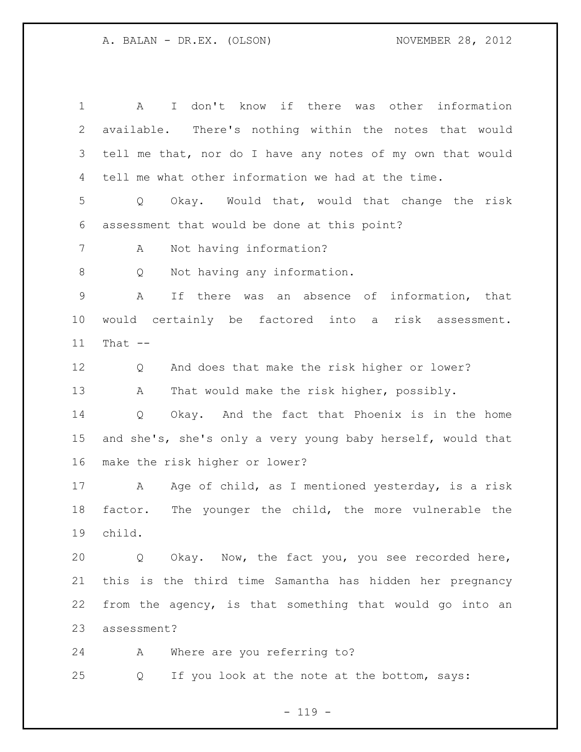A I don't know if there was other information available. There's nothing within the notes that would tell me that, nor do I have any notes of my own that would tell me what other information we had at the time. Q Okay. Would that, would that change the risk assessment that would be done at this point? A Not having information? Q Not having any information. A If there was an absence of information, that would certainly be factored into a risk assessment. That -- Q And does that make the risk higher or lower? A That would make the risk higher, possibly. Q Okay. And the fact that Phoenix is in the home and she's, she's only a very young baby herself, would that make the risk higher or lower? 17 A Age of child, as I mentioned yesterday, is a risk factor. The younger the child, the more vulnerable the child. Q Okay. Now, the fact you, you see recorded here, this is the third time Samantha has hidden her pregnancy from the agency, is that something that would go into an assessment? A Where are you referring to?

Q If you look at the note at the bottom, says:

 $- 119 -$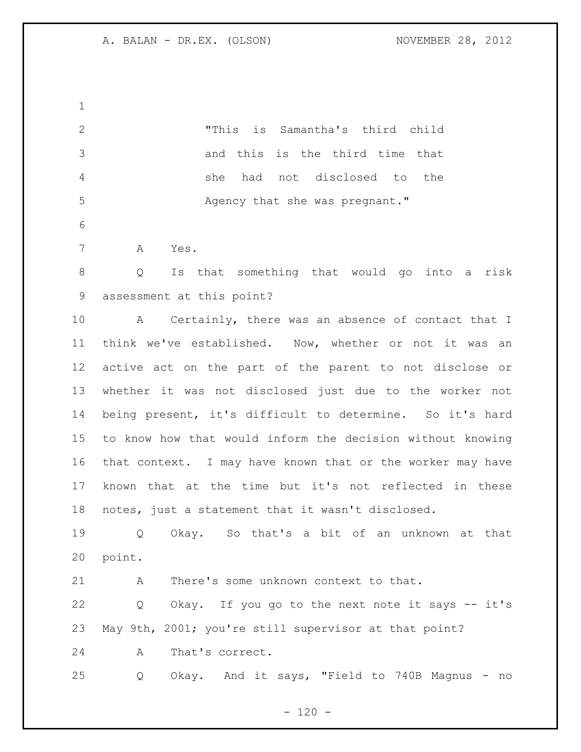"This is Samantha's third child and this is the third time that she had not disclosed to the 5 Agency that she was pregnant." A Yes. Q Is that something that would go into a risk assessment at this point? A Certainly, there was an absence of contact that I think we've established. Now, whether or not it was an active act on the part of the parent to not disclose or whether it was not disclosed just due to the worker not being present, it's difficult to determine. So it's hard to know how that would inform the decision without knowing that context. I may have known that or the worker may have known that at the time but it's not reflected in these notes, just a statement that it wasn't disclosed. Q Okay. So that's a bit of an unknown at that point. A There's some unknown context to that. Q Okay. If you go to the next note it says -- it's May 9th, 2001; you're still supervisor at that point? A That's correct. Q Okay. And it says, "Field to 740B Magnus - no

 $- 120 -$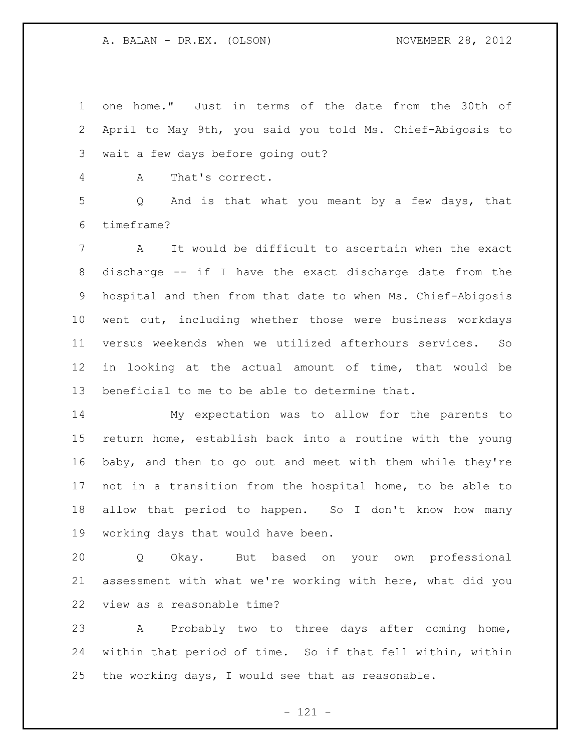one home." Just in terms of the date from the 30th of April to May 9th, you said you told Ms. Chief-Abigosis to wait a few days before going out?

A That's correct.

 Q And is that what you meant by a few days, that timeframe?

 A It would be difficult to ascertain when the exact discharge -- if I have the exact discharge date from the hospital and then from that date to when Ms. Chief-Abigosis went out, including whether those were business workdays versus weekends when we utilized afterhours services. So in looking at the actual amount of time, that would be beneficial to me to be able to determine that.

 My expectation was to allow for the parents to return home, establish back into a routine with the young baby, and then to go out and meet with them while they're not in a transition from the hospital home, to be able to allow that period to happen. So I don't know how many working days that would have been.

 Q Okay. But based on your own professional assessment with what we're working with here, what did you view as a reasonable time?

 A Probably two to three days after coming home, within that period of time. So if that fell within, within the working days, I would see that as reasonable.

- 121 -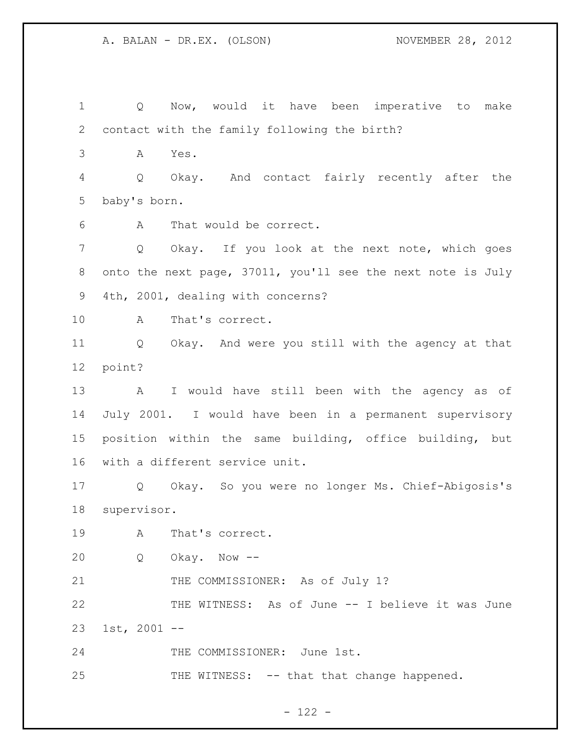Q Now, would it have been imperative to make contact with the family following the birth? A Yes. Q Okay. And contact fairly recently after the baby's born. A That would be correct. Q Okay. If you look at the next note, which goes onto the next page, 37011, you'll see the next note is July 4th, 2001, dealing with concerns? A That's correct. Q Okay. And were you still with the agency at that point? A I would have still been with the agency as of July 2001. I would have been in a permanent supervisory position within the same building, office building, but with a different service unit. Q Okay. So you were no longer Ms. Chief-Abigosis's supervisor. A That's correct. Q Okay. Now -- 21 THE COMMISSIONER: As of July 1? THE WITNESS: As of June -- I believe it was June 1st, 2001 -- 24 THE COMMISSIONER: June 1st. 25 THE WITNESS: -- that that change happened.

- 122 -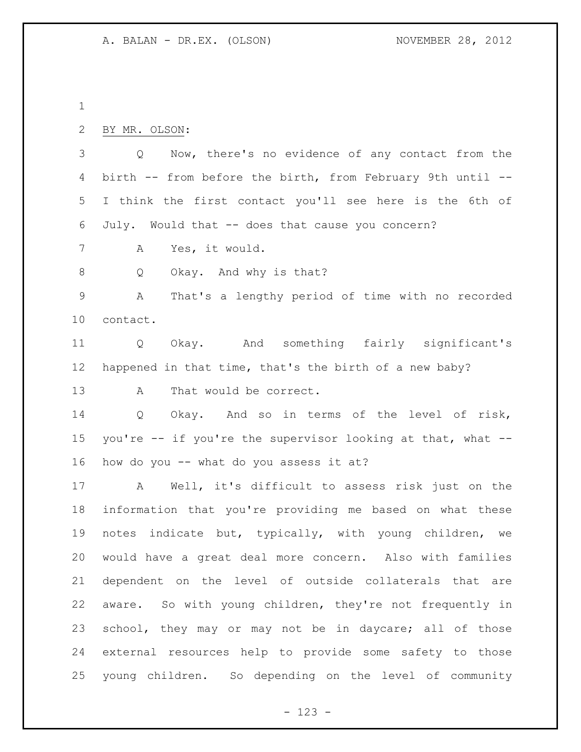BY MR. OLSON: Q Now, there's no evidence of any contact from the birth -- from before the birth, from February 9th until -- I think the first contact you'll see here is the 6th of July. Would that -- does that cause you concern? A Yes, it would. 8 Q Okay. And why is that? A That's a lengthy period of time with no recorded contact. Q Okay. And something fairly significant's happened in that time, that's the birth of a new baby? 13 A That would be correct. Q Okay. And so in terms of the level of risk, you're -- if you're the supervisor looking at that, what -- how do you -- what do you assess it at? A Well, it's difficult to assess risk just on the information that you're providing me based on what these notes indicate but, typically, with young children, we would have a great deal more concern. Also with families dependent on the level of outside collaterals that are aware. So with young children, they're not frequently in school, they may or may not be in daycare; all of those external resources help to provide some safety to those

- 123 -

young children. So depending on the level of community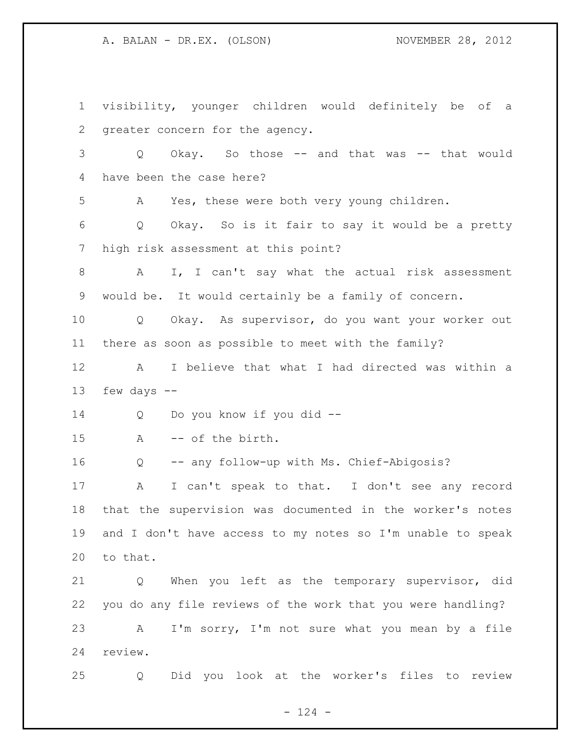visibility, younger children would definitely be of a greater concern for the agency. Q Okay. So those -- and that was -- that would have been the case here? A Yes, these were both very young children. Q Okay. So is it fair to say it would be a pretty high risk assessment at this point? A I, I can't say what the actual risk assessment would be. It would certainly be a family of concern. Q Okay. As supervisor, do you want your worker out there as soon as possible to meet with the family? A I believe that what I had directed was within a few days -- Q Do you know if you did -- A -- of the birth. Q -- any follow-up with Ms. Chief-Abigosis? A I can't speak to that. I don't see any record that the supervision was documented in the worker's notes and I don't have access to my notes so I'm unable to speak to that. Q When you left as the temporary supervisor, did you do any file reviews of the work that you were handling? A I'm sorry, I'm not sure what you mean by a file review. Q Did you look at the worker's files to review

 $- 124 -$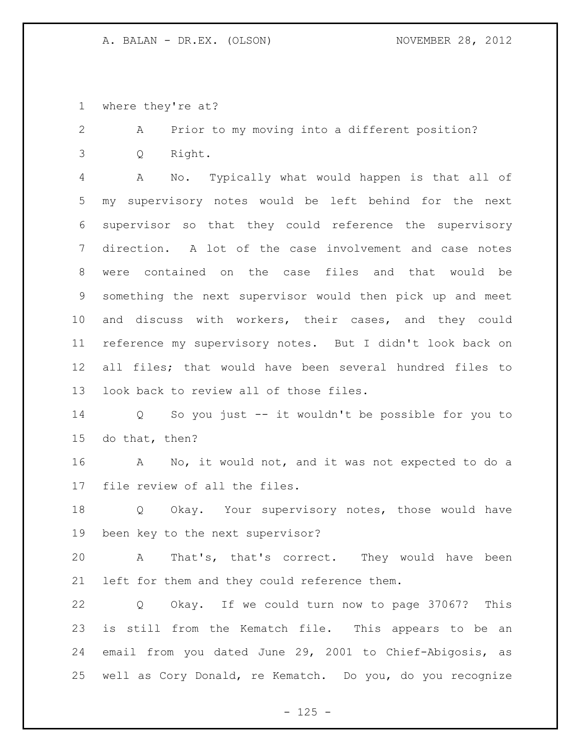where they're at?

 A Prior to my moving into a different position? Q Right.

 A No. Typically what would happen is that all of my supervisory notes would be left behind for the next supervisor so that they could reference the supervisory direction. A lot of the case involvement and case notes were contained on the case files and that would be something the next supervisor would then pick up and meet and discuss with workers, their cases, and they could reference my supervisory notes. But I didn't look back on all files; that would have been several hundred files to look back to review all of those files.

 Q So you just -- it wouldn't be possible for you to do that, then?

 A No, it would not, and it was not expected to do a file review of all the files.

 Q Okay. Your supervisory notes, those would have been key to the next supervisor?

 A That's, that's correct. They would have been left for them and they could reference them.

 Q Okay. If we could turn now to page 37067? This is still from the Kematch file. This appears to be an email from you dated June 29, 2001 to Chief-Abigosis, as well as Cory Donald, re Kematch. Do you, do you recognize

 $- 125 -$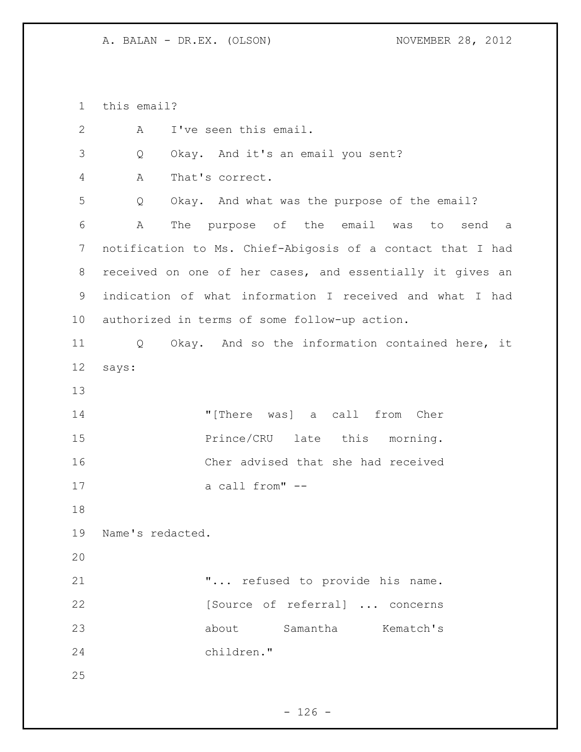this email?

| $\mathbf{2}$ | I've seen this email.<br>A                                 |
|--------------|------------------------------------------------------------|
| 3            | Okay. And it's an email you sent?<br>Q                     |
| 4            | That's correct.<br>Α                                       |
| 5            | Okay. And what was the purpose of the email?<br>Q          |
| 6            | The purpose of the email was to<br>Α<br>send a             |
| 7            | notification to Ms. Chief-Abigosis of a contact that I had |
| 8            | received on one of her cases, and essentially it gives an  |
| 9            | indication of what information I received and what I had   |
| 10           | authorized in terms of some follow-up action.              |
| 11           | Okay. And so the information contained here, it<br>Q       |
| 12           | says:                                                      |
| 13           |                                                            |
| 14           | "[There was] a call from Cher                              |
| 15           | Prince/CRU late this morning.                              |
| 16           | Cher advised that she had received                         |
| 17           | a call from" --                                            |
| 18           |                                                            |
| 19           | Name's redacted.                                           |
| 20           |                                                            |
| 21           | " refused to provide his name.                             |
| 22           | [Source of referral]  concerns                             |
| 23           | about Samantha Kematch's                                   |
| 24           | children."                                                 |
| 25           |                                                            |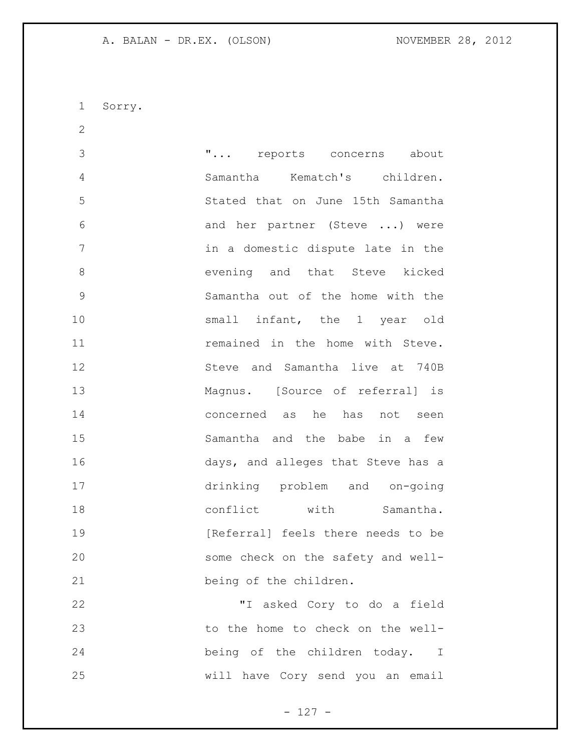Sorry.

 "... reports concerns about Samantha Kematch's children. Stated that on June 15th Samantha and her partner (Steve ...) were in a domestic dispute late in the 8 evening and that Steve kicked Samantha out of the home with the 10 small infant, the 1 year old **11 remained in the home with Steve.**  Steve and Samantha live at 740B Magnus. [Source of referral] is concerned as he has not seen Samantha and the babe in a few days, and alleges that Steve has a drinking problem and on-going 18 conflict with Samantha. **Interpretent** [Referral] feels there needs to be some check on the safety and well- being of the children. "I asked Cory to do a field

 to the home to check on the well- being of the children today. I will have Cory send you an email

- 127 -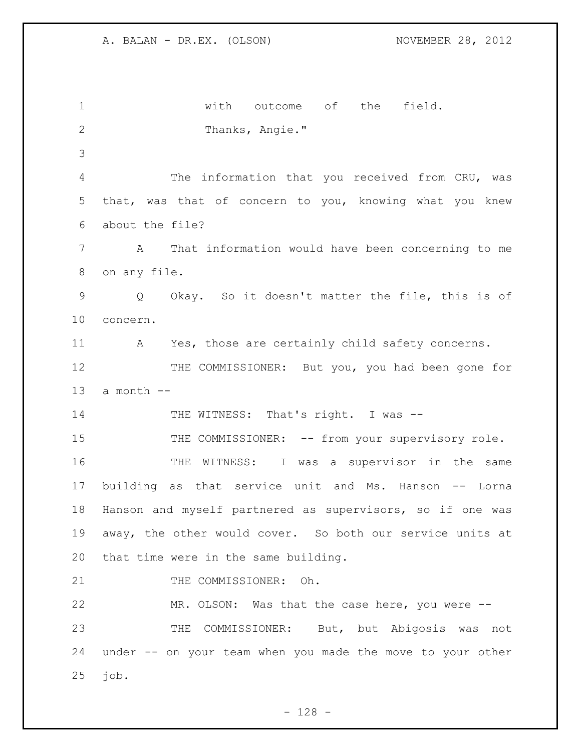with outcome of the field. Thanks, Angie." The information that you received from CRU, was that, was that of concern to you, knowing what you knew about the file? A That information would have been concerning to me on any file. Q Okay. So it doesn't matter the file, this is of concern. 11 A Yes, those are certainly child safety concerns. 12 THE COMMISSIONER: But you, you had been gone for 13 a month  $--$ 14 THE WITNESS: That's right. I was --15 THE COMMISSIONER: -- from your supervisory role. THE WITNESS: I was a supervisor in the same building as that service unit and Ms. Hanson -- Lorna Hanson and myself partnered as supervisors, so if one was away, the other would cover. So both our service units at that time were in the same building. 21 THE COMMISSIONER: Oh. MR. OLSON: Was that the case here, you were -- THE COMMISSIONER: But, but Abigosis was not under -- on your team when you made the move to your other job.

 $- 128 -$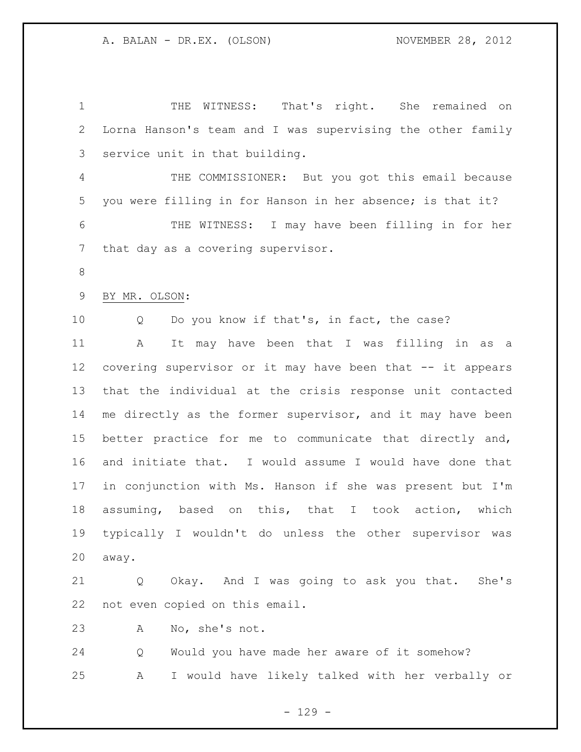THE WITNESS: That's right. She remained on Lorna Hanson's team and I was supervising the other family service unit in that building. THE COMMISSIONER: But you got this email because you were filling in for Hanson in her absence; is that it? THE WITNESS: I may have been filling in for her that day as a covering supervisor. BY MR. OLSON: Q Do you know if that's, in fact, the case? A It may have been that I was filling in as a covering supervisor or it may have been that -- it appears that the individual at the crisis response unit contacted 14 me directly as the former supervisor, and it may have been better practice for me to communicate that directly and, and initiate that. I would assume I would have done that in conjunction with Ms. Hanson if she was present but I'm assuming, based on this, that I took action, which typically I wouldn't do unless the other supervisor was away. Q Okay. And I was going to ask you that. She's not even copied on this email. A No, she's not. Q Would you have made her aware of it somehow?

A I would have likely talked with her verbally or

 $-129 -$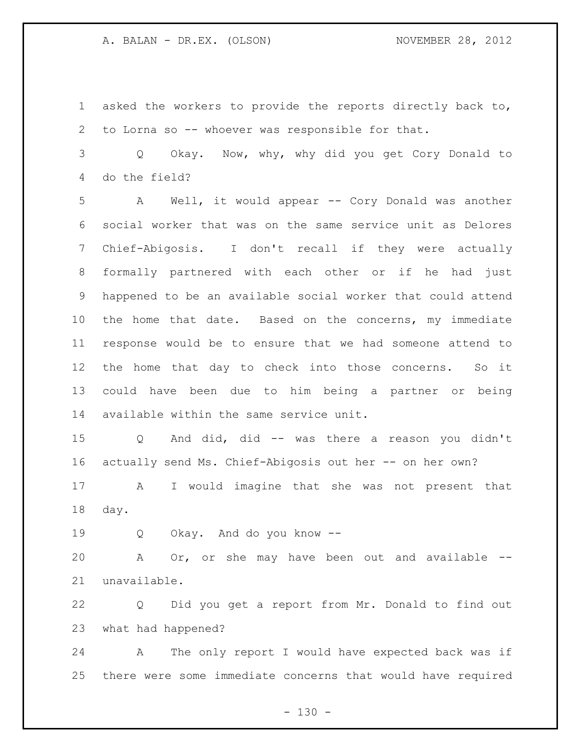asked the workers to provide the reports directly back to, to Lorna so -- whoever was responsible for that.

 Q Okay. Now, why, why did you get Cory Donald to do the field?

 A Well, it would appear -- Cory Donald was another social worker that was on the same service unit as Delores Chief-Abigosis. I don't recall if they were actually formally partnered with each other or if he had just happened to be an available social worker that could attend the home that date. Based on the concerns, my immediate response would be to ensure that we had someone attend to the home that day to check into those concerns. So it could have been due to him being a partner or being available within the same service unit.

 Q And did, did -- was there a reason you didn't actually send Ms. Chief-Abigosis out her -- on her own?

 A I would imagine that she was not present that day.

Q Okay. And do you know --

 A Or, or she may have been out and available -- unavailable.

 Q Did you get a report from Mr. Donald to find out what had happened?

 A The only report I would have expected back was if there were some immediate concerns that would have required

 $- 130 -$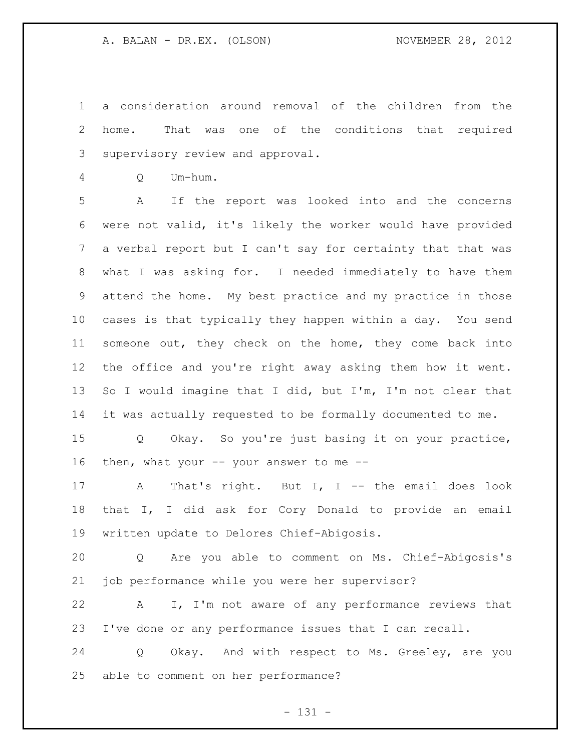a consideration around removal of the children from the home. That was one of the conditions that required supervisory review and approval.

Q Um-hum.

 A If the report was looked into and the concerns were not valid, it's likely the worker would have provided a verbal report but I can't say for certainty that that was what I was asking for. I needed immediately to have them attend the home. My best practice and my practice in those cases is that typically they happen within a day. You send someone out, they check on the home, they come back into the office and you're right away asking them how it went. 13 So I would imagine that I did, but I'm, I'm not clear that it was actually requested to be formally documented to me.

 Q Okay. So you're just basing it on your practice, 16 then, what your -- your answer to me --

17 A That's right. But I, I -- the email does look that I, I did ask for Cory Donald to provide an email written update to Delores Chief-Abigosis.

 Q Are you able to comment on Ms. Chief-Abigosis's job performance while you were her supervisor?

 A I, I'm not aware of any performance reviews that I've done or any performance issues that I can recall.

 Q Okay. And with respect to Ms. Greeley, are you able to comment on her performance?

- 131 -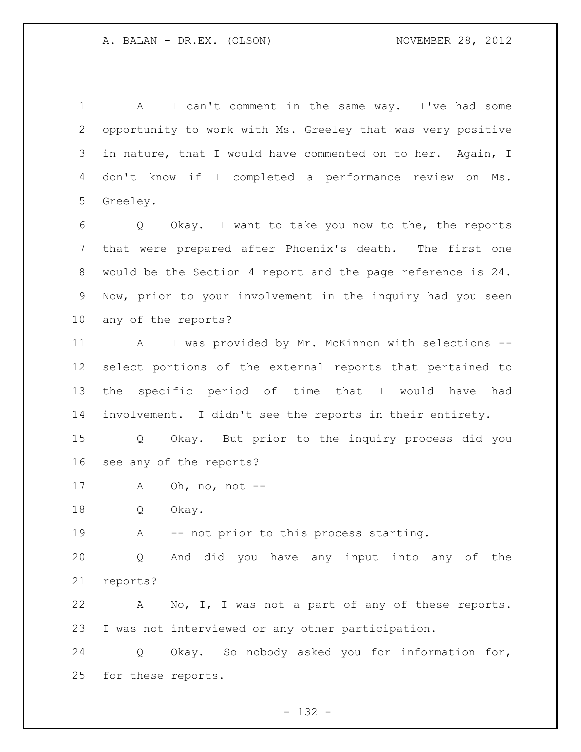A I can't comment in the same way. I've had some opportunity to work with Ms. Greeley that was very positive in nature, that I would have commented on to her. Again, I don't know if I completed a performance review on Ms. Greeley.

 Q Okay. I want to take you now to the, the reports that were prepared after Phoenix's death. The first one would be the Section 4 report and the page reference is 24. Now, prior to your involvement in the inquiry had you seen any of the reports?

 A I was provided by Mr. McKinnon with selections -- select portions of the external reports that pertained to the specific period of time that I would have had involvement. I didn't see the reports in their entirety.

 Q Okay. But prior to the inquiry process did you see any of the reports?

A Oh, no, not --

Q Okay.

19 A -- not prior to this process starting.

 Q And did you have any input into any of the reports?

 A No, I, I was not a part of any of these reports. I was not interviewed or any other participation.

 Q Okay. So nobody asked you for information for, for these reports.

 $- 132 -$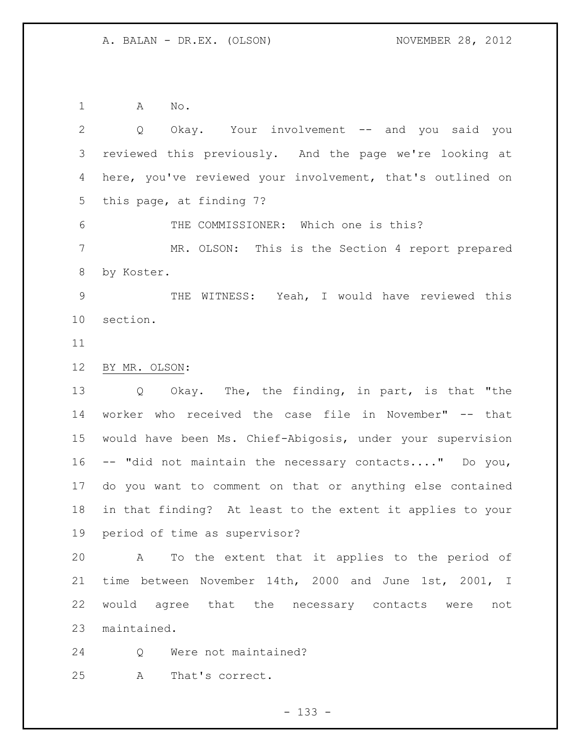A No.

 Q Okay. Your involvement -- and you said you reviewed this previously. And the page we're looking at here, you've reviewed your involvement, that's outlined on this page, at finding 7? THE COMMISSIONER: Which one is this? MR. OLSON: This is the Section 4 report prepared by Koster. THE WITNESS: Yeah, I would have reviewed this section. BY MR. OLSON: Q Okay. The, the finding, in part, is that "the worker who received the case file in November" -- that would have been Ms. Chief-Abigosis, under your supervision -- "did not maintain the necessary contacts...." Do you, do you want to comment on that or anything else contained in that finding? At least to the extent it applies to your period of time as supervisor?

 A To the extent that it applies to the period of time between November 14th, 2000 and June 1st, 2001, I would agree that the necessary contacts were not maintained.

Q Were not maintained?

A That's correct.

 $- 133 -$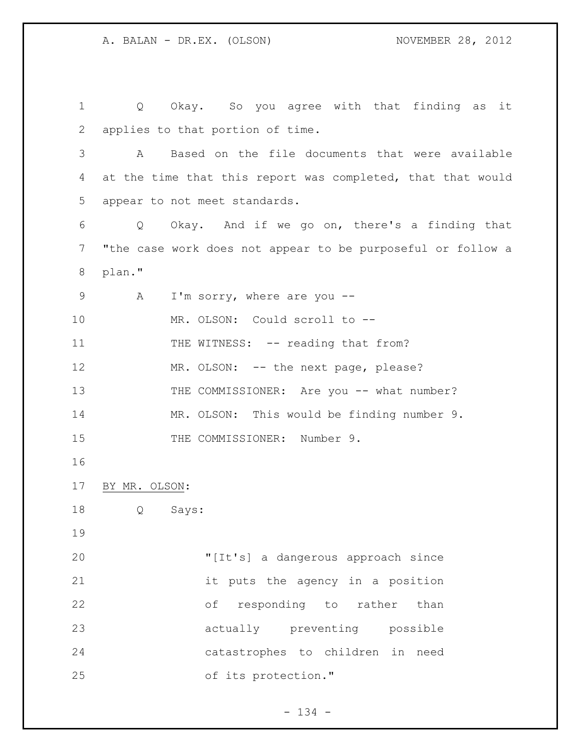Q Okay. So you agree with that finding as it applies to that portion of time. A Based on the file documents that were available 4 at the time that this report was completed, that that would appear to not meet standards. Q Okay. And if we go on, there's a finding that "the case work does not appear to be purposeful or follow a plan." 9 A I'm sorry, where are you -- MR. OLSON: Could scroll to -- 11 THE WITNESS: -- reading that from? 12 MR. OLSON: -- the next page, please? 13 THE COMMISSIONER: Are you -- what number? MR. OLSON: This would be finding number 9. 15 THE COMMISSIONER: Number 9. BY MR. OLSON: Q Says: "[It's] a dangerous approach since it puts the agency in a position of responding to rather than actually preventing possible catastrophes to children in need of its protection."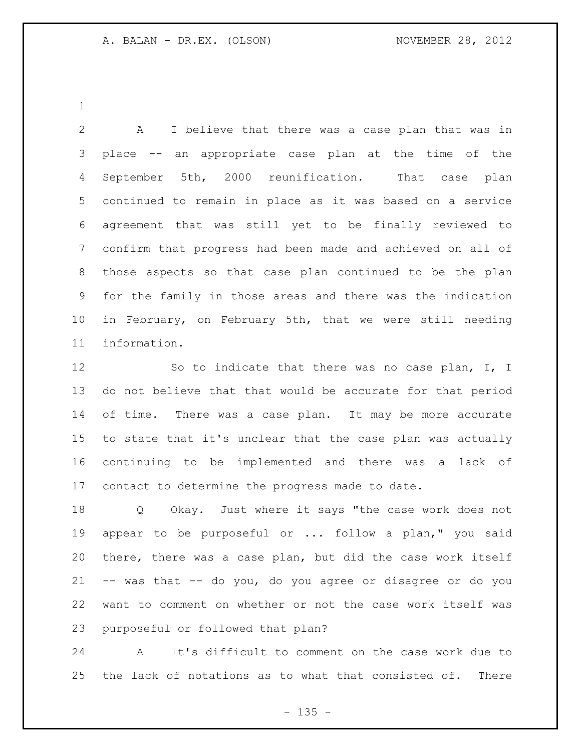A I believe that there was a case plan that was in place -- an appropriate case plan at the time of the September 5th, 2000 reunification. That case plan continued to remain in place as it was based on a service agreement that was still yet to be finally reviewed to confirm that progress had been made and achieved on all of those aspects so that case plan continued to be the plan for the family in those areas and there was the indication in February, on February 5th, that we were still needing information.

12 So to indicate that there was no case plan, I, I do not believe that that would be accurate for that period 14 of time. There was a case plan. It may be more accurate to state that it's unclear that the case plan was actually continuing to be implemented and there was a lack of contact to determine the progress made to date.

 Q Okay. Just where it says "the case work does not appear to be purposeful or ... follow a plan," you said there, there was a case plan, but did the case work itself -- was that -- do you, do you agree or disagree or do you want to comment on whether or not the case work itself was purposeful or followed that plan?

 A It's difficult to comment on the case work due to the lack of notations as to what that consisted of. There

 $- 135 -$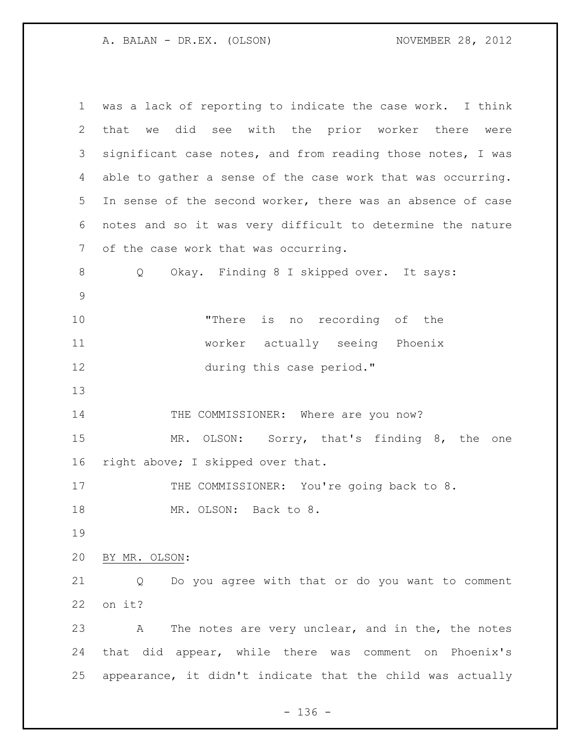| $\mathbf 1$ | was a lack of reporting to indicate the case work. I think  |
|-------------|-------------------------------------------------------------|
| 2           | that we did see with the prior worker there<br>were         |
| 3           | significant case notes, and from reading those notes, I was |
| 4           | able to gather a sense of the case work that was occurring. |
| 5           | In sense of the second worker, there was an absence of case |
| 6           | notes and so it was very difficult to determine the nature  |
| 7           | of the case work that was occurring.                        |
| 8           | Okay. Finding 8 I skipped over. It says:<br>Q               |
| $\mathsf 9$ |                                                             |
| 10          | "There is no recording of the                               |
| 11          | worker actually seeing Phoenix                              |
| 12          | during this case period."                                   |
| 13          |                                                             |
| 14          | THE COMMISSIONER: Where are you now?                        |
| 15          | MR. OLSON: Sorry, that's finding 8, the one                 |
| 16          | right above; I skipped over that.                           |
| 17          | THE COMMISSIONER: You're going back to 8.                   |
| 18          | MR. OLSON: Back to 8.                                       |
| 19          |                                                             |
| 20          | BY MR. OLSON:                                               |
| 21          | Do you agree with that or do you want to comment<br>Q       |
| 22          | on it?                                                      |
| 23          | The notes are very unclear, and in the, the notes<br>Α      |
| 24          | that did appear, while there was comment on Phoenix's       |
| 25          | appearance, it didn't indicate that the child was actually  |

- 136 -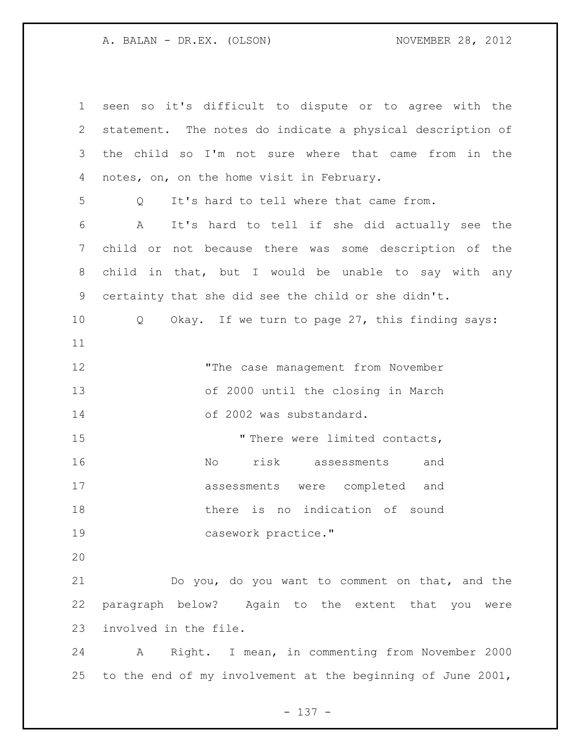| $\mathbf 1$ | seen so it's difficult to dispute or to agree with the        |
|-------------|---------------------------------------------------------------|
| 2           | statement. The notes do indicate a physical description of    |
| 3           | the child so I'm not sure where that came from in the         |
| 4           | notes, on, on the home visit in February.                     |
| 5           | It's hard to tell where that came from.<br>Q                  |
| 6           | $\mathbb{A}$<br>It's hard to tell if she did actually see the |
| 7           | child or not because there was some description of the        |
| 8           | child in that, but I would be unable to say with any          |
| 9           | certainty that she did see the child or she didn't.           |
| 10          | Okay. If we turn to page 27, this finding says:<br>$Q_{-}$    |
| 11          |                                                               |
| 12          | "The case management from November                            |
| 13          | of 2000 until the closing in March                            |
| 14          | of 2002 was substandard.                                      |
| 15          | "There were limited contacts,                                 |
| 16          | risk assessments<br>No<br>and                                 |
| 17          | assessments were completed and                                |
| 18          | there is no indication of sound                               |
| 19          | casework practice."                                           |
| 20          |                                                               |
| 21          | Do you, do you want to comment on that, and the               |
| 22          | paragraph below? Again to the extent that you were            |
| 23          | involved in the file.                                         |
| 24          | Right. I mean, in commenting from November 2000<br>A          |
| 25          | to the end of my involvement at the beginning of June 2001,   |

- 137 -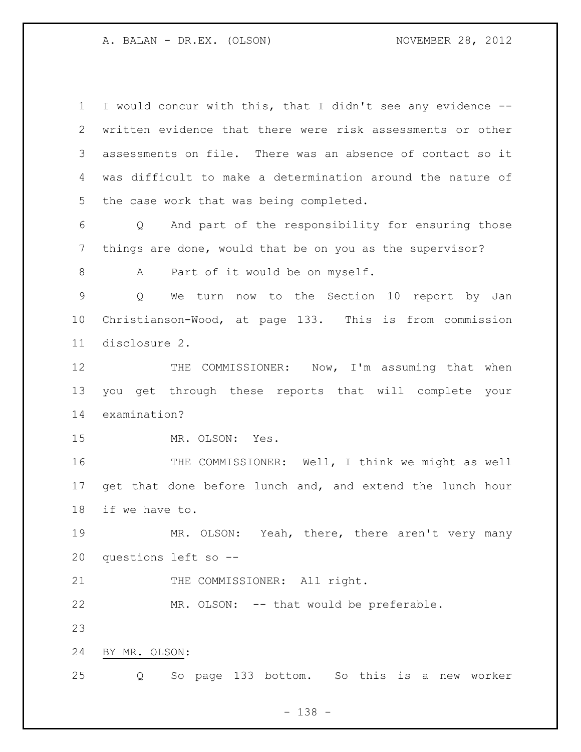I would concur with this, that I didn't see any evidence -- written evidence that there were risk assessments or other assessments on file. There was an absence of contact so it was difficult to make a determination around the nature of the case work that was being completed. Q And part of the responsibility for ensuring those things are done, would that be on you as the supervisor? 8 A Part of it would be on myself. Q We turn now to the Section 10 report by Jan Christianson-Wood, at page 133. This is from commission disclosure 2. 12 THE COMMISSIONER: Now, I'm assuming that when you get through these reports that will complete your examination? MR. OLSON: Yes. THE COMMISSIONER: Well, I think we might as well get that done before lunch and, and extend the lunch hour if we have to. MR. OLSON: Yeah, there, there aren't very many questions left so -- 21 THE COMMISSIONER: All right. MR. OLSON: -- that would be preferable. BY MR. OLSON: Q So page 133 bottom. So this is a new worker

- 138 -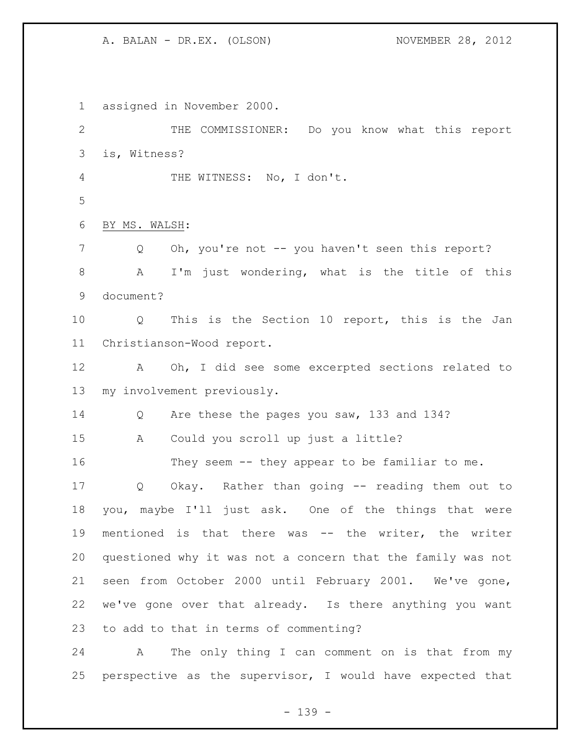assigned in November 2000. THE COMMISSIONER: Do you know what this report is, Witness? THE WITNESS: No, I don't. BY MS. WALSH: 7 Q Oh, you're not -- you haven't seen this report? A I'm just wondering, what is the title of this document? Q This is the Section 10 report, this is the Jan Christianson-Wood report. A Oh, I did see some excerpted sections related to my involvement previously. Q Are these the pages you saw, 133 and 134? A Could you scroll up just a little? They seem -- they appear to be familiar to me. Q Okay. Rather than going -- reading them out to you, maybe I'll just ask. One of the things that were mentioned is that there was -- the writer, the writer questioned why it was not a concern that the family was not seen from October 2000 until February 2001. We've gone, we've gone over that already. Is there anything you want to add to that in terms of commenting? A The only thing I can comment on is that from my

perspective as the supervisor, I would have expected that

- 139 -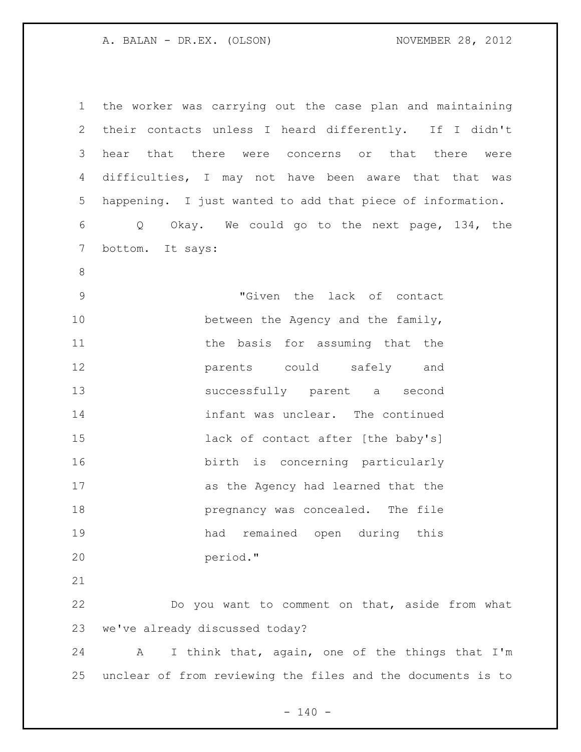the worker was carrying out the case plan and maintaining their contacts unless I heard differently. If I didn't hear that there were concerns or that there were difficulties, I may not have been aware that that was happening. I just wanted to add that piece of information. Q Okay. We could go to the next page, 134, the bottom. It says: "Given the lack of contact 10 between the Agency and the family, 11 the basis for assuming that the parents could safely and successfully parent a second infant was unclear. The continued **lack of contact after [the baby's]**  birth is concerning particularly as the Agency had learned that the **pregnancy was concealed.** The file had remained open during this period." Do you want to comment on that, aside from what we've already discussed today? A I think that, again, one of the things that I'm unclear of from reviewing the files and the documents is to

 $- 140 -$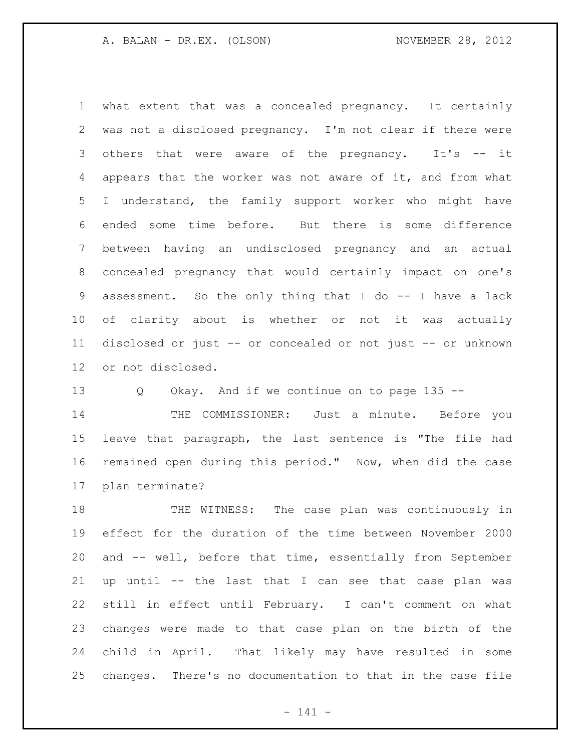what extent that was a concealed pregnancy. It certainly was not a disclosed pregnancy. I'm not clear if there were 3 others that were aware of the pregnancy. It's -- it appears that the worker was not aware of it, and from what I understand, the family support worker who might have ended some time before. But there is some difference between having an undisclosed pregnancy and an actual concealed pregnancy that would certainly impact on one's assessment. So the only thing that I do -- I have a lack of clarity about is whether or not it was actually disclosed or just -- or concealed or not just -- or unknown or not disclosed.

Q Okay. And if we continue on to page 135 --

 THE COMMISSIONER: Just a minute. Before you leave that paragraph, the last sentence is "The file had remained open during this period." Now, when did the case plan terminate?

 THE WITNESS: The case plan was continuously in effect for the duration of the time between November 2000 and -- well, before that time, essentially from September up until -- the last that I can see that case plan was still in effect until February. I can't comment on what changes were made to that case plan on the birth of the child in April. That likely may have resulted in some changes. There's no documentation to that in the case file

- 141 -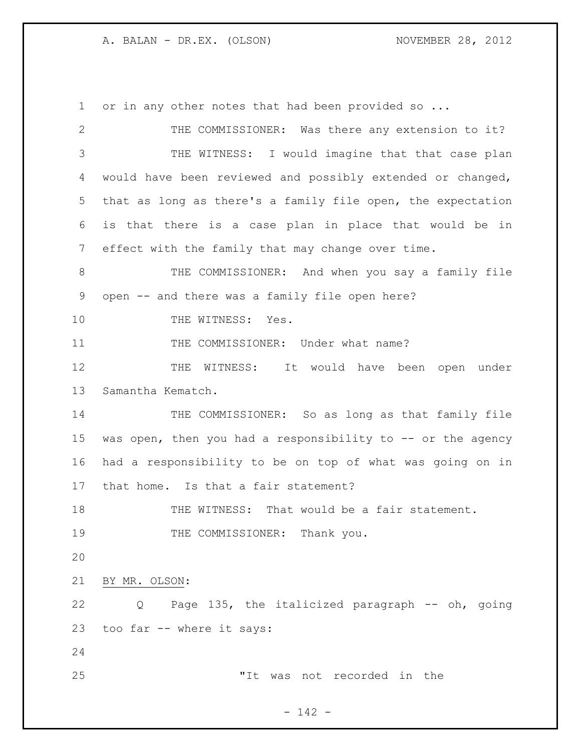A. BALAN - DR.EX. (OLSON) NOVEMBER 28, 2012

1 or in any other notes that had been provided so ... THE COMMISSIONER: Was there any extension to it? THE WITNESS: I would imagine that that case plan would have been reviewed and possibly extended or changed, that as long as there's a family file open, the expectation is that there is a case plan in place that would be in effect with the family that may change over time. THE COMMISSIONER: And when you say a family file open -- and there was a family file open here? 10 THE WITNESS: Yes. 11 THE COMMISSIONER: Under what name? 12 THE WITNESS: It would have been open under Samantha Kematch. 14 THE COMMISSIONER: So as long as that family file 15 was open, then you had a responsibility to  $-$  or the agency had a responsibility to be on top of what was going on in that home. Is that a fair statement? THE WITNESS: That would be a fair statement. 19 THE COMMISSIONER: Thank you. BY MR. OLSON: Q Page 135, the italicized paragraph -- oh, going too far -- where it says: "It was not recorded in the

- 142 -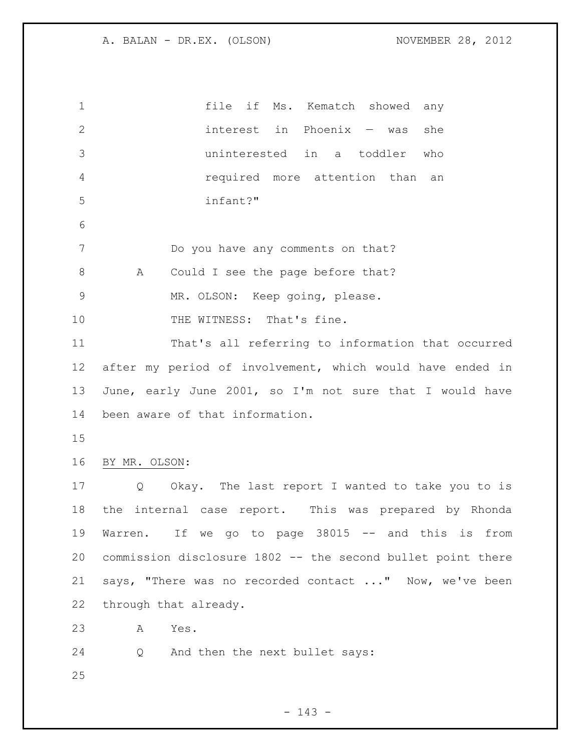| $\mathbf 1$  | file if<br>Ms. Kematch showed any                                     |
|--------------|-----------------------------------------------------------------------|
| $\mathbf{2}$ | interest in Phoenix - was<br>she                                      |
| 3            | uninterested in a toddler<br>who                                      |
| 4            | required more attention than<br>an                                    |
| 5            | infant?"                                                              |
| 6            |                                                                       |
| 7            | Do you have any comments on that?                                     |
| $8\,$        | Could I see the page before that?<br>A                                |
| $\mathsf 9$  | MR. OLSON: Keep going, please.                                        |
| 10           | THE WITNESS: That's fine.                                             |
| 11           | That's all referring to information that occurred                     |
| 12           | after my period of involvement, which would have ended in             |
| 13           | June, early June 2001, so I'm not sure that I would have              |
| 14           | been aware of that information.                                       |
| 15           |                                                                       |
| 16           | BY MR. OLSON:                                                         |
| 17           | Okay. The last report I wanted to take you to is<br>$Q \qquad \qquad$ |
| 18           | the internal case report. This was prepared by Rhonda                 |
| 19           | Warren. If we go to page 38015 -- and this is from                    |
| 20           | commission disclosure 1802 -- the second bullet point there           |
| 21           | says, "There was no recorded contact " Now, we've been                |
| 22           | through that already.                                                 |
| 23           | Α<br>Yes.                                                             |
| 24           | And then the next bullet says:<br>Q                                   |
| 25           |                                                                       |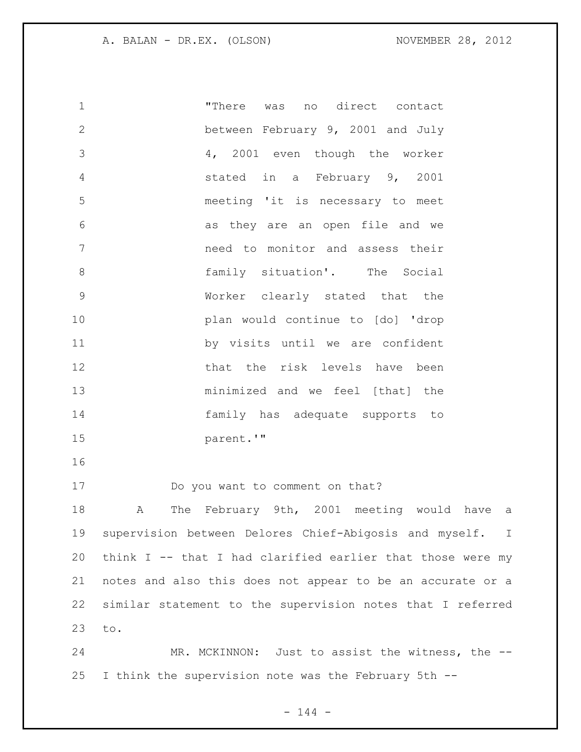| 1              | "There was<br>no direct contact                            |
|----------------|------------------------------------------------------------|
| $\mathbf{2}$   | between February 9, 2001 and July                          |
| 3              | 4, 2001 even though the worker                             |
| $\overline{4}$ | stated in a February 9, 2001                               |
| 5              | meeting 'it is necessary to meet                           |
| 6              | as they are an open file and we                            |
| 7              | need to monitor and assess their                           |
| 8              | family situation'. The Social                              |
| $\mathsf 9$    | Worker clearly stated that the                             |
| 10             | plan would continue to [do] 'drop                          |
| 11             | by visits until we are confident                           |
| 12             | that the risk levels have been                             |
| 13             | minimized and we feel [that] the                           |
| 14             | family has adequate supports to                            |
| 15             | parent.'"                                                  |
| 16             |                                                            |
| 17             | Do you want to comment on that?                            |
| 18             | The February 9th, 2001 meeting would have a<br>Α           |
| 19             | supervision between Delores Chief-Abigosis and myself. I   |
| 20             | think I -- that I had clarified earlier that those were my |
| 21             | notes and also this does not appear to be an accurate or a |
| 22             | similar statement to the supervision notes that I referred |
| 23             | to.                                                        |
| 24             | MR. MCKINNON: Just to assist the witness, the --           |
| 25             | I think the supervision note was the February 5th --       |

 $- 144 -$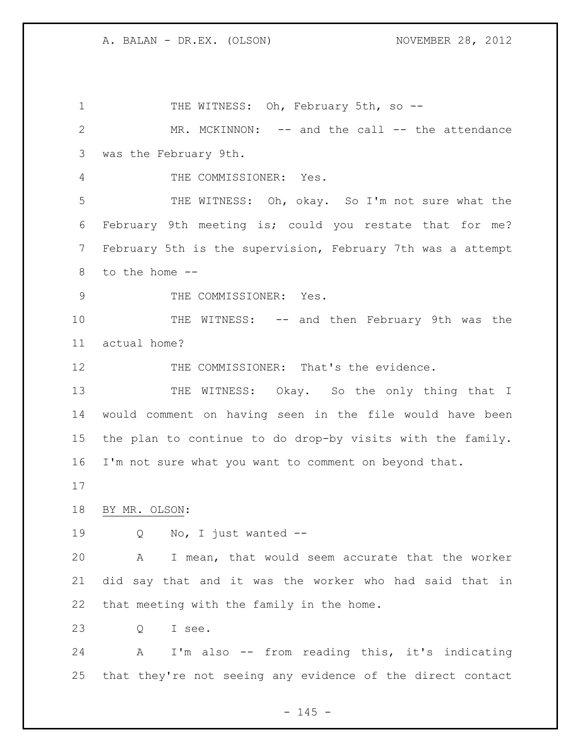1 THE WITNESS: Oh, February 5th, so --2 MR. MCKINNON: -- and the call -- the attendance was the February 9th. THE COMMISSIONER: Yes. THE WITNESS: Oh, okay. So I'm not sure what the February 9th meeting is; could you restate that for me? February 5th is the supervision, February 7th was a attempt to the home -- 9 THE COMMISSIONER: Yes. 10 THE WITNESS: -- and then February 9th was the actual home? 12 THE COMMISSIONER: That's the evidence. 13 THE WITNESS: Okay. So the only thing that I would comment on having seen in the file would have been the plan to continue to do drop-by visits with the family. I'm not sure what you want to comment on beyond that. BY MR. OLSON: Q No, I just wanted -- A I mean, that would seem accurate that the worker did say that and it was the worker who had said that in that meeting with the family in the home. Q I see. A I'm also -- from reading this, it's indicating that they're not seeing any evidence of the direct contact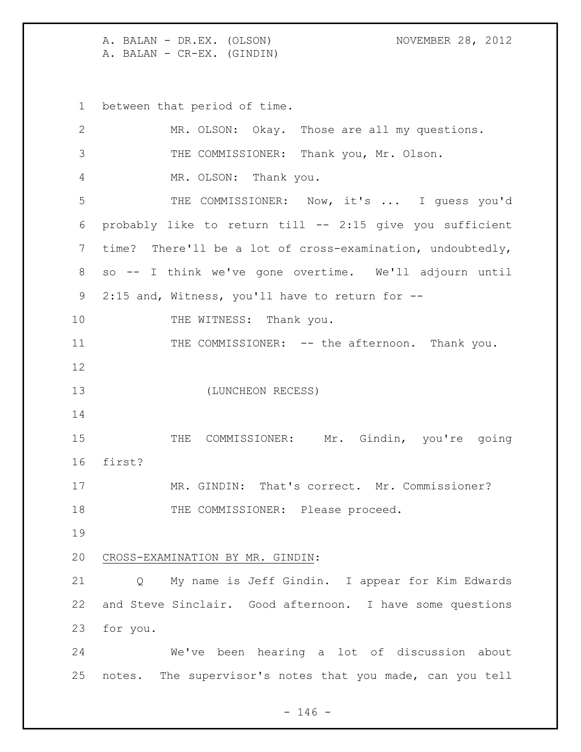A. BALAN - DR.EX. (OLSON) NOVEMBER 28, 2012 A. BALAN - CR-EX. (GINDIN)

between that period of time.

| $\mathbf{2}$ | MR. OLSON: Okay. Those are all my questions.               |
|--------------|------------------------------------------------------------|
| 3            | THE COMMISSIONER: Thank you, Mr. Olson.                    |
| 4            | MR. OLSON: Thank you.                                      |
| 5            | THE COMMISSIONER: Now, it's  I guess you'd                 |
| 6            | probably like to return till -- 2:15 give you sufficient   |
| 7            | time? There'll be a lot of cross-examination, undoubtedly, |
| $8\,$        | so -- I think we've gone overtime. We'll adjourn until     |
| 9            | 2:15 and, Witness, you'll have to return for --            |
| 10           | THE WITNESS: Thank you.                                    |
| 11           | THE COMMISSIONER: -- the afternoon. Thank you.             |
| 12           |                                                            |
| 13           | (LUNCHEON RECESS)                                          |
| 14           |                                                            |
| 15           | THE COMMISSIONER: Mr. Gindin, you're going                 |
| 16           | first?                                                     |
| 17           | MR. GINDIN: That's correct. Mr. Commissioner?              |
| 18           | THE COMMISSIONER: Please proceed.                          |
| 19           |                                                            |
| 20           | CROSS-EXAMINATION BY MR. GINDIN:                           |
| 21           | My name is Jeff Gindin. I appear for Kim Edwards<br>Q      |
| 22           | and Steve Sinclair. Good afternoon. I have some questions  |
| 23           | for you.                                                   |
| 24           | We've been hearing a lot of discussion about               |
| 25           | notes. The supervisor's notes that you made, can you tell  |

 $- 146 -$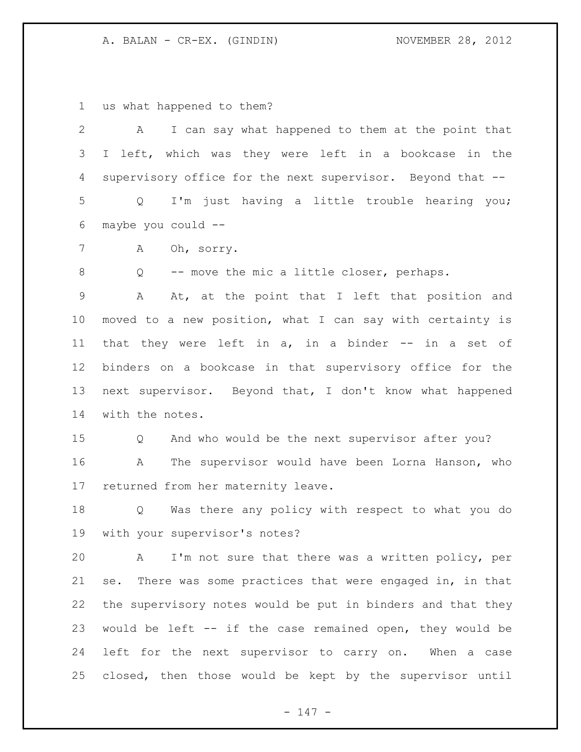us what happened to them?

| $\mathbf{2}$    | I can say what happened to them at the point that<br>А             |
|-----------------|--------------------------------------------------------------------|
| 3               | I left, which was they were left in a bookcase in the              |
| 4               | supervisory office for the next supervisor. Beyond that --         |
| 5               | I'm just having a little trouble hearing you;<br>$Q \qquad \qquad$ |
| 6               | maybe you could --                                                 |
| 7               | Oh, sorry.<br>A                                                    |
| 8               | -- move the mic a little closer, perhaps.<br>Q                     |
| $\overline{9}$  | At, at the point that I left that position and<br>A                |
| 10 <sub>o</sub> | moved to a new position, what I can say with certainty is          |
| 11              | that they were left in $a$ , in a binder $-$ in a set of           |
| 12              | binders on a bookcase in that supervisory office for the           |
| 13              | next supervisor. Beyond that, I don't know what happened           |
| 14              | with the notes.                                                    |
| 15              | And who would be the next supervisor after you?<br>Q               |
| 16              | The supervisor would have been Lorna Hanson, who<br>A              |
| 17              | returned from her maternity leave.                                 |
| 18              | Was there any policy with respect to what you do<br>Q              |
| 19              | with your supervisor's notes?                                      |
| 20              | A I'm not sure that there was a written policy, per                |
| 21              | se. There was some practices that were engaged in, in that         |
| 22              | the supervisory notes would be put in binders and that they        |
| 23              | would be left -- if the case remained open, they would be          |
| 24              | left for the next supervisor to carry on. When a case              |
| 25              | closed, then those would be kept by the supervisor until           |

- 147 -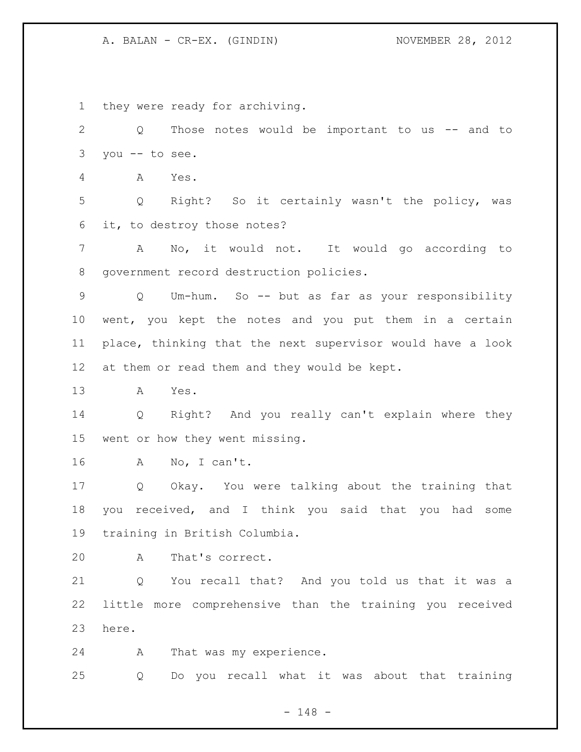they were ready for archiving.

2 Q Those notes would be important to us -- and to you -- to see. A Yes. Q Right? So it certainly wasn't the policy, was it, to destroy those notes? A No, it would not. It would go according to government record destruction policies. Q Um-hum. So -- but as far as your responsibility went, you kept the notes and you put them in a certain place, thinking that the next supervisor would have a look at them or read them and they would be kept. A Yes. Q Right? And you really can't explain where they went or how they went missing. A No, I can't. Q Okay. You were talking about the training that you received, and I think you said that you had some training in British Columbia. A That's correct. Q You recall that? And you told us that it was a little more comprehensive than the training you received here. A That was my experience. Q Do you recall what it was about that training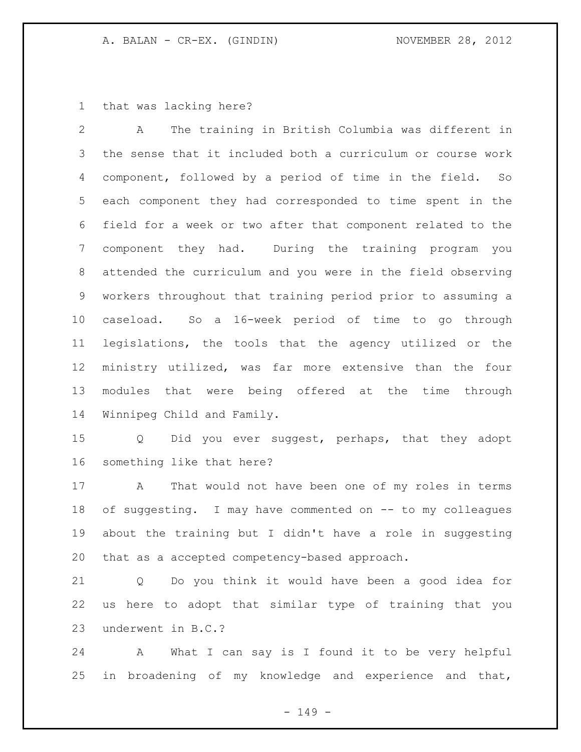that was lacking here?

 A The training in British Columbia was different in the sense that it included both a curriculum or course work component, followed by a period of time in the field. So each component they had corresponded to time spent in the field for a week or two after that component related to the component they had. During the training program you attended the curriculum and you were in the field observing workers throughout that training period prior to assuming a caseload. So a 16-week period of time to go through legislations, the tools that the agency utilized or the ministry utilized, was far more extensive than the four modules that were being offered at the time through Winnipeg Child and Family.

 Q Did you ever suggest, perhaps, that they adopt something like that here?

 A That would not have been one of my roles in terms 18 of suggesting. I may have commented on -- to my colleagues about the training but I didn't have a role in suggesting that as a accepted competency-based approach.

 Q Do you think it would have been a good idea for us here to adopt that similar type of training that you underwent in B.C.?

 A What I can say is I found it to be very helpful in broadening of my knowledge and experience and that,

- 149 -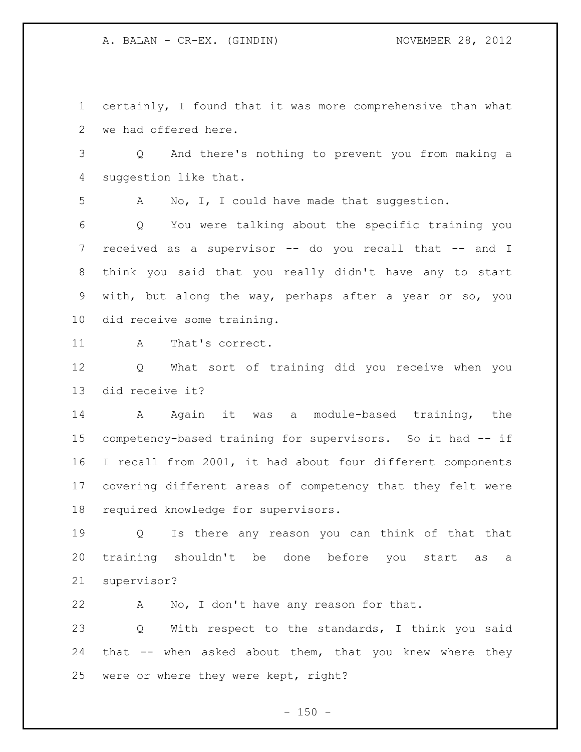certainly, I found that it was more comprehensive than what we had offered here.

 Q And there's nothing to prevent you from making a suggestion like that.

A No, I, I could have made that suggestion.

 Q You were talking about the specific training you received as a supervisor -- do you recall that -- and I think you said that you really didn't have any to start with, but along the way, perhaps after a year or so, you did receive some training.

11 A That's correct.

 Q What sort of training did you receive when you did receive it?

14 A Again it was a module-based training, the competency-based training for supervisors. So it had -- if I recall from 2001, it had about four different components covering different areas of competency that they felt were required knowledge for supervisors.

 Q Is there any reason you can think of that that training shouldn't be done before you start as a supervisor?

 A No, I don't have any reason for that. Q With respect to the standards, I think you said that -- when asked about them, that you knew where they were or where they were kept, right?

 $- 150 -$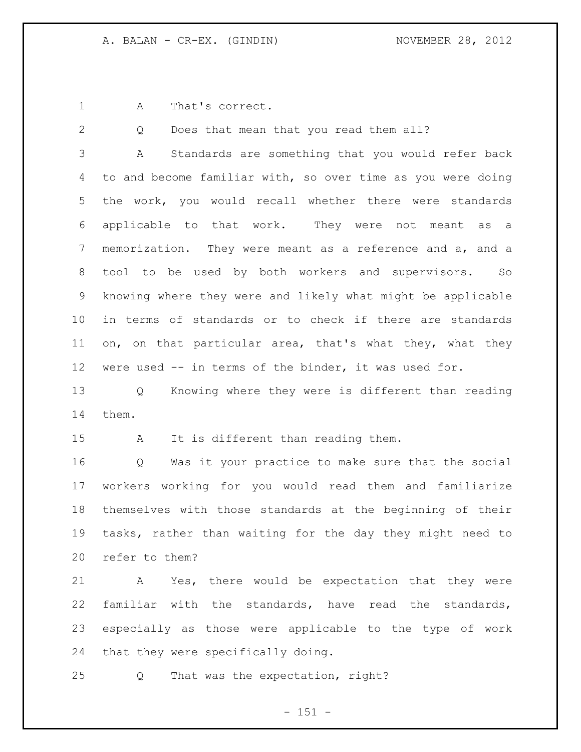A That's correct.

2 Q Does that mean that you read them all?

 A Standards are something that you would refer back to and become familiar with, so over time as you were doing the work, you would recall whether there were standards applicable to that work. They were not meant as a memorization. They were meant as a reference and a, and a tool to be used by both workers and supervisors. So knowing where they were and likely what might be applicable in terms of standards or to check if there are standards on, on that particular area, that's what they, what they were used -- in terms of the binder, it was used for.

 Q Knowing where they were is different than reading them.

A It is different than reading them.

 Q Was it your practice to make sure that the social workers working for you would read them and familiarize themselves with those standards at the beginning of their tasks, rather than waiting for the day they might need to refer to them?

 A Yes, there would be expectation that they were familiar with the standards, have read the standards, especially as those were applicable to the type of work that they were specifically doing.

Q That was the expectation, right?

- 151 -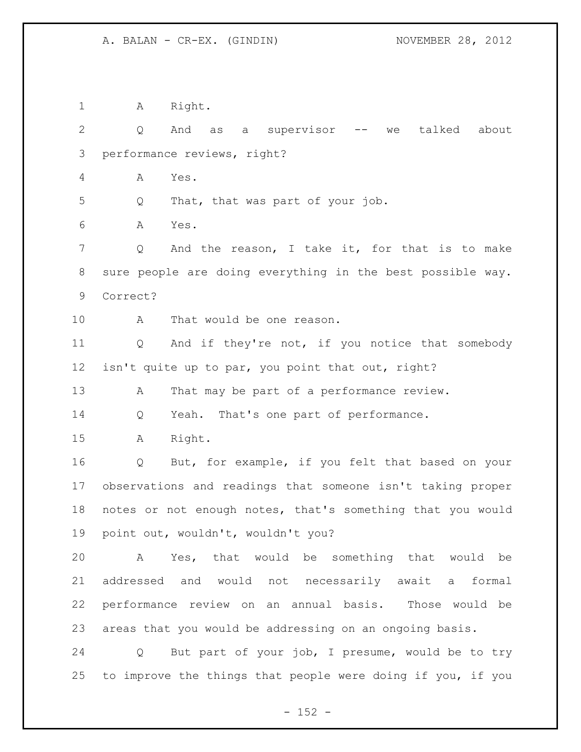1 A Right.

2 Q And as a supervisor -- we talked about performance reviews, right? A Yes. Q That, that was part of your job. A Yes. 7 Q And the reason, I take it, for that is to make sure people are doing everything in the best possible way. Correct? A That would be one reason. Q And if they're not, if you notice that somebody isn't quite up to par, you point that out, right? 13 A That may be part of a performance review. Q Yeah. That's one part of performance. A Right. Q But, for example, if you felt that based on your observations and readings that someone isn't taking proper notes or not enough notes, that's something that you would point out, wouldn't, wouldn't you? A Yes, that would be something that would be addressed and would not necessarily await a formal performance review on an annual basis. Those would be areas that you would be addressing on an ongoing basis. Q But part of your job, I presume, would be to try to improve the things that people were doing if you, if you

 $- 152 -$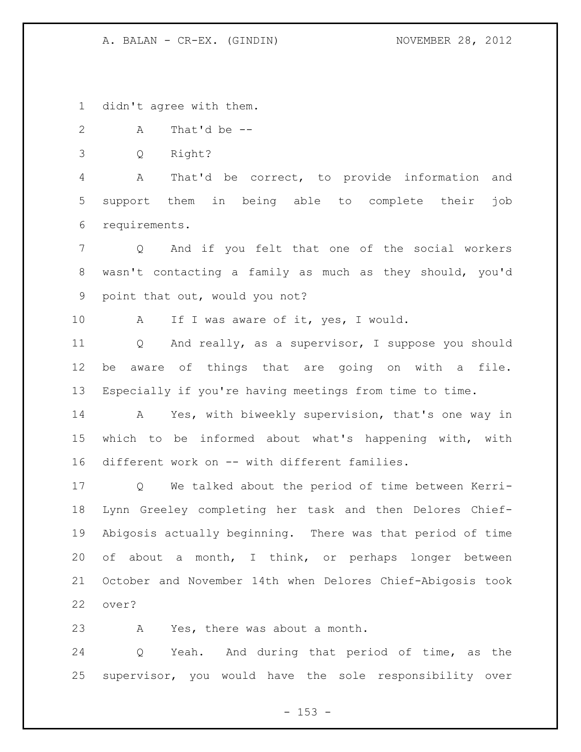didn't agree with them.

A That'd be --

Q Right?

 A That'd be correct, to provide information and support them in being able to complete their job requirements.

 Q And if you felt that one of the social workers wasn't contacting a family as much as they should, you'd point that out, would you not?

10 A If I was aware of it, yes, I would.

 Q And really, as a supervisor, I suppose you should be aware of things that are going on with a file. Especially if you're having meetings from time to time.

 A Yes, with biweekly supervision, that's one way in which to be informed about what's happening with, with different work on -- with different families.

 Q We talked about the period of time between Kerri- Lynn Greeley completing her task and then Delores Chief- Abigosis actually beginning. There was that period of time of about a month, I think, or perhaps longer between October and November 14th when Delores Chief-Abigosis took over?

A Yes, there was about a month.

 Q Yeah. And during that period of time, as the supervisor, you would have the sole responsibility over

 $- 153 -$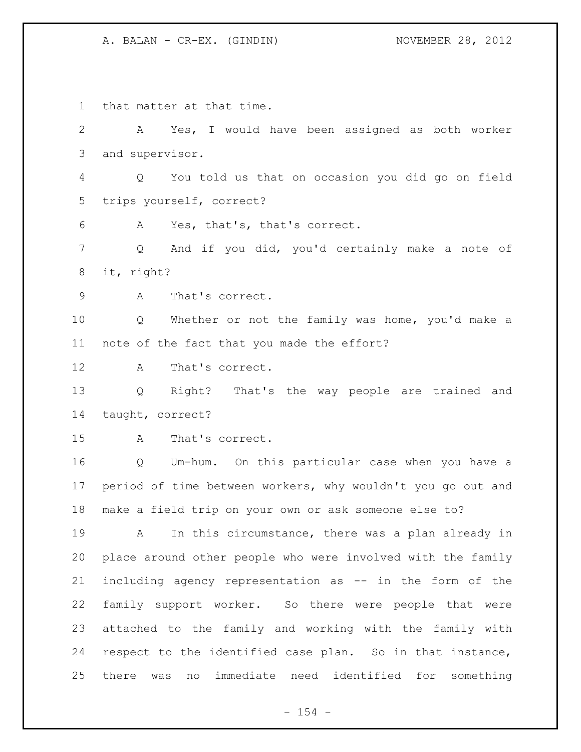that matter at that time. A Yes, I would have been assigned as both worker and supervisor. Q You told us that on occasion you did go on field trips yourself, correct? A Yes, that's, that's correct. 7 Q And if you did, you'd certainly make a note of it, right? A That's correct. Q Whether or not the family was home, you'd make a note of the fact that you made the effort? A That's correct. Q Right? That's the way people are trained and taught, correct? A That's correct. Q Um-hum. On this particular case when you have a period of time between workers, why wouldn't you go out and make a field trip on your own or ask someone else to? A In this circumstance, there was a plan already in place around other people who were involved with the family including agency representation as -- in the form of the family support worker. So there were people that were attached to the family and working with the family with respect to the identified case plan. So in that instance, there was no immediate need identified for something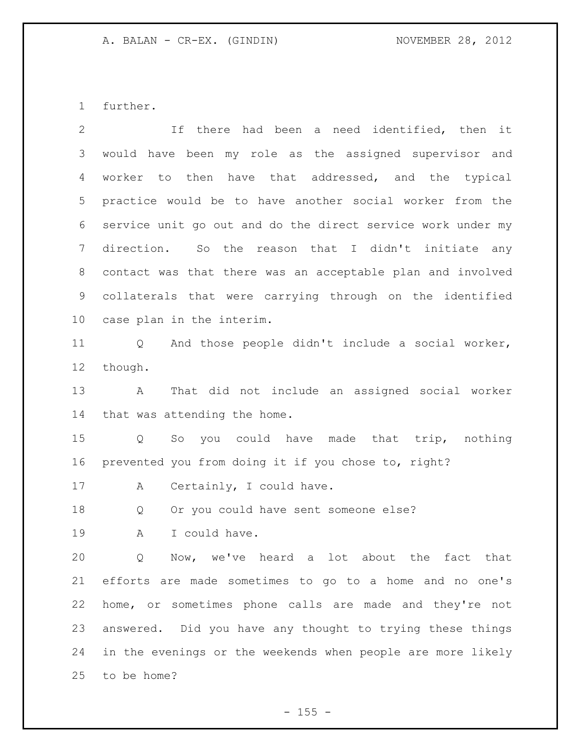further.

| $\overline{2}$  | If there had been a need identified, then it                |
|-----------------|-------------------------------------------------------------|
| 3               | would have been my role as the assigned supervisor and      |
| 4               | then have that addressed, and the typical<br>worker to      |
| 5               | practice would be to have another social worker from the    |
| 6               | service unit go out and do the direct service work under my |
| $7\phantom{.0}$ | direction. So the reason that I didn't initiate any         |
| 8               | contact was that there was an acceptable plan and involved  |
| 9               | collaterals that were carrying through on the identified    |
| 10 <sub>o</sub> | case plan in the interim.                                   |
| 11              | And those people didn't include a social worker,<br>Q       |
| $12 \,$         | though.                                                     |
| 13              | That did not include an assigned social worker<br>A         |
| 14              | that was attending the home.                                |
| 15              | So you could have made that trip,<br>nothing<br>Q           |
| 16              | prevented you from doing it if you chose to, right?         |
| 17              | Certainly, I could have.<br>A                               |
| 18              | Or you could have sent someone else?<br>Q                   |
| 19              | I could have.<br>Α                                          |
| 20              | Now, we've heard a lot about the fact that<br>Q             |
| 21              | efforts are made sometimes to go to a home and no one's     |
| 22              | home, or sometimes phone calls are made and they're not     |
| 23              | answered. Did you have any thought to trying these things   |
| 24              | in the evenings or the weekends when people are more likely |
| 25              | to be home?                                                 |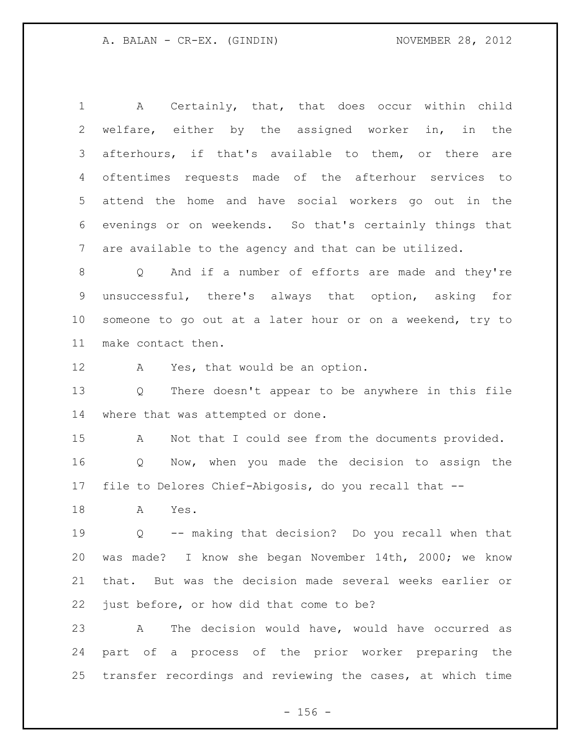A Certainly, that, that does occur within child welfare, either by the assigned worker in, in the afterhours, if that's available to them, or there are oftentimes requests made of the afterhour services to attend the home and have social workers go out in the evenings or on weekends. So that's certainly things that are available to the agency and that can be utilized. Q And if a number of efforts are made and they're unsuccessful, there's always that option, asking for

make contact then.

A Yes, that would be an option.

 Q There doesn't appear to be anywhere in this file where that was attempted or done.

someone to go out at a later hour or on a weekend, try to

 A Not that I could see from the documents provided. Q Now, when you made the decision to assign the file to Delores Chief-Abigosis, do you recall that --

A Yes.

 Q -- making that decision? Do you recall when that was made? I know she began November 14th, 2000; we know that. But was the decision made several weeks earlier or just before, or how did that come to be?

 A The decision would have, would have occurred as part of a process of the prior worker preparing the transfer recordings and reviewing the cases, at which time

 $- 156 -$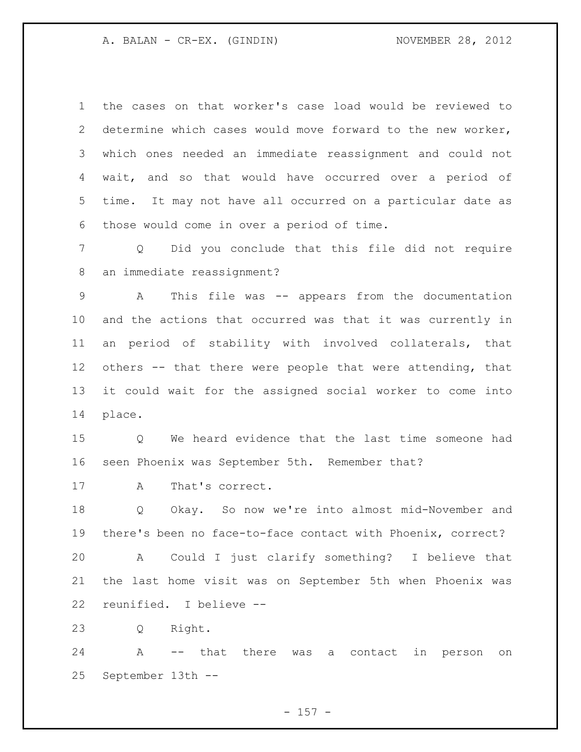the cases on that worker's case load would be reviewed to determine which cases would move forward to the new worker, which ones needed an immediate reassignment and could not wait, and so that would have occurred over a period of time. It may not have all occurred on a particular date as those would come in over a period of time.

 Q Did you conclude that this file did not require an immediate reassignment?

 A This file was -- appears from the documentation and the actions that occurred was that it was currently in an period of stability with involved collaterals, that others -- that there were people that were attending, that it could wait for the assigned social worker to come into place.

 Q We heard evidence that the last time someone had seen Phoenix was September 5th. Remember that?

A That's correct.

 Q Okay. So now we're into almost mid-November and there's been no face-to-face contact with Phoenix, correct?

 A Could I just clarify something? I believe that the last home visit was on September 5th when Phoenix was reunified. I believe --

Q Right.

 A -- that there was a contact in person on September 13th --

 $- 157 -$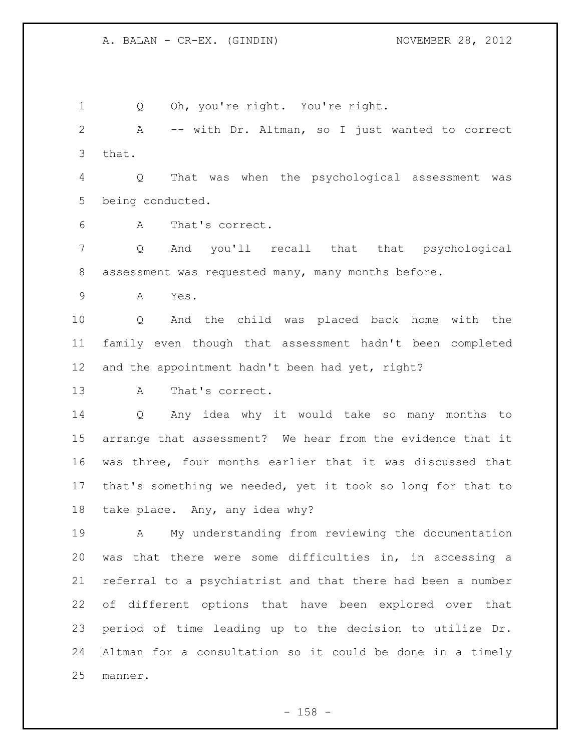Q Oh, you're right. You're right. A -- with Dr. Altman, so I just wanted to correct that. Q That was when the psychological assessment was being conducted. A That's correct. Q And you'll recall that that psychological assessment was requested many, many months before. A Yes. Q And the child was placed back home with the family even though that assessment hadn't been completed 12 and the appointment hadn't been had yet, right? A That's correct. Q Any idea why it would take so many months to arrange that assessment? We hear from the evidence that it was three, four months earlier that it was discussed that that's something we needed, yet it took so long for that to take place. Any, any idea why? A My understanding from reviewing the documentation was that there were some difficulties in, in accessing a referral to a psychiatrist and that there had been a number of different options that have been explored over that period of time leading up to the decision to utilize Dr. Altman for a consultation so it could be done in a timely manner.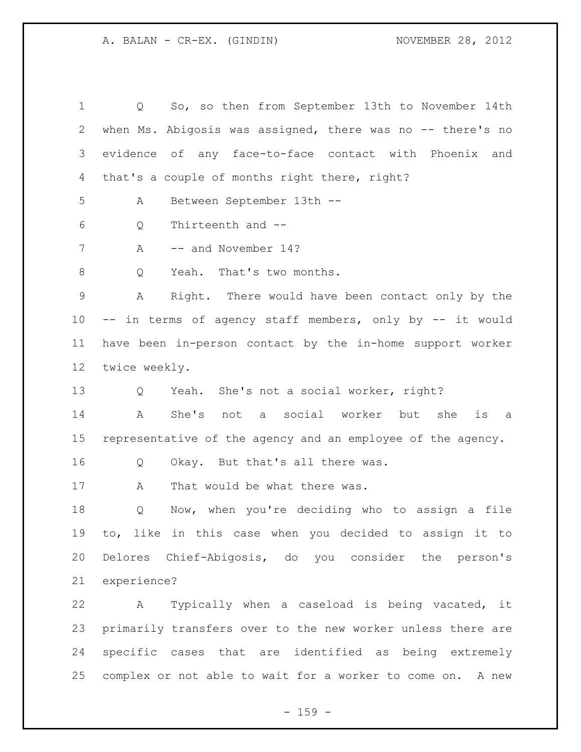Q So, so then from September 13th to November 14th 2 when Ms. Abigosis was assigned, there was no -- there's no evidence of any face-to-face contact with Phoenix and that's a couple of months right there, right? A Between September 13th -- Q Thirteenth and -- 7 A -- and November 14? 8 Q Yeah. That's two months. A Right. There would have been contact only by the -- in terms of agency staff members, only by -- it would have been in-person contact by the in-home support worker twice weekly. Q Yeah. She's not a social worker, right? A She's not a social worker but she is a representative of the agency and an employee of the agency. Q Okay. But that's all there was. 17 A That would be what there was. Q Now, when you're deciding who to assign a file to, like in this case when you decided to assign it to Delores Chief-Abigosis, do you consider the person's experience? A Typically when a caseload is being vacated, it primarily transfers over to the new worker unless there are specific cases that are identified as being extremely complex or not able to wait for a worker to come on. A new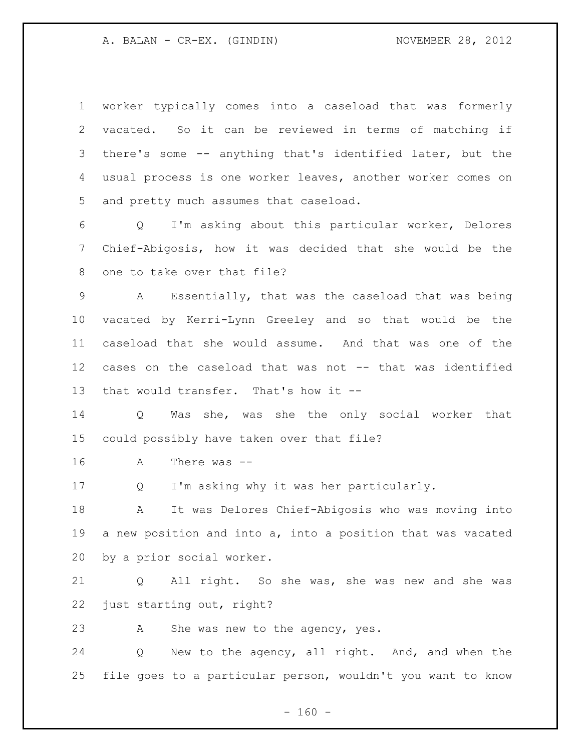| $\mathbf 1$ | worker typically comes into a caseload that was formerly              |
|-------------|-----------------------------------------------------------------------|
| 2           | vacated. So it can be reviewed in terms of matching if                |
| 3           | there's some -- anything that's identified later, but the             |
| 4           | usual process is one worker leaves, another worker comes on           |
| 5           | and pretty much assumes that caseload.                                |
| 6           | I'm asking about this particular worker, Delores<br>$Q \qquad \qquad$ |
| 7           | Chief-Abigosis, how it was decided that she would be the              |
| 8           | one to take over that file?                                           |
| 9           | Essentially, that was the caseload that was being<br>A                |
| 10          | vacated by Kerri-Lynn Greeley and so that would be the                |
| 11          | caseload that she would assume. And that was one of the               |
| 12          | cases on the caseload that was not -- that was identified             |
| 13          | that would transfer. That's how it --                                 |
| 14          | Was she, was she the only social worker that<br>Q                     |
| 15          | could possibly have taken over that file?                             |
| 16          | There was $--$<br>А                                                   |
| 17          | I'm asking why it was her particularly.<br>Q                          |
| 18          | It was Delores Chief-Abigosis who was moving into<br>A                |
| 19          | a new position and into a, into a position that was vacated           |
| 20          | by a prior social worker.                                             |
| 21          | All right. So she was, she was new and she was<br>Q                   |
| 22          | just starting out, right?                                             |
| 23          | She was new to the agency, yes.<br>А                                  |
| 24          | New to the agency, all right. And, and when the<br>Q                  |
| 25          | file goes to a particular person, wouldn't you want to know           |

- 160 -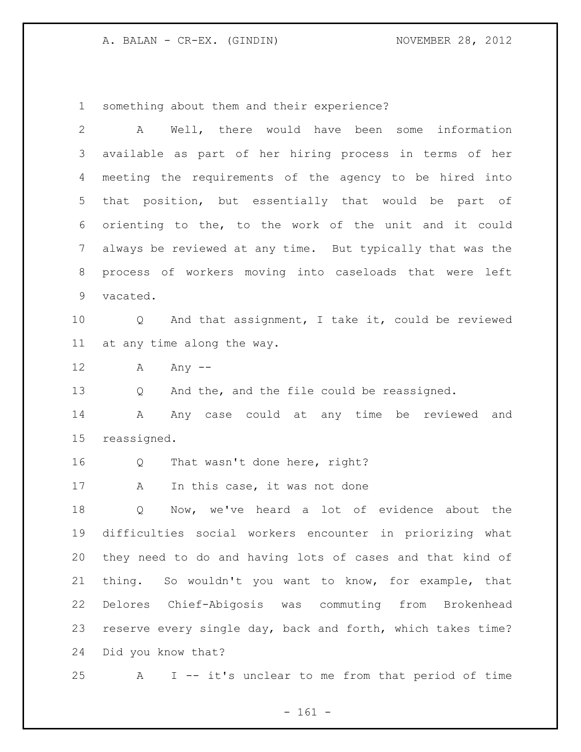something about them and their experience?

| $\overline{2}$ | Well, there would have been some information<br>A           |
|----------------|-------------------------------------------------------------|
| 3              | available as part of her hiring process in terms of her     |
| 4              | meeting the requirements of the agency to be hired into     |
| 5              | that position, but essentially that would be part of        |
| 6              | orienting to the, to the work of the unit and it could      |
| 7              | always be reviewed at any time. But typically that was the  |
| $\,8\,$        | process of workers moving into caseloads that were left     |
| 9              | vacated.                                                    |
| 10             | And that assignment, I take it, could be reviewed<br>Q      |
| 11             | at any time along the way.                                  |
| 12             | A<br>Any $--$                                               |
| 13             | And the, and the file could be reassigned.<br>Q             |
| 14             | Any case could at any time be reviewed<br>A<br>and          |
| 15             | reassigned.                                                 |
| 16             | That wasn't done here, right?<br>Q                          |
| 17             | In this case, it was not done<br>A                          |
| 18             | Now, we've heard a lot of evidence about the<br>Q           |
| 19             | difficulties social workers encounter in priorizing what    |
| 20             | they need to do and having lots of cases and that kind of   |
| 21             | thing. So wouldn't you want to know, for example, that      |
| 22             | Delores Chief-Abigosis was commuting from Brokenhead        |
| 23             | reserve every single day, back and forth, which takes time? |
| 24             | Did you know that?                                          |
| 25             | I -- it's unclear to me from that period of time<br>A       |

- 161 -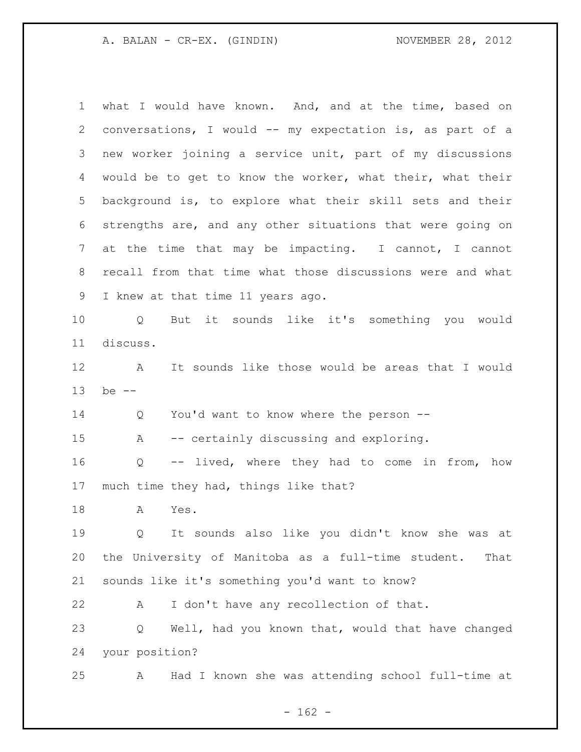what I would have known. And, and at the time, based on conversations, I would -- my expectation is, as part of a new worker joining a service unit, part of my discussions would be to get to know the worker, what their, what their background is, to explore what their skill sets and their strengths are, and any other situations that were going on at the time that may be impacting. I cannot, I cannot recall from that time what those discussions were and what I knew at that time 11 years ago. Q But it sounds like it's something you would discuss. A It sounds like those would be areas that I would be -- Q You'd want to know where the person -- A -- certainly discussing and exploring. Q -- lived, where they had to come in from, how much time they had, things like that? A Yes. Q It sounds also like you didn't know she was at the University of Manitoba as a full-time student. That sounds like it's something you'd want to know? A I don't have any recollection of that. Q Well, had you known that, would that have changed your position? A Had I known she was attending school full-time at

 $- 162 -$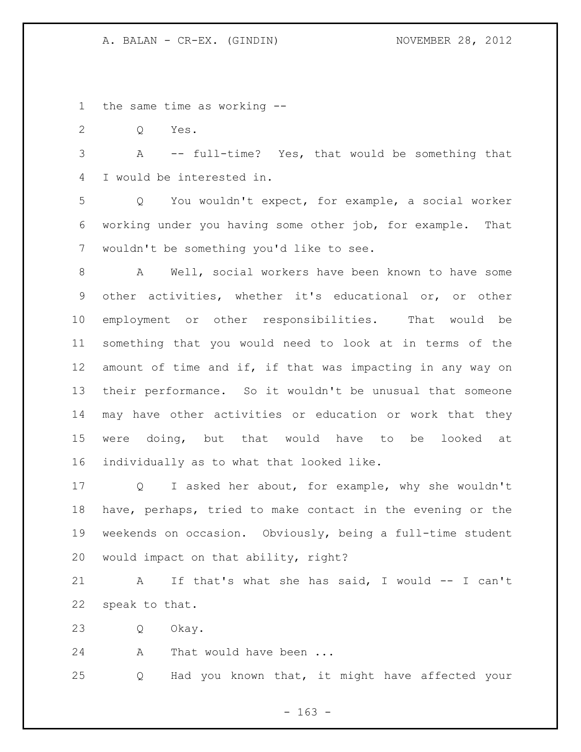the same time as working --

Q Yes.

 A -- full-time? Yes, that would be something that I would be interested in.

 Q You wouldn't expect, for example, a social worker working under you having some other job, for example. That wouldn't be something you'd like to see.

 A Well, social workers have been known to have some other activities, whether it's educational or, or other employment or other responsibilities. That would be something that you would need to look at in terms of the amount of time and if, if that was impacting in any way on their performance. So it wouldn't be unusual that someone may have other activities or education or work that they were doing, but that would have to be looked at individually as to what that looked like.

 Q I asked her about, for example, why she wouldn't have, perhaps, tried to make contact in the evening or the weekends on occasion. Obviously, being a full-time student would impact on that ability, right?

 A If that's what she has said, I would -- I can't speak to that.

Q Okay.

24 A That would have been ...

Q Had you known that, it might have affected your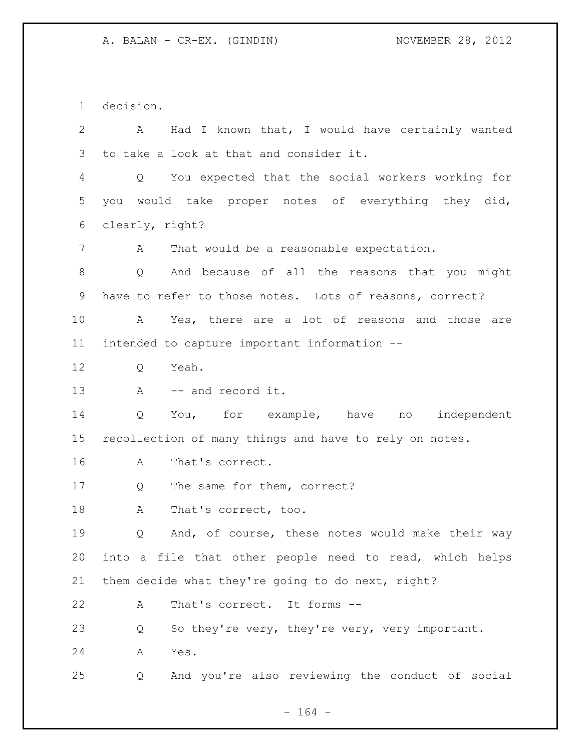decision. A Had I known that, I would have certainly wanted to take a look at that and consider it. Q You expected that the social workers working for you would take proper notes of everything they did, clearly, right? A That would be a reasonable expectation. Q And because of all the reasons that you might have to refer to those notes. Lots of reasons, correct? A Yes, there are a lot of reasons and those are intended to capture important information -- 12 O Yeah. 13 A -- and record it. Q You, for example, have no independent recollection of many things and have to rely on notes. A That's correct. 17 Q The same for them, correct? 18 A That's correct, too. Q And, of course, these notes would make their way into a file that other people need to read, which helps them decide what they're going to do next, right? A That's correct. It forms -- Q So they're very, they're very, very important. A Yes. Q And you're also reviewing the conduct of social

- 164 -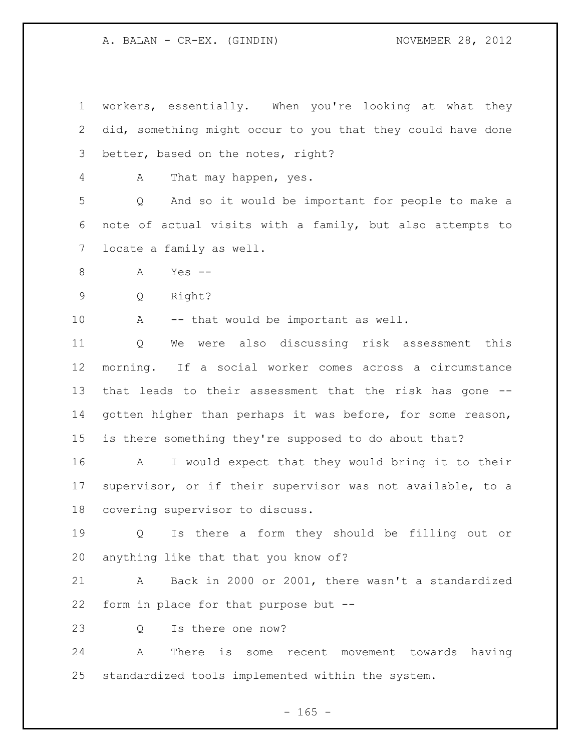workers, essentially. When you're looking at what they did, something might occur to you that they could have done better, based on the notes, right?

A That may happen, yes.

 Q And so it would be important for people to make a note of actual visits with a family, but also attempts to locate a family as well.

A Yes --

Q Right?

A -- that would be important as well.

 Q We were also discussing risk assessment this morning. If a social worker comes across a circumstance that leads to their assessment that the risk has gone -- gotten higher than perhaps it was before, for some reason, is there something they're supposed to do about that?

 A I would expect that they would bring it to their supervisor, or if their supervisor was not available, to a covering supervisor to discuss.

 Q Is there a form they should be filling out or anything like that that you know of?

 A Back in 2000 or 2001, there wasn't a standardized form in place for that purpose but --

23 O Is there one now?

 A There is some recent movement towards having standardized tools implemented within the system.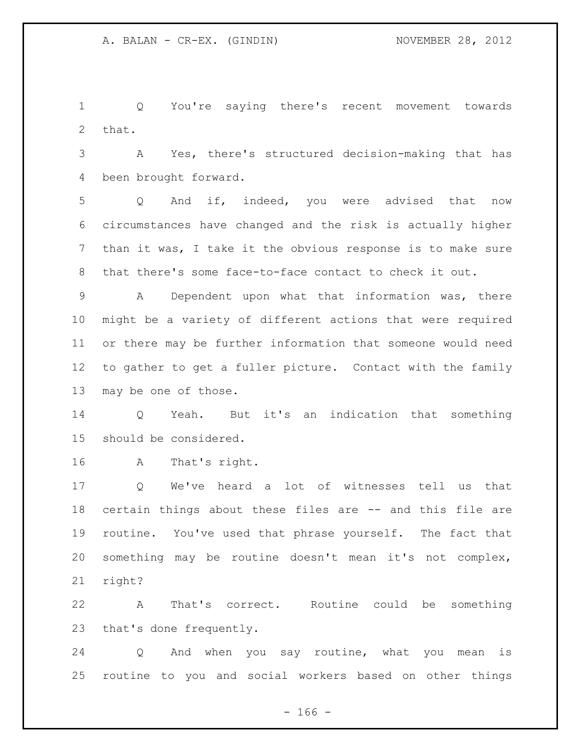Q You're saying there's recent movement towards that.

 A Yes, there's structured decision-making that has been brought forward.

 Q And if, indeed, you were advised that now circumstances have changed and the risk is actually higher than it was, I take it the obvious response is to make sure that there's some face-to-face contact to check it out.

 A Dependent upon what that information was, there might be a variety of different actions that were required or there may be further information that someone would need to gather to get a fuller picture. Contact with the family may be one of those.

 Q Yeah. But it's an indication that something should be considered.

A That's right.

 Q We've heard a lot of witnesses tell us that certain things about these files are -- and this file are routine. You've used that phrase yourself. The fact that something may be routine doesn't mean it's not complex, right?

 A That's correct. Routine could be something that's done frequently.

 Q And when you say routine, what you mean is routine to you and social workers based on other things

 $- 166 -$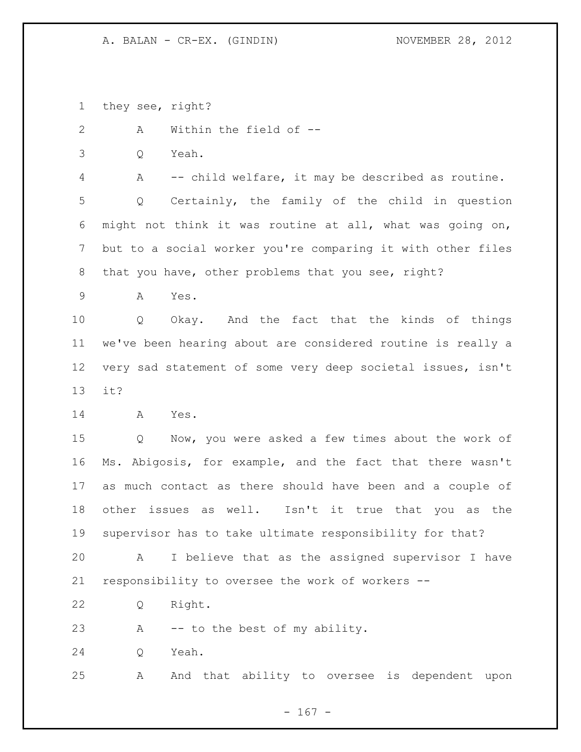they see, right?

A Within the field of --

Q Yeah.

A -- child welfare, it may be described as routine.

 Q Certainly, the family of the child in question might not think it was routine at all, what was going on, but to a social worker you're comparing it with other files that you have, other problems that you see, right?

A Yes.

 Q Okay. And the fact that the kinds of things we've been hearing about are considered routine is really a very sad statement of some very deep societal issues, isn't it?

A Yes.

 Q Now, you were asked a few times about the work of Ms. Abigosis, for example, and the fact that there wasn't as much contact as there should have been and a couple of other issues as well. Isn't it true that you as the supervisor has to take ultimate responsibility for that?

 A I believe that as the assigned supervisor I have responsibility to oversee the work of workers --

Q Right.

A -- to the best of my ability.

Q Yeah.

A And that ability to oversee is dependent upon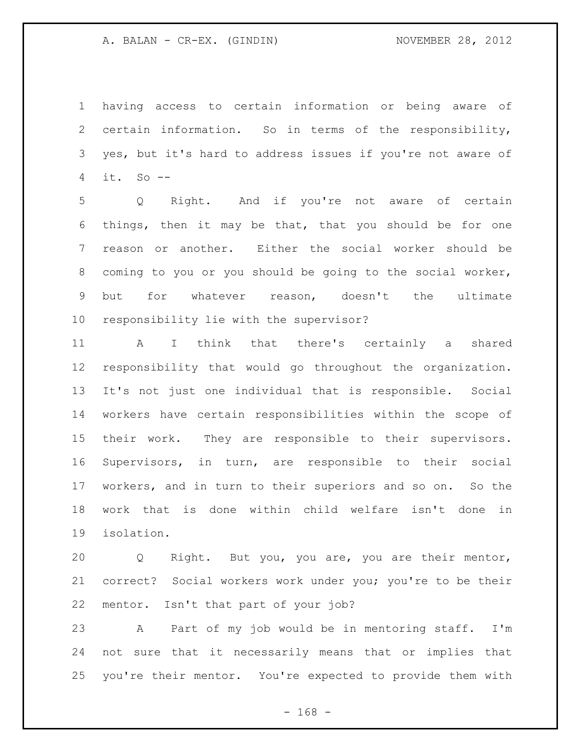having access to certain information or being aware of certain information. So in terms of the responsibility, yes, but it's hard to address issues if you're not aware of it. So --

 Q Right. And if you're not aware of certain things, then it may be that, that you should be for one reason or another. Either the social worker should be coming to you or you should be going to the social worker, but for whatever reason, doesn't the ultimate responsibility lie with the supervisor?

 A I think that there's certainly a shared responsibility that would go throughout the organization. It's not just one individual that is responsible. Social workers have certain responsibilities within the scope of their work. They are responsible to their supervisors. Supervisors, in turn, are responsible to their social workers, and in turn to their superiors and so on. So the work that is done within child welfare isn't done in isolation.

 Q Right. But you, you are, you are their mentor, correct? Social workers work under you; you're to be their mentor. Isn't that part of your job?

 A Part of my job would be in mentoring staff. I'm not sure that it necessarily means that or implies that you're their mentor. You're expected to provide them with

- 168 -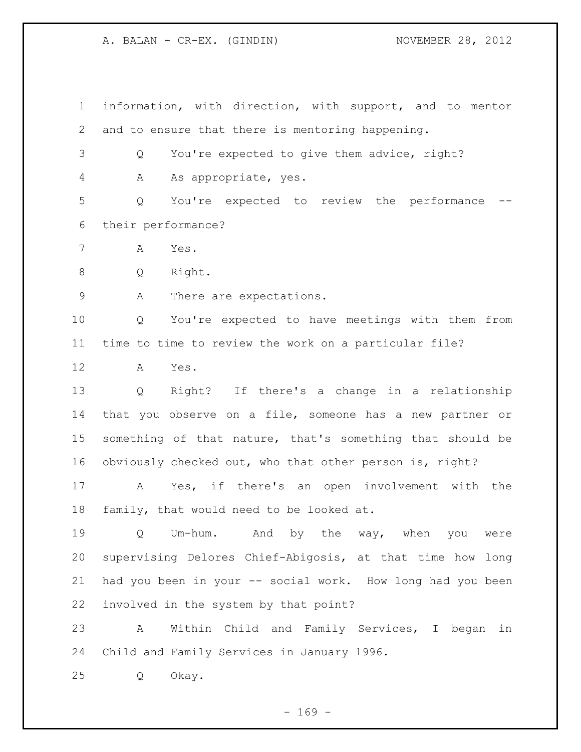information, with direction, with support, and to mentor and to ensure that there is mentoring happening. Q You're expected to give them advice, right?

4 A As appropriate, yes.

 Q You're expected to review the performance -- their performance?

A Yes.

Q Right.

9 A There are expectations.

 Q You're expected to have meetings with them from time to time to review the work on a particular file?

A Yes.

 Q Right? If there's a change in a relationship that you observe on a file, someone has a new partner or something of that nature, that's something that should be obviously checked out, who that other person is, right?

 A Yes, if there's an open involvement with the family, that would need to be looked at.

 Q Um-hum. And by the way, when you were supervising Delores Chief-Abigosis, at that time how long 21 had you been in your -- social work. How long had you been involved in the system by that point?

 A Within Child and Family Services, I began in Child and Family Services in January 1996.

Q Okay.

 $- 169 -$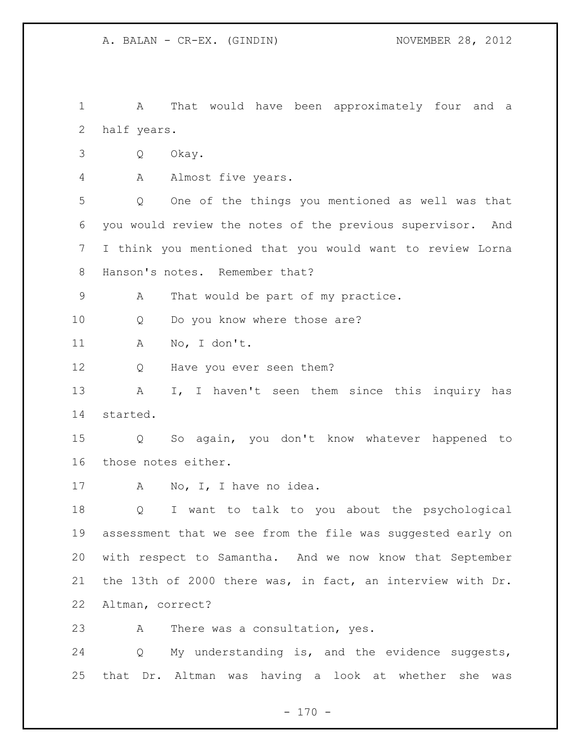A That would have been approximately four and a half years.

- Q Okay.
- A Almost five years.

 Q One of the things you mentioned as well was that you would review the notes of the previous supervisor. And I think you mentioned that you would want to review Lorna Hanson's notes. Remember that?

A That would be part of my practice.

10 Q Do you know where those are?

A No, I don't.

12 Q Have you ever seen them?

13 A I, I haven't seen them since this inquiry has started.

 Q So again, you don't know whatever happened to those notes either.

17 A No, I, I have no idea.

 Q I want to talk to you about the psychological assessment that we see from the file was suggested early on with respect to Samantha. And we now know that September the 13th of 2000 there was, in fact, an interview with Dr. Altman, correct?

A There was a consultation, yes.

 Q My understanding is, and the evidence suggests, that Dr. Altman was having a look at whether she was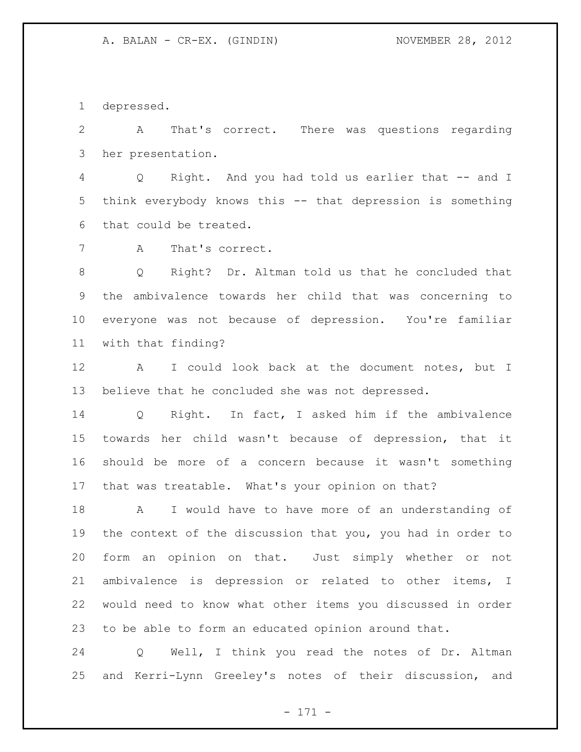depressed.

 A That's correct. There was questions regarding her presentation.

 Q Right. And you had told us earlier that -- and I think everybody knows this -- that depression is something that could be treated.

A That's correct.

 Q Right? Dr. Altman told us that he concluded that the ambivalence towards her child that was concerning to everyone was not because of depression. You're familiar with that finding?

 A I could look back at the document notes, but I believe that he concluded she was not depressed.

 Q Right. In fact, I asked him if the ambivalence towards her child wasn't because of depression, that it should be more of a concern because it wasn't something that was treatable. What's your opinion on that?

 A I would have to have more of an understanding of the context of the discussion that you, you had in order to form an opinion on that. Just simply whether or not ambivalence is depression or related to other items, I would need to know what other items you discussed in order to be able to form an educated opinion around that.

 Q Well, I think you read the notes of Dr. Altman and Kerri-Lynn Greeley's notes of their discussion, and

- 171 -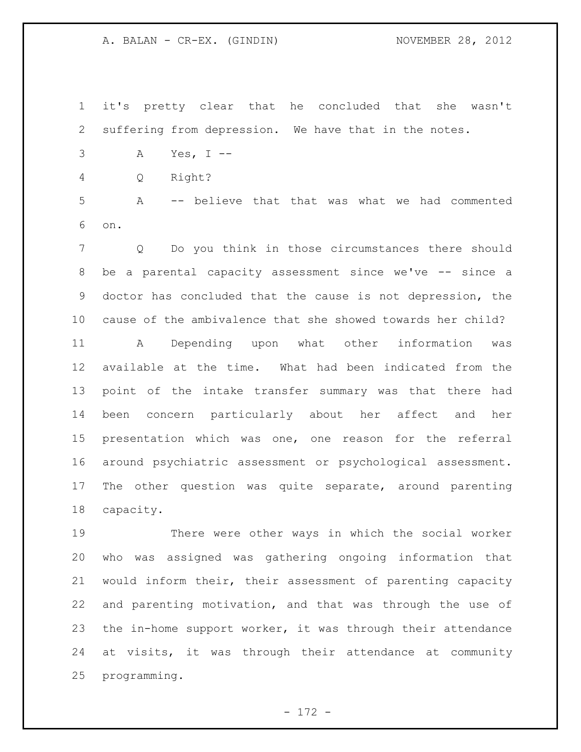it's pretty clear that he concluded that she wasn't suffering from depression. We have that in the notes.

- A Yes, I --
- Q Right?

 A -- believe that that was what we had commented on.

 Q Do you think in those circumstances there should be a parental capacity assessment since we've -- since a doctor has concluded that the cause is not depression, the cause of the ambivalence that she showed towards her child?

 A Depending upon what other information was available at the time. What had been indicated from the point of the intake transfer summary was that there had been concern particularly about her affect and her presentation which was one, one reason for the referral around psychiatric assessment or psychological assessment. The other question was quite separate, around parenting capacity.

 There were other ways in which the social worker who was assigned was gathering ongoing information that would inform their, their assessment of parenting capacity and parenting motivation, and that was through the use of the in-home support worker, it was through their attendance at visits, it was through their attendance at community programming.

- 172 -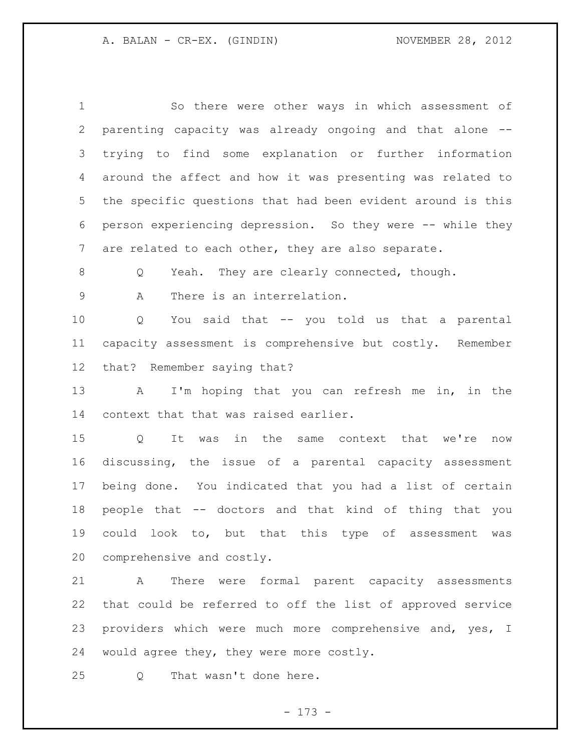So there were other ways in which assessment of parenting capacity was already ongoing and that alone -- trying to find some explanation or further information around the affect and how it was presenting was related to the specific questions that had been evident around is this person experiencing depression. So they were -- while they are related to each other, they are also separate. Q Yeah. They are clearly connected, though. A There is an interrelation. Q You said that -- you told us that a parental capacity assessment is comprehensive but costly. Remember that? Remember saying that? A I'm hoping that you can refresh me in, in the context that that was raised earlier. Q It was in the same context that we're now discussing, the issue of a parental capacity assessment being done. You indicated that you had a list of certain people that -- doctors and that kind of thing that you could look to, but that this type of assessment was comprehensive and costly. A There were formal parent capacity assessments

 that could be referred to off the list of approved service 23 providers which were much more comprehensive and, yes, I would agree they, they were more costly.

Q That wasn't done here.

- 173 -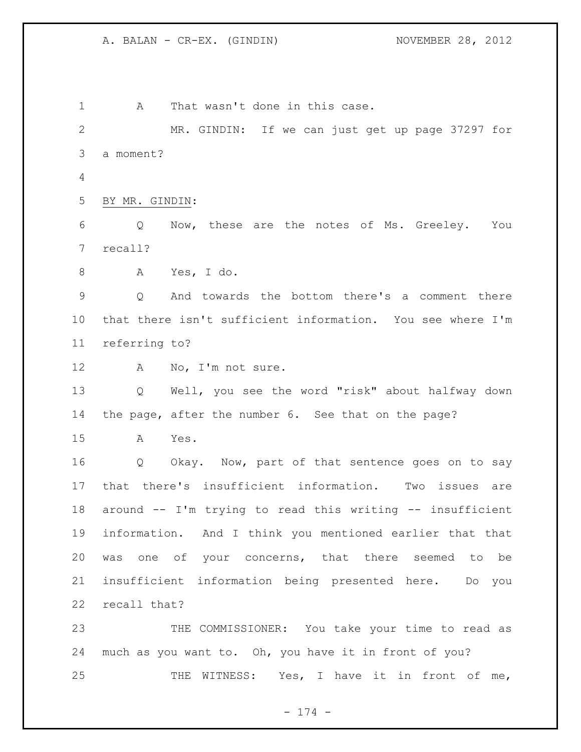1 A That wasn't done in this case. MR. GINDIN: If we can just get up page 37297 for a moment? BY MR. GINDIN: Q Now, these are the notes of Ms. Greeley. You recall? A Yes, I do. Q And towards the bottom there's a comment there that there isn't sufficient information. You see where I'm referring to? A No, I'm not sure. Q Well, you see the word "risk" about halfway down the page, after the number 6. See that on the page? A Yes. Q Okay. Now, part of that sentence goes on to say that there's insufficient information. Two issues are around -- I'm trying to read this writing -- insufficient information. And I think you mentioned earlier that that was one of your concerns, that there seemed to be insufficient information being presented here. Do you recall that? THE COMMISSIONER: You take your time to read as much as you want to. Oh, you have it in front of you? 25 THE WITNESS: Yes, I have it in front of me,

- 174 -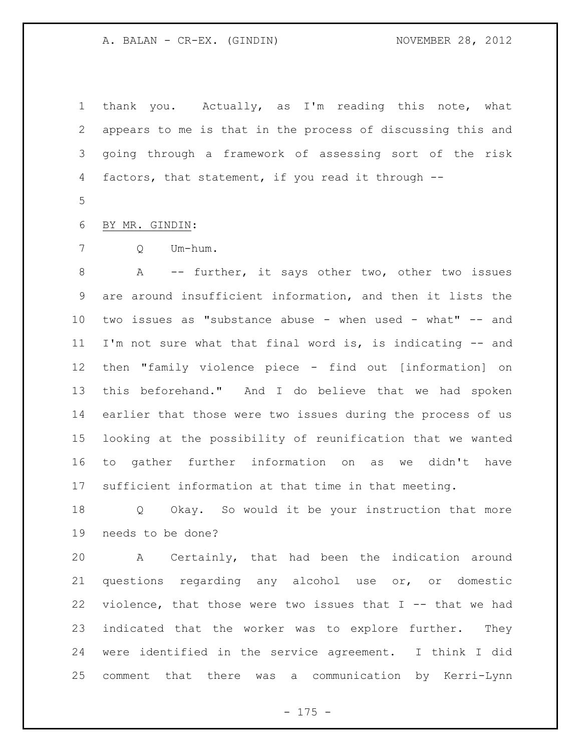thank you. Actually, as I'm reading this note, what appears to me is that in the process of discussing this and going through a framework of assessing sort of the risk factors, that statement, if you read it through --

BY MR. GINDIN:

Q Um-hum.

 A -- further, it says other two, other two issues are around insufficient information, and then it lists the two issues as "substance abuse - when used - what" -- and I'm not sure what that final word is, is indicating -- and then "family violence piece - find out [information] on this beforehand." And I do believe that we had spoken earlier that those were two issues during the process of us looking at the possibility of reunification that we wanted to gather further information on as we didn't have sufficient information at that time in that meeting.

 Q Okay. So would it be your instruction that more needs to be done?

 A Certainly, that had been the indication around questions regarding any alcohol use or, or domestic violence, that those were two issues that I -- that we had indicated that the worker was to explore further. They were identified in the service agreement. I think I did comment that there was a communication by Kerri-Lynn

- 175 -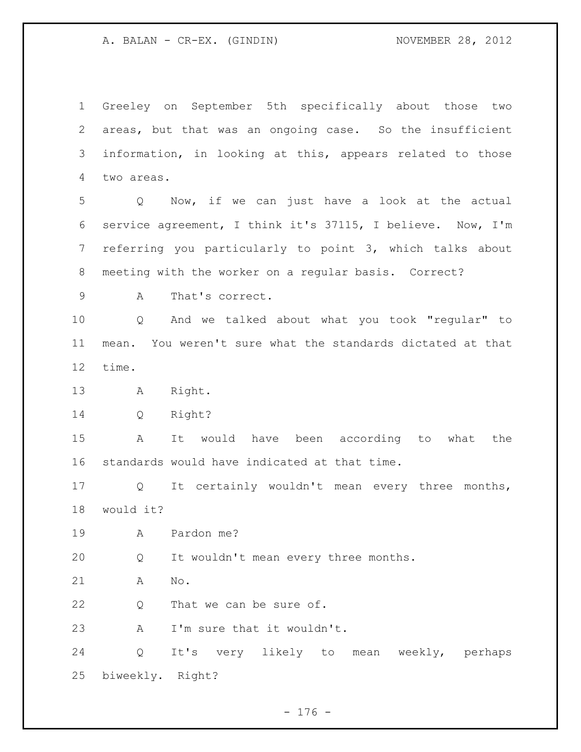Greeley on September 5th specifically about those two areas, but that was an ongoing case. So the insufficient information, in looking at this, appears related to those two areas.

 Q Now, if we can just have a look at the actual service agreement, I think it's 37115, I believe. Now, I'm referring you particularly to point 3, which talks about meeting with the worker on a regular basis. Correct?

A That's correct.

 Q And we talked about what you took "regular" to mean. You weren't sure what the standards dictated at that time.

A Right.

Q Right?

 A It would have been according to what the standards would have indicated at that time.

 Q It certainly wouldn't mean every three months, would it?

A Pardon me?

Q It wouldn't mean every three months.

A No.

22 Q That we can be sure of.

A I'm sure that it wouldn't.

 Q It's very likely to mean weekly, perhaps biweekly. Right?

- 176 -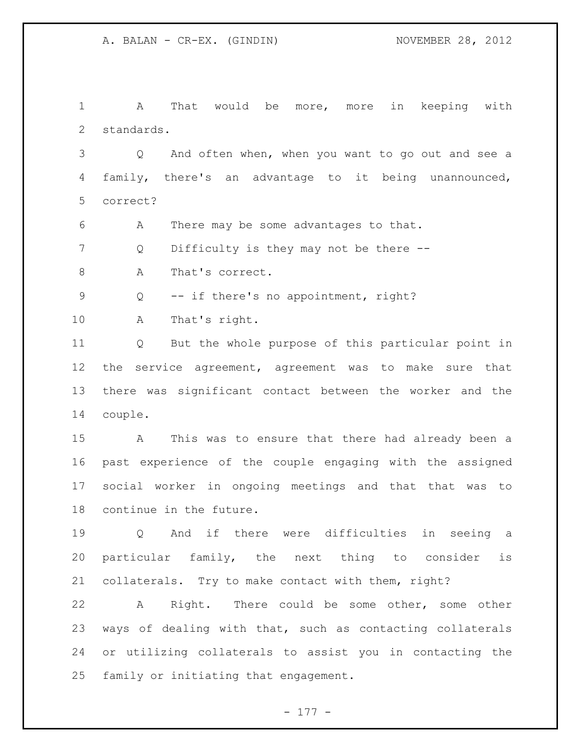A That would be more, more in keeping with standards.

 Q And often when, when you want to go out and see a family, there's an advantage to it being unannounced, correct?

A There may be some advantages to that.

7 Q Difficulty is they may not be there --

8 A That's correct.

Q -- if there's no appointment, right?

A That's right.

 Q But the whole purpose of this particular point in the service agreement, agreement was to make sure that there was significant contact between the worker and the couple.

 A This was to ensure that there had already been a past experience of the couple engaging with the assigned social worker in ongoing meetings and that that was to continue in the future.

 Q And if there were difficulties in seeing a particular family, the next thing to consider is collaterals. Try to make contact with them, right?

 A Right. There could be some other, some other ways of dealing with that, such as contacting collaterals or utilizing collaterals to assist you in contacting the family or initiating that engagement.

- 177 -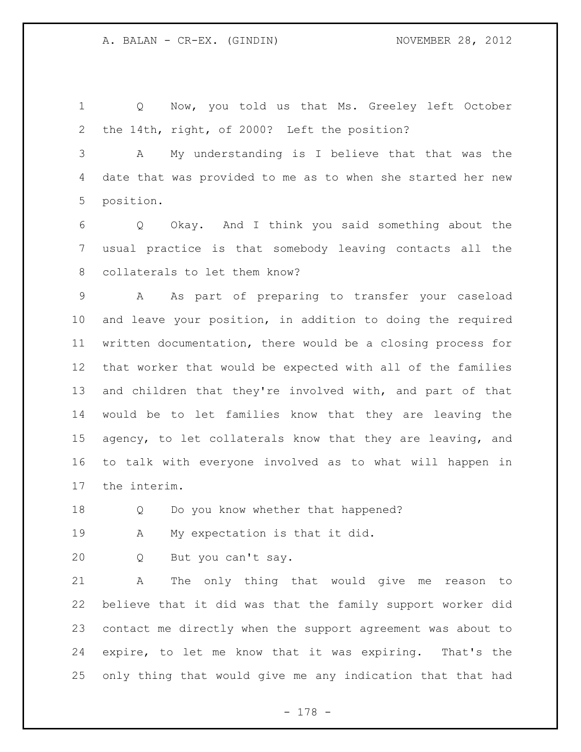Q Now, you told us that Ms. Greeley left October the 14th, right, of 2000? Left the position?

 A My understanding is I believe that that was the date that was provided to me as to when she started her new position.

 Q Okay. And I think you said something about the usual practice is that somebody leaving contacts all the collaterals to let them know?

 A As part of preparing to transfer your caseload and leave your position, in addition to doing the required written documentation, there would be a closing process for that worker that would be expected with all of the families and children that they're involved with, and part of that would be to let families know that they are leaving the agency, to let collaterals know that they are leaving, and to talk with everyone involved as to what will happen in the interim.

18 Q Do you know whether that happened?

A My expectation is that it did.

Q But you can't say.

 A The only thing that would give me reason to believe that it did was that the family support worker did contact me directly when the support agreement was about to expire, to let me know that it was expiring. That's the only thing that would give me any indication that that had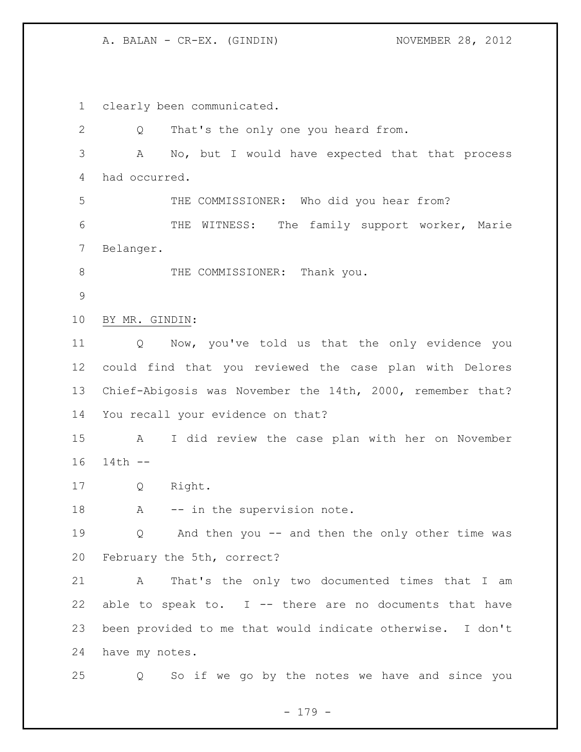clearly been communicated. Q That's the only one you heard from. A No, but I would have expected that that process had occurred. THE COMMISSIONER: Who did you hear from? THE WITNESS: The family support worker, Marie Belanger. 8 THE COMMISSIONER: Thank you. BY MR. GINDIN: Q Now, you've told us that the only evidence you could find that you reviewed the case plan with Delores Chief-Abigosis was November the 14th, 2000, remember that? You recall your evidence on that? A I did review the case plan with her on November 14th -- Q Right. 18 A -- in the supervision note. Q And then you -- and then the only other time was February the 5th, correct? A That's the only two documented times that I am 22 able to speak to.  $I$  -- there are no documents that have been provided to me that would indicate otherwise. I don't have my notes. Q So if we go by the notes we have and since you

- 179 -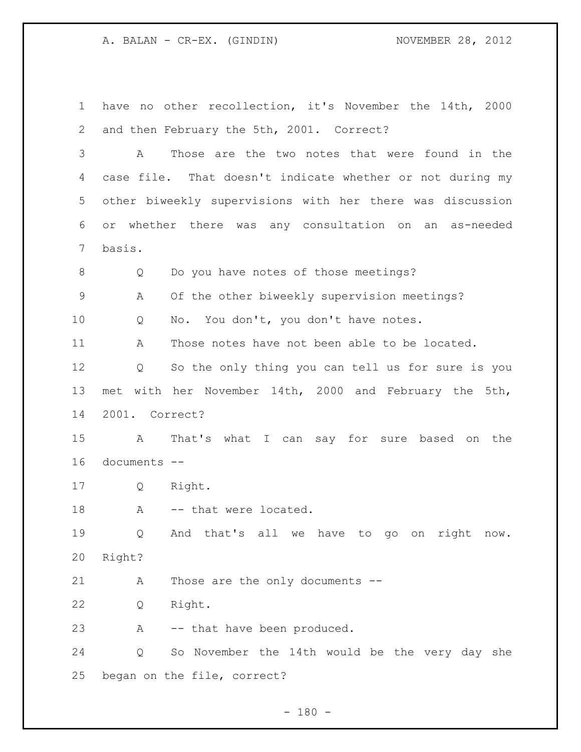have no other recollection, it's November the 14th, 2000 and then February the 5th, 2001. Correct? A Those are the two notes that were found in the case file. That doesn't indicate whether or not during my other biweekly supervisions with her there was discussion or whether there was any consultation on an as-needed basis. Q Do you have notes of those meetings? A Of the other biweekly supervision meetings? Q No. You don't, you don't have notes. A Those notes have not been able to be located. Q So the only thing you can tell us for sure is you met with her November 14th, 2000 and February the 5th, 2001. Correct? A That's what I can say for sure based on the documents -- Q Right. 18 A -- that were located. Q And that's all we have to go on right now. Right? A Those are the only documents -- Q Right. A -- that have been produced. Q So November the 14th would be the very day she began on the file, correct?

 $- 180 -$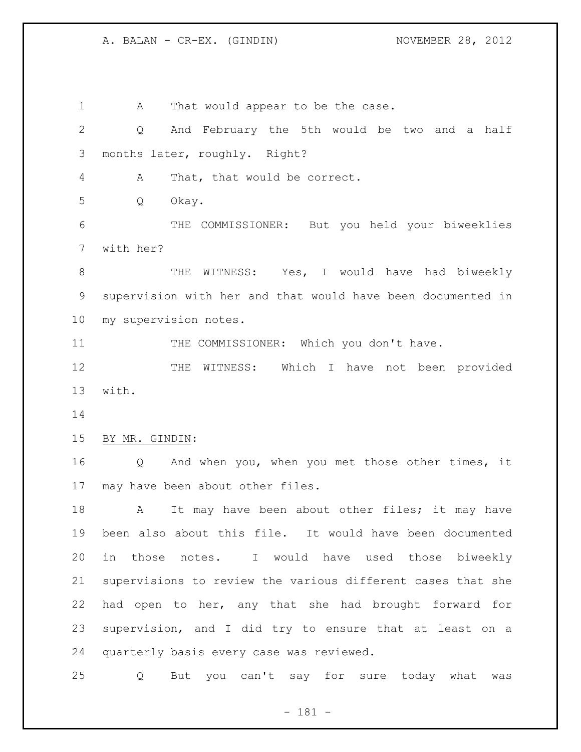1 A That would appear to be the case. Q And February the 5th would be two and a half months later, roughly. Right? A That, that would be correct. Q Okay. THE COMMISSIONER: But you held your biweeklies with her? 8 THE WITNESS: Yes, I would have had biweekly supervision with her and that would have been documented in my supervision notes. 11 THE COMMISSIONER: Which you don't have. 12 THE WITNESS: Which I have not been provided with. BY MR. GINDIN: Q And when you, when you met those other times, it may have been about other files. 18 A It may have been about other files; it may have been also about this file. It would have been documented in those notes. I would have used those biweekly supervisions to review the various different cases that she had open to her, any that she had brought forward for supervision, and I did try to ensure that at least on a quarterly basis every case was reviewed. Q But you can't say for sure today what was

- 181 -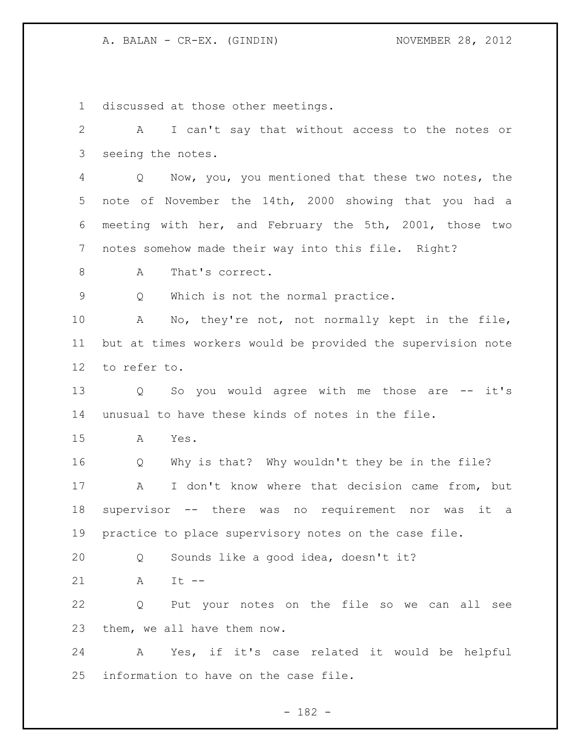discussed at those other meetings. A I can't say that without access to the notes or seeing the notes. Q Now, you, you mentioned that these two notes, the note of November the 14th, 2000 showing that you had a meeting with her, and February the 5th, 2001, those two notes somehow made their way into this file. Right? 8 A That's correct. Q Which is not the normal practice. A No, they're not, not normally kept in the file, but at times workers would be provided the supervision note to refer to. 13 Q So you would agree with me those are -- it's unusual to have these kinds of notes in the file. A Yes. Q Why is that? Why wouldn't they be in the file? A I don't know where that decision came from, but supervisor -- there was no requirement nor was it a practice to place supervisory notes on the case file. Q Sounds like a good idea, doesn't it? A It -- Q Put your notes on the file so we can all see them, we all have them now. A Yes, if it's case related it would be helpful information to have on the case file.

# - 182 -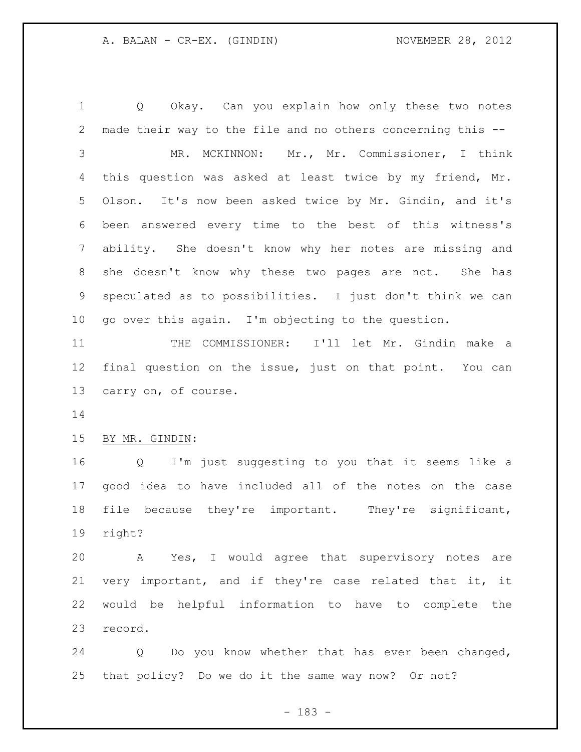Q Okay. Can you explain how only these two notes made their way to the file and no others concerning this -- MR. MCKINNON: Mr., Mr. Commissioner, I think this question was asked at least twice by my friend, Mr. Olson. It's now been asked twice by Mr. Gindin, and it's been answered every time to the best of this witness's ability. She doesn't know why her notes are missing and she doesn't know why these two pages are not. She has speculated as to possibilities. I just don't think we can go over this again. I'm objecting to the question.

 THE COMMISSIONER: I'll let Mr. Gindin make a final question on the issue, just on that point. You can carry on, of course.

# BY MR. GINDIN:

 Q I'm just suggesting to you that it seems like a good idea to have included all of the notes on the case file because they're important. They're significant, right?

 A Yes, I would agree that supervisory notes are very important, and if they're case related that it, it would be helpful information to have to complete the record.

 Q Do you know whether that has ever been changed, that policy? Do we do it the same way now? Or not?

- 183 -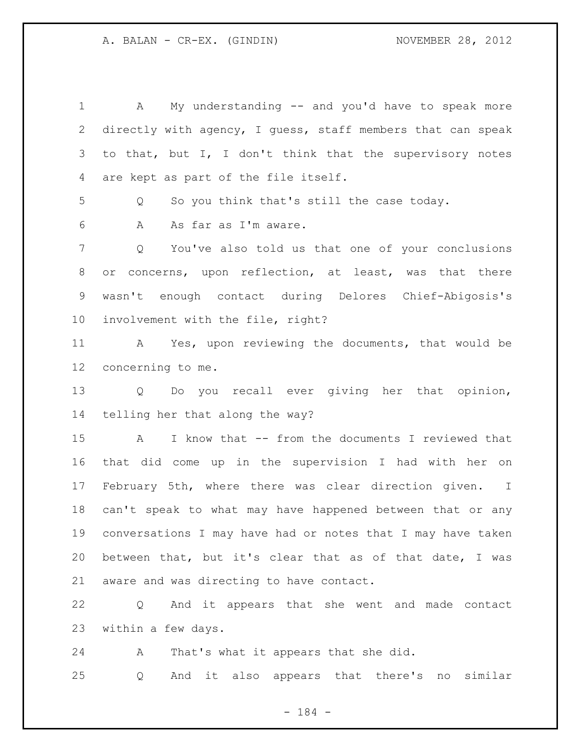A My understanding -- and you'd have to speak more directly with agency, I guess, staff members that can speak to that, but I, I don't think that the supervisory notes are kept as part of the file itself. Q So you think that's still the case today. A As far as I'm aware. Q You've also told us that one of your conclusions or concerns, upon reflection, at least, was that there wasn't enough contact during Delores Chief-Abigosis's involvement with the file, right? A Yes, upon reviewing the documents, that would be concerning to me. Q Do you recall ever giving her that opinion, telling her that along the way? A I know that -- from the documents I reviewed that that did come up in the supervision I had with her on February 5th, where there was clear direction given. I can't speak to what may have happened between that or any conversations I may have had or notes that I may have taken between that, but it's clear that as of that date, I was aware and was directing to have contact. Q And it appears that she went and made contact

A That's what it appears that she did.

within a few days.

Q And it also appears that there's no similar

- 184 -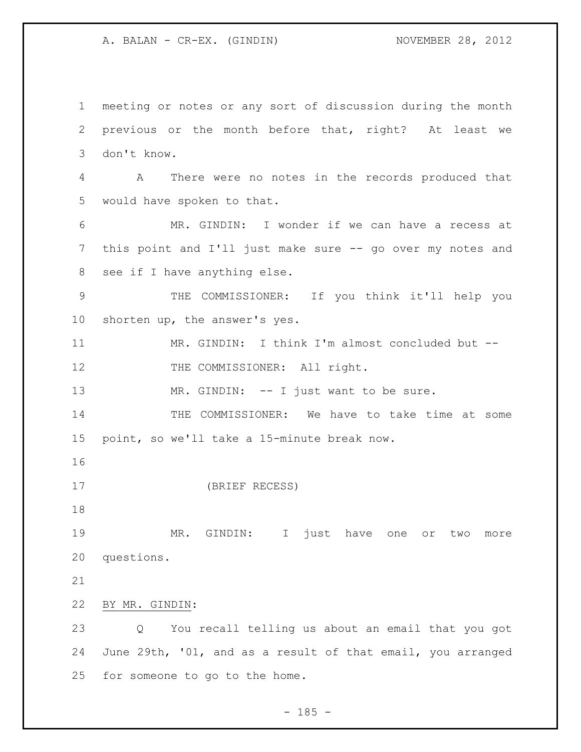meeting or notes or any sort of discussion during the month previous or the month before that, right? At least we don't know. A There were no notes in the records produced that would have spoken to that. MR. GINDIN: I wonder if we can have a recess at this point and I'll just make sure -- go over my notes and see if I have anything else. THE COMMISSIONER: If you think it'll help you shorten up, the answer's yes. MR. GINDIN: I think I'm almost concluded but -- 12 THE COMMISSIONER: All right. 13 MR. GINDIN: -- I just want to be sure. THE COMMISSIONER: We have to take time at some point, so we'll take a 15-minute break now. (BRIEF RECESS) MR. GINDIN: I just have one or two more questions. BY MR. GINDIN: Q You recall telling us about an email that you got June 29th, '01, and as a result of that email, you arranged for someone to go to the home.

 $- 185 -$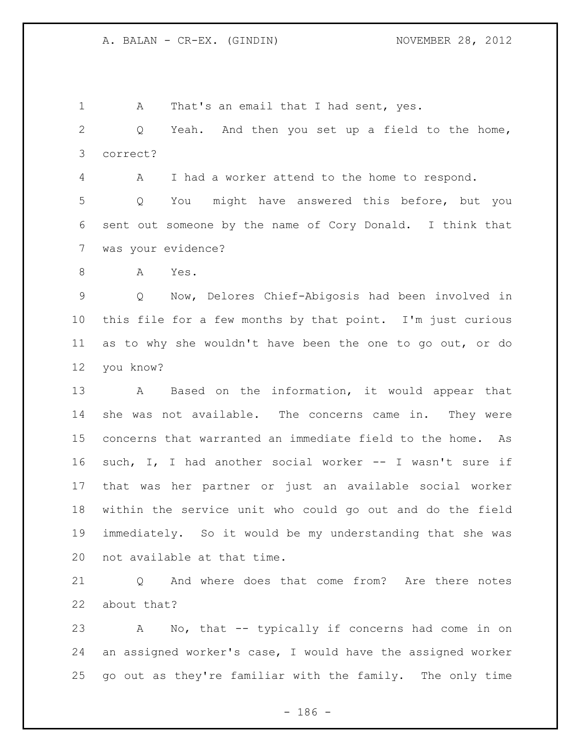1 A That's an email that I had sent, yes. Q Yeah. And then you set up a field to the home, correct? A I had a worker attend to the home to respond. Q You might have answered this before, but you sent out someone by the name of Cory Donald. I think that was your evidence? A Yes. Q Now, Delores Chief-Abigosis had been involved in this file for a few months by that point. I'm just curious as to why she wouldn't have been the one to go out, or do you know? A Based on the information, it would appear that she was not available. The concerns came in. They were concerns that warranted an immediate field to the home. As such, I, I had another social worker -- I wasn't sure if that was her partner or just an available social worker

 within the service unit who could go out and do the field immediately. So it would be my understanding that she was not available at that time.

 Q And where does that come from? Are there notes about that?

 A No, that -- typically if concerns had come in on an assigned worker's case, I would have the assigned worker go out as they're familiar with the family. The only time

- 186 -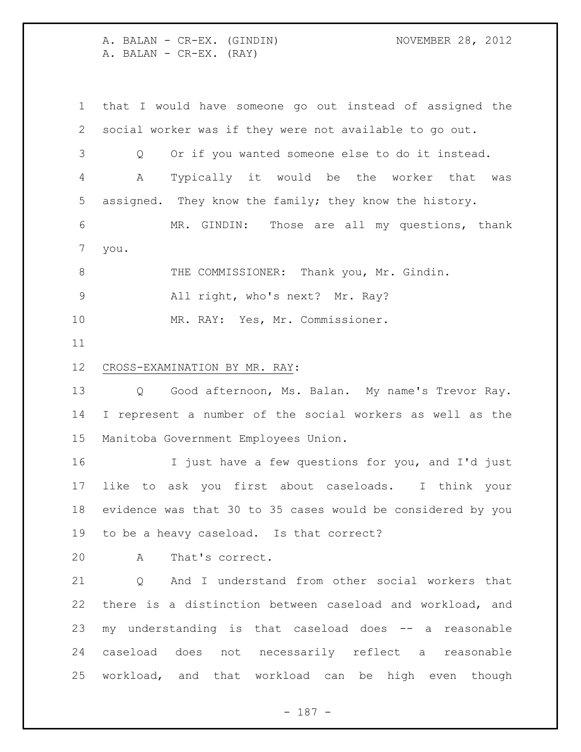A. BALAN - CR-EX. (GINDIN) NOVEMBER 28, 2012 A. BALAN - CR-EX. (RAY)

 that I would have someone go out instead of assigned the social worker was if they were not available to go out. Q Or if you wanted someone else to do it instead. A Typically it would be the worker that was assigned. They know the family; they know the history. MR. GINDIN: Those are all my questions, thank you. THE COMMISSIONER: Thank you, Mr. Gindin. All right, who's next? Mr. Ray? MR. RAY: Yes, Mr. Commissioner. CROSS-EXAMINATION BY MR. RAY: Q Good afternoon, Ms. Balan. My name's Trevor Ray. I represent a number of the social workers as well as the Manitoba Government Employees Union. I just have a few questions for you, and I'd just like to ask you first about caseloads. I think your evidence was that 30 to 35 cases would be considered by you to be a heavy caseload. Is that correct? A That's correct. 21 O And I understand from other social workers that there is a distinction between caseload and workload, and

 my understanding is that caseload does -- a reasonable caseload does not necessarily reflect a reasonable workload, and that workload can be high even though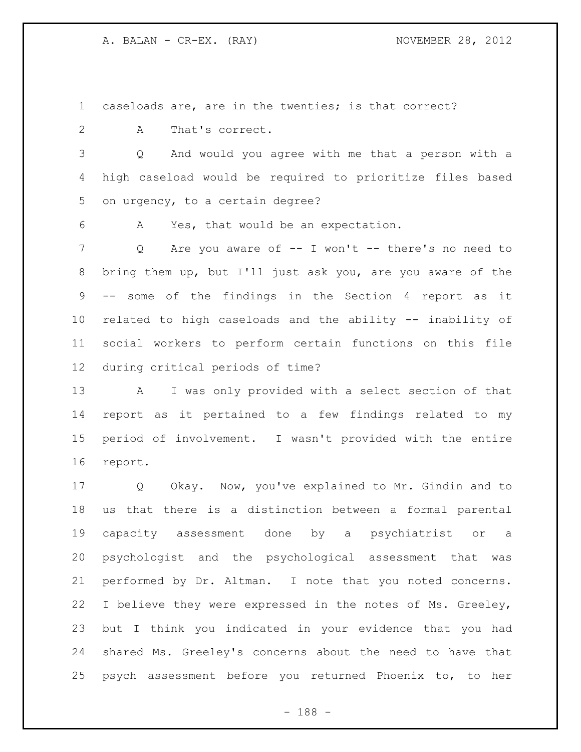caseloads are, are in the twenties; is that correct?

A That's correct.

 Q And would you agree with me that a person with a high caseload would be required to prioritize files based on urgency, to a certain degree?

A Yes, that would be an expectation.

 Q Are you aware of -- I won't -- there's no need to bring them up, but I'll just ask you, are you aware of the -- some of the findings in the Section 4 report as it related to high caseloads and the ability -- inability of social workers to perform certain functions on this file during critical periods of time?

 A I was only provided with a select section of that report as it pertained to a few findings related to my period of involvement. I wasn't provided with the entire report.

 Q Okay. Now, you've explained to Mr. Gindin and to us that there is a distinction between a formal parental capacity assessment done by a psychiatrist or a psychologist and the psychological assessment that was performed by Dr. Altman. I note that you noted concerns. I believe they were expressed in the notes of Ms. Greeley, but I think you indicated in your evidence that you had shared Ms. Greeley's concerns about the need to have that psych assessment before you returned Phoenix to, to her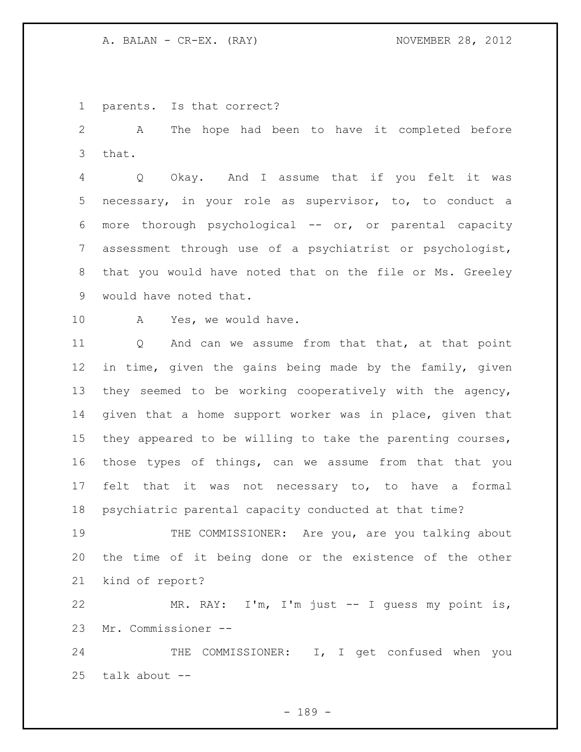parents. Is that correct?

 A The hope had been to have it completed before that.

 Q Okay. And I assume that if you felt it was necessary, in your role as supervisor, to, to conduct a more thorough psychological -- or, or parental capacity assessment through use of a psychiatrist or psychologist, that you would have noted that on the file or Ms. Greeley would have noted that.

A Yes, we would have.

 Q And can we assume from that that, at that point in time, given the gains being made by the family, given they seemed to be working cooperatively with the agency, given that a home support worker was in place, given that they appeared to be willing to take the parenting courses, those types of things, can we assume from that that you felt that it was not necessary to, to have a formal psychiatric parental capacity conducted at that time?

19 THE COMMISSIONER: Are you, are you talking about the time of it being done or the existence of the other kind of report?

 MR. RAY: I'm, I'm just -- I guess my point is, Mr. Commissioner --

 THE COMMISSIONER: I, I get confused when you talk about --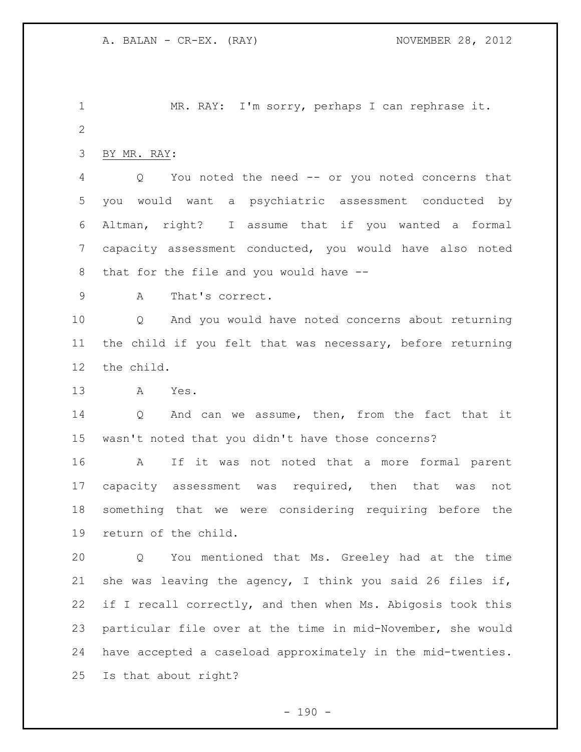MR. RAY: I'm sorry, perhaps I can rephrase it. BY MR. RAY: Q You noted the need -- or you noted concerns that you would want a psychiatric assessment conducted by Altman, right? I assume that if you wanted a formal capacity assessment conducted, you would have also noted that for the file and you would have -- A That's correct. Q And you would have noted concerns about returning the child if you felt that was necessary, before returning the child. A Yes. 14 Q And can we assume, then, from the fact that it wasn't noted that you didn't have those concerns? A If it was not noted that a more formal parent capacity assessment was required, then that was not something that we were considering requiring before the return of the child. Q You mentioned that Ms. Greeley had at the time she was leaving the agency, I think you said 26 files if, if I recall correctly, and then when Ms. Abigosis took this particular file over at the time in mid-November, she would have accepted a caseload approximately in the mid-twenties. Is that about right?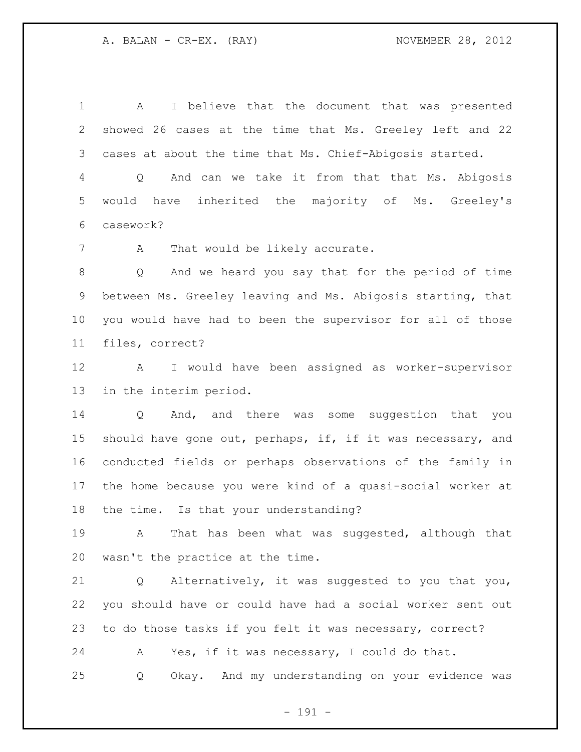A I believe that the document that was presented showed 26 cases at the time that Ms. Greeley left and 22 cases at about the time that Ms. Chief-Abigosis started. Q And can we take it from that that Ms. Abigosis would have inherited the majority of Ms. Greeley's

casework?

7 A That would be likely accurate.

 Q And we heard you say that for the period of time between Ms. Greeley leaving and Ms. Abigosis starting, that you would have had to been the supervisor for all of those files, correct?

 A I would have been assigned as worker-supervisor in the interim period.

 Q And, and there was some suggestion that you should have gone out, perhaps, if, if it was necessary, and conducted fields or perhaps observations of the family in the home because you were kind of a quasi-social worker at the time. Is that your understanding?

 A That has been what was suggested, although that wasn't the practice at the time.

 Q Alternatively, it was suggested to you that you, you should have or could have had a social worker sent out to do those tasks if you felt it was necessary, correct?

 A Yes, if it was necessary, I could do that. Q Okay. And my understanding on your evidence was

- 191 -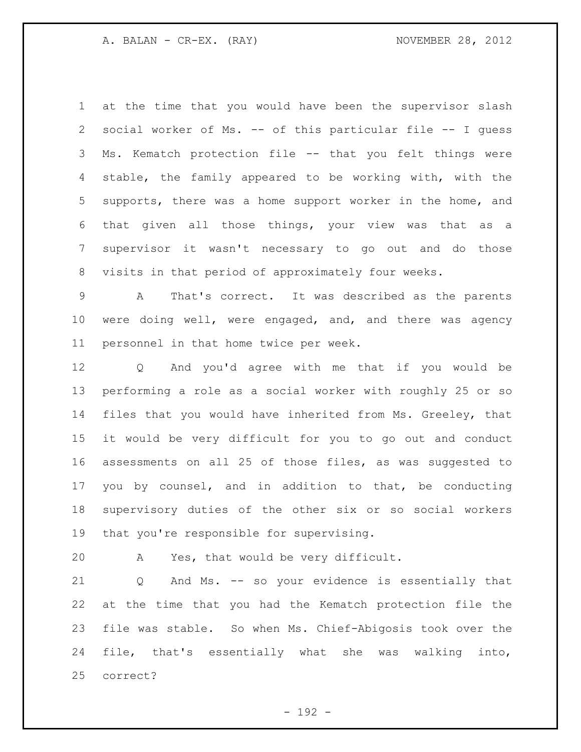at the time that you would have been the supervisor slash social worker of Ms. -- of this particular file -- I guess Ms. Kematch protection file -- that you felt things were stable, the family appeared to be working with, with the supports, there was a home support worker in the home, and that given all those things, your view was that as a supervisor it wasn't necessary to go out and do those visits in that period of approximately four weeks.

 A That's correct. It was described as the parents were doing well, were engaged, and, and there was agency personnel in that home twice per week.

 Q And you'd agree with me that if you would be performing a role as a social worker with roughly 25 or so files that you would have inherited from Ms. Greeley, that it would be very difficult for you to go out and conduct assessments on all 25 of those files, as was suggested to you by counsel, and in addition to that, be conducting supervisory duties of the other six or so social workers 19 that you're responsible for supervising.

A Yes, that would be very difficult.

 Q And Ms. -- so your evidence is essentially that at the time that you had the Kematch protection file the file was stable. So when Ms. Chief-Abigosis took over the file, that's essentially what she was walking into, correct?

- 192 -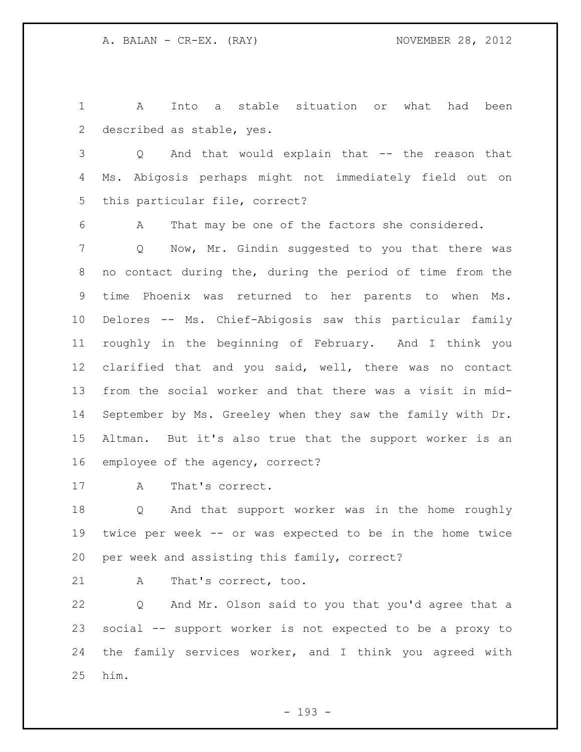A Into a stable situation or what had been described as stable, yes.

 Q And that would explain that -- the reason that Ms. Abigosis perhaps might not immediately field out on this particular file, correct?

A That may be one of the factors she considered.

 Q Now, Mr. Gindin suggested to you that there was no contact during the, during the period of time from the time Phoenix was returned to her parents to when Ms. Delores -- Ms. Chief-Abigosis saw this particular family roughly in the beginning of February. And I think you clarified that and you said, well, there was no contact from the social worker and that there was a visit in mid- September by Ms. Greeley when they saw the family with Dr. Altman. But it's also true that the support worker is an employee of the agency, correct?

A That's correct.

 Q And that support worker was in the home roughly twice per week -- or was expected to be in the home twice per week and assisting this family, correct?

A That's correct, too.

 Q And Mr. Olson said to you that you'd agree that a social -- support worker is not expected to be a proxy to the family services worker, and I think you agreed with him.

- 193 -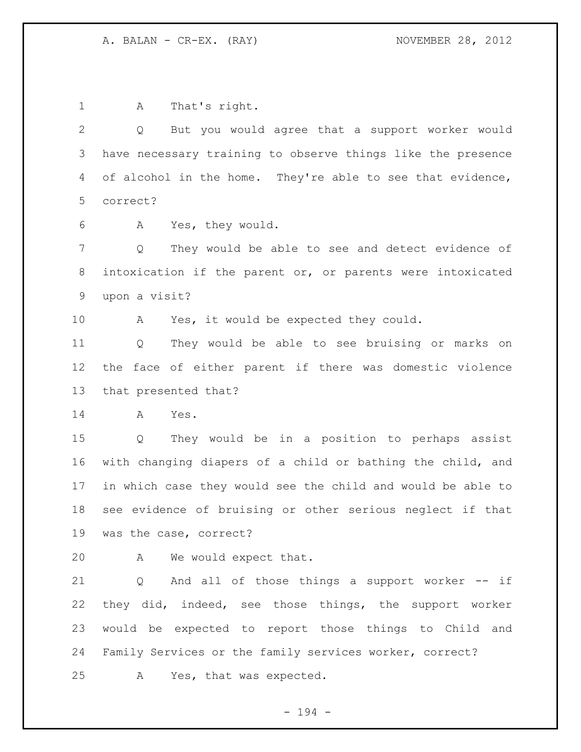A That's right. Q But you would agree that a support worker would have necessary training to observe things like the presence 4 of alcohol in the home. They're able to see that evidence, correct? A Yes, they would. Q They would be able to see and detect evidence of intoxication if the parent or, or parents were intoxicated upon a visit? A Yes, it would be expected they could. Q They would be able to see bruising or marks on the face of either parent if there was domestic violence that presented that? A Yes. Q They would be in a position to perhaps assist with changing diapers of a child or bathing the child, and in which case they would see the child and would be able to see evidence of bruising or other serious neglect if that was the case, correct? A We would expect that. Q And all of those things a support worker -- if

 they did, indeed, see those things, the support worker would be expected to report those things to Child and Family Services or the family services worker, correct?

A Yes, that was expected.

- 194 -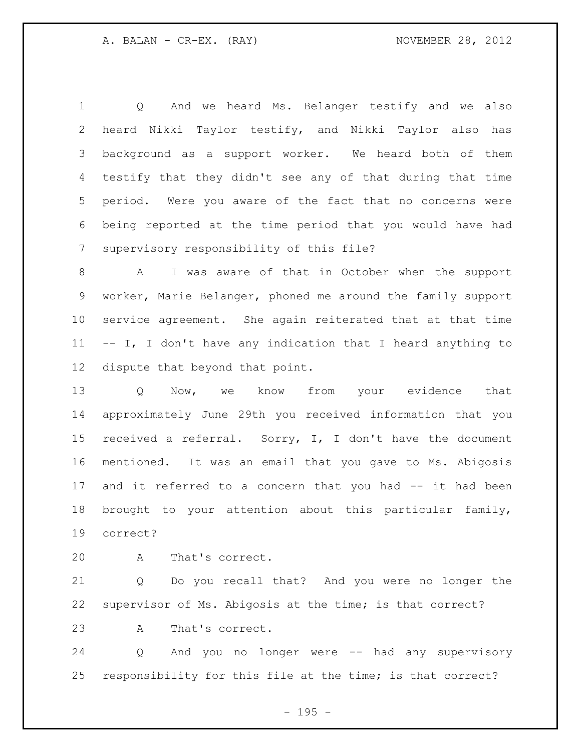Q And we heard Ms. Belanger testify and we also heard Nikki Taylor testify, and Nikki Taylor also has background as a support worker. We heard both of them testify that they didn't see any of that during that time period. Were you aware of the fact that no concerns were being reported at the time period that you would have had supervisory responsibility of this file?

 A I was aware of that in October when the support worker, Marie Belanger, phoned me around the family support service agreement. She again reiterated that at that time -- I, I don't have any indication that I heard anything to dispute that beyond that point.

13 O Now, we know from your evidence that approximately June 29th you received information that you received a referral. Sorry, I, I don't have the document mentioned. It was an email that you gave to Ms. Abigosis 17 and it referred to a concern that you had -- it had been brought to your attention about this particular family, correct?

A That's correct.

 Q Do you recall that? And you were no longer the supervisor of Ms. Abigosis at the time; is that correct?

A That's correct.

 Q And you no longer were -- had any supervisory responsibility for this file at the time; is that correct?

- 195 -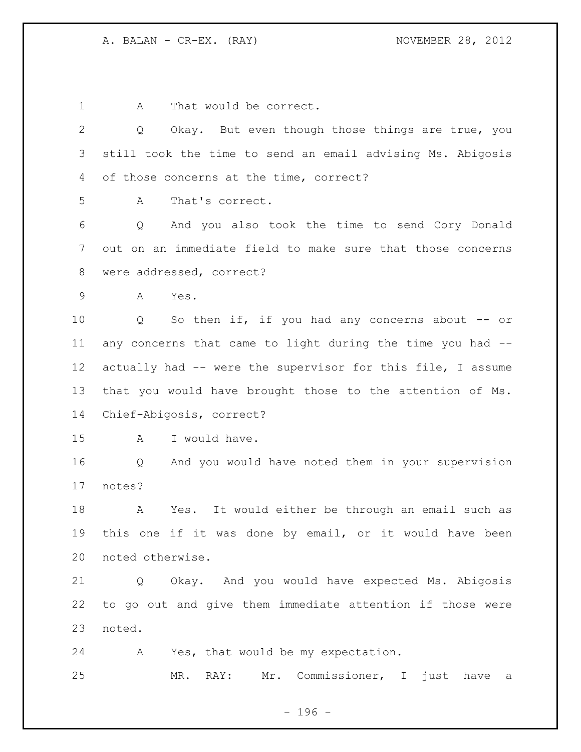1 A That would be correct.

 Q Okay. But even though those things are true, you still took the time to send an email advising Ms. Abigosis of those concerns at the time, correct? A That's correct. Q And you also took the time to send Cory Donald out on an immediate field to make sure that those concerns were addressed, correct? A Yes. Q So then if, if you had any concerns about -- or any concerns that came to light during the time you had -- actually had -- were the supervisor for this file, I assume that you would have brought those to the attention of Ms. Chief-Abigosis, correct? A I would have. Q And you would have noted them in your supervision notes? A Yes. It would either be through an email such as this one if it was done by email, or it would have been noted otherwise.

 Q Okay. And you would have expected Ms. Abigosis to go out and give them immediate attention if those were noted.

A Yes, that would be my expectation.

MR. RAY: Mr. Commissioner, I just have a

- 196 -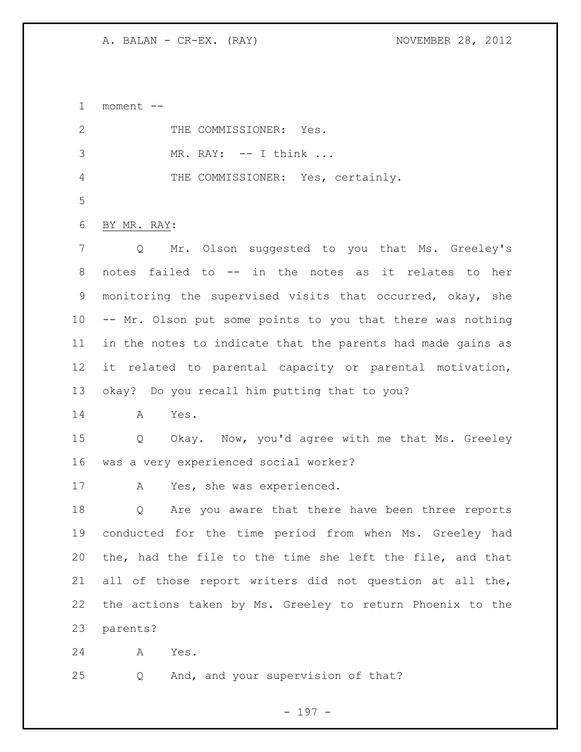moment -- 2 THE COMMISSIONER: Yes. MR. RAY: -- I think ... THE COMMISSIONER: Yes, certainly. BY MR. RAY: Q Mr. Olson suggested to you that Ms. Greeley's notes failed to -- in the notes as it relates to her monitoring the supervised visits that occurred, okay, she -- Mr. Olson put some points to you that there was nothing in the notes to indicate that the parents had made gains as it related to parental capacity or parental motivation, okay? Do you recall him putting that to you? A Yes. Q Okay. Now, you'd agree with me that Ms. Greeley was a very experienced social worker? A Yes, she was experienced. Q Are you aware that there have been three reports conducted for the time period from when Ms. Greeley had the, had the file to the time she left the file, and that all of those report writers did not question at all the, the actions taken by Ms. Greeley to return Phoenix to the parents? A Yes. Q And, and your supervision of that?

- 197 -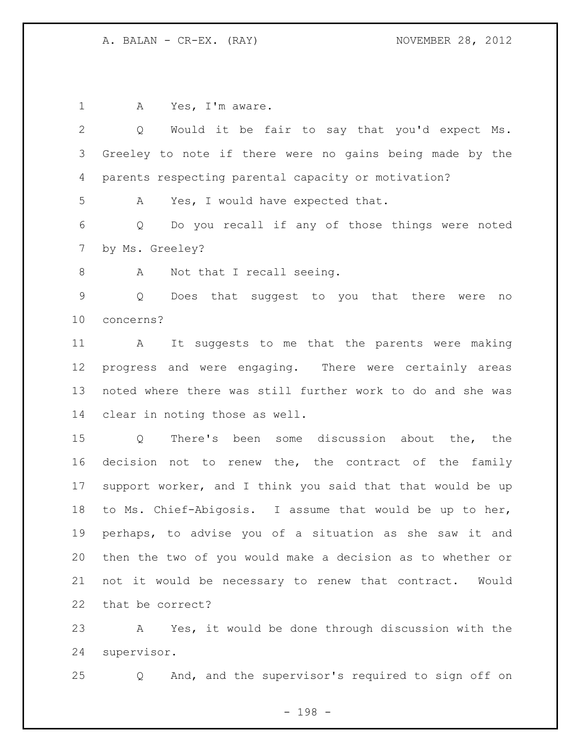1 A Yes, I'm aware. Q Would it be fair to say that you'd expect Ms. Greeley to note if there were no gains being made by the parents respecting parental capacity or motivation? A Yes, I would have expected that. Q Do you recall if any of those things were noted by Ms. Greeley? 8 A Not that I recall seeing. Q Does that suggest to you that there were no concerns? A It suggests to me that the parents were making progress and were engaging. There were certainly areas noted where there was still further work to do and she was clear in noting those as well. Q There's been some discussion about the, the 16 decision not to renew the, the contract of the family support worker, and I think you said that that would be up to Ms. Chief-Abigosis. I assume that would be up to her, perhaps, to advise you of a situation as she saw it and then the two of you would make a decision as to whether or not it would be necessary to renew that contract. Would that be correct? A Yes, it would be done through discussion with the

supervisor.

Q And, and the supervisor's required to sign off on

- 198 -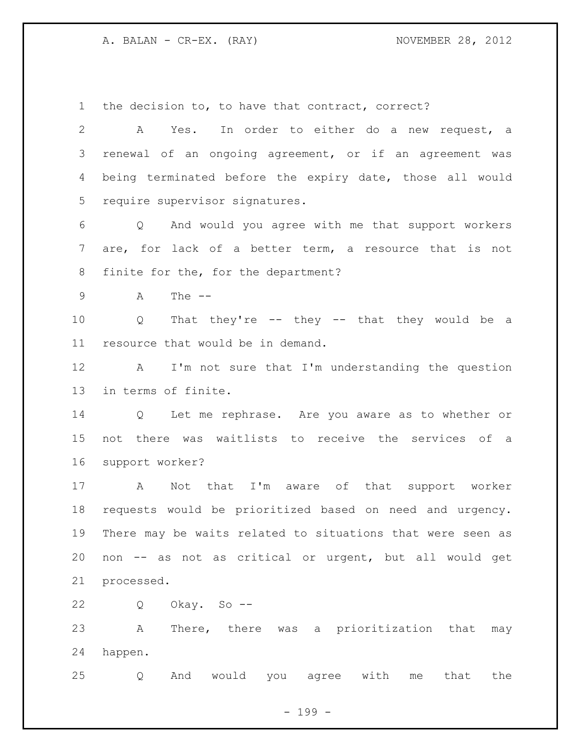the decision to, to have that contract, correct?

 A Yes. In order to either do a new request, a renewal of an ongoing agreement, or if an agreement was being terminated before the expiry date, those all would require supervisor signatures. Q And would you agree with me that support workers are, for lack of a better term, a resource that is not finite for the, for the department? A The -- Q That they're -- they -- that they would be a resource that would be in demand. A I'm not sure that I'm understanding the question in terms of finite. Q Let me rephrase. Are you aware as to whether or not there was waitlists to receive the services of a support worker? A Not that I'm aware of that support worker requests would be prioritized based on need and urgency. There may be waits related to situations that were seen as non -- as not as critical or urgent, but all would get processed. Q Okay. So -- A There, there was a prioritization that may happen.

Q And would you agree with me that the

- 199 -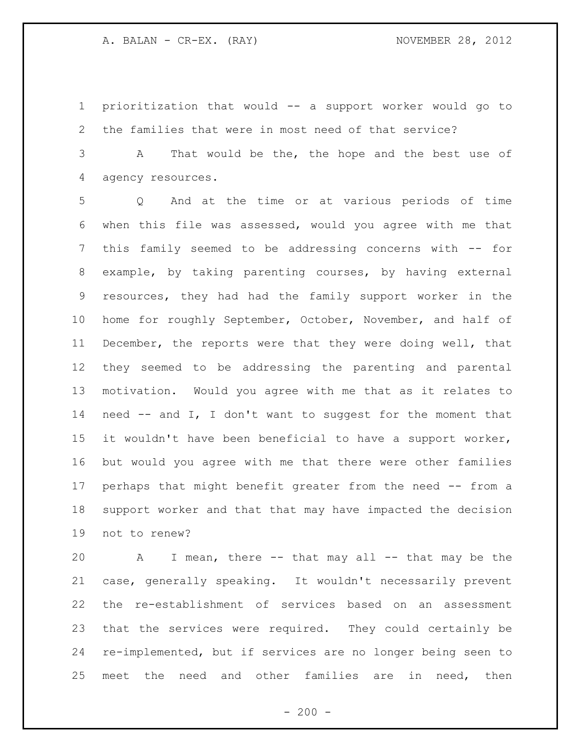prioritization that would -- a support worker would go to the families that were in most need of that service?

 A That would be the, the hope and the best use of agency resources.

 Q And at the time or at various periods of time when this file was assessed, would you agree with me that this family seemed to be addressing concerns with -- for example, by taking parenting courses, by having external resources, they had had the family support worker in the home for roughly September, October, November, and half of December, the reports were that they were doing well, that they seemed to be addressing the parenting and parental motivation. Would you agree with me that as it relates to need -- and I, I don't want to suggest for the moment that it wouldn't have been beneficial to have a support worker, but would you agree with me that there were other families perhaps that might benefit greater from the need -- from a support worker and that that may have impacted the decision not to renew?

 A I mean, there -- that may all -- that may be the case, generally speaking. It wouldn't necessarily prevent the re-establishment of services based on an assessment that the services were required. They could certainly be re-implemented, but if services are no longer being seen to meet the need and other families are in need, then

 $-200 -$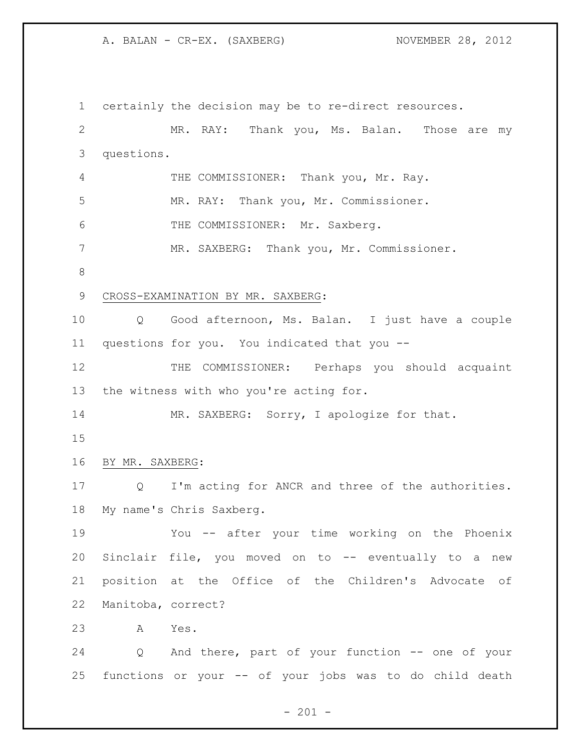certainly the decision may be to re-direct resources. MR. RAY: Thank you, Ms. Balan. Those are my questions. 4 THE COMMISSIONER: Thank you, Mr. Ray. MR. RAY: Thank you, Mr. Commissioner. THE COMMISSIONER: Mr. Saxberg. MR. SAXBERG: Thank you, Mr. Commissioner. CROSS-EXAMINATION BY MR. SAXBERG: Q Good afternoon, Ms. Balan. I just have a couple questions for you. You indicated that you -- 12 THE COMMISSIONER: Perhaps you should acquaint the witness with who you're acting for. 14 MR. SAXBERG: Sorry, I apologize for that. BY MR. SAXBERG: Q I'm acting for ANCR and three of the authorities. My name's Chris Saxberg. You -- after your time working on the Phoenix 20 Sinclair file, you moved on to -- eventually to a new position at the Office of the Children's Advocate of Manitoba, correct? A Yes. Q And there, part of your function -- one of your functions or your -- of your jobs was to do child death

 $- 201 -$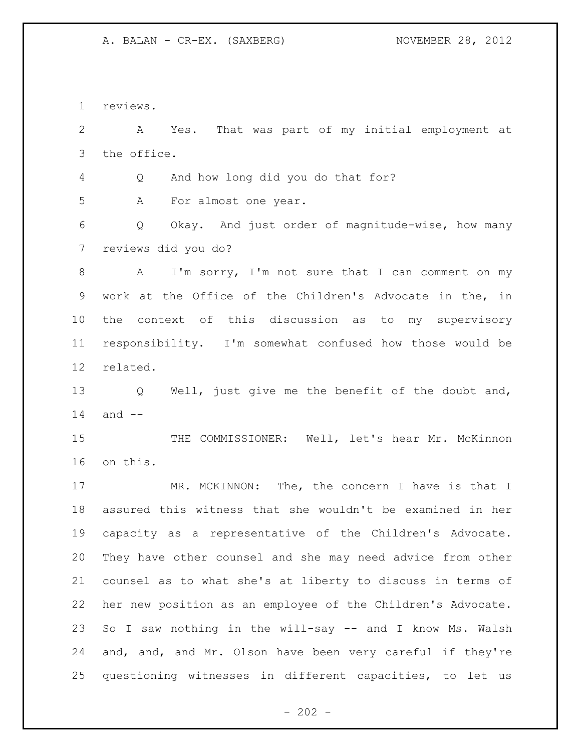reviews.

 A Yes. That was part of my initial employment at the office. Q And how long did you do that for? A For almost one year. Q Okay. And just order of magnitude-wise, how many reviews did you do? 8 A I'm sorry, I'm not sure that I can comment on my work at the Office of the Children's Advocate in the, in the context of this discussion as to my supervisory responsibility. I'm somewhat confused how those would be related. Q Well, just give me the benefit of the doubt and, and  $-$ 15 THE COMMISSIONER: Well, let's hear Mr. McKinnon on this. 17 MR. MCKINNON: The, the concern I have is that I assured this witness that she wouldn't be examined in her capacity as a representative of the Children's Advocate. They have other counsel and she may need advice from other counsel as to what she's at liberty to discuss in terms of her new position as an employee of the Children's Advocate. 23 So I saw nothing in the will-say -- and I know Ms. Walsh and, and, and Mr. Olson have been very careful if they're questioning witnesses in different capacities, to let us

 $- 202 -$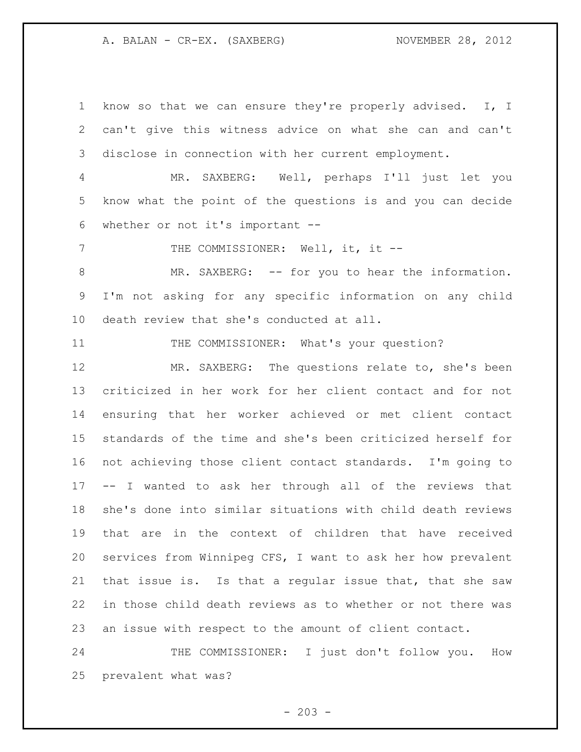know so that we can ensure they're properly advised. I, I can't give this witness advice on what she can and can't disclose in connection with her current employment.

 MR. SAXBERG: Well, perhaps I'll just let you know what the point of the questions is and you can decide whether or not it's important --

7 THE COMMISSIONER: Well, it, it --

 MR. SAXBERG: -- for you to hear the information. I'm not asking for any specific information on any child death review that she's conducted at all.

11 THE COMMISSIONER: What's your question?

 MR. SAXBERG: The questions relate to, she's been criticized in her work for her client contact and for not ensuring that her worker achieved or met client contact standards of the time and she's been criticized herself for not achieving those client contact standards. I'm going to -- I wanted to ask her through all of the reviews that she's done into similar situations with child death reviews that are in the context of children that have received services from Winnipeg CFS, I want to ask her how prevalent that issue is. Is that a regular issue that, that she saw in those child death reviews as to whether or not there was an issue with respect to the amount of client contact.

 THE COMMISSIONER: I just don't follow you. How prevalent what was?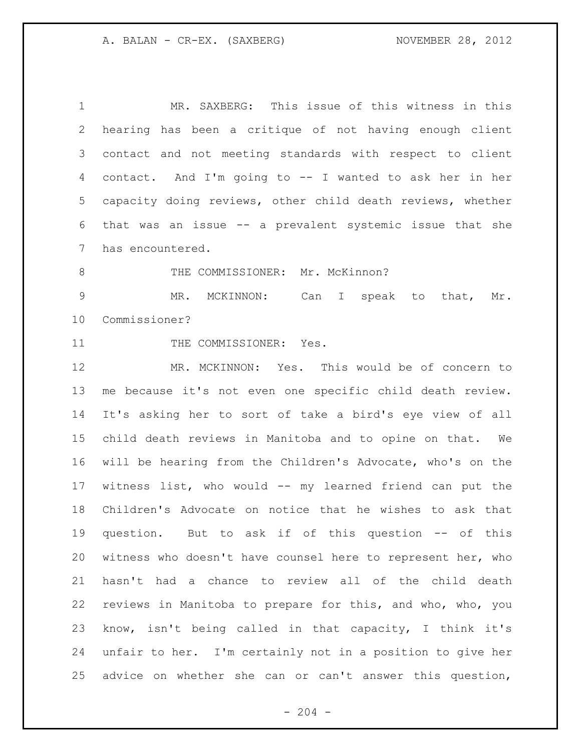MR. SAXBERG: This issue of this witness in this hearing has been a critique of not having enough client contact and not meeting standards with respect to client contact. And I'm going to -- I wanted to ask her in her capacity doing reviews, other child death reviews, whether that was an issue -- a prevalent systemic issue that she has encountered. 8 THE COMMISSIONER: Mr. McKinnon? MR. MCKINNON: Can I speak to that, Mr. Commissioner? 11 THE COMMISSIONER: Yes. MR. MCKINNON: Yes. This would be of concern to me because it's not even one specific child death review. It's asking her to sort of take a bird's eye view of all child death reviews in Manitoba and to opine on that. We will be hearing from the Children's Advocate, who's on the witness list, who would -- my learned friend can put the Children's Advocate on notice that he wishes to ask that question. But to ask if of this question -- of this witness who doesn't have counsel here to represent her, who hasn't had a chance to review all of the child death reviews in Manitoba to prepare for this, and who, who, you know, isn't being called in that capacity, I think it's unfair to her. I'm certainly not in a position to give her advice on whether she can or can't answer this question,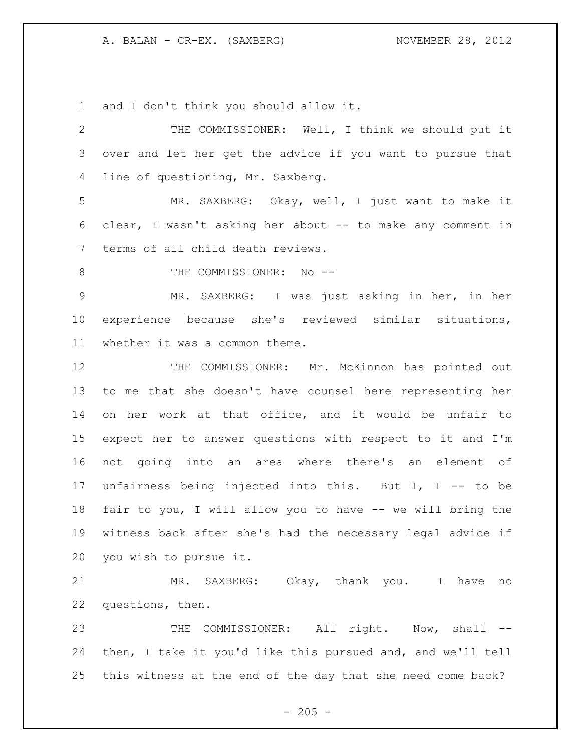and I don't think you should allow it.

 THE COMMISSIONER: Well, I think we should put it over and let her get the advice if you want to pursue that line of questioning, Mr. Saxberg. MR. SAXBERG: Okay, well, I just want to make it clear, I wasn't asking her about -- to make any comment in terms of all child death reviews. 8 THE COMMISSIONER: No -- MR. SAXBERG: I was just asking in her, in her experience because she's reviewed similar situations, whether it was a common theme. 12 THE COMMISSIONER: Mr. McKinnon has pointed out to me that she doesn't have counsel here representing her on her work at that office, and it would be unfair to expect her to answer questions with respect to it and I'm not going into an area where there's an element of unfairness being injected into this. But I, I -- to be fair to you, I will allow you to have -- we will bring the witness back after she's had the necessary legal advice if you wish to pursue it. MR. SAXBERG: Okay, thank you. I have no questions, then. 23 THE COMMISSIONER: All right. Now, shall -- then, I take it you'd like this pursued and, and we'll tell this witness at the end of the day that she need come back?

 $- 205 -$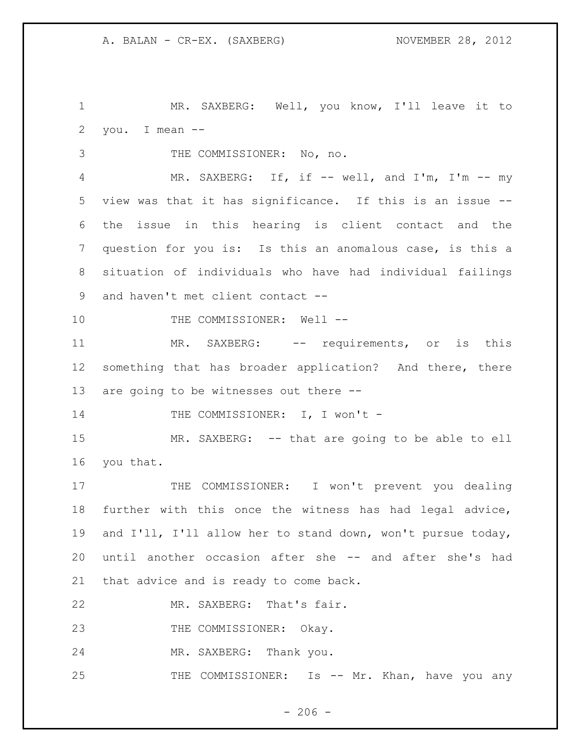MR. SAXBERG: Well, you know, I'll leave it to you. I mean --

THE COMMISSIONER: No, no.

 MR. SAXBERG: If, if -- well, and I'm, I'm -- my view was that it has significance. If this is an issue -- the issue in this hearing is client contact and the question for you is: Is this an anomalous case, is this a situation of individuals who have had individual failings and haven't met client contact --

10 THE COMMISSIONER: Well --

11 MR. SAXBERG: -- requirements, or is this something that has broader application? And there, there are going to be witnesses out there --

14 THE COMMISSIONER: I, I won't -

15 MR. SAXBERG: -- that are going to be able to ell you that.

17 THE COMMISSIONER: I won't prevent you dealing further with this once the witness has had legal advice, and I'll, I'll allow her to stand down, won't pursue today, until another occasion after she -- and after she's had that advice and is ready to come back.

MR. SAXBERG: That's fair.

23 THE COMMISSIONER: Okay.

MR. SAXBERG: Thank you.

25 THE COMMISSIONER: Is -- Mr. Khan, have you any

 $-206 -$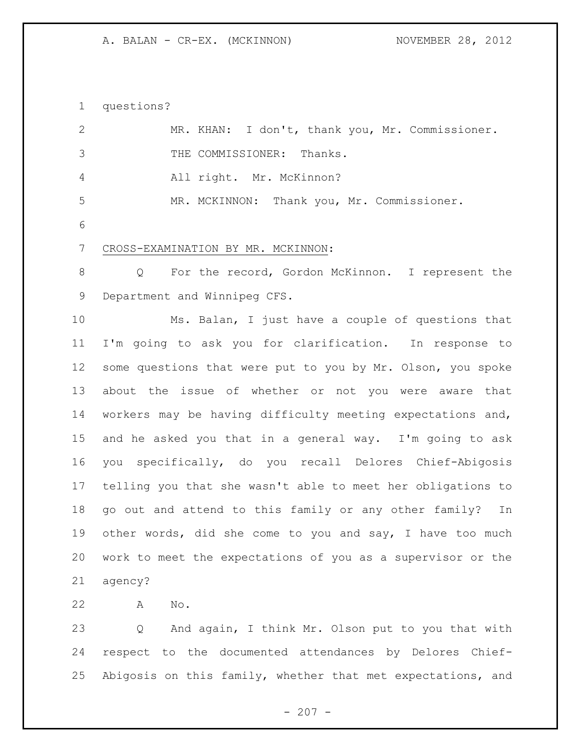questions?

| $\mathbf{2}$    | MR. KHAN: I don't, thank you, Mr. Commissioner.             |
|-----------------|-------------------------------------------------------------|
| 3               | THE COMMISSIONER: Thanks.                                   |
| 4               | All right. Mr. McKinnon?                                    |
| 5               | MR. MCKINNON: Thank you, Mr. Commissioner.                  |
| 6               |                                                             |
| $7\phantom{.0}$ | CROSS-EXAMINATION BY MR. MCKINNON:                          |
| 8               | For the record, Gordon McKinnon. I represent the<br>Q       |
| 9               | Department and Winnipeg CFS.                                |
| 10              | Ms. Balan, I just have a couple of questions that           |
| 11              | I'm going to ask you for clarification. In response to      |
| 12              | some questions that were put to you by Mr. Olson, you spoke |
| 13              | about the issue of whether or not you were aware that       |
| 14              | workers may be having difficulty meeting expectations and,  |
| 15              | and he asked you that in a general way. I'm going to ask    |
| 16              | specifically, do you recall Delores Chief-Abigosis<br>vou   |
| 17              | telling you that she wasn't able to meet her obligations to |
| 18              | go out and attend to this family or any other family?<br>In |
| 19              | other words, did she come to you and say, I have too much   |
| 20              | work to meet the expectations of you as a supervisor or the |
| 21              | agency?                                                     |

A No.

 Q And again, I think Mr. Olson put to you that with respect to the documented attendances by Delores Chief-Abigosis on this family, whether that met expectations, and

- 207 -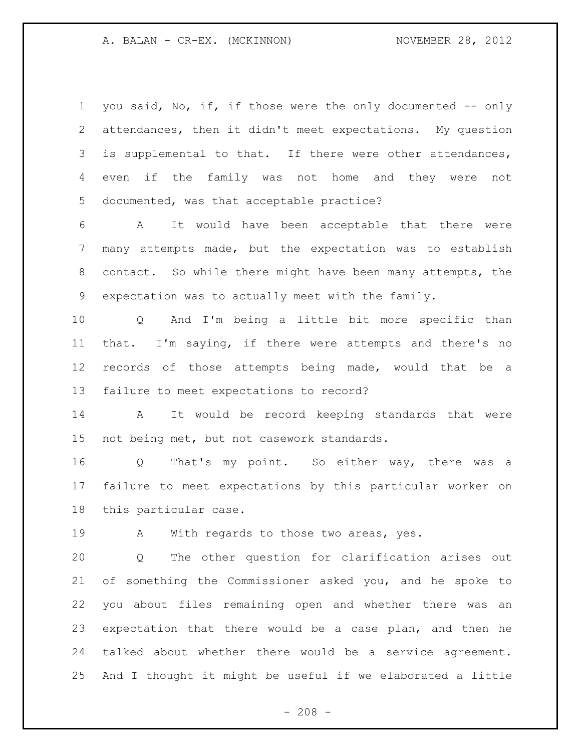1 you said, No, if, if those were the only documented -- only attendances, then it didn't meet expectations. My question 3 is supplemental to that. If there were other attendances, even if the family was not home and they were not documented, was that acceptable practice? A It would have been acceptable that there were many attempts made, but the expectation was to establish contact. So while there might have been many attempts, the expectation was to actually meet with the family. Q And I'm being a little bit more specific than that. I'm saying, if there were attempts and there's no records of those attempts being made, would that be a failure to meet expectations to record? A It would be record keeping standards that were not being met, but not casework standards. Q That's my point. So either way, there was a failure to meet expectations by this particular worker on this particular case. 19 A With regards to those two areas, yes. Q The other question for clarification arises out of something the Commissioner asked you, and he spoke to you about files remaining open and whether there was an expectation that there would be a case plan, and then he talked about whether there would be a service agreement. And I thought it might be useful if we elaborated a little

 $- 208 -$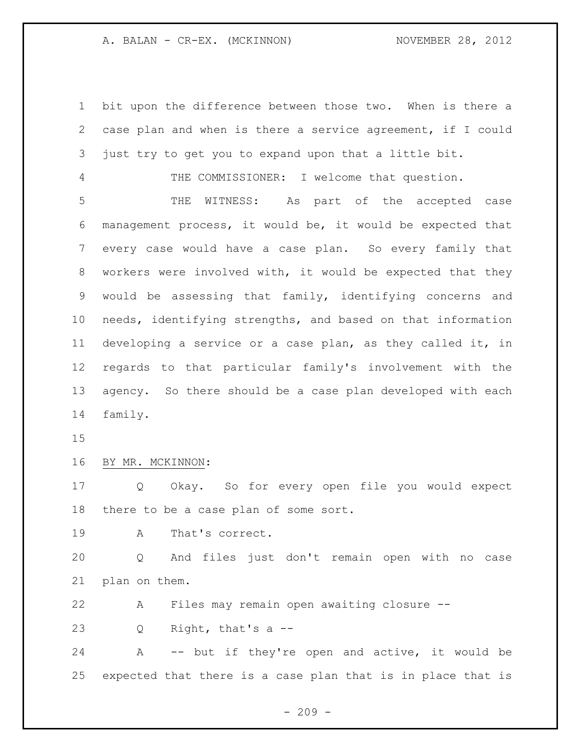bit upon the difference between those two. When is there a case plan and when is there a service agreement, if I could just try to get you to expand upon that a little bit.

THE COMMISSIONER: I welcome that question.

 THE WITNESS: As part of the accepted case management process, it would be, it would be expected that every case would have a case plan. So every family that workers were involved with, it would be expected that they would be assessing that family, identifying concerns and needs, identifying strengths, and based on that information developing a service or a case plan, as they called it, in regards to that particular family's involvement with the agency. So there should be a case plan developed with each family.

### BY MR. MCKINNON:

 Q Okay. So for every open file you would expect there to be a case plan of some sort.

A That's correct.

 Q And files just don't remain open with no case plan on them.

A Files may remain open awaiting closure --

Q Right, that's a --

 A -- but if they're open and active, it would be expected that there is a case plan that is in place that is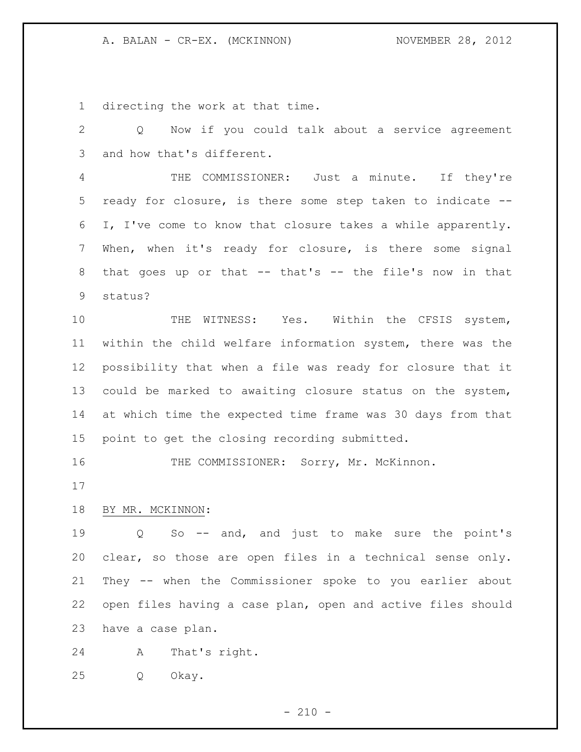directing the work at that time.

 Q Now if you could talk about a service agreement and how that's different.

 THE COMMISSIONER: Just a minute. If they're ready for closure, is there some step taken to indicate -- I, I've come to know that closure takes a while apparently. When, when it's ready for closure, is there some signal that goes up or that -- that's -- the file's now in that status?

10 THE WITNESS: Yes. Within the CFSIS system, within the child welfare information system, there was the possibility that when a file was ready for closure that it could be marked to awaiting closure status on the system, at which time the expected time frame was 30 days from that point to get the closing recording submitted.

16 THE COMMISSIONER: Sorry, Mr. McKinnon.

# BY MR. MCKINNON:

 Q So -- and, and just to make sure the point's clear, so those are open files in a technical sense only. They -- when the Commissioner spoke to you earlier about open files having a case plan, open and active files should have a case plan.

A That's right.

Q Okay.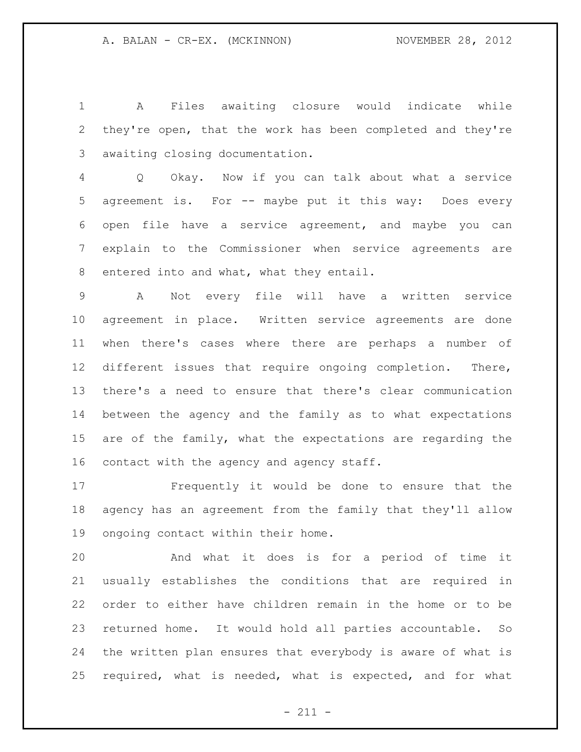A Files awaiting closure would indicate while they're open, that the work has been completed and they're awaiting closing documentation.

 Q Okay. Now if you can talk about what a service agreement is. For -- maybe put it this way: Does every open file have a service agreement, and maybe you can explain to the Commissioner when service agreements are entered into and what, what they entail.

 A Not every file will have a written service agreement in place. Written service agreements are done when there's cases where there are perhaps a number of different issues that require ongoing completion. There, there's a need to ensure that there's clear communication between the agency and the family as to what expectations are of the family, what the expectations are regarding the contact with the agency and agency staff.

 Frequently it would be done to ensure that the agency has an agreement from the family that they'll allow ongoing contact within their home.

 And what it does is for a period of time it usually establishes the conditions that are required in order to either have children remain in the home or to be returned home. It would hold all parties accountable. So the written plan ensures that everybody is aware of what is required, what is needed, what is expected, and for what

 $- 211 -$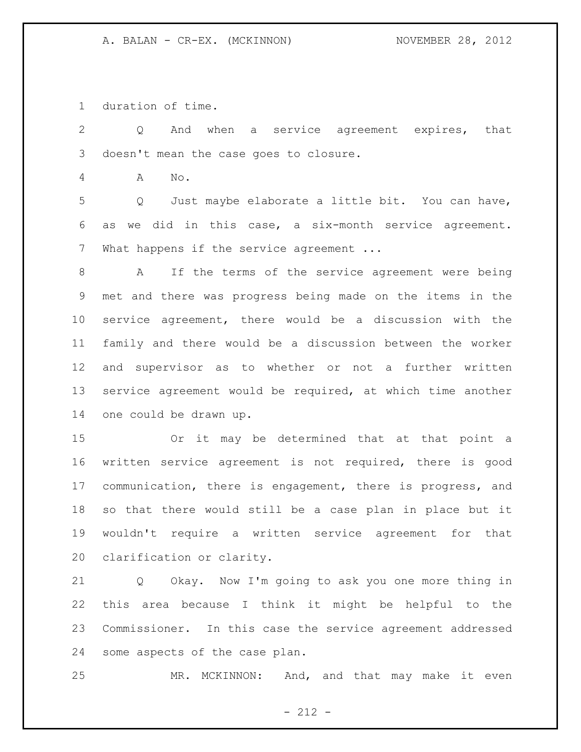duration of time.

 Q And when a service agreement expires, that doesn't mean the case goes to closure. A No. Q Just maybe elaborate a little bit. You can have, as we did in this case, a six-month service agreement. 7 What happens if the service agreement ... A If the terms of the service agreement were being met and there was progress being made on the items in the service agreement, there would be a discussion with the family and there would be a discussion between the worker and supervisor as to whether or not a further written service agreement would be required, at which time another one could be drawn up. Or it may be determined that at that point a written service agreement is not required, there is good communication, there is engagement, there is progress, and so that there would still be a case plan in place but it wouldn't require a written service agreement for that clarification or clarity. Q Okay. Now I'm going to ask you one more thing in

 this area because I think it might be helpful to the Commissioner. In this case the service agreement addressed some aspects of the case plan.

MR. MCKINNON: And, and that may make it even

- 212 -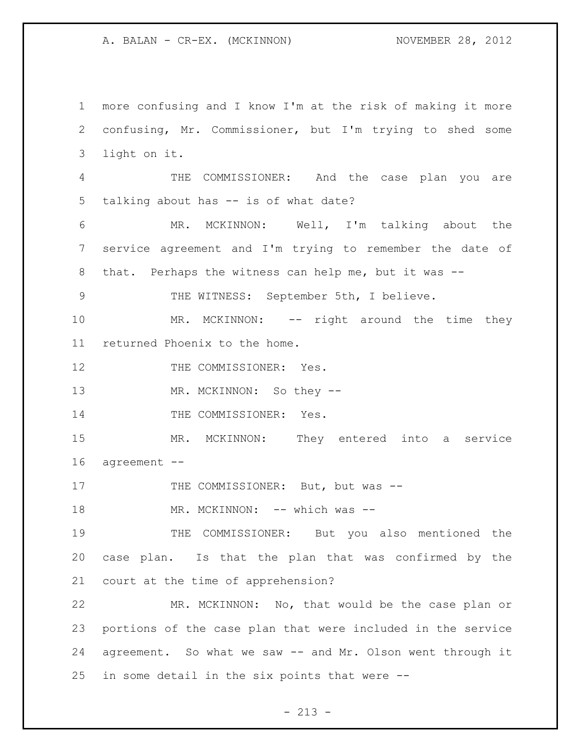more confusing and I know I'm at the risk of making it more confusing, Mr. Commissioner, but I'm trying to shed some light on it. THE COMMISSIONER: And the case plan you are talking about has -- is of what date? MR. MCKINNON: Well, I'm talking about the service agreement and I'm trying to remember the date of that. Perhaps the witness can help me, but it was -- THE WITNESS: September 5th, I believe. 10 MR. MCKINNON: -- right around the time they returned Phoenix to the home. 12 THE COMMISSIONER: Yes. 13 MR. MCKINNON: So they --14 THE COMMISSIONER: Yes. MR. MCKINNON: They entered into a service agreement -- 17 THE COMMISSIONER: But, but was --18 MR. MCKINNON: -- which was -- THE COMMISSIONER: But you also mentioned the case plan. Is that the plan that was confirmed by the court at the time of apprehension? MR. MCKINNON: No, that would be the case plan or portions of the case plan that were included in the service agreement. So what we saw -- and Mr. Olson went through it in some detail in the six points that were --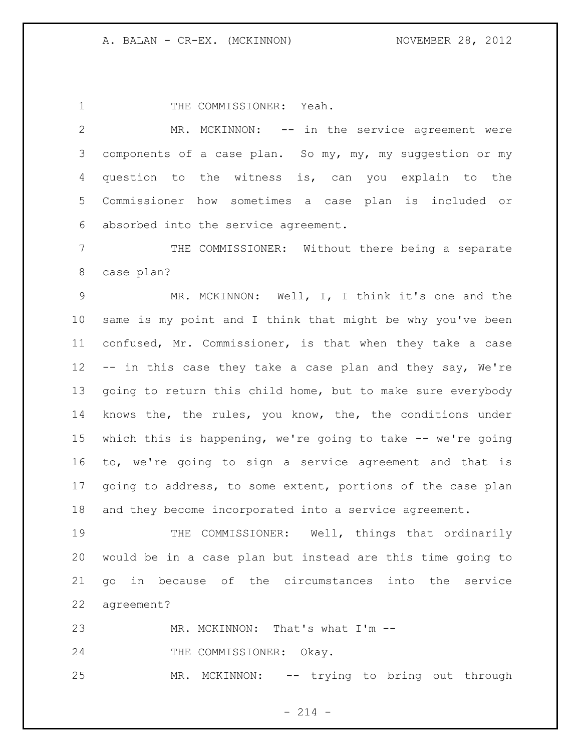1 THE COMMISSIONER: Yeah.

2 MR. MCKINNON: -- in the service agreement were components of a case plan. So my, my, my suggestion or my question to the witness is, can you explain to the Commissioner how sometimes a case plan is included or absorbed into the service agreement.

 THE COMMISSIONER: Without there being a separate case plan?

 MR. MCKINNON: Well, I, I think it's one and the same is my point and I think that might be why you've been confused, Mr. Commissioner, is that when they take a case -- in this case they take a case plan and they say, We're going to return this child home, but to make sure everybody knows the, the rules, you know, the, the conditions under which this is happening, we're going to take -- we're going to, we're going to sign a service agreement and that is going to address, to some extent, portions of the case plan and they become incorporated into a service agreement.

 THE COMMISSIONER: Well, things that ordinarily would be in a case plan but instead are this time going to go in because of the circumstances into the service agreement?

23 MR. MCKINNON: That's what I'm --

24 THE COMMISSIONER: Okay.

MR. MCKINNON: -- trying to bring out through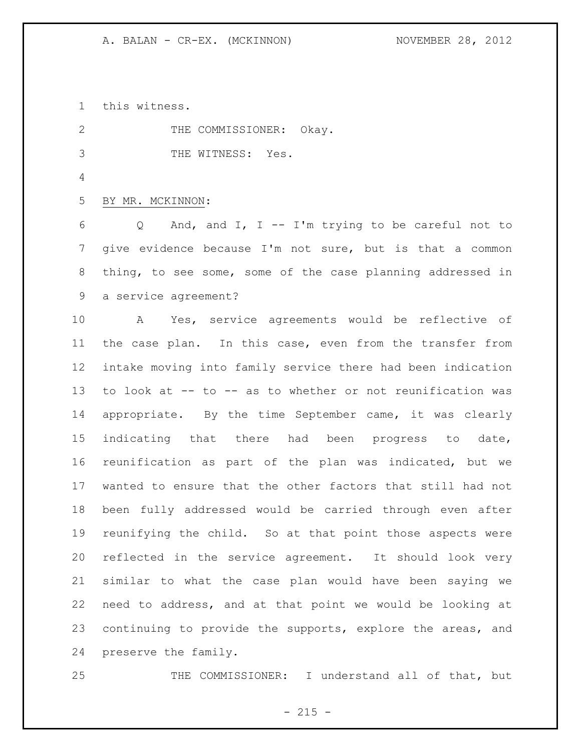this witness.

2 THE COMMISSIONER: Okay. THE WITNESS: Yes. BY MR. MCKINNON: Q And, and I, I -- I'm trying to be careful not to give evidence because I'm not sure, but is that a common thing, to see some, some of the case planning addressed in a service agreement? A Yes, service agreements would be reflective of the case plan. In this case, even from the transfer from intake moving into family service there had been indication to look at -- to -- as to whether or not reunification was appropriate. By the time September came, it was clearly indicating that there had been progress to date, reunification as part of the plan was indicated, but we wanted to ensure that the other factors that still had not

 been fully addressed would be carried through even after reunifying the child. So at that point those aspects were reflected in the service agreement. It should look very similar to what the case plan would have been saying we need to address, and at that point we would be looking at continuing to provide the supports, explore the areas, and preserve the family.

25 THE COMMISSIONER: I understand all of that, but

 $- 215 -$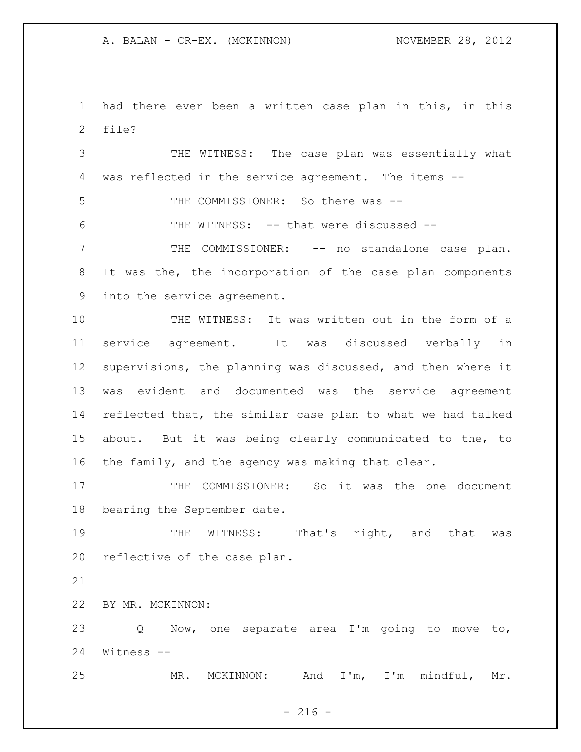A. BALAN - CR-EX. (MCKINNON) NOVEMBER 28, 2012

 had there ever been a written case plan in this, in this file?

 THE WITNESS: The case plan was essentially what was reflected in the service agreement. The items -- 5 THE COMMISSIONER: So there was -- THE WITNESS: -- that were discussed -- THE COMMISSIONER: -- no standalone case plan. It was the, the incorporation of the case plan components into the service agreement. THE WITNESS: It was written out in the form of a service agreement. It was discussed verbally in supervisions, the planning was discussed, and then where it was evident and documented was the service agreement reflected that, the similar case plan to what we had talked about. But it was being clearly communicated to the, to the family, and the agency was making that clear.

 THE COMMISSIONER: So it was the one document bearing the September date.

19 THE WITNESS: That's right, and that was reflective of the case plan.

BY MR. MCKINNON:

 Q Now, one separate area I'm going to move to, Witness --

MR. MCKINNON: And I'm, I'm mindful, Mr.

 $-216 -$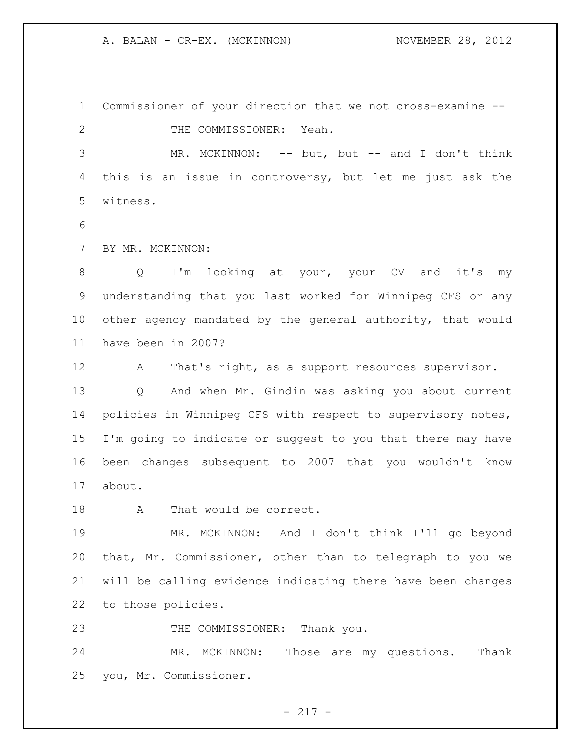A. BALAN - CR-EX. (MCKINNON) NOVEMBER 28, 2012

 Commissioner of your direction that we not cross-examine -- 2 THE COMMISSIONER: Yeah. MR. MCKINNON: -- but, but -- and I don't think this is an issue in controversy, but let me just ask the witness.

BY MR. MCKINNON:

 Q I'm looking at your, your CV and it's my understanding that you last worked for Winnipeg CFS or any other agency mandated by the general authority, that would have been in 2007?

12 A That's right, as a support resources supervisor. Q And when Mr. Gindin was asking you about current policies in Winnipeg CFS with respect to supervisory notes, I'm going to indicate or suggest to you that there may have been changes subsequent to 2007 that you wouldn't know about.

18 A That would be correct.

 MR. MCKINNON: And I don't think I'll go beyond that, Mr. Commissioner, other than to telegraph to you we will be calling evidence indicating there have been changes to those policies.

23 THE COMMISSIONER: Thank you.

 MR. MCKINNON: Those are my questions. Thank you, Mr. Commissioner.

- 217 -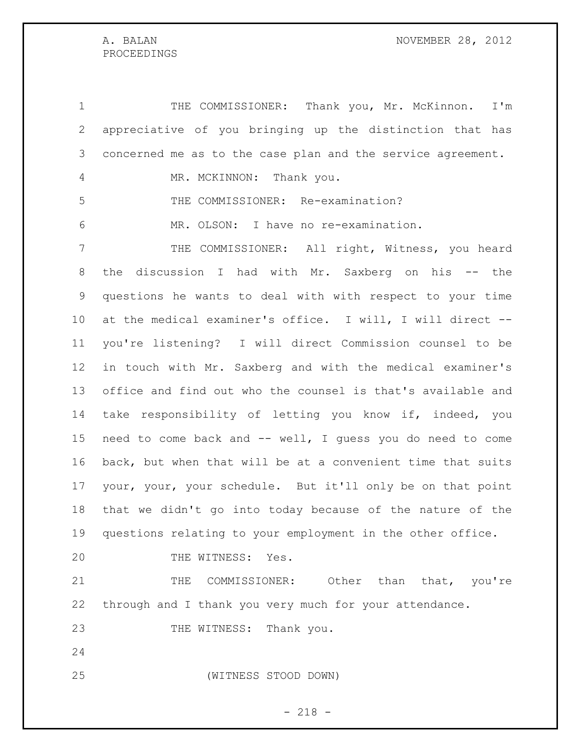## PROCEEDINGS

 THE COMMISSIONER: Thank you, Mr. McKinnon. I'm appreciative of you bringing up the distinction that has concerned me as to the case plan and the service agreement. 4 MR. MCKINNON: Thank you. THE COMMISSIONER: Re-examination? MR. OLSON: I have no re-examination. THE COMMISSIONER: All right, Witness, you heard the discussion I had with Mr. Saxberg on his -- the questions he wants to deal with with respect to your time at the medical examiner's office. I will, I will direct -- you're listening? I will direct Commission counsel to be in touch with Mr. Saxberg and with the medical examiner's office and find out who the counsel is that's available and take responsibility of letting you know if, indeed, you need to come back and -- well, I guess you do need to come back, but when that will be at a convenient time that suits your, your, your schedule. But it'll only be on that point that we didn't go into today because of the nature of the questions relating to your employment in the other office. 20 THE WITNESS: Yes. THE COMMISSIONER: Other than that, you're through and I thank you very much for your attendance. 23 THE WITNESS: Thank you. (WITNESS STOOD DOWN)

- 218 -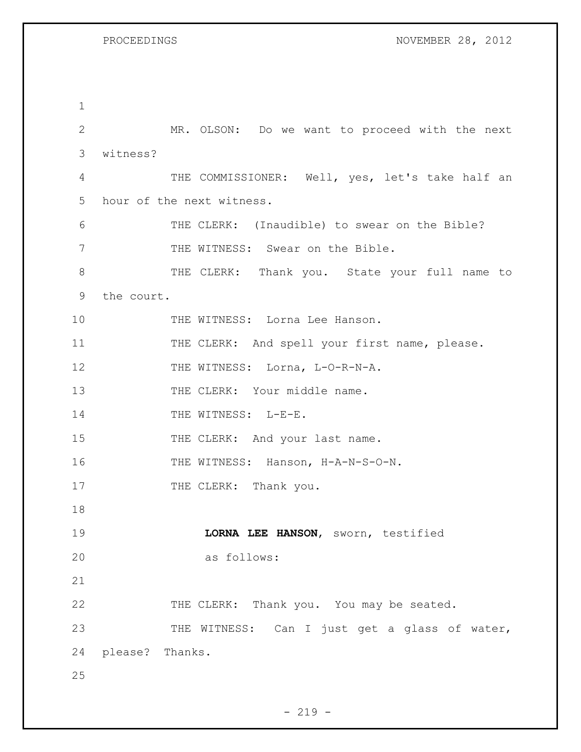1 2 MR. OLSON: Do we want to proceed with the next 3 witness? 4 THE COMMISSIONER: Well, yes, let's take half an 5 hour of the next witness. 6 THE CLERK: (Inaudible) to swear on the Bible? 7 THE WITNESS: Swear on the Bible. 8 THE CLERK: Thank you. State your full name to 9 the court. 10 THE WITNESS: Lorna Lee Hanson. 11 THE CLERK: And spell your first name, please. 12 THE WITNESS: Lorna, L-O-R-N-A. 13 THE CLERK: Your middle name. 14 THE WITNESS: L-E-E. 15 THE CLERK: And your last name. 16 THE WITNESS: Hanson, H-A-N-S-O-N. 17 THE CLERK: Thank you. 18 19 **LORNA LEE HANSON**, sworn, testified 20 as follows: 21 22 THE CLERK: Thank you. You may be seated. 23 THE WITNESS: Can I just get a glass of water, 24 please? Thanks. 25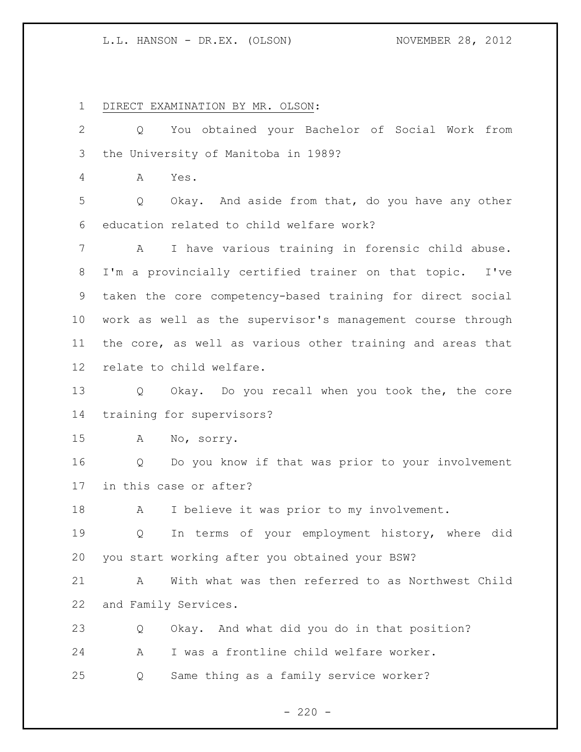DIRECT EXAMINATION BY MR. OLSON:

 Q You obtained your Bachelor of Social Work from the University of Manitoba in 1989? A Yes. Q Okay. And aside from that, do you have any other education related to child welfare work? A I have various training in forensic child abuse. I'm a provincially certified trainer on that topic. I've taken the core competency-based training for direct social work as well as the supervisor's management course through the core, as well as various other training and areas that relate to child welfare. Q Okay. Do you recall when you took the, the core training for supervisors? A No, sorry. Q Do you know if that was prior to your involvement in this case or after? 18 A I believe it was prior to my involvement. Q In terms of your employment history, where did you start working after you obtained your BSW? A With what was then referred to as Northwest Child and Family Services. Q Okay. And what did you do in that position? A I was a frontline child welfare worker. Q Same thing as a family service worker?

 $- 220 -$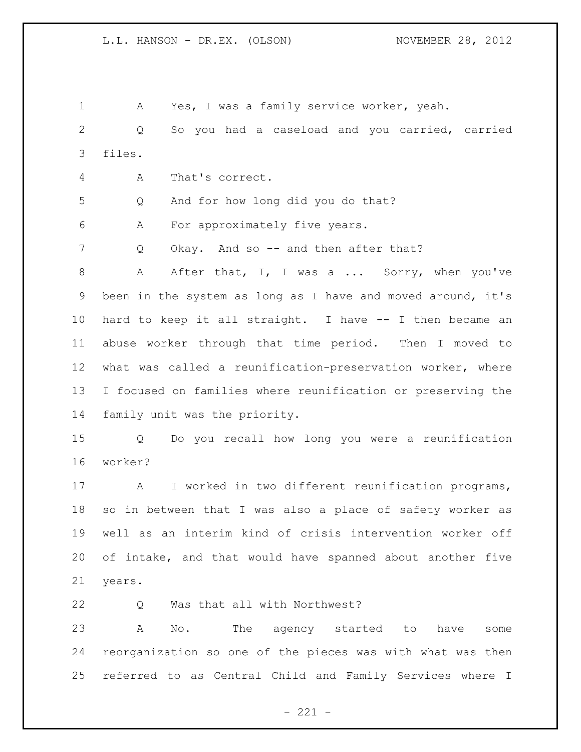A Yes, I was a family service worker, yeah. Q So you had a caseload and you carried, carried files. A That's correct. Q And for how long did you do that? A For approximately five years. 7 Q Okay. And so -- and then after that? 8 A After that, I, I was a ... Sorry, when you've been in the system as long as I have and moved around, it's hard to keep it all straight. I have -- I then became an abuse worker through that time period. Then I moved to what was called a reunification-preservation worker, where I focused on families where reunification or preserving the family unit was the priority. Q Do you recall how long you were a reunification worker? A I worked in two different reunification programs, so in between that I was also a place of safety worker as well as an interim kind of crisis intervention worker off of intake, and that would have spanned about another five years. Q Was that all with Northwest? A No. The agency started to have some reorganization so one of the pieces was with what was then referred to as Central Child and Family Services where I

 $- 221 -$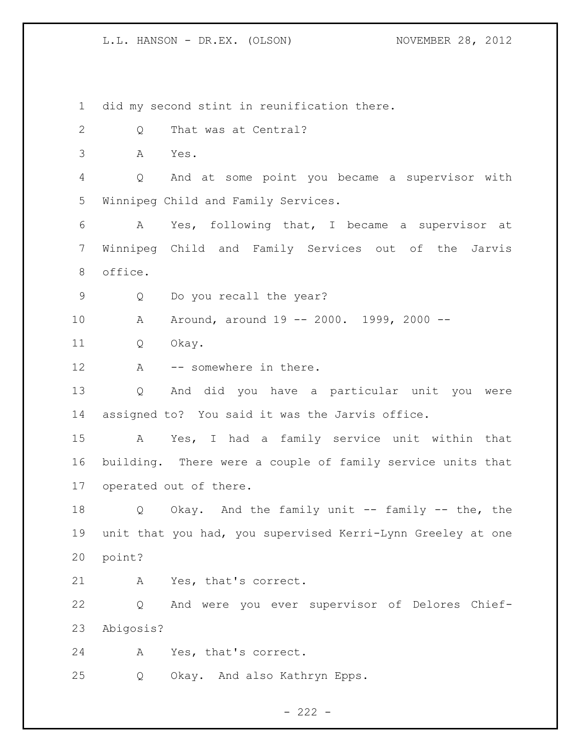did my second stint in reunification there. 2 Q That was at Central? A Yes. Q And at some point you became a supervisor with Winnipeg Child and Family Services. A Yes, following that, I became a supervisor at Winnipeg Child and Family Services out of the Jarvis office. Q Do you recall the year? A Around, around 19 -- 2000. 1999, 2000 -- Q Okay. 12 A -- somewhere in there. Q And did you have a particular unit you were assigned to? You said it was the Jarvis office. A Yes, I had a family service unit within that building. There were a couple of family service units that operated out of there. Q Okay. And the family unit -- family -- the, the unit that you had, you supervised Kerri-Lynn Greeley at one point? A Yes, that's correct. Q And were you ever supervisor of Delores Chief- Abigosis? A Yes, that's correct. Q Okay. And also Kathryn Epps.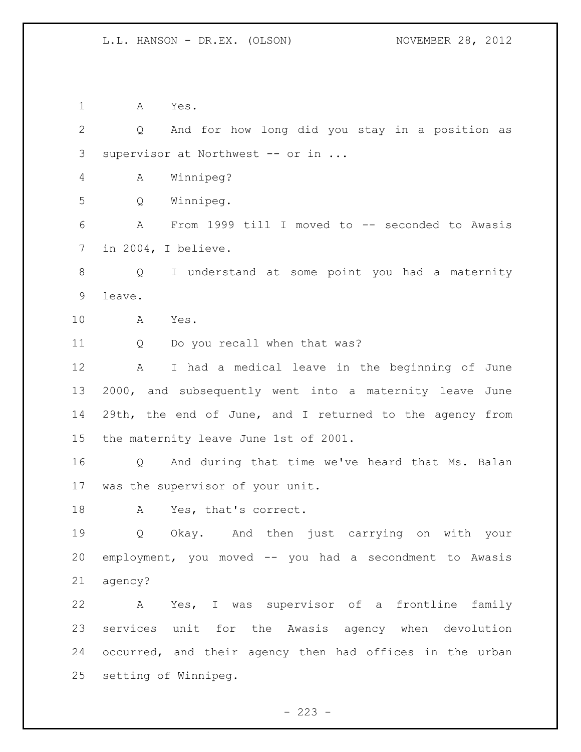A Yes. Q And for how long did you stay in a position as supervisor at Northwest -- or in ... A Winnipeg? Q Winnipeg. A From 1999 till I moved to -- seconded to Awasis in 2004, I believe. Q I understand at some point you had a maternity leave. A Yes. Q Do you recall when that was? A I had a medical leave in the beginning of June 2000, and subsequently went into a maternity leave June 29th, the end of June, and I returned to the agency from the maternity leave June 1st of 2001. Q And during that time we've heard that Ms. Balan was the supervisor of your unit. A Yes, that's correct. Q Okay. And then just carrying on with your employment, you moved -- you had a secondment to Awasis agency? A Yes, I was supervisor of a frontline family services unit for the Awasis agency when devolution occurred, and their agency then had offices in the urban setting of Winnipeg.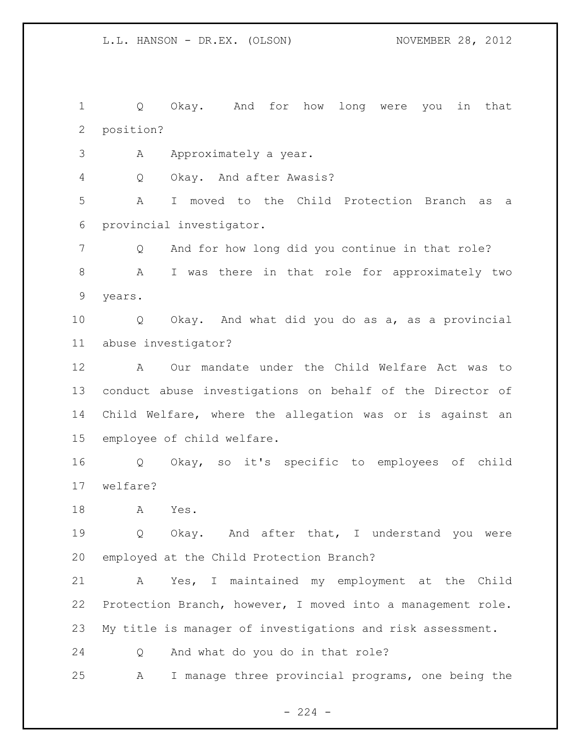Q Okay. And for how long were you in that position?

3 A Approximately a year.

Q Okay. And after Awasis?

 A I moved to the Child Protection Branch as a provincial investigator.

 Q And for how long did you continue in that role? A I was there in that role for approximately two years.

 Q Okay. And what did you do as a, as a provincial abuse investigator?

 A Our mandate under the Child Welfare Act was to conduct abuse investigations on behalf of the Director of Child Welfare, where the allegation was or is against an employee of child welfare.

 Q Okay, so it's specific to employees of child welfare?

A Yes.

19 0 Okay. And after that, I understand you were employed at the Child Protection Branch?

 A Yes, I maintained my employment at the Child Protection Branch, however, I moved into a management role. My title is manager of investigations and risk assessment.

Q And what do you do in that role?

A I manage three provincial programs, one being the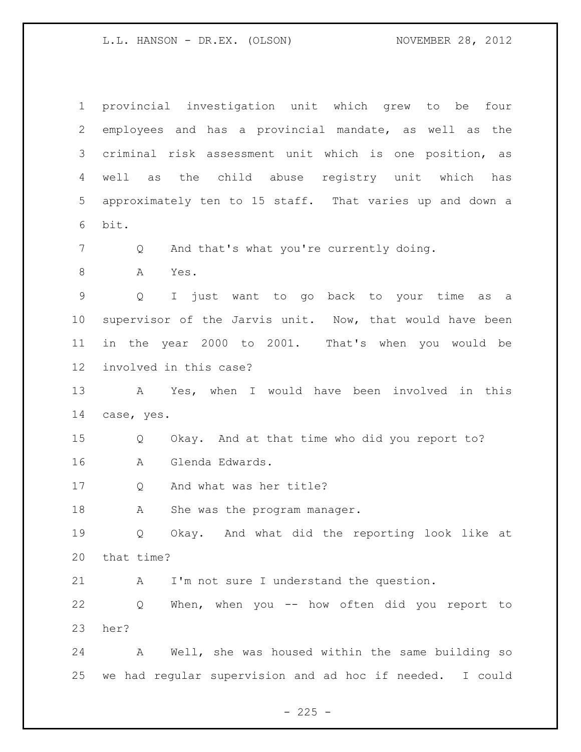provincial investigation unit which grew to be four employees and has a provincial mandate, as well as the criminal risk assessment unit which is one position, as well as the child abuse registry unit which has approximately ten to 15 staff. That varies up and down a bit. 7 Q And that's what you're currently doing. A Yes. Q I just want to go back to your time as a supervisor of the Jarvis unit. Now, that would have been in the year 2000 to 2001. That's when you would be involved in this case? A Yes, when I would have been involved in this case, yes. Q Okay. And at that time who did you report to? A Glenda Edwards. Q And what was her title? 18 A She was the program manager. Q Okay. And what did the reporting look like at that time? A I'm not sure I understand the question. Q When, when you -- how often did you report to her? A Well, she was housed within the same building so we had regular supervision and ad hoc if needed. I could

 $- 225 -$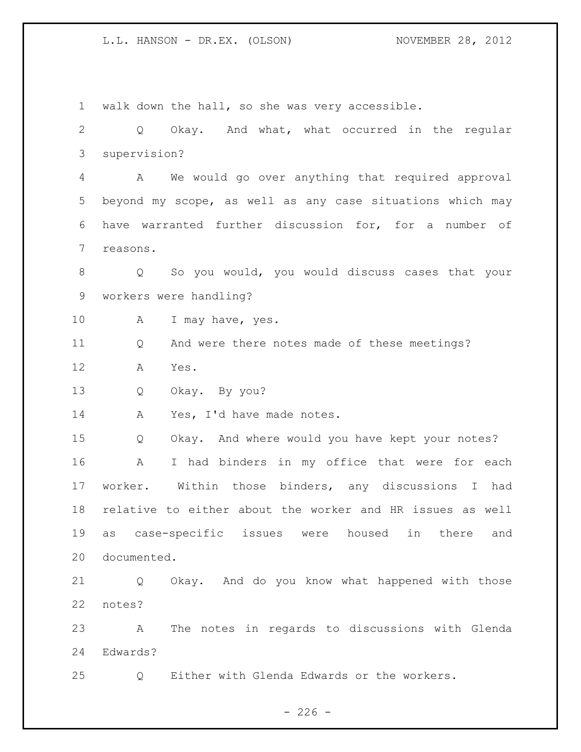walk down the hall, so she was very accessible. Q Okay. And what, what occurred in the regular supervision? A We would go over anything that required approval beyond my scope, as well as any case situations which may have warranted further discussion for, for a number of reasons. Q So you would, you would discuss cases that your workers were handling? 10 A I may have, yes. Q And were there notes made of these meetings? A Yes. Q Okay. By you? 14 A Yes, I'd have made notes. Q Okay. And where would you have kept your notes? A I had binders in my office that were for each worker. Within those binders, any discussions I had relative to either about the worker and HR issues as well as case-specific issues were housed in there and documented. Q Okay. And do you know what happened with those notes? A The notes in regards to discussions with Glenda Edwards? Q Either with Glenda Edwards or the workers.

 $-226 -$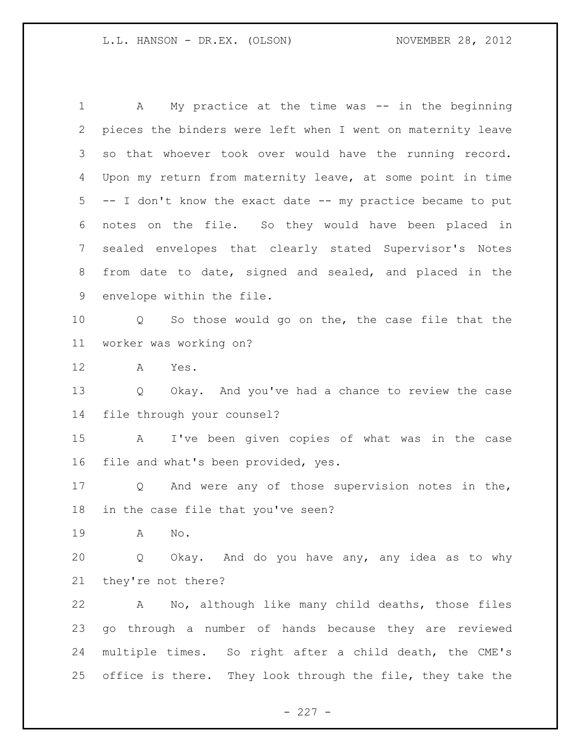A My practice at the time was -- in the beginning pieces the binders were left when I went on maternity leave so that whoever took over would have the running record. Upon my return from maternity leave, at some point in time -- I don't know the exact date -- my practice became to put notes on the file. So they would have been placed in sealed envelopes that clearly stated Supervisor's Notes from date to date, signed and sealed, and placed in the envelope within the file. Q So those would go on the, the case file that the worker was working on? A Yes. Q Okay. And you've had a chance to review the case file through your counsel? A I've been given copies of what was in the case file and what's been provided, yes. Q And were any of those supervision notes in the, in the case file that you've seen? A No. Q Okay. And do you have any, any idea as to why they're not there? A No, although like many child deaths, those files go through a number of hands because they are reviewed multiple times. So right after a child death, the CME's office is there. They look through the file, they take the

 $- 227 -$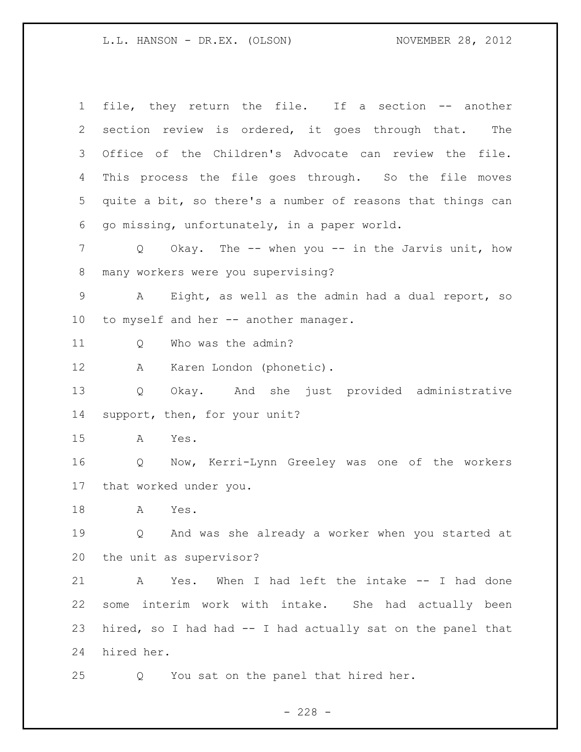file, they return the file. If a section -- another section review is ordered, it goes through that. The Office of the Children's Advocate can review the file. This process the file goes through. So the file moves quite a bit, so there's a number of reasons that things can go missing, unfortunately, in a paper world. Q Okay. The -- when you -- in the Jarvis unit, how many workers were you supervising? A Eight, as well as the admin had a dual report, so to myself and her -- another manager. 11 0 Who was the admin? A Karen London (phonetic). Q Okay. And she just provided administrative support, then, for your unit? A Yes. Q Now, Kerri-Lynn Greeley was one of the workers that worked under you. A Yes. Q And was she already a worker when you started at the unit as supervisor? A Yes. When I had left the intake -- I had done some interim work with intake. She had actually been hired, so I had had -- I had actually sat on the panel that hired her. Q You sat on the panel that hired her.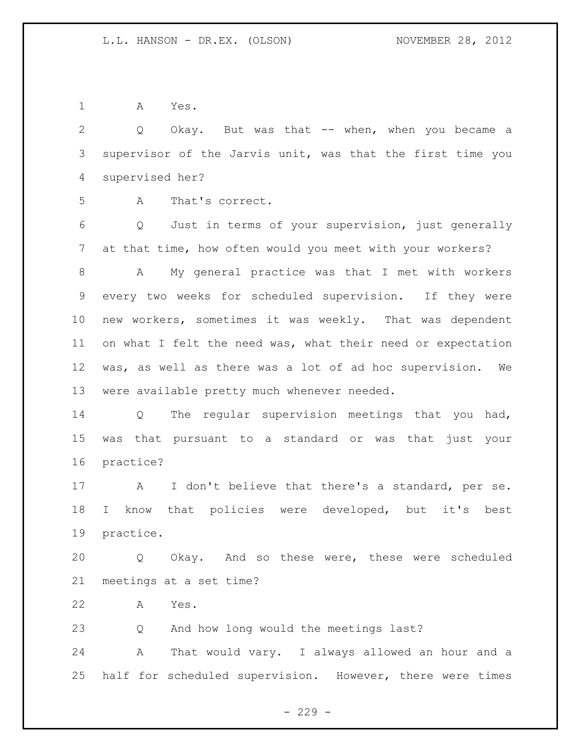A Yes.

 Q Okay. But was that -- when, when you became a supervisor of the Jarvis unit, was that the first time you supervised her?

A That's correct.

 Q Just in terms of your supervision, just generally at that time, how often would you meet with your workers?

 A My general practice was that I met with workers every two weeks for scheduled supervision. If they were new workers, sometimes it was weekly. That was dependent 11 on what I felt the need was, what their need or expectation was, as well as there was a lot of ad hoc supervision. We were available pretty much whenever needed.

 Q The regular supervision meetings that you had, was that pursuant to a standard or was that just your practice?

 A I don't believe that there's a standard, per se. I know that policies were developed, but it's best practice.

 Q Okay. And so these were, these were scheduled meetings at a set time?

A Yes.

Q And how long would the meetings last?

 A That would vary. I always allowed an hour and a half for scheduled supervision. However, there were times

 $-229 -$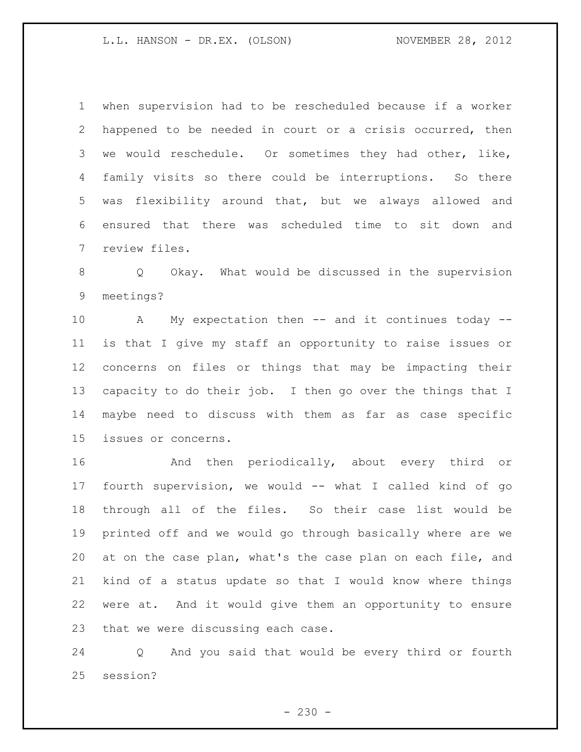when supervision had to be rescheduled because if a worker happened to be needed in court or a crisis occurred, then we would reschedule. Or sometimes they had other, like, family visits so there could be interruptions. So there was flexibility around that, but we always allowed and ensured that there was scheduled time to sit down and review files.

 Q Okay. What would be discussed in the supervision meetings?

 A My expectation then -- and it continues today -- is that I give my staff an opportunity to raise issues or concerns on files or things that may be impacting their capacity to do their job. I then go over the things that I maybe need to discuss with them as far as case specific issues or concerns.

 And then periodically, about every third or fourth supervision, we would -- what I called kind of go through all of the files. So their case list would be printed off and we would go through basically where are we at on the case plan, what's the case plan on each file, and kind of a status update so that I would know where things were at. And it would give them an opportunity to ensure that we were discussing each case.

 Q And you said that would be every third or fourth session?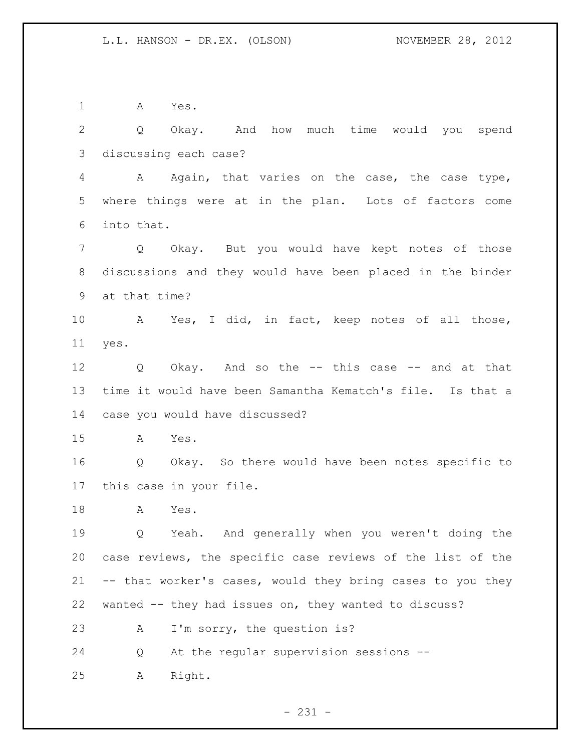A Yes.

 Q Okay. And how much time would you spend discussing each case?

 A Again, that varies on the case, the case type, where things were at in the plan. Lots of factors come into that.

 Q Okay. But you would have kept notes of those discussions and they would have been placed in the binder at that time?

 A Yes, I did, in fact, keep notes of all those, yes.

 Q Okay. And so the -- this case -- and at that time it would have been Samantha Kematch's file. Is that a case you would have discussed?

A Yes.

 Q Okay. So there would have been notes specific to this case in your file.

A Yes.

 Q Yeah. And generally when you weren't doing the case reviews, the specific case reviews of the list of the -- that worker's cases, would they bring cases to you they wanted -- they had issues on, they wanted to discuss? A I'm sorry, the question is?

Q At the regular supervision sessions --

A Right.

 $- 231 -$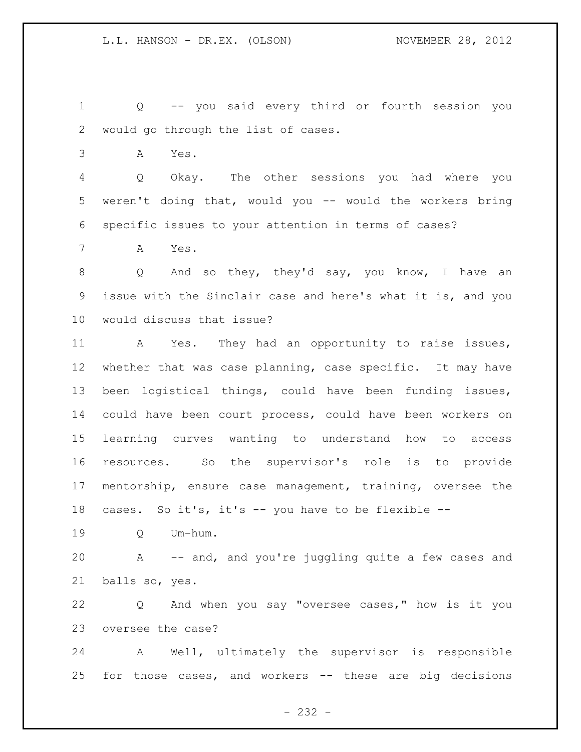Q -- you said every third or fourth session you would go through the list of cases.

A Yes.

 Q Okay. The other sessions you had where you weren't doing that, would you -- would the workers bring specific issues to your attention in terms of cases?

A Yes.

 Q And so they, they'd say, you know, I have an issue with the Sinclair case and here's what it is, and you would discuss that issue?

 A Yes. They had an opportunity to raise issues, whether that was case planning, case specific. It may have been logistical things, could have been funding issues, could have been court process, could have been workers on learning curves wanting to understand how to access resources. So the supervisor's role is to provide mentorship, ensure case management, training, oversee the cases. So it's, it's -- you have to be flexible --

Q Um-hum.

 A -- and, and you're juggling quite a few cases and balls so, yes.

 Q And when you say "oversee cases," how is it you oversee the case?

 A Well, ultimately the supervisor is responsible for those cases, and workers -- these are big decisions

- 232 -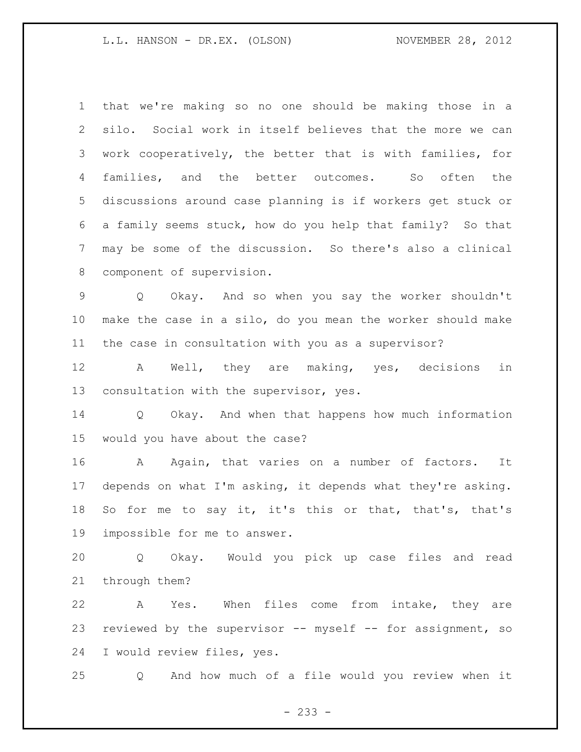that we're making so no one should be making those in a silo. Social work in itself believes that the more we can work cooperatively, the better that is with families, for families, and the better outcomes. So often the discussions around case planning is if workers get stuck or a family seems stuck, how do you help that family? So that may be some of the discussion. So there's also a clinical component of supervision.

 Q Okay. And so when you say the worker shouldn't make the case in a silo, do you mean the worker should make the case in consultation with you as a supervisor?

 A Well, they are making, yes, decisions in consultation with the supervisor, yes.

 Q Okay. And when that happens how much information would you have about the case?

 A Again, that varies on a number of factors. It depends on what I'm asking, it depends what they're asking. So for me to say it, it's this or that, that's, that's impossible for me to answer.

 Q Okay. Would you pick up case files and read through them?

 A Yes. When files come from intake, they are reviewed by the supervisor -- myself -- for assignment, so I would review files, yes.

Q And how much of a file would you review when it

- 233 -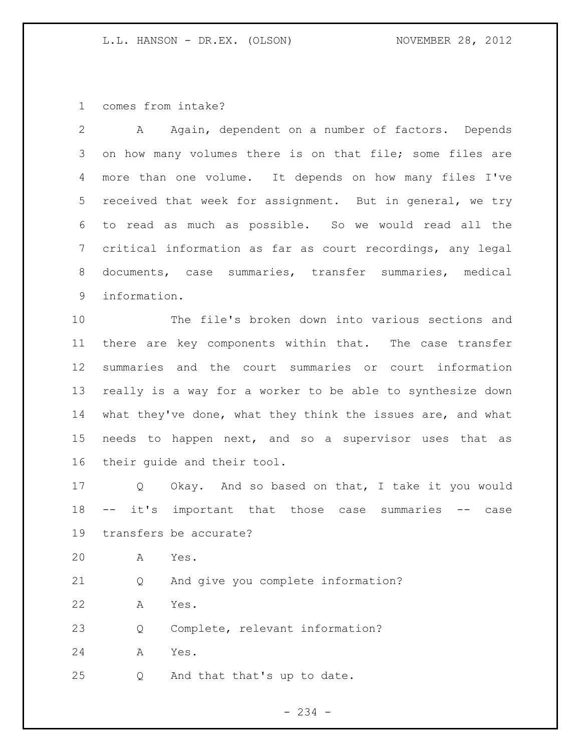comes from intake?

| 2               | Again, dependent on a number of factors. Depends<br>A                |
|-----------------|----------------------------------------------------------------------|
| 3               | on how many volumes there is on that file; some files are            |
| 4               | more than one volume. It depends on how many files I've              |
| 5               | received that week for assignment. But in general, we try            |
| 6               | to read as much as possible. So we would read all the                |
| 7               | critical information as far as court recordings, any legal           |
| 8               | documents, case summaries, transfer summaries, medical               |
| 9               | information.                                                         |
| 10              | The file's broken down into various sections and                     |
| 11              | there are key components within that. The case transfer              |
| 12              | summaries and the court summaries or court information               |
| 13              | really is a way for a worker to be able to synthesize down           |
| 14              | what they've done, what they think the issues are, and what          |
| 15 <sub>1</sub> | needs to happen next, and so a supervisor uses that as               |
| 16              | their quide and their tool.                                          |
| 17              | Okay. And so based on that, I take it you would<br>$Q \qquad \qquad$ |
| 18              | it's<br>important that those case summaries -- case<br>$\sim$ $-$    |
| 19              | transfers be accurate?                                               |
| 20              | Α<br>Yes.                                                            |
| 21              | And give you complete information?<br>Q                              |
| 22              | Yes.<br>Α                                                            |
| 23              | Complete, relevant information?<br>Q                                 |
| 24              | Yes.<br>Α                                                            |

Q And that that's up to date.

- 234 -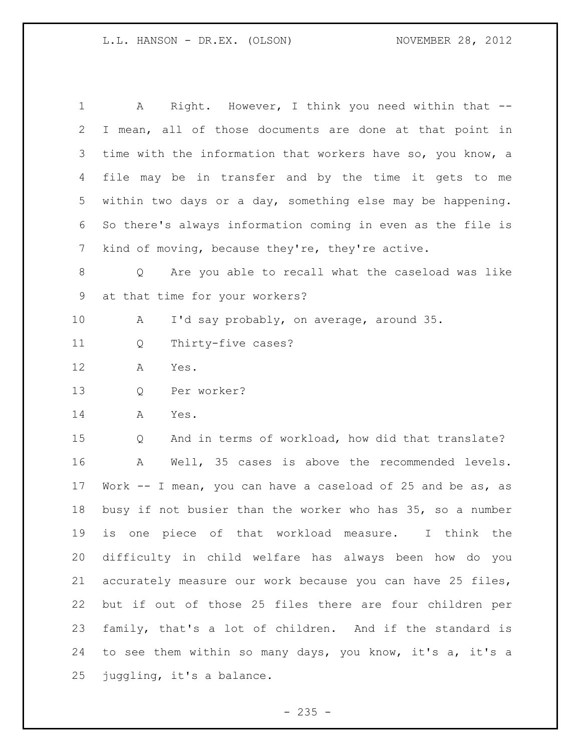| $\mathbf 1$     | Right. However, I think you need within that --<br>A          |
|-----------------|---------------------------------------------------------------|
| 2               | I mean, all of those documents are done at that point in      |
| 3               | time with the information that workers have so, you know, a   |
| 4               | file may be in transfer and by the time it gets to me         |
| 5               | within two days or a day, something else may be happening.    |
| 6               | So there's always information coming in even as the file is   |
| $7\phantom{.0}$ | kind of moving, because they're, they're active.              |
| 8               | Are you able to recall what the caseload was like<br>Q        |
| 9               | at that time for your workers?                                |
| 10              | I'd say probably, on average, around 35.<br>A                 |
| 11              | Thirty-five cases?<br>Q                                       |
| 12              | Yes.<br>A                                                     |
| 13              | Per worker?<br>Q                                              |
| 14              | Yes.<br>Α                                                     |
| 15              | And in terms of workload, how did that translate?<br>Q        |
| 16              | Well, 35 cases is above the recommended levels.<br>Α          |
| 17              | Work $--$ I mean, you can have a caseload of 25 and be as, as |
| 18              | busy if not busier than the worker who has 35, so a number    |
| 19              | is one piece of that workload measure. I think the            |
| 20              | difficulty in child welfare has always been how do you        |
| 21              | accurately measure our work because you can have 25 files,    |
| 22              | but if out of those 25 files there are four children per      |
| 23              | family, that's a lot of children. And if the standard is      |
| 24              | to see them within so many days, you know, it's a, it's a     |
| 25              | juggling, it's a balance.                                     |

- 235 -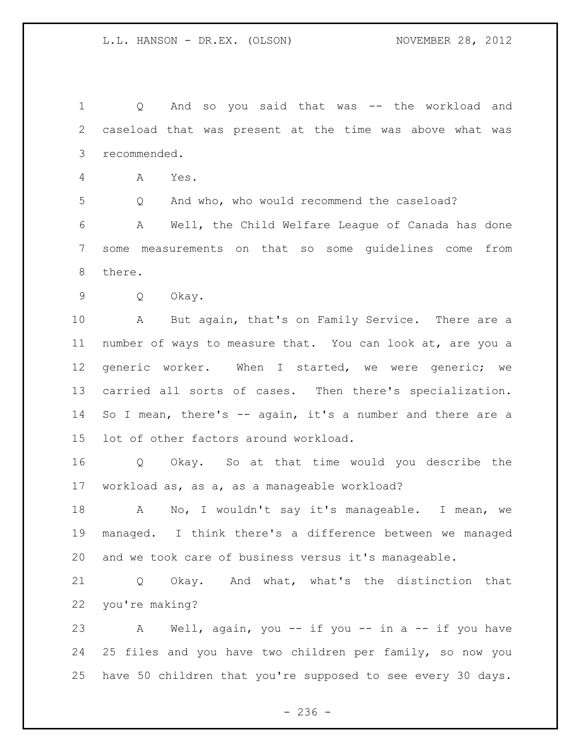Q And so you said that was -- the workload and caseload that was present at the time was above what was recommended.

A Yes.

Q And who, who would recommend the caseload?

 A Well, the Child Welfare League of Canada has done some measurements on that so some guidelines come from there.

Q Okay.

 A But again, that's on Family Service. There are a number of ways to measure that. You can look at, are you a generic worker. When I started, we were generic; we carried all sorts of cases. Then there's specialization. So I mean, there's -- again, it's a number and there are a lot of other factors around workload.

 Q Okay. So at that time would you describe the workload as, as a, as a manageable workload?

 A No, I wouldn't say it's manageable. I mean, we managed. I think there's a difference between we managed and we took care of business versus it's manageable.

 Q Okay. And what, what's the distinction that you're making?

 A Well, again, you -- if you -- in a -- if you have 25 files and you have two children per family, so now you have 50 children that you're supposed to see every 30 days.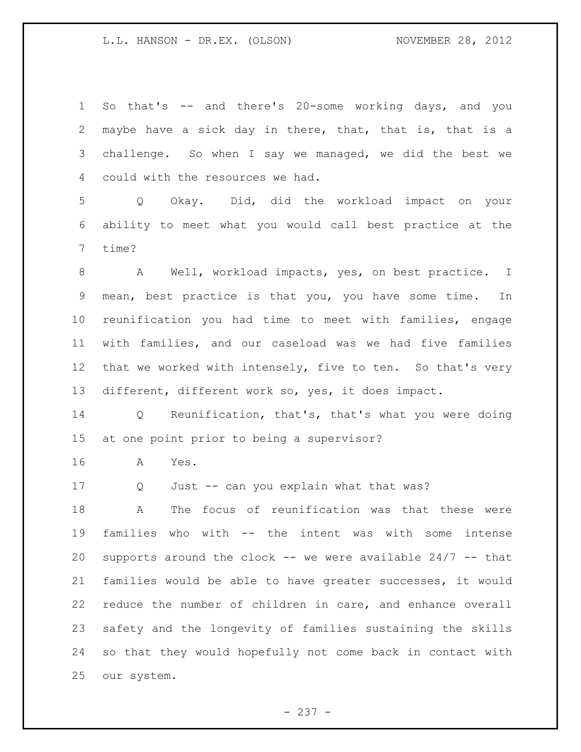So that's -- and there's 20-some working days, and you maybe have a sick day in there, that, that is, that is a challenge. So when I say we managed, we did the best we could with the resources we had.

 Q Okay. Did, did the workload impact on your ability to meet what you would call best practice at the time?

 A Well, workload impacts, yes, on best practice. I mean, best practice is that you, you have some time. In reunification you had time to meet with families, engage with families, and our caseload was we had five families that we worked with intensely, five to ten. So that's very different, different work so, yes, it does impact.

 Q Reunification, that's, that's what you were doing at one point prior to being a supervisor?

A Yes.

Q Just -- can you explain what that was?

 A The focus of reunification was that these were families who with -- the intent was with some intense 20 supports around the clock  $--$  we were available 24/7  $--$  that families would be able to have greater successes, it would reduce the number of children in care, and enhance overall safety and the longevity of families sustaining the skills so that they would hopefully not come back in contact with our system.

- 237 -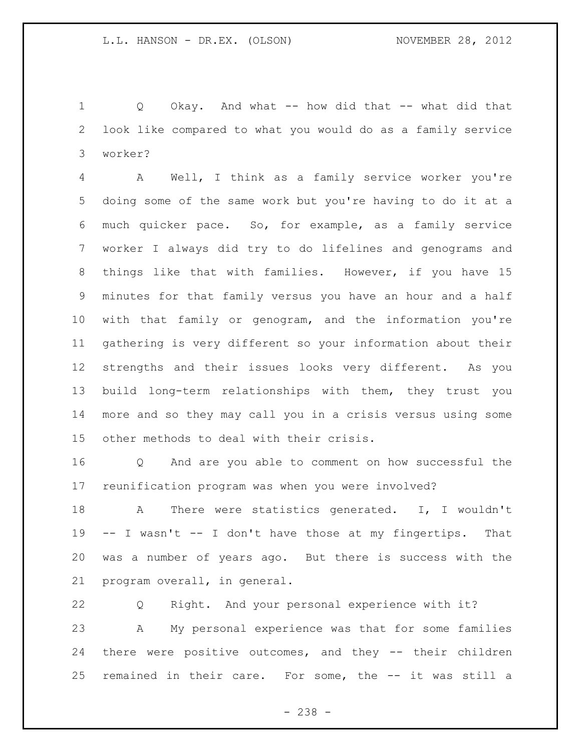Q Okay. And what -- how did that -- what did that look like compared to what you would do as a family service worker?

 A Well, I think as a family service worker you're doing some of the same work but you're having to do it at a much quicker pace. So, for example, as a family service worker I always did try to do lifelines and genograms and things like that with families. However, if you have 15 minutes for that family versus you have an hour and a half with that family or genogram, and the information you're gathering is very different so your information about their strengths and their issues looks very different. As you build long-term relationships with them, they trust you more and so they may call you in a crisis versus using some other methods to deal with their crisis.

 Q And are you able to comment on how successful the reunification program was when you were involved?

18 A There were statistics generated. I, I wouldn't -- I wasn't -- I don't have those at my fingertips. That was a number of years ago. But there is success with the program overall, in general.

 Q Right. And your personal experience with it? A My personal experience was that for some families there were positive outcomes, and they -- their children remained in their care. For some, the -- it was still a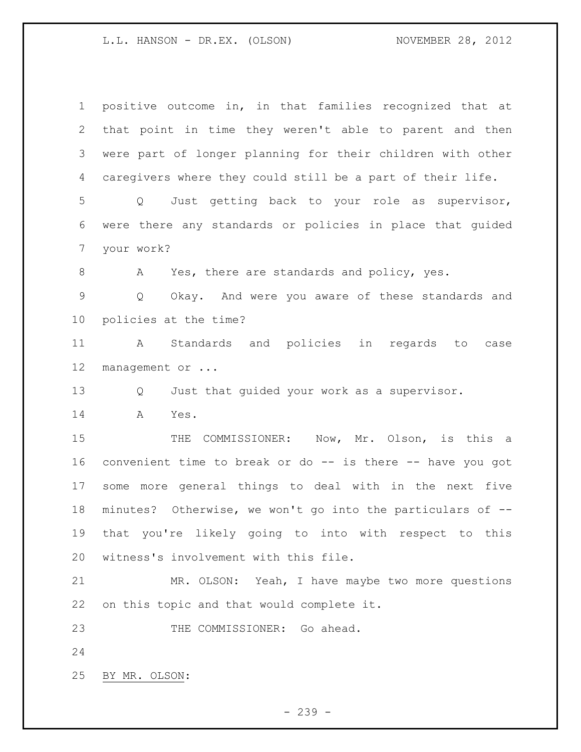| $\mathbf 1$ | positive outcome in, in that families recognized that at             |
|-------------|----------------------------------------------------------------------|
| 2           | that point in time they weren't able to parent and then              |
| 3           | were part of longer planning for their children with other           |
| 4           | caregivers where they could still be a part of their life.           |
| 5           | Q Just getting back to your role as supervisor,                      |
| 6           | were there any standards or policies in place that quided            |
| 7           | your work?                                                           |
| 8           | Yes, there are standards and policy, yes.<br>A                       |
| 9           | Okay. And were you aware of these standards and<br>$Q \qquad \qquad$ |
| $10 \,$     | policies at the time?                                                |
| 11          | A Standards and policies<br>in regards<br>to<br>case                 |
| 12          | management or                                                        |
| 13          | Just that quided your work as a supervisor.<br>Q                     |
| 14          | Α<br>Yes.                                                            |
| 15          | COMMISSIONER: Now, Mr. Olson, is this a<br>THE                       |
| 16          | convenient time to break or do -- is there -- have you got           |
| 17          | some more general things to deal with in the next five               |
| 18          | minutes? Otherwise, we won't go into the particulars of --           |
| 19          | that you're likely going to into with respect to this                |
| 20          | witness's involvement with this file.                                |
| 21          | MR. OLSON: Yeah, I have maybe two more questions                     |
| 22          | on this topic and that would complete it.                            |
| 23          | THE COMMISSIONER: Go ahead.                                          |
| 24          |                                                                      |
| 25          | BY MR. OLSON:                                                        |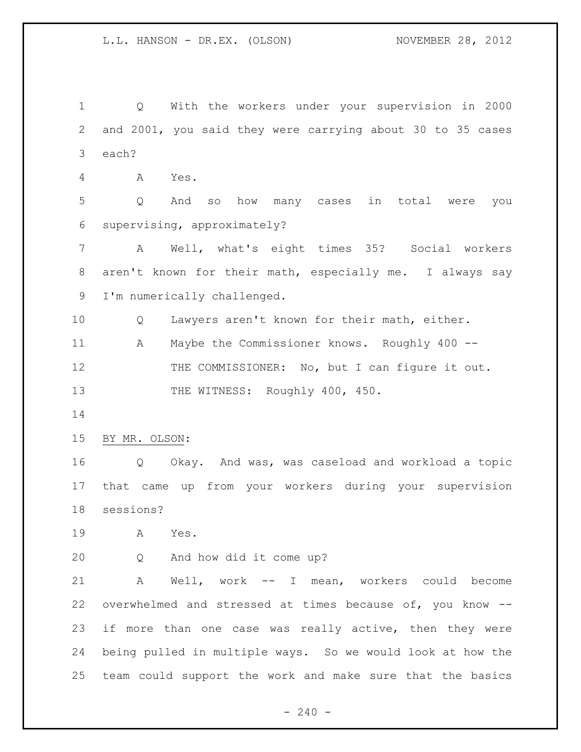Q With the workers under your supervision in 2000 and 2001, you said they were carrying about 30 to 35 cases each? A Yes. Q And so how many cases in total were you supervising, approximately? A Well, what's eight times 35? Social workers aren't known for their math, especially me. I always say I'm numerically challenged. Q Lawyers aren't known for their math, either. A Maybe the Commissioner knows. Roughly 400 -- 12 THE COMMISSIONER: No, but I can figure it out. 13 THE WITNESS: Roughly 400, 450. BY MR. OLSON: Q Okay. And was, was caseload and workload a topic that came up from your workers during your supervision sessions? A Yes. Q And how did it come up? A Well, work -- I mean, workers could become overwhelmed and stressed at times because of, you know -- if more than one case was really active, then they were being pulled in multiple ways. So we would look at how the team could support the work and make sure that the basics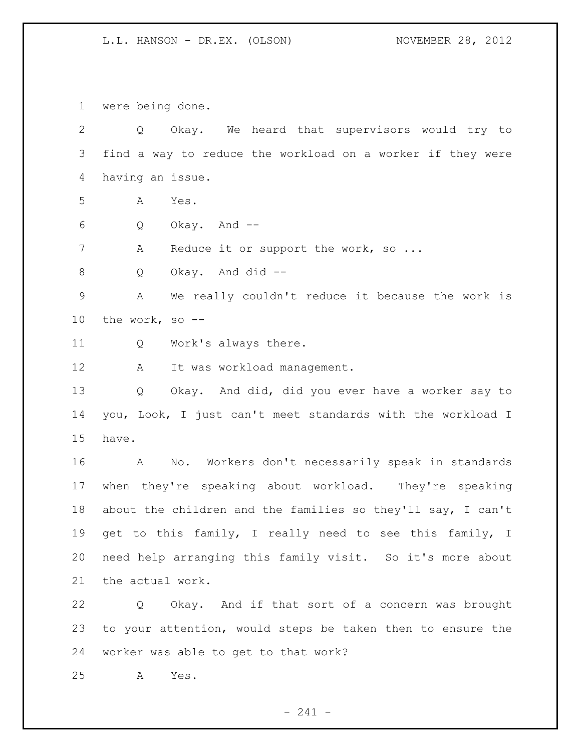were being done.

 Q Okay. We heard that supervisors would try to find a way to reduce the workload on a worker if they were having an issue. A Yes. Q Okay. And -- 7 A Reduce it or support the work, so ... Q Okay. And did -- A We really couldn't reduce it because the work is the work, so -- Q Work's always there. 12 A It was workload management. Q Okay. And did, did you ever have a worker say to you, Look, I just can't meet standards with the workload I have. A No. Workers don't necessarily speak in standards when they're speaking about workload. They're speaking about the children and the families so they'll say, I can't get to this family, I really need to see this family, I need help arranging this family visit. So it's more about the actual work.

 Q Okay. And if that sort of a concern was brought to your attention, would steps be taken then to ensure the worker was able to get to that work?

A Yes.